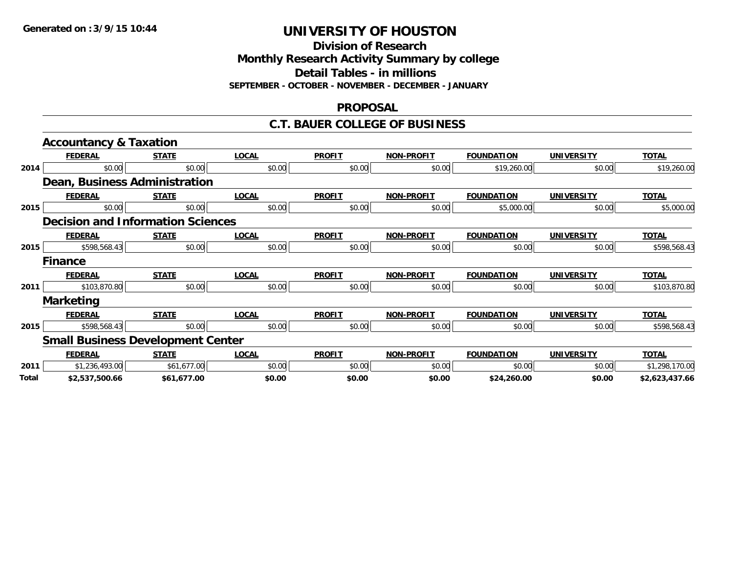**Division of Research Monthly Research Activity Summary by college Detail Tables - in millions**

**SEPTEMBER - OCTOBER - NOVEMBER - DECEMBER - JANUARY**

### **PROPOSAL**

#### **C.T. BAUER COLLEGE OF BUSINESS**

|       | <b>Accountancy &amp; Taxation</b>        |              |              |               |                   |                   |                   |                |  |
|-------|------------------------------------------|--------------|--------------|---------------|-------------------|-------------------|-------------------|----------------|--|
|       | <b>FEDERAL</b>                           | <b>STATE</b> | <b>LOCAL</b> | <b>PROFIT</b> | <b>NON-PROFIT</b> | <b>FOUNDATION</b> | <b>UNIVERSITY</b> | <b>TOTAL</b>   |  |
| 2014  | \$0.00                                   | \$0.00       | \$0.00       | \$0.00        | \$0.00            | \$19,260.00       | \$0.00            | \$19,260.00    |  |
|       | <b>Dean, Business Administration</b>     |              |              |               |                   |                   |                   |                |  |
|       | <b>FEDERAL</b>                           | <b>STATE</b> | <b>LOCAL</b> | <b>PROFIT</b> | <b>NON-PROFIT</b> | <b>FOUNDATION</b> | <b>UNIVERSITY</b> | <b>TOTAL</b>   |  |
| 2015  | \$0.00                                   | \$0.00       | \$0.00       | \$0.00        | \$0.00            | \$5,000.00        | \$0.00            | \$5,000.00     |  |
|       | <b>Decision and Information Sciences</b> |              |              |               |                   |                   |                   |                |  |
|       | <b>FEDERAL</b>                           | <b>STATE</b> | <b>LOCAL</b> | <b>PROFIT</b> | <b>NON-PROFIT</b> | <b>FOUNDATION</b> | <b>UNIVERSITY</b> | <b>TOTAL</b>   |  |
| 2015  | \$598,568.43                             | \$0.00       | \$0.00       | \$0.00        | \$0.00            | \$0.00            | \$0.00            | \$598,568.43   |  |
|       | <b>Finance</b>                           |              |              |               |                   |                   |                   |                |  |
|       | <b>FEDERAL</b>                           | <b>STATE</b> | <b>LOCAL</b> | <b>PROFIT</b> | <b>NON-PROFIT</b> | <b>FOUNDATION</b> | <b>UNIVERSITY</b> | <b>TOTAL</b>   |  |
| 2011  | \$103,870.80                             | \$0.00       | \$0.00       | \$0.00        | \$0.00            | \$0.00            | \$0.00            | \$103,870.80   |  |
|       | <b>Marketing</b>                         |              |              |               |                   |                   |                   |                |  |
|       | <b>FEDERAL</b>                           | <b>STATE</b> | <b>LOCAL</b> | <b>PROFIT</b> | <b>NON-PROFIT</b> | <b>FOUNDATION</b> | <b>UNIVERSITY</b> | <b>TOTAL</b>   |  |
| 2015  | \$598,568.43                             | \$0.00       | \$0.00       | \$0.00        | \$0.00            | \$0.00            | \$0.00            | \$598,568.43   |  |
|       | <b>Small Business Development Center</b> |              |              |               |                   |                   |                   |                |  |
|       | <b>FEDERAL</b>                           | <b>STATE</b> | <b>LOCAL</b> | <b>PROFIT</b> | <b>NON-PROFIT</b> | <b>FOUNDATION</b> | <b>UNIVERSITY</b> | <b>TOTAL</b>   |  |
| 2011  | \$1,236,493.00                           | \$61,677.00  | \$0.00       | \$0.00        | \$0.00            | \$0.00            | \$0.00            | \$1,298,170.00 |  |
| Total | \$2,537,500.66                           | \$61,677.00  | \$0.00       | \$0.00        | \$0.00            | \$24,260.00       | \$0.00            | \$2,623,437.66 |  |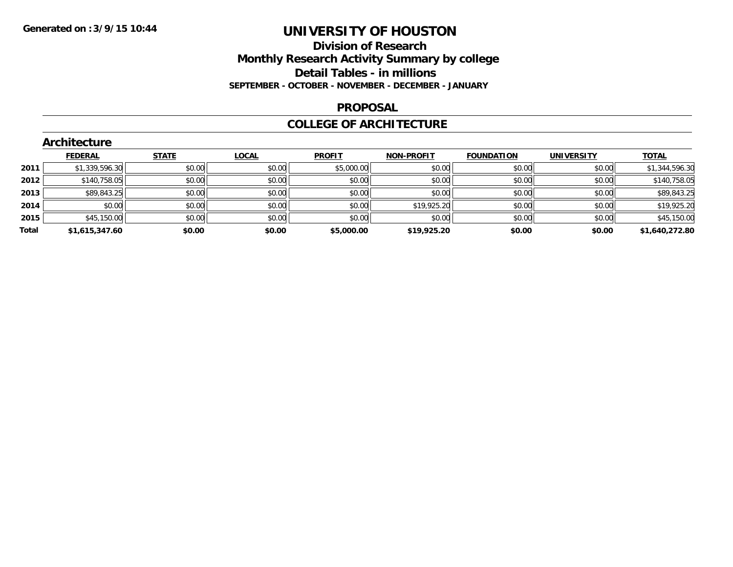### **Division of Research Monthly Research Activity Summary by college Detail Tables - in millions SEPTEMBER - OCTOBER - NOVEMBER - DECEMBER - JANUARY**

#### **PROPOSAL**

### **COLLEGE OF ARCHITECTURE**

|       | Architecture   |              |              |               |                   |                   |                   |                |  |  |  |  |
|-------|----------------|--------------|--------------|---------------|-------------------|-------------------|-------------------|----------------|--|--|--|--|
|       | <b>FEDERAL</b> | <b>STATE</b> | <b>LOCAL</b> | <b>PROFIT</b> | <b>NON-PROFIT</b> | <b>FOUNDATION</b> | <b>UNIVERSITY</b> | <u>TOTAL</u>   |  |  |  |  |
| 2011  | \$1,339,596.30 | \$0.00       | \$0.00       | \$5,000.00    | \$0.00            | \$0.00            | \$0.00            | \$1,344,596.30 |  |  |  |  |
| 2012  | \$140,758.05   | \$0.00       | \$0.00       | \$0.00        | \$0.00            | \$0.00            | \$0.00            | \$140,758.05   |  |  |  |  |
| 2013  | \$89,843.25    | \$0.00       | \$0.00       | \$0.00        | \$0.00            | \$0.00            | \$0.00            | \$89,843.25    |  |  |  |  |
| 2014  | \$0.00         | \$0.00       | \$0.00       | \$0.00        | \$19,925.20       | \$0.00            | \$0.00            | \$19,925.20    |  |  |  |  |
| 2015  | \$45,150.00    | \$0.00       | \$0.00       | \$0.00        | \$0.00            | \$0.00            | \$0.00            | \$45,150.00    |  |  |  |  |
| Total | \$1,615,347.60 | \$0.00       | \$0.00       | \$5,000.00    | \$19,925.20       | \$0.00            | \$0.00            | \$1,640,272.80 |  |  |  |  |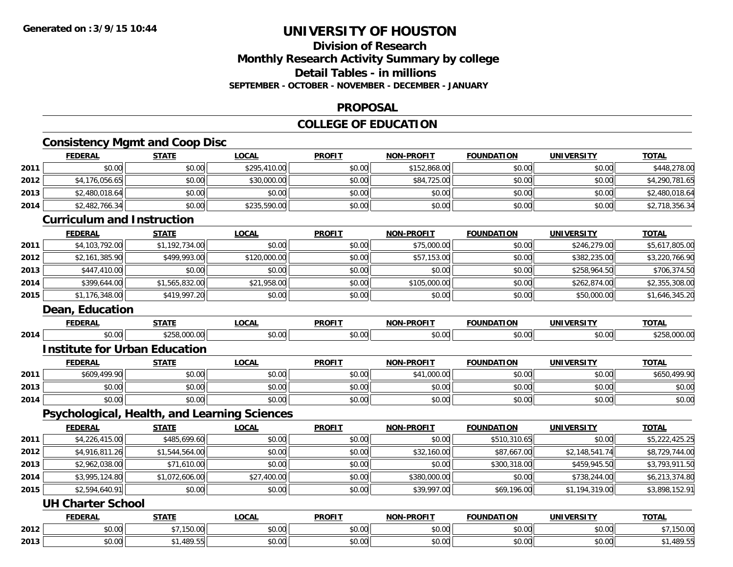### **Division of ResearchMonthly Research Activity Summary by college Detail Tables - in millions SEPTEMBER - OCTOBER - NOVEMBER - DECEMBER - JANUARY**

#### **PROPOSAL**

### **COLLEGE OF EDUCATION**

### **Consistency Mgmt and Coop Disc FEDERAL STATE LOCAL PROFIT NON-PROFIT FOUNDATION UNIVERSITY TOTAL**

|      | <u>.</u>                                     | <u>.</u>       | <u>____</u>  |               |                   |                   |                   | <u>.</u>       |
|------|----------------------------------------------|----------------|--------------|---------------|-------------------|-------------------|-------------------|----------------|
| 2011 | \$0.00                                       | \$0.00         | \$295,410.00 | \$0.00        | \$152,868.00      | \$0.00            | \$0.00            | \$448,278.00   |
| 2012 | \$4,176,056.65                               | \$0.00         | \$30,000.00  | \$0.00        | \$84,725.00       | \$0.00            | \$0.00            | \$4,290,781.65 |
| 2013 | \$2,480,018.64                               | \$0.00         | \$0.00       | \$0.00        | \$0.00            | \$0.00            | \$0.00            | \$2,480,018.64 |
| 2014 | \$2,482,766.34                               | \$0.00         | \$235,590.00 | \$0.00        | \$0.00            | \$0.00            | \$0.00            | \$2,718,356.34 |
|      | <b>Curriculum and Instruction</b>            |                |              |               |                   |                   |                   |                |
|      | <b>FEDERAL</b>                               | <b>STATE</b>   | <b>LOCAL</b> | <b>PROFIT</b> | <b>NON-PROFIT</b> | <b>FOUNDATION</b> | <b>UNIVERSITY</b> | <b>TOTAL</b>   |
| 2011 | \$4,103,792.00                               | \$1,192,734.00 | \$0.00       | \$0.00        | \$75,000.00       | \$0.00            | \$246,279.00      | \$5,617,805.00 |
| 2012 | \$2,161,385.90                               | \$499,993.00   | \$120,000.00 | \$0.00        | \$57,153.00       | \$0.00            | \$382,235.00      | \$3,220,766.90 |
| 2013 | \$447,410.00                                 | \$0.00         | \$0.00       | \$0.00        | \$0.00            | \$0.00            | \$258,964.50      | \$706,374.50   |
| 2014 | \$399,644.00                                 | \$1,565,832.00 | \$21,958.00  | \$0.00        | \$105,000.00      | \$0.00            | \$262,874.00      | \$2,355,308.00 |
| 2015 | \$1,176,348.00                               | \$419,997.20   | \$0.00       | \$0.00        | \$0.00            | \$0.00            | \$50,000.00       | \$1,646,345.20 |
|      | <b>Dean, Education</b>                       |                |              |               |                   |                   |                   |                |
|      | <b>FEDERAL</b>                               | <b>STATE</b>   | <b>LOCAL</b> | <b>PROFIT</b> | <b>NON-PROFIT</b> | <b>FOUNDATION</b> | <b>UNIVERSITY</b> | <b>TOTAL</b>   |
| 2014 | \$0.00                                       | \$258,000.00   | \$0.00       | \$0.00        | \$0.00            | \$0.00            | \$0.00            | \$258,000.00   |
|      | <b>Institute for Urban Education</b>         |                |              |               |                   |                   |                   |                |
|      | <b>FEDERAL</b>                               | <b>STATE</b>   | <b>LOCAL</b> | <b>PROFIT</b> | <b>NON-PROFIT</b> | <b>FOUNDATION</b> | <b>UNIVERSITY</b> | <b>TOTAL</b>   |
| 2011 | \$609,499.90                                 | \$0.00         | \$0.00       | \$0.00        | \$41,000.00       | \$0.00            | \$0.00            | \$650,499.90   |
| 2013 | \$0.00                                       | \$0.00         | \$0.00       | \$0.00        | \$0.00            | \$0.00            | \$0.00            | \$0.00         |
| 2014 | \$0.00                                       | \$0.00         | \$0.00       | \$0.00        | \$0.00            | \$0.00            | \$0.00            | \$0.00         |
|      | Psychological, Health, and Learning Sciences |                |              |               |                   |                   |                   |                |
|      | <b>FEDERAL</b>                               | <b>STATE</b>   | <b>LOCAL</b> | <b>PROFIT</b> | <b>NON-PROFIT</b> | <b>FOUNDATION</b> | <b>UNIVERSITY</b> | <b>TOTAL</b>   |
| 2011 | \$4,226,415.00                               | \$485,699.60   | \$0.00       | \$0.00        | \$0.00            | \$510,310.65      | \$0.00            | \$5,222,425.25 |
| 2012 | \$4,916,811.26                               | \$1,544,564.00 | \$0.00       | \$0.00        | \$32,160.00       | \$87,667.00       | \$2,148,541.74    | \$8,729,744.00 |
| 2013 | \$2,962,038.00                               | \$71,610.00    | \$0.00       | \$0.00        | \$0.00            | \$300,318.00      | \$459,945.50      | \$3,793,911.50 |
| 2014 | \$3,995,124.80                               | \$1,072,606.00 | \$27,400.00  | \$0.00        | \$380,000.00      | \$0.00            | \$738,244.00      | \$6,213,374.80 |
| 2015 | \$2,594,640.91                               | \$0.00         | \$0.00       | \$0.00        | \$39,997.00       | \$69,196.00       | \$1,194,319.00    | \$3,898,152.91 |
|      | <b>UH Charter School</b>                     |                |              |               |                   |                   |                   |                |
|      | <b>FEDERAL</b>                               | <b>STATE</b>   | <b>LOCAL</b> | <b>PROFIT</b> | NON-PROFIT        | <b>FOUNDATION</b> | <b>UNIVERSITY</b> | <b>TOTAL</b>   |
| 2012 | \$0.00                                       | \$7,150.00     | \$0.00       | \$0.00        | \$0.00            | \$0.00            | \$0.00            | \$7,150.00     |
| 2013 | \$0.00                                       | \$1,489.55     | \$0.00       | \$0.00        | \$0.00            | \$0.00            | \$0.00            | \$1,489.55     |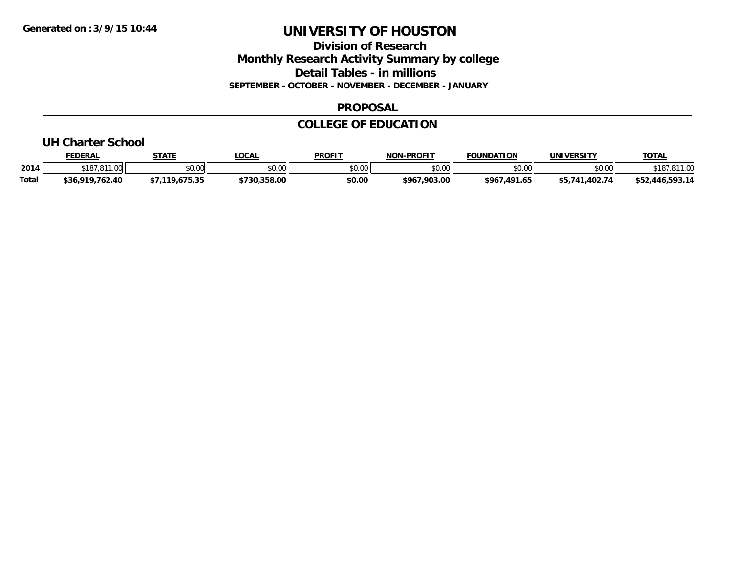**Division of Research Monthly Research Activity Summary by college Detail Tables - in millions SEPTEMBER - OCTOBER - NOVEMBER - DECEMBER - JANUARY**

### **PROPOSAL**

### **COLLEGE OF EDUCATION**

#### **UH Charter School**

|              | <b>FEDERAL</b>                                 | <b>STATE</b> | <b>OCAL</b>  | <b>PROFIT</b> | <b>NON-PROFIT</b> | <b>FOUNDATION</b> | UNIVERSITY          | <u>TOTAL</u>    |
|--------------|------------------------------------------------|--------------|--------------|---------------|-------------------|-------------------|---------------------|-----------------|
| 2014         | <b>¢107</b><br>. 011<br>$\sim$<br>. כאו<br>. O | \$0.00       | \$0.00       | \$0.00        | \$0.00            | \$0.00            | \$0.00              | 01100<br>18     |
| <b>Total</b> | \$36,919,762.40                                | 75.35        | \$730.358.00 | \$0.00        | \$967.903.00      | \$967,491.65      | 1.402.74<br>\$5.741 | \$52,446,593.14 |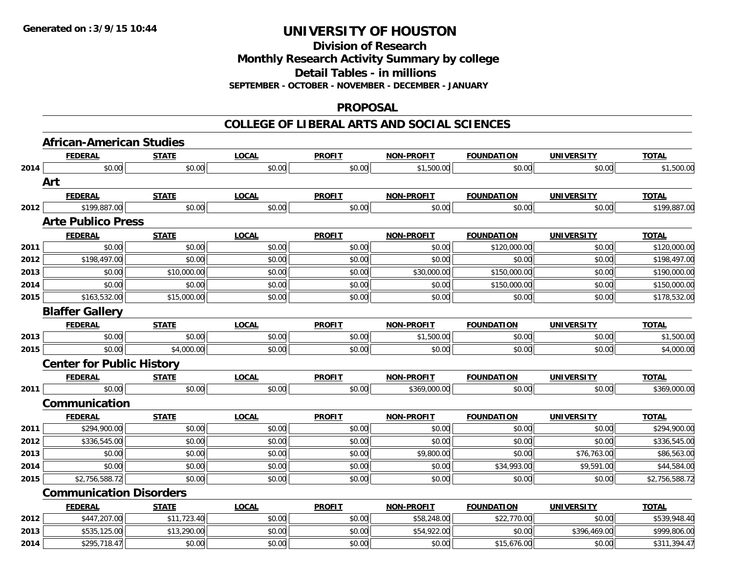**Division of Research**

**Monthly Research Activity Summary by college**

**Detail Tables - in millions**

**SEPTEMBER - OCTOBER - NOVEMBER - DECEMBER - JANUARY**

#### **PROPOSAL**

|      | <b>African-American Studies</b>  |              |              |               |                   |                   |                   |                |
|------|----------------------------------|--------------|--------------|---------------|-------------------|-------------------|-------------------|----------------|
|      | <b>FEDERAL</b>                   | <b>STATE</b> | <b>LOCAL</b> | <b>PROFIT</b> | NON-PROFIT        | <b>FOUNDATION</b> | <b>UNIVERSITY</b> | <b>TOTAL</b>   |
| 2014 | \$0.00                           | \$0.00       | \$0.00       | \$0.00        | \$1,500.00        | \$0.00            | \$0.00            | \$1,500.00     |
|      | Art                              |              |              |               |                   |                   |                   |                |
|      | <b>FEDERAL</b>                   | <b>STATE</b> | <b>LOCAL</b> | <b>PROFIT</b> | <b>NON-PROFIT</b> | <b>FOUNDATION</b> | <b>UNIVERSITY</b> | <b>TOTAL</b>   |
| 2012 | \$199,887.00                     | \$0.00       | \$0.00       | \$0.00        | \$0.00            | \$0.00            | \$0.00            | \$199,887.00   |
|      | <b>Arte Publico Press</b>        |              |              |               |                   |                   |                   |                |
|      | <b>FEDERAL</b>                   | <b>STATE</b> | <b>LOCAL</b> | <b>PROFIT</b> | <b>NON-PROFIT</b> | <b>FOUNDATION</b> | <b>UNIVERSITY</b> | <b>TOTAL</b>   |
| 2011 | \$0.00                           | \$0.00       | \$0.00       | \$0.00        | \$0.00            | \$120,000.00      | \$0.00            | \$120,000.00   |
| 2012 | \$198,497.00                     | \$0.00       | \$0.00       | \$0.00        | \$0.00            | \$0.00            | \$0.00            | \$198,497.00   |
| 2013 | \$0.00                           | \$10,000.00  | \$0.00       | \$0.00        | \$30,000.00       | \$150,000.00      | \$0.00            | \$190,000.00   |
| 2014 | \$0.00                           | \$0.00       | \$0.00       | \$0.00        | \$0.00            | \$150,000.00      | \$0.00            | \$150,000.00   |
| 2015 | \$163,532.00                     | \$15,000.00  | \$0.00       | \$0.00        | \$0.00            | \$0.00            | \$0.00            | \$178,532.00   |
|      | <b>Blaffer Gallery</b>           |              |              |               |                   |                   |                   |                |
|      | <b>FEDERAL</b>                   | <b>STATE</b> | <b>LOCAL</b> | <b>PROFIT</b> | NON-PROFIT        | <b>FOUNDATION</b> | <b>UNIVERSITY</b> | <b>TOTAL</b>   |
| 2013 | \$0.00                           | \$0.00       | \$0.00       | \$0.00        | \$1,500.00        | \$0.00            | \$0.00            | \$1,500.00     |
| 2015 | \$0.00                           | \$4,000.00   | \$0.00       | \$0.00        | \$0.00            | \$0.00            | \$0.00            | \$4,000.00     |
|      | <b>Center for Public History</b> |              |              |               |                   |                   |                   |                |
|      | <b>FEDERAL</b>                   | <b>STATE</b> | <b>LOCAL</b> | <b>PROFIT</b> | <b>NON-PROFIT</b> | <b>FOUNDATION</b> | <b>UNIVERSITY</b> | <b>TOTAL</b>   |
| 2011 | \$0.00                           | \$0.00       | \$0.00       | \$0.00        | \$369,000.00      | \$0.00            | \$0.00            | \$369,000.00   |
|      | Communication                    |              |              |               |                   |                   |                   |                |
|      | <b>FEDERAL</b>                   | <b>STATE</b> | <b>LOCAL</b> | <b>PROFIT</b> | <b>NON-PROFIT</b> | <b>FOUNDATION</b> | <b>UNIVERSITY</b> | <b>TOTAL</b>   |
| 2011 | \$294,900.00                     | \$0.00       | \$0.00       | \$0.00        | \$0.00            | \$0.00            | \$0.00            | \$294,900.00   |
| 2012 | \$336,545.00                     | \$0.00       | \$0.00       | \$0.00        | \$0.00            | \$0.00            | \$0.00            | \$336,545.00   |
| 2013 | \$0.00                           | \$0.00       | \$0.00       | \$0.00        | \$9,800.00        | \$0.00            | \$76,763.00       | \$86,563.00    |
| 2014 | \$0.00                           | \$0.00       | \$0.00       | \$0.00        | \$0.00            | \$34,993.00       | \$9,591.00        | \$44,584.00    |
| 2015 | \$2,756,588.72                   | \$0.00       | \$0.00       | \$0.00        | \$0.00            | \$0.00            | \$0.00            | \$2,756,588.72 |
|      | <b>Communication Disorders</b>   |              |              |               |                   |                   |                   |                |
|      | <b>FEDERAL</b>                   | <b>STATE</b> | <b>LOCAL</b> | <b>PROFIT</b> | <b>NON-PROFIT</b> | <b>FOUNDATION</b> | <b>UNIVERSITY</b> | <b>TOTAL</b>   |
| 2012 | \$447,207.00                     | \$11,723.40  | \$0.00       | \$0.00        | \$58,248.00       | \$22,770.00       | \$0.00            | \$539,948.40   |
| 2013 | \$535,125.00                     | \$13,290.00  | \$0.00       | \$0.00        | \$54,922.00       | \$0.00            | \$396,469.00      | \$999,806.00   |
| 2014 | \$295,718.47                     | \$0.00       | \$0.00       | \$0.00        | \$0.00            | \$15,676.00       | \$0.00            | \$311,394.47   |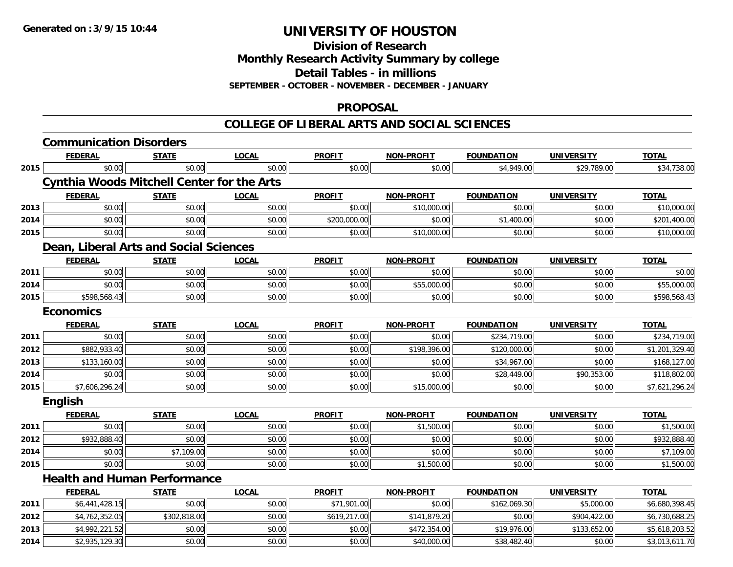**Division of Research**

**Monthly Research Activity Summary by college**

**Detail Tables - in millions**

**SEPTEMBER - OCTOBER - NOVEMBER - DECEMBER - JANUARY**

### **PROPOSAL**

|      | <b>Communication Disorders</b>                    |              |              |               |                   |                   |                   |                |
|------|---------------------------------------------------|--------------|--------------|---------------|-------------------|-------------------|-------------------|----------------|
|      | <b>FEDERAL</b>                                    | <b>STATE</b> | <b>LOCAL</b> | <b>PROFIT</b> | <b>NON-PROFIT</b> | <b>FOUNDATION</b> | <b>UNIVERSITY</b> | <b>TOTAL</b>   |
| 2015 | \$0.00                                            | \$0.00       | \$0.00       | \$0.00        | \$0.00            | \$4,949.00        | \$29,789.00       | \$34,738.00    |
|      | <b>Cynthia Woods Mitchell Center for the Arts</b> |              |              |               |                   |                   |                   |                |
|      | <b>FEDERAL</b>                                    | <b>STATE</b> | <b>LOCAL</b> | <b>PROFIT</b> | <b>NON-PROFIT</b> | <b>FOUNDATION</b> | <b>UNIVERSITY</b> | <b>TOTAL</b>   |
| 2013 | \$0.00                                            | \$0.00       | \$0.00       | \$0.00        | \$10,000.00       | \$0.00            | \$0.00            | \$10,000.00    |
| 2014 | \$0.00                                            | \$0.00       | \$0.00       | \$200,000.00  | \$0.00            | \$1,400.00        | \$0.00            | \$201,400.00   |
| 2015 | \$0.00                                            | \$0.00       | \$0.00       | \$0.00        | \$10,000.00       | \$0.00            | \$0.00            | \$10,000.00    |
|      | Dean, Liberal Arts and Social Sciences            |              |              |               |                   |                   |                   |                |
|      | <b>FEDERAL</b>                                    | <b>STATE</b> | <b>LOCAL</b> | <b>PROFIT</b> | <b>NON-PROFIT</b> | <b>FOUNDATION</b> | <b>UNIVERSITY</b> | <b>TOTAL</b>   |
| 2011 | \$0.00                                            | \$0.00       | \$0.00       | \$0.00        | \$0.00            | \$0.00            | \$0.00            | \$0.00         |
| 2014 | \$0.00                                            | \$0.00       | \$0.00       | \$0.00        | \$55,000.00       | \$0.00            | \$0.00            | \$55,000.00    |
| 2015 | \$598,568.43                                      | \$0.00       | \$0.00       | \$0.00        | \$0.00            | \$0.00            | \$0.00            | \$598,568.43   |
|      | <b>Economics</b>                                  |              |              |               |                   |                   |                   |                |
|      | <b>FEDERAL</b>                                    | <b>STATE</b> | <b>LOCAL</b> | <b>PROFIT</b> | <b>NON-PROFIT</b> | <b>FOUNDATION</b> | <b>UNIVERSITY</b> | <b>TOTAL</b>   |
| 2011 | \$0.00                                            | \$0.00       | \$0.00       | \$0.00        | \$0.00            | \$234,719.00      | \$0.00            | \$234,719.00   |
| 2012 | \$882,933.40                                      | \$0.00       | \$0.00       | \$0.00        | \$198,396.00      | \$120,000.00      | \$0.00            | \$1,201,329.40 |
| 2013 | \$133,160.00                                      | \$0.00       | \$0.00       | \$0.00        | \$0.00            | \$34,967.00       | \$0.00            | \$168,127.00   |
| 2014 | \$0.00                                            | \$0.00       | \$0.00       | \$0.00        | \$0.00            | \$28,449.00       | \$90,353.00       | \$118,802.00   |
| 2015 | \$7,606,296.24                                    | \$0.00       | \$0.00       | \$0.00        | \$15,000.00       | \$0.00            | \$0.00            | \$7,621,296.24 |
|      | English                                           |              |              |               |                   |                   |                   |                |
|      | <b>FEDERAL</b>                                    | <b>STATE</b> | <b>LOCAL</b> | <b>PROFIT</b> | <b>NON-PROFIT</b> | <b>FOUNDATION</b> | <b>UNIVERSITY</b> | <b>TOTAL</b>   |
| 2011 | \$0.00                                            | \$0.00       | \$0.00       | \$0.00        | \$1,500.00        | \$0.00            | \$0.00            | \$1,500.00     |
| 2012 | \$932,888.40                                      | \$0.00       | \$0.00       | \$0.00        | \$0.00            | \$0.00            | \$0.00            | \$932,888.40   |
| 2014 | \$0.00                                            | \$7,109.00   | \$0.00       | \$0.00        | \$0.00            | \$0.00            | \$0.00            | \$7,109.00     |
| 2015 | \$0.00                                            | \$0.00       | \$0.00       | \$0.00        | \$1,500.00        | \$0.00            | \$0.00            | \$1,500.00     |
|      | <b>Health and Human Performance</b>               |              |              |               |                   |                   |                   |                |
|      | <b>FEDERAL</b>                                    | <b>STATE</b> | <b>LOCAL</b> | <b>PROFIT</b> | <b>NON-PROFIT</b> | <b>FOUNDATION</b> | <b>UNIVERSITY</b> | <b>TOTAL</b>   |
| 2011 | \$6,441,428.15                                    | \$0.00       | \$0.00       | \$71,901.00   | \$0.00            | \$162,069.30      | \$5,000.00        | \$6,680,398.45 |
| 2012 | \$4,762,352.05                                    | \$302,818.00 | \$0.00       | \$619,217.00  | \$141,879.20      | \$0.00            | \$904,422.00      | \$6,730,688.25 |
| 2013 | \$4,992,221.52                                    | \$0.00       | \$0.00       | \$0.00        | \$472,354.00      | \$19,976.00       | \$133,652.00      | \$5,618,203.52 |
| 2014 | \$2,935,129.30                                    | \$0.00       | \$0.00       | \$0.00        | \$40,000.00       | \$38,482.40       | \$0.00            | \$3,013,611.70 |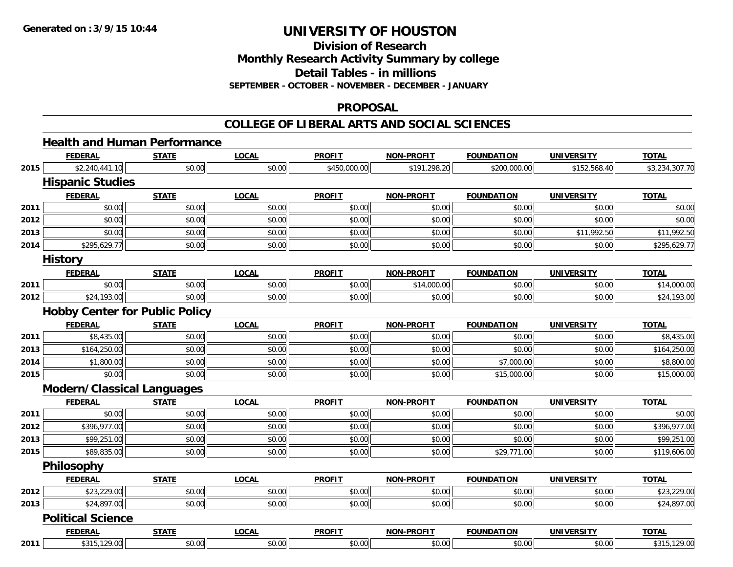**Division of Research**

**Monthly Research Activity Summary by college**

**Detail Tables - in millions**

**SEPTEMBER - OCTOBER - NOVEMBER - DECEMBER - JANUARY**

#### **PROPOSAL**

|      | <b>FEDERAL</b>                        | <b>STATE</b> | <b>LOCAL</b> | <b>PROFIT</b> | <b>NON-PROFIT</b> | <b>FOUNDATION</b> | <b>UNIVERSITY</b> | <b>TOTAL</b>   |
|------|---------------------------------------|--------------|--------------|---------------|-------------------|-------------------|-------------------|----------------|
| 2015 | \$2,240,441.10                        | \$0.00       | \$0.00       | \$450,000.00  | \$191,298.20      | \$200,000.00      | \$152,568.40      | \$3,234,307.70 |
|      | <b>Hispanic Studies</b>               |              |              |               |                   |                   |                   |                |
|      | <b>FEDERAL</b>                        | <b>STATE</b> | <b>LOCAL</b> | <b>PROFIT</b> | <b>NON-PROFIT</b> | <b>FOUNDATION</b> | <b>UNIVERSITY</b> | <b>TOTAL</b>   |
| 2011 | \$0.00                                | \$0.00       | \$0.00       | \$0.00        | \$0.00            | \$0.00            | \$0.00            | \$0.00         |
| 2012 | \$0.00                                | \$0.00       | \$0.00       | \$0.00        | \$0.00            | \$0.00            | \$0.00            | \$0.00         |
| 2013 | \$0.00                                | \$0.00       | \$0.00       | \$0.00        | \$0.00            | \$0.00            | \$11,992.50       | \$11,992.50    |
| 2014 | \$295,629.77                          | \$0.00       | \$0.00       | \$0.00        | \$0.00            | \$0.00            | \$0.00            | \$295,629.77   |
|      | <b>History</b>                        |              |              |               |                   |                   |                   |                |
|      | <b>FEDERAL</b>                        | <b>STATE</b> | <b>LOCAL</b> | <b>PROFIT</b> | <b>NON-PROFIT</b> | <b>FOUNDATION</b> | <b>UNIVERSITY</b> | <b>TOTAL</b>   |
| 2011 | \$0.00                                | \$0.00       | \$0.00       | \$0.00        | \$14,000.00       | \$0.00            | \$0.00            | \$14,000.00    |
| 2012 | \$24,193.00                           | \$0.00       | \$0.00       | \$0.00        | \$0.00            | \$0.00            | \$0.00            | \$24,193.00    |
|      | <b>Hobby Center for Public Policy</b> |              |              |               |                   |                   |                   |                |
|      | <b>FEDERAL</b>                        | <b>STATE</b> | <b>LOCAL</b> | <b>PROFIT</b> | <b>NON-PROFIT</b> | <b>FOUNDATION</b> | <b>UNIVERSITY</b> | <b>TOTAL</b>   |
| 2011 | \$8,435.00                            | \$0.00       | \$0.00       | \$0.00        | \$0.00            | \$0.00            | \$0.00            | \$8,435.00     |
| 2013 | \$164,250.00                          | \$0.00       | \$0.00       | \$0.00        | \$0.00            | \$0.00            | \$0.00            | \$164,250.00   |
| 2014 | \$1,800.00                            | \$0.00       | \$0.00       | \$0.00        | \$0.00            | \$7,000.00        | \$0.00            | \$8,800.00     |
| 2015 | \$0.00                                | \$0.00       | \$0.00       | \$0.00        | \$0.00            | \$15,000.00       | \$0.00            | \$15,000.00    |
|      | <b>Modern/Classical Languages</b>     |              |              |               |                   |                   |                   |                |
|      | <b>FEDERAL</b>                        | <b>STATE</b> | <b>LOCAL</b> | <b>PROFIT</b> | <b>NON-PROFIT</b> | <b>FOUNDATION</b> | <b>UNIVERSITY</b> | <b>TOTAL</b>   |
| 2011 | \$0.00                                | \$0.00       | \$0.00       | \$0.00        | \$0.00            | \$0.00            | \$0.00            | \$0.00         |
| 2012 | \$396,977.00                          | \$0.00       | \$0.00       | \$0.00        | \$0.00            | \$0.00            | \$0.00            | \$396,977.00   |
| 2013 | \$99,251.00                           | \$0.00       | \$0.00       | \$0.00        | \$0.00            | \$0.00            | \$0.00            | \$99,251.00    |
| 2015 | \$89,835.00                           | \$0.00       | \$0.00       | \$0.00        | \$0.00            | \$29,771.00       | \$0.00            | \$119,606.00   |
|      | <b>Philosophy</b>                     |              |              |               |                   |                   |                   |                |
|      | <b>FEDERAL</b>                        | <b>STATE</b> | <b>LOCAL</b> | <b>PROFIT</b> | <b>NON-PROFIT</b> | <b>FOUNDATION</b> | <b>UNIVERSITY</b> | <b>TOTAL</b>   |
| 2012 | \$23,229.00                           | \$0.00       | \$0.00       | \$0.00        | \$0.00            | \$0.00            | \$0.00            | \$23,229.00    |
| 2013 | \$24,897.00                           | \$0.00       | \$0.00       | \$0.00        | \$0.00            | \$0.00            | \$0.00            | \$24,897.00    |
|      | <b>Political Science</b>              |              |              |               |                   |                   |                   |                |
|      | <b>FEDERAL</b>                        | <b>STATE</b> | <b>LOCAL</b> | <b>PROFIT</b> | <b>NON-PROFIT</b> | <b>FOUNDATION</b> | <b>UNIVERSITY</b> | <b>TOTAL</b>   |
| 2011 | \$315,129.00                          | \$0.00       | \$0.00       | \$0.00        | \$0.00            | \$0.00            | \$0.00            | \$315,129.00   |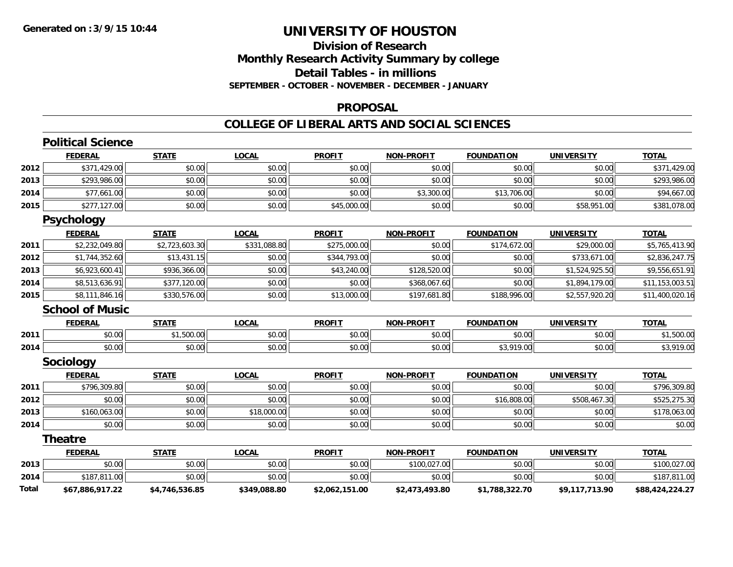### **Division of ResearchMonthly Research Activity Summary by college Detail Tables - in millions SEPTEMBER - OCTOBER - NOVEMBER - DECEMBER - JANUARY**

### **PROPOSAL**

|       | <b>Political Science</b> |                |              |                |                   |                   |                   |                 |
|-------|--------------------------|----------------|--------------|----------------|-------------------|-------------------|-------------------|-----------------|
|       | <b>FEDERAL</b>           | <b>STATE</b>   | <b>LOCAL</b> | <b>PROFIT</b>  | <b>NON-PROFIT</b> | <b>FOUNDATION</b> | <b>UNIVERSITY</b> | <b>TOTAL</b>    |
| 2012  | \$371,429.00             | \$0.00         | \$0.00       | \$0.00         | \$0.00            | \$0.00            | \$0.00            | \$371,429.00    |
| 2013  | \$293,986.00             | \$0.00         | \$0.00       | \$0.00         | \$0.00            | \$0.00            | \$0.00            | \$293,986.00    |
| 2014  | \$77,661.00              | \$0.00         | \$0.00       | \$0.00         | \$3,300.00        | \$13,706.00       | \$0.00            | \$94,667.00     |
| 2015  | \$277,127.00             | \$0.00         | \$0.00       | \$45,000.00    | \$0.00            | \$0.00            | \$58,951.00       | \$381,078.00    |
|       | <b>Psychology</b>        |                |              |                |                   |                   |                   |                 |
|       | <b>FEDERAL</b>           | <b>STATE</b>   | <b>LOCAL</b> | <b>PROFIT</b>  | <b>NON-PROFIT</b> | <b>FOUNDATION</b> | <b>UNIVERSITY</b> | <b>TOTAL</b>    |
| 2011  | \$2,232,049.80           | \$2,723,603.30 | \$331,088.80 | \$275,000.00   | \$0.00            | \$174,672.00      | \$29,000.00       | \$5,765,413.90  |
| 2012  | \$1,744,352.60           | \$13,431.15    | \$0.00       | \$344,793.00   | \$0.00            | \$0.00            | \$733,671.00      | \$2,836,247.75  |
| 2013  | \$6,923,600.41           | \$936,366.00   | \$0.00       | \$43,240.00    | \$128,520.00      | \$0.00            | \$1,524,925.50    | \$9,556,651.91  |
| 2014  | \$8,513,636.91           | \$377,120.00   | \$0.00       | \$0.00         | \$368,067.60      | \$0.00            | \$1,894,179.00    | \$11,153,003.51 |
| 2015  | \$8,111,846.16           | \$330,576.00   | \$0.00       | \$13,000.00    | \$197,681.80      | \$188,996.00      | \$2,557,920.20    | \$11,400,020.16 |
|       | <b>School of Music</b>   |                |              |                |                   |                   |                   |                 |
|       | <b>FEDERAL</b>           | <b>STATE</b>   | <b>LOCAL</b> | <b>PROFIT</b>  | <b>NON-PROFIT</b> | <b>FOUNDATION</b> | <b>UNIVERSITY</b> | <b>TOTAL</b>    |
| 2011  | \$0.00                   | \$1,500.00     | \$0.00       | \$0.00         | \$0.00            | \$0.00            | \$0.00            | \$1,500.00      |
| 2014  | \$0.00                   | \$0.00         | \$0.00       | \$0.00         | \$0.00            | \$3,919.00        | \$0.00            | \$3,919.00      |
|       | Sociology                |                |              |                |                   |                   |                   |                 |
|       | <b>FEDERAL</b>           | <b>STATE</b>   | <b>LOCAL</b> | <b>PROFIT</b>  | <b>NON-PROFIT</b> | <b>FOUNDATION</b> | <b>UNIVERSITY</b> | <b>TOTAL</b>    |
| 2011  | \$796,309.80             | \$0.00         | \$0.00       | \$0.00         | \$0.00            | \$0.00            | \$0.00            | \$796,309.80    |
| 2012  | \$0.00                   | \$0.00         | \$0.00       | \$0.00         | \$0.00            | \$16,808.00       | \$508,467.30      | \$525,275.30    |
| 2013  | \$160,063.00             | \$0.00         | \$18,000.00  | \$0.00         | \$0.00            | \$0.00            | \$0.00            | \$178,063.00    |
| 2014  | \$0.00                   | \$0.00         | \$0.00       | \$0.00         | \$0.00            | \$0.00            | \$0.00            | \$0.00          |
|       | <b>Theatre</b>           |                |              |                |                   |                   |                   |                 |
|       | <b>FEDERAL</b>           | <b>STATE</b>   | <b>LOCAL</b> | <b>PROFIT</b>  | <b>NON-PROFIT</b> | <b>FOUNDATION</b> | <b>UNIVERSITY</b> | <b>TOTAL</b>    |
| 2013  | \$0.00                   | \$0.00         | \$0.00       | \$0.00         | \$100,027.00      | \$0.00            | \$0.00            | \$100,027.00    |
| 2014  | \$187,811.00             | \$0.00         | \$0.00       | \$0.00         | \$0.00            | \$0.00            | \$0.00            | \$187,811.00    |
| Total | \$67,886,917.22          | \$4,746,536.85 | \$349,088.80 | \$2,062,151.00 | \$2,473,493.80    | \$1,788,322.70    | \$9,117,713.90    | \$88,424,224.27 |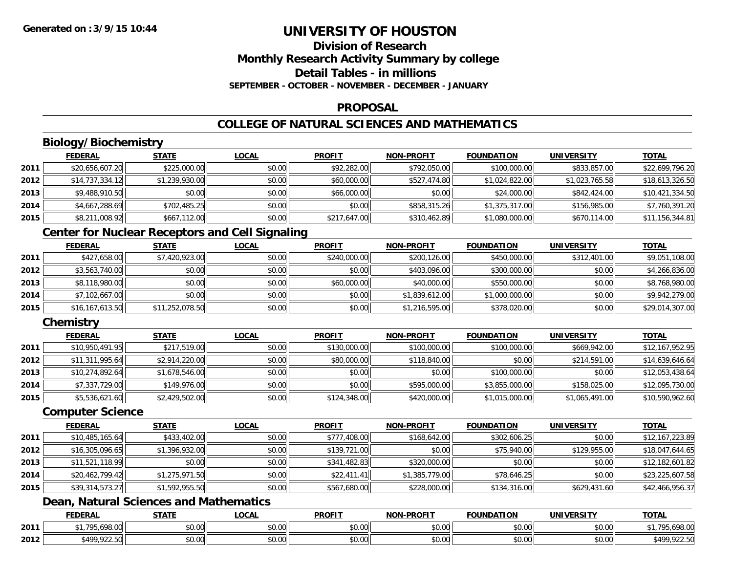### **Division of ResearchMonthly Research Activity Summary by college Detail Tables - in millionsSEPTEMBER - OCTOBER - NOVEMBER - DECEMBER - JANUARY**

### **PROPOSAL**

### **COLLEGE OF NATURAL SCIENCES AND MATHEMATICS**

### **Biology/Biochemistry**

|      | <b>FEDERAL</b>  | <b>STATE</b>   | <u>LOCAL</u> | <b>PROFIT</b> | <b>NON-PROFIT</b> | <b>FOUNDATION</b> | <b>UNIVERSITY</b> | <b>TOTAL</b>    |
|------|-----------------|----------------|--------------|---------------|-------------------|-------------------|-------------------|-----------------|
| 2011 | \$20,656,607.20 | \$225,000.00   | \$0.00       | \$92,282.00   | \$792,050.00      | \$100,000.00      | \$833,857,00      | \$22,699,796.20 |
| 2012 | \$14,737,334.12 | \$1,239,930.00 | \$0.00       | \$60,000.00   | \$527,474.80      | \$1,024,822.00    | \$1,023,765.58    | \$18,613,326.50 |
| 2013 | \$9,488,910.50  | \$0.00         | \$0.00       | \$66,000.00   | \$0.00            | \$24,000.00       | \$842,424.00      | \$10,421,334.50 |
| 2014 | \$4,667,288.69  | \$702,485.25   | \$0.00       | \$0.00        | \$858,315.26      | \$1,375,317.00    | \$156,985.00      | \$7,760,391.20  |
| 2015 | \$8,211,008.92  | \$667,112.00   | \$0.00       | \$217,647.00  | \$310,462.89      | \$1,080,000.00    | \$670,114.00      | \$11,156,344.81 |

### **Center for Nuclear Receptors and Cell Signaling**

|      | <b>FEDERAL</b>  | <u>STATE</u>    | <b>LOCAL</b> | <b>PROFIT</b> | <b>NON-PROFIT</b> | <b>FOUNDATION</b> | <b>UNIVERSITY</b> | <b>TOTAL</b>    |
|------|-----------------|-----------------|--------------|---------------|-------------------|-------------------|-------------------|-----------------|
| 2011 | \$427,658.00    | \$7,420,923.00  | \$0.00       | \$240,000.00  | \$200,126.00      | \$450,000.00      | \$312,401.00      | \$9,051,108.00  |
| 2012 | \$3,563,740.00  | \$0.00          | \$0.00       | \$0.00        | \$403,096.00      | \$300,000.00      | \$0.00            | \$4,266,836.00  |
| 2013 | \$8,118,980.00  | \$0.00          | \$0.00       | \$60,000.00   | \$40,000.00       | \$550,000.00      | \$0.00            | \$8,768,980.00  |
| 2014 | \$7,102,667.00  | \$0.00          | \$0.00       | \$0.00        | \$1,839,612.00    | \$1,000,000.00    | \$0.00            | \$9,942,279.00  |
| 2015 | \$16,167,613.50 | \$11,252,078.50 | \$0.00       | \$0.00        | \$1,216,595.00    | \$378,020.00      | \$0.00            | \$29,014,307.00 |

### **Chemistry**

|      | <b>FEDERAL</b>  | <b>STATE</b>   | <b>LOCAL</b> | <b>PROFIT</b> | <b>NON-PROFIT</b> | <b>FOUNDATION</b> | <b>UNIVERSITY</b> | <b>TOTAL</b>    |
|------|-----------------|----------------|--------------|---------------|-------------------|-------------------|-------------------|-----------------|
| 2011 | \$10,950,491.95 | \$217,519.00   | \$0.00       | \$130,000.00  | \$100,000.00      | \$100,000.00      | \$669,942.00      | \$12,167,952.95 |
| 2012 | \$11,311,995.64 | \$2,914,220.00 | \$0.00       | \$80,000.00   | \$118,840.00      | \$0.00            | \$214,591.00      | \$14,639,646.64 |
| 2013 | \$10,274,892.64 | \$1,678,546.00 | \$0.00       | \$0.00        | \$0.00            | \$100,000.00      | \$0.00            | \$12,053,438.64 |
| 2014 | \$7,337,729.00  | \$149,976.00   | \$0.00       | \$0.00        | \$595,000.00      | \$3,855,000.00    | \$158,025.00      | \$12,095,730.00 |
| 2015 | \$5,536,621.60  | \$2,429,502.00 | \$0.00       | \$124,348.00  | \$420,000.00      | \$1,015,000.00    | \$1,065,491.00    | \$10,590,962.60 |

#### **Computer Science**

|      | <b>FEDERAL</b>  | <b>STATE</b>   | <b>LOCAL</b> | <b>PROFIT</b> | <b>NON-PROFIT</b> | <b>FOUNDATION</b> | <b>UNIVERSITY</b> | <b>TOTAL</b>    |
|------|-----------------|----------------|--------------|---------------|-------------------|-------------------|-------------------|-----------------|
| 2011 | \$10,485,165.64 | \$433,402.00   | \$0.00       | \$777,408.00  | \$168,642.00      | \$302,606.25      | \$0.00            | \$12,167,223.89 |
| 2012 | \$16,305,096.65 | \$1,396,932.00 | \$0.00       | \$139,721.00  | \$0.00            | \$75,940.00       | \$129,955.00      | \$18,047,644.65 |
| 2013 | \$11,521,118.99 | \$0.00         | \$0.00       | \$341,482.83  | \$320,000.00      | \$0.00            | \$0.00            | \$12,182,601.82 |
| 2014 | \$20,462,799.42 | \$1,275,971.50 | \$0.00       | \$22,411.41   | \$1,385,779.00    | \$78,646.25       | \$0.00            | \$23,225,607.58 |
| 2015 | \$39,314,573.27 | \$1,592,955.50 | \$0.00       | \$567,680.00  | \$228,000.00      | \$134,316.00      | \$629,431.60      | \$42,466,956.37 |

### **Dean, Natural Sciences and Mathematics**

|      | <b>FEDERAL</b>                                   | <b>CTATI</b><br>3 I A I I | <b>OCAL</b>        | <b>PROFIT</b> | -PROFIT<br><b>NIONI</b> | FOUNDATION | UNIVERSITY           | <b>TOTAL</b>             |
|------|--------------------------------------------------|---------------------------|--------------------|---------------|-------------------------|------------|----------------------|--------------------------|
| 2011 | $\sim$ 100.00 $\sim$<br>70 <sub>5</sub><br>70.UU | \$0.00                    | $\sim$ 00<br>40.00 | 0000<br>DU.UG | 0.00<br>DU.UU           | \$0.00     | 0000<br><b>DU.UU</b> | 0000<br>n<br>,070.00     |
| 2012 | <b>CAOO 022 50</b><br>722.JU                     | \$0.00                    | ሖ ∩<br>PU.UU       | 0000<br>DU.UG | 0.00<br><b>DU.UU</b>    | \$0.00     | 0000<br><b>DU.UU</b> | 0.225<br>¢ 100<br>722.JV |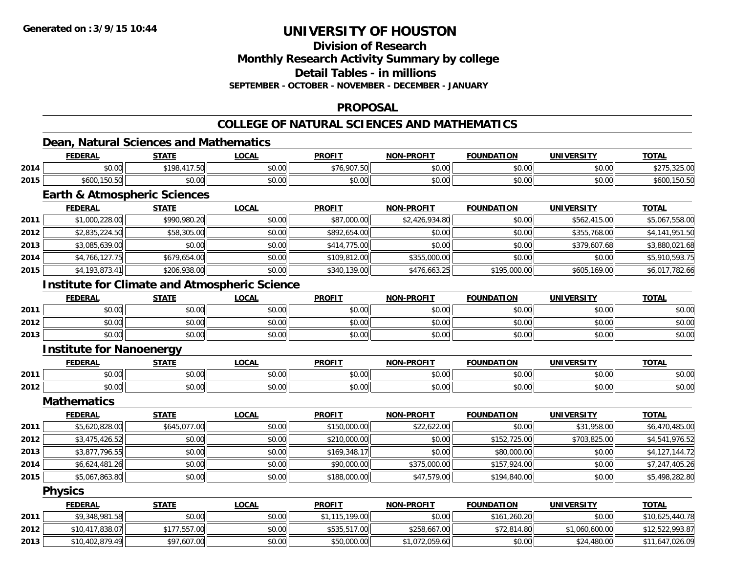**Division of Research**

**Monthly Research Activity Summary by college**

**Detail Tables - in millions**

**SEPTEMBER - OCTOBER - NOVEMBER - DECEMBER - JANUARY**

### **PROPOSAL**

### **COLLEGE OF NATURAL SCIENCES AND MATHEMATICS**

### **Dean, Natural Sciences and Mathematics**

|      | <b>FEDERAL</b>             | <b>STATE</b>                       | .OCAL  | <b>PROFIT</b>          | <b>NON-PROFIT</b> | <b>FOUNDATION</b> | UNIVERSITY | <u>TOTAL</u>                         |
|------|----------------------------|------------------------------------|--------|------------------------|-------------------|-------------------|------------|--------------------------------------|
| 2014 | \$0.00                     | \$198<br>117FQ<br>$\overline{ }$ . | \$0.00 | \$76,907.50            | \$0.00            | \$0.00            | \$0.00     | 2250<br>$\wedge$ $\wedge$<br>∴JZJ.UU |
| 2015 | 0.400<br>, 150.50<br>DOUU, | \$0.00                             | \$0.00 | $\sim$ $\sim$<br>JU.UU | \$0.00            | \$0.00            | \$0.00     | 100.00                               |
|      |                            |                                    |        |                        |                   |                   |            |                                      |

#### **Earth & Atmospheric Sciences**

|      | <b>FEDERAL</b> | <b>STATE</b> | <b>LOCAL</b> | <b>PROFIT</b> | <b>NON-PROFIT</b> | <b>FOUNDATION</b> | <b>UNIVERSITY</b> | <b>TOTAL</b>   |
|------|----------------|--------------|--------------|---------------|-------------------|-------------------|-------------------|----------------|
| 2011 | \$1,000,228.00 | \$990,980.20 | \$0.00       | \$87,000.00   | \$2,426,934.80    | \$0.00            | \$562,415.00      | \$5,067,558.00 |
| 2012 | \$2,835,224.50 | \$58,305.00  | \$0.00       | \$892,654.00  | \$0.00            | \$0.00            | \$355,768.00      | \$4,141,951.50 |
| 2013 | \$3,085,639.00 | \$0.00       | \$0.00       | \$414,775.00  | \$0.00            | \$0.00            | \$379,607.68      | \$3,880,021.68 |
| 2014 | \$4,766,127.75 | \$679,654.00 | \$0.00       | \$109,812.00  | \$355,000.00      | \$0.00            | \$0.00            | \$5,910,593.75 |
| 2015 | \$4,193,873.41 | \$206,938.00 | \$0.00       | \$340,139.00  | \$476,663.25      | \$195,000.00      | \$605,169.00      | \$6,017,782.66 |

### **Institute for Climate and Atmospheric Science**

|      | <b>FEDERAL</b> | <b>STATE</b>   | <u>LOCAL</u> | <b>PROFIT</b> | <b>NON-PROFIT</b> | <b>FOUNDATION</b> | <b>UNIVERSITY</b> | <u>TOTAL</u> |
|------|----------------|----------------|--------------|---------------|-------------------|-------------------|-------------------|--------------|
| 2011 | \$0.00         | \$0.00         | \$0.00       | \$0.00        | \$0.00            | \$0.00            | \$0.00            | \$0.00       |
| 2012 | \$0.00         | ደስ ሰስ<br>JU.UU | \$0.00       | \$0.00        | \$0.00            | \$0.00            | \$0.00            | \$0.00       |
| 2013 | \$0.00         | \$0.00         | \$0.00       | \$0.00        | \$0.00            | \$0.00            | \$0.00            | \$0.00       |

# **Institute for Nanoenergy**

|      | <b>FEDERAL</b> | STATE              | LOCAI         | <b>PROFIT</b> | <b>DDAFIT</b><br><b>AIOR</b> | <b>FOUNDATION</b> | UNIVERSITY                    | TOTA.         |
|------|----------------|--------------------|---------------|---------------|------------------------------|-------------------|-------------------------------|---------------|
| 2011 | 0000<br>DU.UU  | <b>↑∩</b><br>JU.UU | 0000<br>PO.OO | \$0.00        | 0000<br>vv.vv                | 0000<br>JU.UU     | $n \cap \neg$<br><b>JU.UU</b> | 0000<br>DU.UU |
| 2012 | 0000<br>DU.UU  | $\sim$ 00<br>JU.UU | 0000<br>JU.UU | \$0.00        | 0000<br>JU.UU                | 0000<br>JU.UU     | \$0.00                        | 0000<br>DU.UU |

#### **Mathematics**

|      | <b>FEDERAL</b> | <b>STATE</b> | <b>LOCAL</b> | <b>PROFIT</b> | <b>NON-PROFIT</b> | <b>FOUNDATION</b> | UNIVERSITY   | <b>TOTAL</b>   |
|------|----------------|--------------|--------------|---------------|-------------------|-------------------|--------------|----------------|
| 2011 | \$5,620,828.00 | \$645,077,00 | \$0.00       | \$150,000.00  | \$22,622.00       | \$0.00            | \$31,958.00  | \$6,470,485.00 |
| 2012 | \$3,475,426.52 | \$0.00       | \$0.00       | \$210,000.00  | \$0.00            | \$152,725,00      | \$703,825.00 | \$4,541,976.52 |
| 2013 | \$3,877,796.55 | \$0.00       | \$0.00       | \$169.348.17  | \$0.00            | \$80,000.00       | \$0.00       | \$4,127,144.72 |
| 2014 | \$6,624,481.26 | \$0.00       | \$0.00       | \$90,000.00   | \$375,000.00      | \$157,924.00      | \$0.00       | \$7,247,405.26 |
| 2015 | \$5,067,863.80 | \$0.00       | \$0.00       | \$188,000.00  | \$47,579.00       | \$194,840.00      | \$0.00       | \$5,498,282.80 |

#### **Physics**

|      | <u>FEDERAL</u>  | <u>STATE</u> | <b>LOCAL</b> | <u>PROFIT</u> | <b>NON-PROFIT</b> | FOUNDATION   | <b>UNIVERSITY</b> | <b>TOTAL</b>    |
|------|-----------------|--------------|--------------|---------------|-------------------|--------------|-------------------|-----------------|
| 2011 | \$9,348,981.58  | \$0.00       | \$0.00       | .115.199.00   | \$0.00            | \$161,260.20 | \$0.00            | \$10,625,440.78 |
| 2012 | \$10,417,838.07 | \$177,557.00 | \$0.00       | \$535,517.00  | \$258,667.00      | \$72,814.80  | \$1,060,600.00    | \$12,522,993.87 |
| 2013 | \$10,402,879.49 | \$97,607.00  | \$0.00       | \$50,000.00   | \$1,072,059.60    | \$0.00       | \$24,480.00       | \$11,647,026.09 |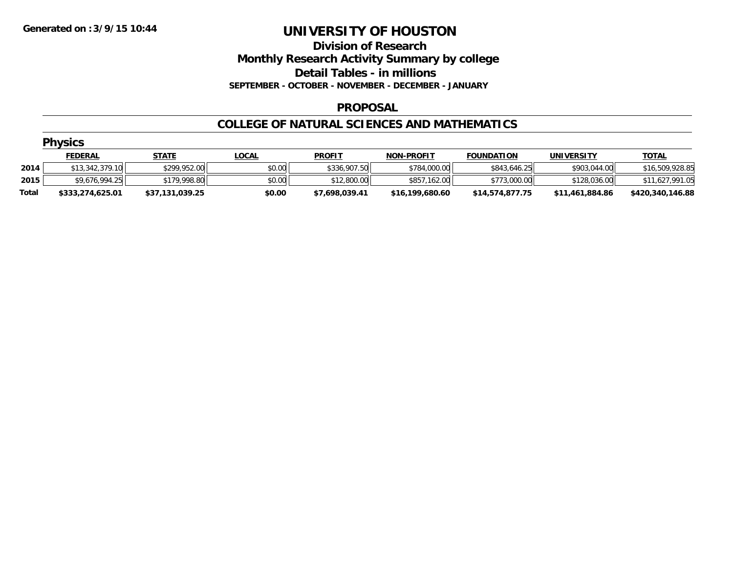### **Division of Research Monthly Research Activity Summary by college Detail Tables - in millions SEPTEMBER - OCTOBER - NOVEMBER - DECEMBER - JANUARY**

### **PROPOSAL**

### **COLLEGE OF NATURAL SCIENCES AND MATHEMATICS**

|       | <b>Physics</b>   |                 |              |                |                   |                   |                   |                  |  |  |  |  |
|-------|------------------|-----------------|--------------|----------------|-------------------|-------------------|-------------------|------------------|--|--|--|--|
|       | <b>FEDERAL</b>   | <u>STATE</u>    | <u>LOCAL</u> | <b>PROFIT</b>  | <b>NON-PROFIT</b> | <b>FOUNDATION</b> | <b>UNIVERSITY</b> | <b>TOTAL</b>     |  |  |  |  |
| 2014  | \$13.342.379.10  | \$299,952.00    | \$0.00       | \$336,907.50   | \$784,000.00      | \$843,646.25      | \$903,044.00      | \$16,509,928.85  |  |  |  |  |
| 2015  | \$9,676,994.25   | \$179,998.80    | \$0.00       | \$12,800.00    | \$857,162.00      | \$773,000.00      | \$128,036.00      | \$11,627,991.05  |  |  |  |  |
| Total | \$333,274,625.01 | \$37,131,039.25 | \$0.00       | \$7,698,039.41 | \$16,199,680.60   | \$14,574,877.75   | \$11,461,884.86   | \$420,340,146.88 |  |  |  |  |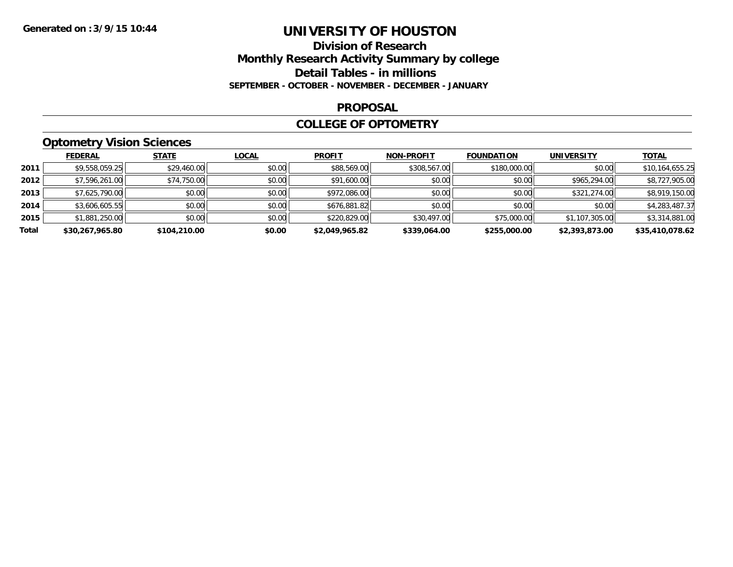### **Division of Research Monthly Research Activity Summary by college Detail Tables - in millions SEPTEMBER - OCTOBER - NOVEMBER - DECEMBER - JANUARY**

#### **PROPOSAL**

### **COLLEGE OF OPTOMETRY**

### **Optometry Vision Sciences**

|       | <b>FEDERAL</b>  | <b>STATE</b> | <b>LOCAL</b> | <b>PROFIT</b>  | <b>NON-PROFIT</b> | <b>FOUNDATION</b> | <b>UNIVERSITY</b> | <u>TOTAL</u>    |
|-------|-----------------|--------------|--------------|----------------|-------------------|-------------------|-------------------|-----------------|
| 2011  | \$9,558,059.25  | \$29,460.00  | \$0.00       | \$88,569.00    | \$308,567.00      | \$180,000.00      | \$0.00            | \$10,164,655.25 |
| 2012  | \$7,596,261.00  | \$74,750.00  | \$0.00       | \$91,600.00    | \$0.00            | \$0.00            | \$965,294.00      | \$8,727,905.00  |
| 2013  | \$7,625,790.00  | \$0.00       | \$0.00       | \$972,086.00   | \$0.00            | \$0.00            | \$321,274.00      | \$8,919,150.00  |
| 2014  | \$3,606,605.55  | \$0.00       | \$0.00       | \$676,881.82   | \$0.00            | \$0.00            | \$0.00            | \$4,283,487.37  |
| 2015  | \$1,881,250.00  | \$0.00       | \$0.00       | \$220,829.00   | \$30,497.00       | \$75,000.00       | \$1,107,305.00    | \$3,314,881.00  |
| Total | \$30,267,965.80 | \$104,210.00 | \$0.00       | \$2,049,965.82 | \$339,064.00      | \$255,000.00      | \$2,393,873.00    | \$35,410,078.62 |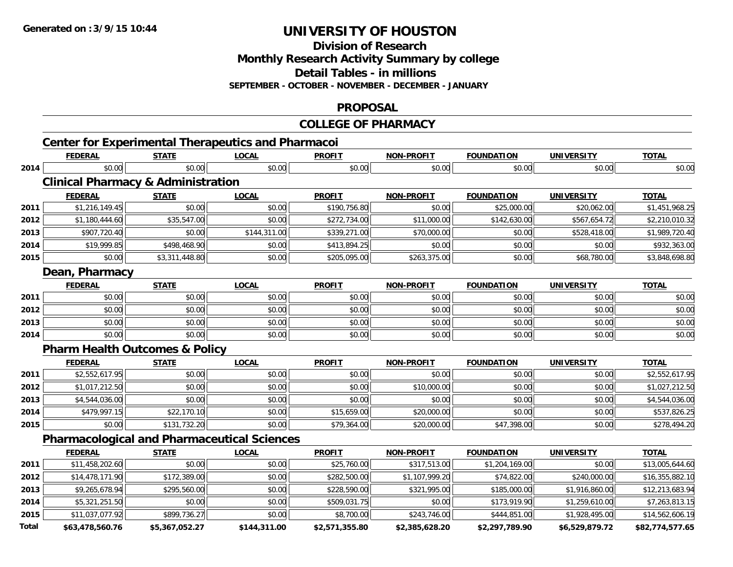**2014**

**2015**

**Total**

# **UNIVERSITY OF HOUSTON**

**Division of Research**

**Monthly Research Activity Summary by college**

**Detail Tables - in millions**

**SEPTEMBER - OCTOBER - NOVEMBER - DECEMBER - JANUARY**

#### **PROPOSAL**

#### **COLLEGE OF PHARMACYCenter for Experimental Therapeutics and Pharmacoi FEDERAL STATE LOCAL PROFIT NON-PROFIT FOUNDATION UNIVERSITY TOTALTOTAL 2014**4 \$0.00 | \$0.00 | \$0.00 | \$0.00 | \$0.00 | \$0.00 | \$0.00 | \$0.00 **Clinical Pharmacy & Administration FEDERAL STATE LOCAL PROFIT NON-PROFIT FOUNDATION UNIVERSITY TOTAL2011** \$1,216,149.45 \$0.00 \$0.00 \$190,756.80 \$0.00 \$25,000.00 \$20,062.00 \$1,451,968.25 **2012** $\texttt{2} \mid \texttt{30,180,444.60} \mid \texttt{335,547.00} \mid \texttt{40,132} \mid \texttt{40,133} \mid \texttt{50,00} \mid \texttt{52,210,010.32} \mid \texttt{51,000.00} \mid \texttt{530,00} \mid \texttt{542,630.00} \mid \texttt{5567,654.72} \mid \texttt{52,210,010.32} \mid \texttt{530,00} \mid \texttt{542,000} \mid \texttt{556$ **2013** \$907,720.40 \$0.00 \$144,311.00 \$339,271.00 \$70,000.00 \$0.00 \$528,418.00 \$1,989,720.40 **2014**4 \$19,999.85|| \$498,468.90|| \$0.00|| \$0.00|| \$413,894.25|| \$0.00|| \$0.00|| \$0.00|| \$0.00|| \$932,363.00| **2015** \$0.00 \$3,311,448.80 \$0.00 \$205,095.00 \$263,375.00 \$0.00 \$68,780.00 \$3,848,698.80 **Dean, Pharmacy FEDERAL STATE LOCAL PROFIT NON-PROFIT FOUNDATION UNIVERSITY TOTAL2011**1 \$0.00 \$0.00 \$0.00 \$0.00 \$0.00 \$0.00 \$0.00 \$0.00 \$0.00 \$0.00 \$0.00 \$0.00 \$0.00 \$0.00 \$0.00 \$0.00 \$0.00 \$0.00 **2012**2 \$0.00| \$0.00| \$0.00| \$0.00| \$0.00| \$0.00| \$0.00| \$0.00| **2013** $\textbf{3} \quad \textbf{\textcolor{blue}{\textbf{50.00}}} \quad \textbf{\textcolor{blue}{\textbf{50.00}}} \quad \textbf{\textcolor{blue}{\textbf{50.00}}} \quad \textbf{\textcolor{blue}{\textbf{50.00}}} \quad \textbf{\textcolor{blue}{\textbf{50.00}}} \quad \textbf{\textcolor{blue}{\textbf{50.00}}} \quad \textbf{\textcolor{blue}{\textbf{50.00}}} \quad \textbf{\textcolor{blue}{\textbf{50.00}}} \quad \textbf{\textcolor{blue}{\textbf{50.00}}} \quad \textbf{\textcolor{blue}{\textbf{50.00}}} \quad \text$ **2014**4 \$0.00 | \$0.00 | \$0.00 | \$0.00 | \$0.00 | \$0.00 | \$0.00 | \$0.00 **Pharm Health Outcomes & Policy FEDERAL STATE LOCAL PROFIT NON-PROFIT FOUNDATION UNIVERSITY TOTAL2011** \$2,552,617.95 \$0.00 \$0.00 \$0.00 \$0.00 \$0.00 \$0.00 \$2,552,617.95 **2012** \$1,017,212.50 \$0.00 \$0.00 \$0.00 \$10,000.00 \$0.00 \$0.00 \$1,027,212.50 **2013** $\textbf{3} \mid \textbf{3} \mid \textbf{4},544,036.00 | \textbf{5} \mid \textbf{5} \mid \textbf{6},000 | \textbf{6} \mid \textbf{7} \mid \textbf{8} \mid \textbf{7} \mid \textbf{8} \mid \textbf{1} \mid \textbf{1} \mid \textbf{1} \mid \textbf{1} \mid \textbf{1} \mid \textbf{1} \mid \textbf{1} \mid \textbf{1} \mid \textbf{1} \mid \textbf{1} \mid \textbf{1} \mid \textbf{1} \mid \textbf{1} \mid \textbf{1} \mid \textbf{1} \mid \$ **2014** \$479,997.15 \$22,170.10 \$0.00 \$15,659.00 \$20,000.00 \$0.00 \$0.00 \$537,826.25 **2015** \$0.00 \$131,732.20 \$0.00 \$79,364.00 \$20,000.00 \$47,398.00 \$0.00 \$278,494.20 **Pharmacological and Pharmaceutical Sciences FEDERAL STATE LOCAL PROFIT NON-PROFIT FOUNDATION UNIVERSITY TOTAL2011** \$11,458,202.60 \$0.00 \$0.00 \$25,760.00 \$317,513.00 \$1,204,169.00 \$0.00 \$13,005,644.60 **2012** $\texttt{2} \mid \texttt{3}14,478,171.90 | \texttt{3}172,389.00 | \texttt{3}10.00 | \texttt{3}282,500.00 | \texttt{3}1.107,999.20 | \texttt{3}74,822.00 | \texttt{3}240,000.00 | \texttt{3}16,355,882.10 | \texttt{3}16,355,882.10 | \texttt{3}16,355,882.10 | \texttt{3}16,355,882.10 | \texttt{3}16,355,88$ **2013**\$9,265,678.94 \$295,560.00 \$0.00 \$228,590.00 \$321,995.00 \$185,000.00 \$1,916,860.00 \$12,213,683.94

4 \$5,321,251.50|| \$0.00|| \$0.00|| \$509,031.75|| \$0.00|| \$1,23,919.90|| \$1,259,610.00|| \$7,263,813.15|

\$11,037,077.92 \$899,736.27 \$0.00 \$8,700.00 \$243,746.00 \$444,851.00 \$1,928,495.00 \$14,562,606.19

**\$63,478,560.76 \$5,367,052.27 \$144,311.00 \$2,571,355.80 \$2,385,628.20 \$2,297,789.90 \$6,529,879.72 \$82,774,577.65**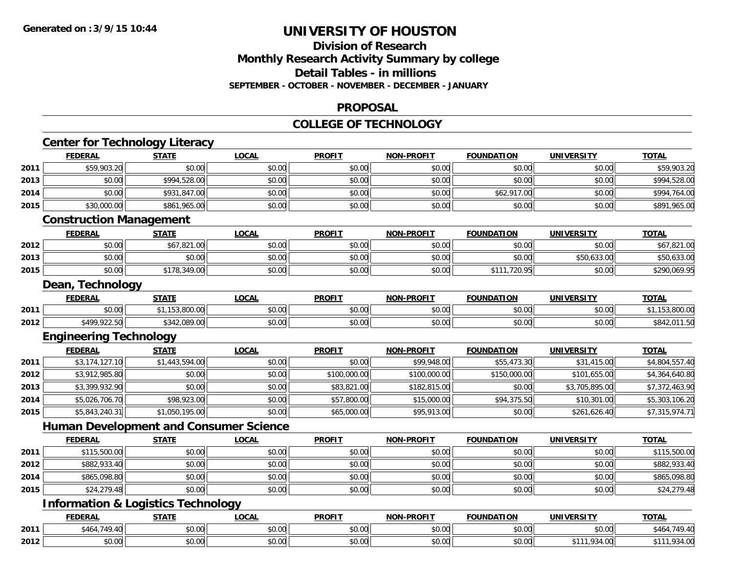### **Division of ResearchMonthly Research Activity Summary by college Detail Tables - in millions SEPTEMBER - OCTOBER - NOVEMBER - DECEMBER - JANUARY**

### **PROPOSAL**

### **COLLEGE OF TECHNOLOGY**

|      | <b>FEDERAL</b>                                | <b>STATE</b>   | <b>LOCAL</b> | <b>PROFIT</b> | <b>NON-PROFIT</b> | <b>FOUNDATION</b> | <b>UNIVERSITY</b> | <b>TOTAL</b>   |
|------|-----------------------------------------------|----------------|--------------|---------------|-------------------|-------------------|-------------------|----------------|
| 2011 | \$59,903.20                                   | \$0.00         | \$0.00       | \$0.00        | \$0.00            | \$0.00            | \$0.00            | \$59,903.20    |
| 2013 | \$0.00                                        | \$994,528.00   | \$0.00       | \$0.00        | \$0.00            | \$0.00            | \$0.00            | \$994,528.00   |
| 2014 | \$0.00                                        | \$931,847.00   | \$0.00       | \$0.00        | \$0.00            | \$62,917.00       | \$0.00            | \$994,764.00   |
| 2015 | \$30,000.00                                   | \$861,965.00   | \$0.00       | \$0.00        | \$0.00            | \$0.00            | \$0.00            | \$891,965.00   |
|      | <b>Construction Management</b>                |                |              |               |                   |                   |                   |                |
|      | <b>FEDERAL</b>                                | <b>STATE</b>   | <b>LOCAL</b> | <b>PROFIT</b> | <b>NON-PROFIT</b> | <b>FOUNDATION</b> | <b>UNIVERSITY</b> | <b>TOTAL</b>   |
| 2012 | \$0.00                                        | \$67,821.00    | \$0.00       | \$0.00        | \$0.00            | \$0.00            | \$0.00            | \$67,821.00    |
| 2013 | \$0.00                                        | \$0.00         | \$0.00       | \$0.00        | \$0.00            | \$0.00            | \$50,633.00       | \$50,633.00    |
| 2015 | \$0.00                                        | \$178,349.00   | \$0.00       | \$0.00        | \$0.00            | \$111,720.95      | \$0.00            | \$290,069.95   |
|      | Dean, Technology                              |                |              |               |                   |                   |                   |                |
|      | <b>FEDERAL</b>                                | <b>STATE</b>   | <b>LOCAL</b> | <b>PROFIT</b> | <b>NON-PROFIT</b> | <b>FOUNDATION</b> | <b>UNIVERSITY</b> | <b>TOTAL</b>   |
| 2011 | \$0.00                                        | \$1,153,800.00 | \$0.00       | \$0.00        | \$0.00            | \$0.00            | \$0.00            | \$1,153,800.00 |
| 2012 | \$499,922.50                                  | \$342,089.00   | \$0.00       | \$0.00        | \$0.00            | \$0.00            | \$0.00            | \$842,011.50   |
|      | <b>Engineering Technology</b>                 |                |              |               |                   |                   |                   |                |
|      | <b>FEDERAL</b>                                | <b>STATE</b>   | <b>LOCAL</b> | <b>PROFIT</b> | <b>NON-PROFIT</b> | <b>FOUNDATION</b> | <b>UNIVERSITY</b> | TOTAL          |
| 2011 | \$3,174,127.10                                | \$1,443,594.00 | \$0.00       | \$0.00        | \$99,948.00       | \$55,473.30       | \$31,415.00       | \$4,804,557.40 |
| 2012 | \$3,912,985.80                                | \$0.00         | \$0.00       | \$100,000.00  | \$100,000.00      | \$150,000.00      | \$101,655.00      | \$4,364,640.80 |
| 2013 | \$3,399,932.90                                | \$0.00         | \$0.00       | \$83,821.00   | \$182,815.00      | \$0.00            | \$3,705,895.00    | \$7,372,463.90 |
| 2014 | \$5,026,706.70                                | \$98,923.00    | \$0.00       | \$57,800.00   | \$15,000.00       | \$94,375.50       | \$10,301.00       | \$5,303,106.20 |
| 2015 | \$5,843,240.31                                | \$1,050,195.00 | \$0.00       | \$65,000.00   | \$95,913.00       | \$0.00            | \$261,626.40      | \$7,315,974.71 |
|      | <b>Human Development and Consumer Science</b> |                |              |               |                   |                   |                   |                |
|      | <b>FEDERAL</b>                                | <b>STATE</b>   | <b>LOCAL</b> | <b>PROFIT</b> | NON-PROFIT        | <b>FOUNDATION</b> | <b>UNIVERSITY</b> | <b>TOTAL</b>   |
| 2011 | \$115,500.00                                  | \$0.00         | \$0.00       | \$0.00        | \$0.00            | \$0.00            | \$0.00            | \$115,500.00   |
| 2012 | \$882,933.40                                  | \$0.00         | \$0.00       | \$0.00        | \$0.00            | \$0.00            | \$0.00            | \$882,933.40   |
| 2014 | \$865,098.80                                  | \$0.00         | \$0.00       | \$0.00        | \$0.00            | \$0.00            | \$0.00            | \$865,098.80   |
| 2015 | \$24,279.48                                   | \$0.00         | \$0.00       | \$0.00        | \$0.00            | \$0.00            | \$0.00            | \$24,279.48    |
|      | <b>Information &amp; Logistics Technology</b> |                |              |               |                   |                   |                   |                |
|      | <b>FEDERAL</b>                                | <b>STATE</b>   | <b>LOCAL</b> | <b>PROFIT</b> | <b>NON-PROFIT</b> | <b>FOUNDATION</b> | <b>UNIVERSITY</b> | <b>TOTAL</b>   |
|      |                                               |                |              |               |                   |                   |                   |                |
| 2011 | \$464,749.40                                  | \$0.00         | \$0.00       | \$0.00        | \$0.00            | \$0.00            | \$0.00            | \$464,749.40   |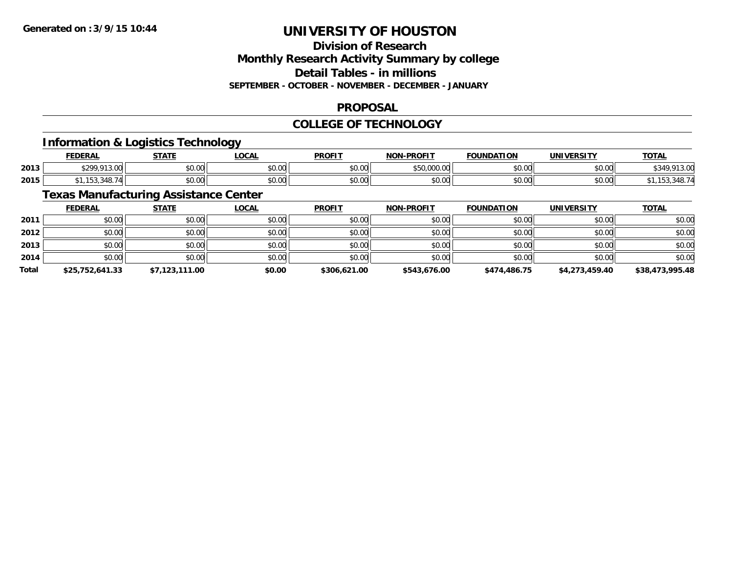### **Division of ResearchMonthly Research Activity Summary by college Detail Tables - in millions SEPTEMBER - OCTOBER - NOVEMBER - DECEMBER - JANUARY**

### **PROPOSAL**

### **COLLEGE OF TECHNOLOGY**

### **Information & Logistics Technology**

|      | <b>FEDERAL</b>         | <b>CTATE</b><br>,,,, | <b>OCAL</b> | <b>PROFIT</b> | -PROFIT<br>NON-                 | <b>FOUNDATION</b> | UNIVERSITY | <b>TOTAL</b> |
|------|------------------------|----------------------|-------------|---------------|---------------------------------|-------------------|------------|--------------|
| 2013 | $*200.012.00$<br>19.00 | 0000<br><b>DU.UU</b> | \$0.00      | 0000<br>PO.OO | ATO.000<br>$\sim$<br>JUU.UUU.UU | \$0.00            | \$0.00     | 11C          |
| 2015 | 348.74                 | 0000<br><b>DU.UU</b> | \$0.00      | \$0.00        | 0000<br>PO.OO                   | \$0.00            | \$0.00     |              |

### **Texas Manufacturing Assistance Center**

|              | <b>FEDERAL</b>  | <b>STATE</b>   | <u>LOCAL</u> | <b>PROFIT</b> | <b>NON-PROFIT</b> | <b>FOUNDATION</b> | <b>UNIVERSITY</b> | <b>TOTAL</b>    |
|--------------|-----------------|----------------|--------------|---------------|-------------------|-------------------|-------------------|-----------------|
| 2011         | \$0.00          | \$0.00         | \$0.00       | \$0.00        | \$0.00            | \$0.00            | \$0.00            | \$0.00          |
| 2012         | \$0.00          | \$0.00         | \$0.00       | \$0.00        | \$0.00            | \$0.00            | \$0.00            | \$0.00          |
| 2013         | \$0.00          | \$0.00         | \$0.00       | \$0.00        | \$0.00            | \$0.00            | \$0.00            | \$0.00          |
| 2014         | \$0.00          | \$0.00         | \$0.00       | \$0.00        | \$0.00            | \$0.00            | \$0.00            | \$0.00          |
| <b>Total</b> | \$25,752,641.33 | \$7,123,111.00 | \$0.00       | \$306,621.00  | \$543,676.00      | \$474,486.75      | \$4,273,459.40    | \$38,473,995.48 |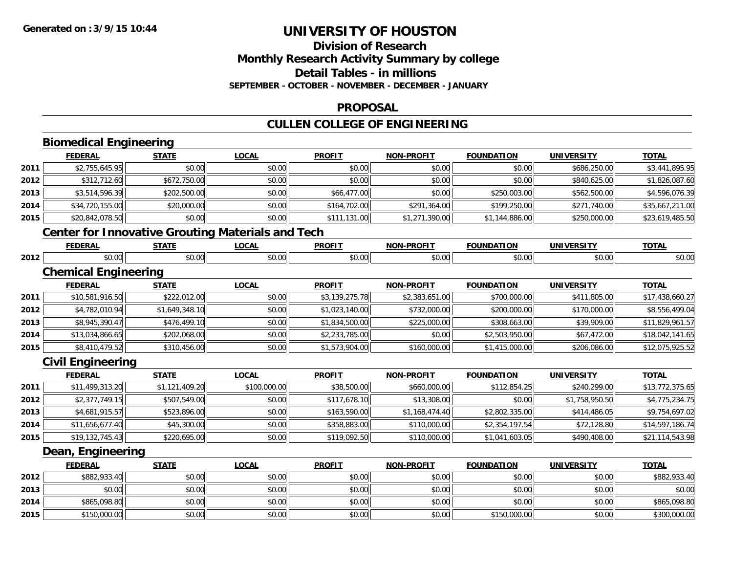### **Division of ResearchMonthly Research Activity Summary by college Detail Tables - in millions SEPTEMBER - OCTOBER - NOVEMBER - DECEMBER - JANUARY**

### **PROPOSAL**

### **CULLEN COLLEGE OF ENGINEERING**

|      | <b>Biomedical Engineering</b>                            |                |              |                |                   |                   |                   |                 |
|------|----------------------------------------------------------|----------------|--------------|----------------|-------------------|-------------------|-------------------|-----------------|
|      | <b>FEDERAL</b>                                           | <b>STATE</b>   | <b>LOCAL</b> | <b>PROFIT</b>  | <b>NON-PROFIT</b> | <b>FOUNDATION</b> | <b>UNIVERSITY</b> | <b>TOTAL</b>    |
| 2011 | \$2,755,645.95                                           | \$0.00         | \$0.00       | \$0.00         | \$0.00            | \$0.00            | \$686,250.00      | \$3,441,895.95  |
| 2012 | \$312,712.60                                             | \$672,750.00   | \$0.00       | \$0.00         | \$0.00            | \$0.00            | \$840,625.00      | \$1,826,087.60  |
| 2013 | \$3,514,596.39                                           | \$202,500.00   | \$0.00       | \$66,477.00    | \$0.00            | \$250,003.00      | \$562,500.00      | \$4,596,076.39  |
| 2014 | \$34,720,155.00                                          | \$20,000.00    | \$0.00       | \$164,702.00   | \$291,364.00      | \$199,250.00      | \$271,740.00      | \$35,667,211.00 |
| 2015 | \$20,842,078.50                                          | \$0.00         | \$0.00       | \$111,131.00   | \$1,271,390.00    | \$1,144,886.00    | \$250,000.00      | \$23,619,485.50 |
|      | <b>Center for Innovative Grouting Materials and Tech</b> |                |              |                |                   |                   |                   |                 |
|      | <b>FEDERAL</b>                                           | <b>STATE</b>   | <b>LOCAL</b> | <b>PROFIT</b>  | <b>NON-PROFIT</b> | <b>FOUNDATION</b> | <b>UNIVERSITY</b> | <b>TOTAL</b>    |
| 2012 | \$0.00                                                   | \$0.00         | \$0.00       | \$0.00         | \$0.00            | \$0.00            | \$0.00            | \$0.00          |
|      | <b>Chemical Engineering</b>                              |                |              |                |                   |                   |                   |                 |
|      | <b>FEDERAL</b>                                           | <b>STATE</b>   | <b>LOCAL</b> | <b>PROFIT</b>  | <b>NON-PROFIT</b> | <b>FOUNDATION</b> | <b>UNIVERSITY</b> | <b>TOTAL</b>    |
| 2011 | \$10,581,916.50                                          | \$222,012.00   | \$0.00       | \$3,139,275.78 | \$2,383,651.00    | \$700,000.00      | \$411,805.00      | \$17,438,660.27 |
| 2012 | \$4,782,010.94                                           | \$1,649,348.10 | \$0.00       | \$1,023,140.00 | \$732,000.00      | \$200,000.00      | \$170,000.00      | \$8,556,499.04  |
| 2013 | \$8,945,390.47                                           | \$476,499.10   | \$0.00       | \$1,834,500.00 | \$225,000.00      | \$308,663.00      | \$39,909.00       | \$11,829,961.57 |
| 2014 | \$13,034,866.65                                          | \$202,068.00   | \$0.00       | \$2,233,785.00 | \$0.00            | \$2,503,950.00    | \$67,472.00       | \$18,042,141.65 |
| 2015 | \$8,410,479.52                                           | \$310,456.00   | \$0.00       | \$1,573,904.00 | \$160,000.00      | \$1,415,000.00    | \$206,086.00      | \$12,075,925.52 |
|      | <b>Civil Engineering</b>                                 |                |              |                |                   |                   |                   |                 |
|      | <b>FEDERAL</b>                                           | <b>STATE</b>   | <b>LOCAL</b> | <b>PROFIT</b>  | <b>NON-PROFIT</b> | <b>FOUNDATION</b> | <b>UNIVERSITY</b> | <b>TOTAL</b>    |
| 2011 | \$11,499,313.20                                          | \$1,121,409.20 | \$100,000.00 | \$38,500.00    | \$660,000.00      | \$112,854.25      | \$240,299.00      | \$13,772,375.65 |
| 2012 | \$2,377,749.15                                           | \$507,549.00   | \$0.00       | \$117,678.10   | \$13,308.00       | \$0.00            | \$1,758,950.50    | \$4,775,234.75  |
| 2013 | \$4,681,915.57                                           | \$523,896.00   | \$0.00       | \$163,590.00   | \$1,168,474.40    | \$2,802,335.00    | \$414,486.05      | \$9,754,697.02  |
| 2014 | \$11,656,677.40                                          | \$45,300.00    | \$0.00       | \$358,883.00   | \$110,000.00      | \$2,354,197.54    | \$72,128.80       | \$14,597,186.74 |
| 2015 | \$19,132,745.43                                          | \$220,695.00   | \$0.00       | \$119,092.50   | \$110,000.00      | \$1,041,603.05    | \$490,408.00      | \$21,114,543.98 |
|      | Dean, Engineering                                        |                |              |                |                   |                   |                   |                 |
|      | <b>FEDERAL</b>                                           | <b>STATE</b>   | <b>LOCAL</b> | <b>PROFIT</b>  | <b>NON-PROFIT</b> | <b>FOUNDATION</b> | <b>UNIVERSITY</b> | <b>TOTAL</b>    |
| 2012 | \$882,933.40                                             | \$0.00         | \$0.00       | \$0.00         | \$0.00            | \$0.00            | \$0.00            | \$882,933.40    |
| 2013 | \$0.00                                                   | \$0.00         | \$0.00       | \$0.00         | \$0.00            | \$0.00            | \$0.00            | \$0.00          |
| 2014 | \$865,098.80                                             | \$0.00         | \$0.00       | \$0.00         | \$0.00            | \$0.00            | \$0.00            | \$865,098.80    |
| 2015 | \$150,000.00                                             | \$0.00         | \$0.00       | \$0.00         | \$0.00            | \$150,000.00      | \$0.00            | \$300,000.00    |

\$150,000.00 \$0.00 \$0.00 \$0.00 \$0.00 \$150,000.00 \$0.00 \$300,000.00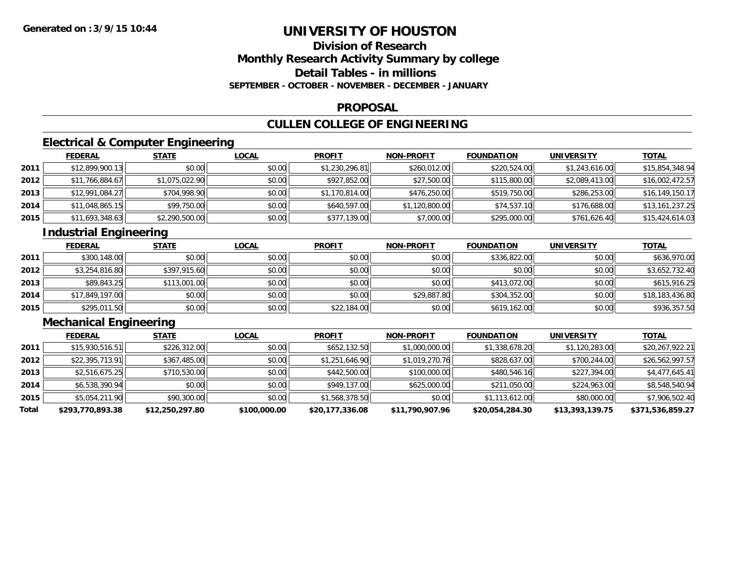### **Division of ResearchMonthly Research Activity Summary by college Detail Tables - in millions SEPTEMBER - OCTOBER - NOVEMBER - DECEMBER - JANUARY**

#### **PROPOSAL**

## **CULLEN COLLEGE OF ENGINEERING**

### **Electrical & Computer Engineering**

|      | <b>FEDERAL</b>  | <b>STATE</b>   | <b>LOCAL</b> | <b>PROFIT</b>  | <b>NON-PROFIT</b> | <b>FOUNDATION</b> | UNIVERSITY     | <b>TOTAL</b>    |
|------|-----------------|----------------|--------------|----------------|-------------------|-------------------|----------------|-----------------|
| 2011 | \$12,899,900.13 | \$0.00         | \$0.00       | \$1,230,296.81 | \$260,012.00      | \$220,524.00      | \$1,243,616.00 | \$15,854,348.94 |
| 2012 | \$11,766,884.67 | \$1,075,022.90 | \$0.00       | \$927,852.00   | \$27,500.00       | \$115,800.00      | \$2,089,413.00 | \$16,002,472.57 |
| 2013 | \$12,991,084.27 | \$704,998.90   | \$0.00       | \$1,170,814.00 | \$476,250.00      | \$519,750.00      | \$286,253.00   | \$16,149,150.17 |
| 2014 | \$11,048,865.15 | \$99,750.00    | \$0.00       | \$640,597.00   | \$1,120,800.00    | \$74,537.10       | \$176,688.00   | \$13,161,237.25 |
| 2015 | \$11,693,348.63 | \$2,290,500.00 | \$0.00       | \$377,139.00   | \$7,000.00        | \$295,000.00      | \$761,626.40   | \$15,424,614.03 |

### **Industrial Engineering**

|      | <u>FEDERAL</u>  | <b>STATE</b> | <b>LOCAL</b> | <b>PROFIT</b> | <b>NON-PROFIT</b> | <b>FOUNDATION</b> | <b>UNIVERSITY</b> | <b>TOTAL</b>    |
|------|-----------------|--------------|--------------|---------------|-------------------|-------------------|-------------------|-----------------|
| 2011 | \$300,148.00    | \$0.00       | \$0.00       | \$0.00        | \$0.00            | \$336,822,00      | \$0.00            | \$636,970.00    |
| 2012 | \$3,254,816.80  | \$397,915.60 | \$0.00       | \$0.00        | \$0.00            | \$0.00            | \$0.00            | \$3,652,732.40  |
| 2013 | \$89,843.25     | \$113,001.00 | \$0.00       | \$0.00        | \$0.00            | \$413,072,00      | \$0.00            | \$615,916.25    |
| 2014 | \$17,849,197.00 | \$0.00       | \$0.00       | \$0.00        | \$29,887.80       | \$304,352.00      | \$0.00            | \$18,183,436.80 |
| 2015 | \$295,011.50    | \$0.00       | \$0.00       | \$22,184.00   | \$0.00            | \$619,162.00      | \$0.00            | \$936,357.50    |

### **Mechanical Engineering**

|       | <b>FEDERAL</b>   | <b>STATE</b>    | <b>LOCAL</b> | <b>PROFIT</b>   | <b>NON-PROFIT</b> | <b>FOUNDATION</b> | <b>UNIVERSITY</b> | <u>TOTAL</u>     |
|-------|------------------|-----------------|--------------|-----------------|-------------------|-------------------|-------------------|------------------|
| 2011  | \$15,930,516.51  | \$226,312.00    | \$0.00       | \$652,132.50    | \$1,000,000.00    | \$1,338,678.20    | \$1,120,283.00    | \$20,267,922.21  |
| 2012  | \$22,395,713.91  | \$367,485.00    | \$0.00       | \$1,251,646.90  | \$1,019,270.76    | \$828,637.00      | \$700,244.00      | \$26,562,997.57  |
| 2013  | \$2,516,675.25   | \$710,530.00    | \$0.00       | \$442,500.00    | \$100,000.00      | \$480,546.16      | \$227,394.00      | \$4,477,645.41   |
| 2014  | \$6,538,390.94   | \$0.00          | \$0.00       | \$949,137.00    | \$625,000.00      | \$211,050.00      | \$224,963.00      | \$8,548,540.94   |
| 2015  | \$5,054,211.90   | \$90,300.00     | \$0.00       | \$1,568,378.50  | \$0.00            | \$1,113,612.00    | \$80,000.00       | \$7,906,502.40   |
| Total | \$293,770,893.38 | \$12,250,297.80 | \$100,000.00 | \$20,177,336.08 | \$11,790,907.96   | \$20,054,284.30   | \$13,393,139.75   | \$371,536,859.27 |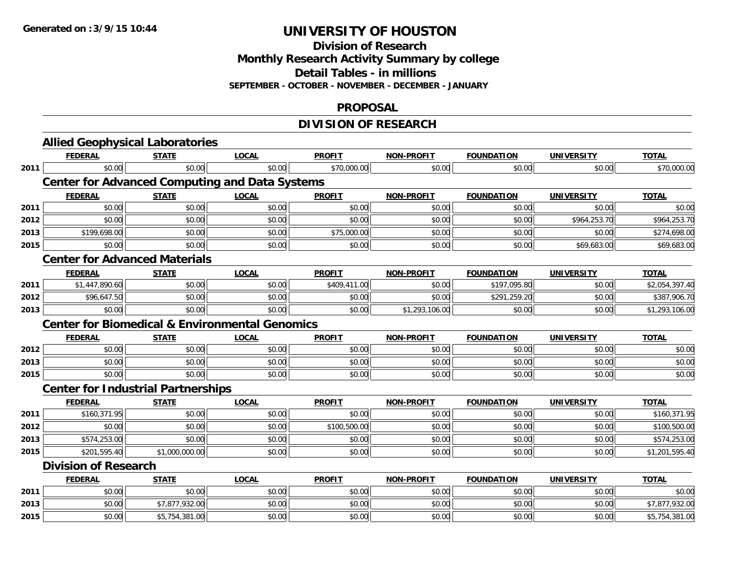**Division of Research**

**Monthly Research Activity Summary by college**

**Detail Tables - in millions**

**SEPTEMBER - OCTOBER - NOVEMBER - DECEMBER - JANUARY**

#### **PROPOSAL**

### **DIVISION OF RESEARCH**

|      | <b>Allied Geophysical Laboratories</b>                    |                |              |               |                            |                   |                   |                |
|------|-----------------------------------------------------------|----------------|--------------|---------------|----------------------------|-------------------|-------------------|----------------|
|      | <b>FEDERAL</b>                                            | <b>STATE</b>   | <b>LOCAL</b> | <b>PROFIT</b> | <b>NON-PROFIT</b>          | <b>FOUNDATION</b> | <b>UNIVERSITY</b> | <b>TOTAL</b>   |
| 2011 | \$0.00                                                    | \$0.00         | \$0.00       | \$70,000.00   | \$0.00                     | \$0.00            | \$0.00            | \$70,000.00    |
|      | <b>Center for Advanced Computing and Data Systems</b>     |                |              |               |                            |                   |                   |                |
|      | <b>FEDERAL</b>                                            | <b>STATE</b>   | <b>LOCAL</b> | <b>PROFIT</b> | <b>NON-PROFIT</b>          | <b>FOUNDATION</b> | <b>UNIVERSITY</b> | <b>TOTAL</b>   |
| 2011 | \$0.00                                                    | \$0.00         | \$0.00       | \$0.00        | \$0.00                     | \$0.00            | \$0.00            | \$0.00         |
| 2012 | \$0.00                                                    | \$0.00         | \$0.00       | \$0.00        | \$0.00                     | \$0.00            | \$964,253.70      | \$964,253.70   |
| 2013 | \$199,698.00                                              | \$0.00         | \$0.00       | \$75,000.00   | \$0.00                     | \$0.00            | \$0.00            | \$274,698.00   |
| 2015 | \$0.00                                                    | \$0.00         | \$0.00       | \$0.00        | \$0.00                     | \$0.00            | \$69,683.00       | \$69,683.00    |
|      | <b>Center for Advanced Materials</b>                      |                |              |               |                            |                   |                   |                |
|      | <b>FEDERAL</b>                                            | <b>STATE</b>   | <b>LOCAL</b> | <b>PROFIT</b> | <b>NON-PROFIT</b>          | <b>FOUNDATION</b> | <b>UNIVERSITY</b> | <b>TOTAL</b>   |
| 2011 | \$1,447,890.60                                            | \$0.00         | \$0.00       | \$409,411.00  | \$0.00                     | \$197,095.80      | \$0.00            | \$2,054,397.40 |
| 2012 | \$96,647.50                                               | \$0.00         | \$0.00       | \$0.00        | \$0.00                     | \$291,259.20      | \$0.00            | \$387,906.70   |
| 2013 | \$0.00                                                    | \$0.00         | \$0.00       | \$0.00        | $\overline{$1,293,106.00}$ | \$0.00            | \$0.00            | \$1,293,106.00 |
|      | <b>Center for Biomedical &amp; Environmental Genomics</b> |                |              |               |                            |                   |                   |                |
|      | <b>FEDERAL</b>                                            | <b>STATE</b>   | <b>LOCAL</b> | <b>PROFIT</b> | <b>NON-PROFIT</b>          | <b>FOUNDATION</b> | <b>UNIVERSITY</b> | <b>TOTAL</b>   |
| 2012 | \$0.00                                                    | \$0.00         | \$0.00       | \$0.00        | \$0.00                     | \$0.00            | \$0.00            | \$0.00         |
| 2013 | \$0.00                                                    | \$0.00         | \$0.00       | \$0.00        | \$0.00                     | \$0.00            | \$0.00            | \$0.00         |
| 2015 | \$0.00                                                    | \$0.00         | \$0.00       | \$0.00        | \$0.00                     | \$0.00            | \$0.00            | \$0.00         |
|      | <b>Center for Industrial Partnerships</b>                 |                |              |               |                            |                   |                   |                |
|      | <b>FEDERAL</b>                                            | <b>STATE</b>   | <b>LOCAL</b> | <b>PROFIT</b> | <b>NON-PROFIT</b>          | <b>FOUNDATION</b> | <b>UNIVERSITY</b> | <b>TOTAL</b>   |
| 2011 | \$160,371.95                                              | \$0.00         | \$0.00       | \$0.00        | \$0.00                     | \$0.00            | \$0.00            | \$160,371.95   |
| 2012 | \$0.00                                                    | \$0.00         | \$0.00       | \$100,500.00  | \$0.00                     | \$0.00            | \$0.00            | \$100,500.00   |
| 2013 | \$574,253.00                                              | \$0.00         | \$0.00       | \$0.00        | \$0.00                     | \$0.00            | \$0.00            | \$574,253.00   |
| 2015 | \$201,595.40                                              | \$1,000,000.00 | \$0.00       | \$0.00        | \$0.00                     | \$0.00            | \$0.00            | \$1,201,595.40 |
|      | <b>Division of Research</b>                               |                |              |               |                            |                   |                   |                |
|      | <b>FEDERAL</b>                                            | <b>STATE</b>   | <b>LOCAL</b> | <b>PROFIT</b> | <b>NON-PROFIT</b>          | <b>FOUNDATION</b> | <b>UNIVERSITY</b> | <b>TOTAL</b>   |
| 2011 | \$0.00                                                    | \$0.00         | \$0.00       | \$0.00        | \$0.00                     | \$0.00            | \$0.00            | \$0.00         |
| 2013 | \$0.00                                                    | \$7,877,932.00 | \$0.00       | \$0.00        | \$0.00                     | \$0.00            | \$0.00            | \$7,877,932.00 |
|      | \$0.00                                                    | \$5,754,381.00 | \$0.00       | \$0.00        | \$0.00                     | \$0.00            | \$0.00            | \$5,754,381.00 |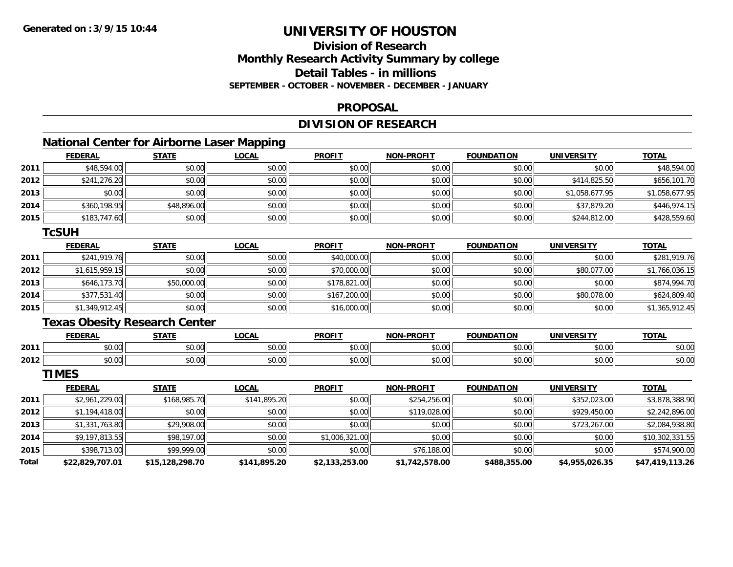### **Division of ResearchMonthly Research Activity Summary by college Detail Tables - in millionsSEPTEMBER - OCTOBER - NOVEMBER - DECEMBER - JANUARY**

#### **PROPOSAL**

### **DIVISION OF RESEARCH**

### **National Center for Airborne Laser Mapping**

|      | <b>FEDERAL</b> | <b>STATE</b> | <u>LOCAL</u> | <b>PROFIT</b> | <b>NON-PROFIT</b> | <b>FOUNDATION</b> | <b>UNIVERSITY</b> | <b>TOTAL</b>   |
|------|----------------|--------------|--------------|---------------|-------------------|-------------------|-------------------|----------------|
| 2011 | \$48,594.00    | \$0.00       | \$0.00       | \$0.00        | \$0.00            | \$0.00            | \$0.00            | \$48,594.00    |
| 2012 | \$241,276.20   | \$0.00       | \$0.00       | \$0.00        | \$0.00            | \$0.00            | \$414,825.50      | \$656,101.70   |
| 2013 | \$0.00         | \$0.00       | \$0.00       | \$0.00        | \$0.00            | \$0.00            | \$1,058,677.95    | \$1,058,677.95 |
| 2014 | \$360,198.95   | \$48,896.00  | \$0.00       | \$0.00        | \$0.00            | \$0.00            | \$37,879.20       | \$446,974.15   |
| 2015 | \$183,747.60   | \$0.00       | \$0.00       | \$0.00        | \$0.00            | \$0.00            | \$244,812.00      | \$428,559.60   |

#### **TcSUH**

|      | <b>FEDERAL</b> | <b>STATE</b> | <u>LOCAL</u> | <b>PROFIT</b> | <b>NON-PROFIT</b> | <b>FOUNDATION</b> | <b>UNIVERSITY</b> | <b>TOTAL</b>   |
|------|----------------|--------------|--------------|---------------|-------------------|-------------------|-------------------|----------------|
| 2011 | \$241,919.76   | \$0.00       | \$0.00       | \$40,000.00   | \$0.00            | \$0.00            | \$0.00            | \$281,919.76   |
| 2012 | \$1,615,959.15 | \$0.00       | \$0.00       | \$70,000.00   | \$0.00            | \$0.00            | \$80,077.00       | \$1,766,036.15 |
| 2013 | \$646,173.70   | \$50,000.00  | \$0.00       | \$178,821.00  | \$0.00            | \$0.00            | \$0.00            | \$874,994.70   |
| 2014 | \$377,531.40   | \$0.00       | \$0.00       | \$167,200.00  | \$0.00            | \$0.00            | \$80,078.00       | \$624,809.40   |
| 2015 | \$1,349,912.45 | \$0.00       | \$0.00       | \$16,000.00   | \$0.00            | \$0.00            | \$0.00            | \$1,365,912.45 |

### **Texas Obesity Research Center**

|      | <b>FEDERAL</b> | <b>CTATE</b>        | .OCAI              | <b>PROFIT</b>                   | <b>PROFIT</b><br><b>NION</b> | FOLINDAT<br>ΓΙΟΝ | UNIVERSITY           | <b>TOTAL</b>  |
|------|----------------|---------------------|--------------------|---------------------------------|------------------------------|------------------|----------------------|---------------|
| 2011 | 0000<br>טט.טע  | $\uparrow$<br>טט.טע | ሶስ ሰሰ<br>J∪.∪∪     | $\sim$ $\sim$<br>$\cap$<br>ט.טע | 0000<br>งบ.บเ                | 0000<br>,u.uu    | 0000<br>JU.UU        | \$0.00        |
| 2012 | 0000<br>DU.UU  | $\sim$<br>JU.UU     | $\sim$ 00<br>JU.UU | \$0.00                          | \$0.00                       | \$0.00           | 0000<br><b>DU.UU</b> | 0000<br>JU.UU |

**TIMES**

|       | <b>FEDERAL</b>  | <b>STATE</b>    | <b>LOCAL</b> | <b>PROFIT</b>  | <b>NON-PROFIT</b> | <b>FOUNDATION</b> | <b>UNIVERSITY</b> | <u>TOTAL</u>    |
|-------|-----------------|-----------------|--------------|----------------|-------------------|-------------------|-------------------|-----------------|
| 2011  | \$2,961,229.00  | \$168,985.70    | \$141,895.20 | \$0.00         | \$254,256.00      | \$0.00            | \$352,023.00      | \$3,878,388.90  |
| 2012  | \$1,194,418,00  | \$0.00          | \$0.00       | \$0.00         | \$119,028,00      | \$0.00            | \$929,450.00      | \$2,242,896.00  |
| 2013  | \$1,331,763.80  | \$29,908.00     | \$0.00       | \$0.00         | \$0.00            | \$0.00            | \$723,267.00      | \$2,084,938.80  |
| 2014  | \$9,197,813.55  | \$98,197.00     | \$0.00       | \$1,006,321.00 | \$0.00            | \$0.00            | \$0.00            | \$10,302,331.55 |
| 2015  | \$398,713.00    | \$99,999.00     | \$0.00       | \$0.00         | \$76,188.00       | \$0.00            | \$0.00            | \$574,900.00    |
| Total | \$22,829,707.01 | \$15,128,298.70 | \$141,895.20 | \$2,133,253.00 | \$1,742,578.00    | \$488,355.00      | \$4,955,026.35    | \$47,419,113.26 |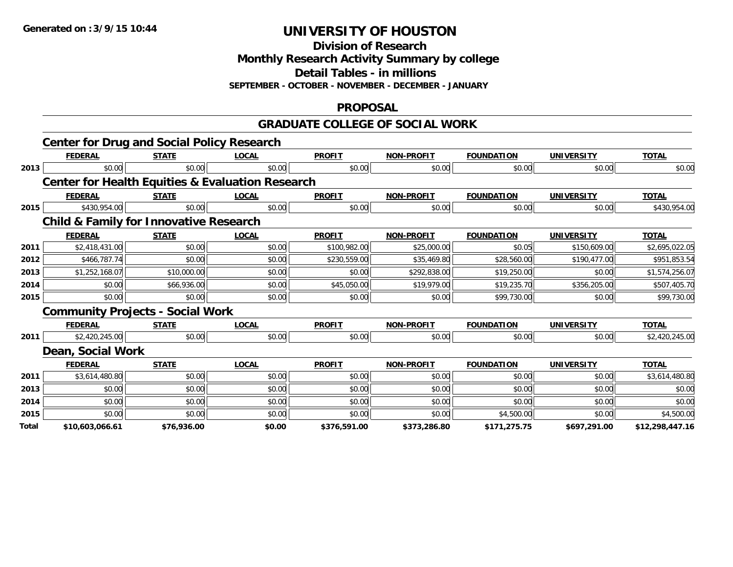**Division of Research**

**Monthly Research Activity Summary by college**

**Detail Tables - in millions**

**SEPTEMBER - OCTOBER - NOVEMBER - DECEMBER - JANUARY**

### **PROPOSAL**

### **GRADUATE COLLEGE OF SOCIAL WORK**

|       | <b>Center for Drug and Social Policy Research</b>           |              |              |               |                   |                   |                   |                 |
|-------|-------------------------------------------------------------|--------------|--------------|---------------|-------------------|-------------------|-------------------|-----------------|
|       | <b>FEDERAL</b>                                              | <b>STATE</b> | <b>LOCAL</b> | <b>PROFIT</b> | <b>NON-PROFIT</b> | <b>FOUNDATION</b> | <b>UNIVERSITY</b> | <b>TOTAL</b>    |
| 2013  | \$0.00                                                      | \$0.00       | \$0.00       | \$0.00        | \$0.00            | \$0.00            | \$0.00            | \$0.00          |
|       | <b>Center for Health Equities &amp; Evaluation Research</b> |              |              |               |                   |                   |                   |                 |
|       | <b>FEDERAL</b>                                              | <b>STATE</b> | <b>LOCAL</b> | <b>PROFIT</b> | <b>NON-PROFIT</b> | <b>FOUNDATION</b> | <b>UNIVERSITY</b> | <b>TOTAL</b>    |
| 2015  | \$430,954.00                                                | \$0.00       | \$0.00       | \$0.00        | \$0.00            | \$0.00            | \$0.00            | \$430,954.00    |
|       | <b>Child &amp; Family for Innovative Research</b>           |              |              |               |                   |                   |                   |                 |
|       | <b>FEDERAL</b>                                              | <b>STATE</b> | <b>LOCAL</b> | <b>PROFIT</b> | <b>NON-PROFIT</b> | <b>FOUNDATION</b> | <b>UNIVERSITY</b> | <b>TOTAL</b>    |
| 2011  | \$2,418,431.00                                              | \$0.00       | \$0.00       | \$100,982.00  | \$25,000.00       | \$0.05            | \$150,609.00      | \$2,695,022.05  |
| 2012  | \$466,787.74                                                | \$0.00       | \$0.00       | \$230,559.00  | \$35,469.80       | \$28,560.00       | \$190,477.00      | \$951,853.54    |
| 2013  | \$1,252,168.07                                              | \$10,000.00  | \$0.00       | \$0.00        | \$292,838.00      | \$19,250.00       | \$0.00            | \$1,574,256.07  |
| 2014  | \$0.00                                                      | \$66,936.00  | \$0.00       | \$45,050.00   | \$19,979.00       | \$19,235.70       | \$356,205.00      | \$507,405.70    |
| 2015  | \$0.00                                                      | \$0.00       | \$0.00       | \$0.00        | \$0.00            | \$99,730.00       | \$0.00            | \$99,730.00     |
|       | <b>Community Projects - Social Work</b>                     |              |              |               |                   |                   |                   |                 |
|       | <b>FEDERAL</b>                                              | <b>STATE</b> | <b>LOCAL</b> | <b>PROFIT</b> | <b>NON-PROFIT</b> | <b>FOUNDATION</b> | <b>UNIVERSITY</b> | <b>TOTAL</b>    |
| 2011  | \$2,420,245.00                                              | \$0.00       | \$0.00       | \$0.00        | \$0.00            | \$0.00            | \$0.00            | \$2,420,245.00  |
|       | Dean, Social Work                                           |              |              |               |                   |                   |                   |                 |
|       | <b>FEDERAL</b>                                              | <b>STATE</b> | <b>LOCAL</b> | <b>PROFIT</b> | <b>NON-PROFIT</b> | <b>FOUNDATION</b> | <b>UNIVERSITY</b> | <b>TOTAL</b>    |
| 2011  | \$3,614,480.80                                              | \$0.00       | \$0.00       | \$0.00        | \$0.00            | \$0.00            | \$0.00            | \$3,614,480.80  |
| 2013  | \$0.00                                                      | \$0.00       | \$0.00       | \$0.00        | \$0.00            | \$0.00            | \$0.00            | \$0.00          |
| 2014  | \$0.00                                                      | \$0.00       | \$0.00       | \$0.00        | \$0.00            | \$0.00            | \$0.00            | \$0.00          |
| 2015  | \$0.00                                                      | \$0.00       | \$0.00       | \$0.00        | \$0.00            | \$4,500.00        | \$0.00            | \$4,500.00      |
| Total | \$10,603,066.61                                             | \$76,936.00  | \$0.00       | \$376,591.00  | \$373,286.80      | \$171,275.75      | \$697,291.00      | \$12,298,447.16 |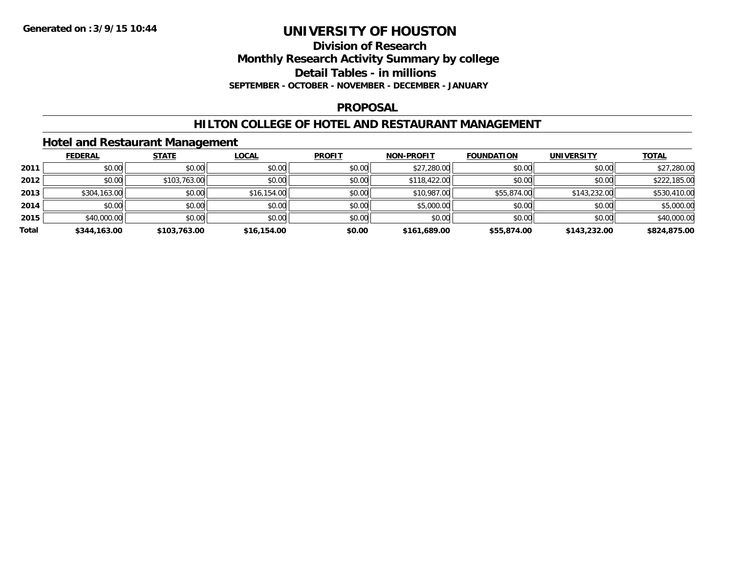# **Division of Research**

**Monthly Research Activity Summary by college**

**Detail Tables - in millions**

**SEPTEMBER - OCTOBER - NOVEMBER - DECEMBER - JANUARY**

### **PROPOSAL**

### **HILTON COLLEGE OF HOTEL AND RESTAURANT MANAGEMENT**

### **Hotel and Restaurant Management**

|       | <b>FEDERAL</b> | <b>STATE</b> | <b>LOCAL</b> | <b>PROFIT</b> | <b>NON-PROFIT</b> | <b>FOUNDATION</b> | <b>UNIVERSITY</b> | <b>TOTAL</b> |
|-------|----------------|--------------|--------------|---------------|-------------------|-------------------|-------------------|--------------|
| 2011  | \$0.00         | \$0.00       | \$0.00       | \$0.00        | \$27,280.00       | \$0.00            | \$0.00            | \$27,280.00  |
| 2012  | \$0.00         | \$103,763.00 | \$0.00       | \$0.00        | \$118,422.00      | \$0.00            | \$0.00            | \$222,185.00 |
| 2013  | \$304,163.00   | \$0.00       | \$16,154.00  | \$0.00        | \$10,987.00       | \$55,874.00       | \$143,232.00      | \$530,410.00 |
| 2014  | \$0.00         | \$0.00       | \$0.00       | \$0.00        | \$5,000.00        | \$0.00            | \$0.00            | \$5,000.00   |
| 2015  | \$40,000.00    | \$0.00       | \$0.00       | \$0.00        | \$0.00            | \$0.00            | \$0.00            | \$40,000.00  |
| Total | \$344,163.00   | \$103,763.00 | \$16,154.00  | \$0.00        | \$161,689.00      | \$55,874.00       | \$143,232.00      | \$824,875.00 |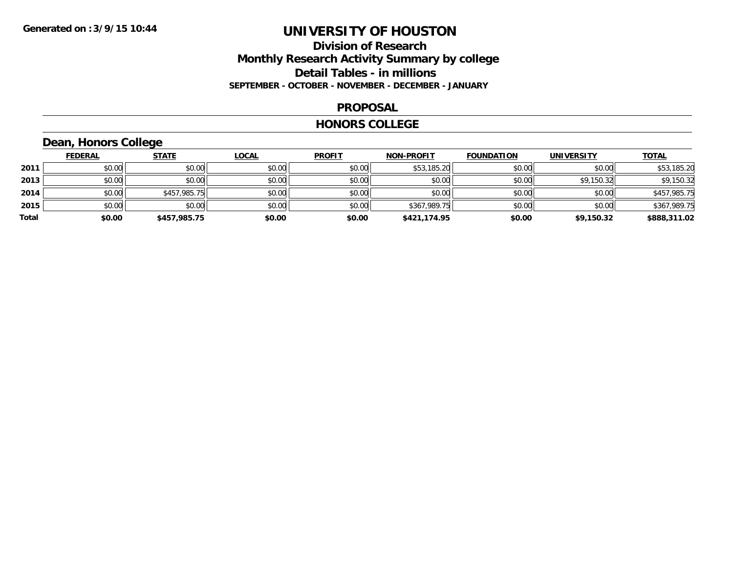### **Division of Research Monthly Research Activity Summary by college Detail Tables - in millions SEPTEMBER - OCTOBER - NOVEMBER - DECEMBER - JANUARY**

#### **PROPOSAL**

#### **HONORS COLLEGE**

## **Dean, Honors College**

|       | <b>FEDERAL</b> | <b>STATE</b> | <b>LOCAL</b> | <b>PROFIT</b> | <b>NON-PROFIT</b> | <b>FOUNDATION</b> | <b>UNIVERSITY</b> | <b>TOTAL</b> |
|-------|----------------|--------------|--------------|---------------|-------------------|-------------------|-------------------|--------------|
| 2011  | \$0.00         | \$0.00       | \$0.00       | \$0.00        | \$53,185.20       | \$0.00            | \$0.00            | \$53,185.20  |
| 2013  | \$0.00         | \$0.00       | \$0.00       | \$0.00        | \$0.00            | \$0.00            | \$9,150.32        | \$9,150.32   |
| 2014  | \$0.00         | \$457,985.75 | \$0.00       | \$0.00        | \$0.00            | \$0.00            | \$0.00            | \$457,985.75 |
| 2015  | \$0.00         | \$0.00       | \$0.00       | \$0.00        | \$367,989.75      | \$0.00            | \$0.00            | \$367,989.75 |
| Total | \$0.00         | \$457,985.75 | \$0.00       | \$0.00        | \$421,174.95      | \$0.00            | \$9,150.32        | \$888,311.02 |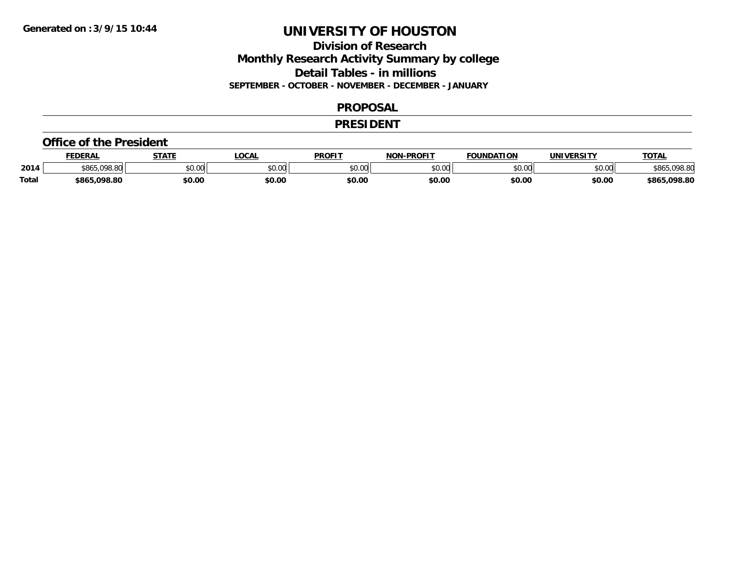### **Division of Research Monthly Research Activity Summary by college Detail Tables - in millions SEPTEMBER - OCTOBER - NOVEMBER - DECEMBER - JANUARY**

#### **PROPOSAL**

### **PRESIDENT**

#### **Office of the President**

|              | <b>FEDERAL</b>              | <b>STATE</b> | OCA.   | <b>PROFIT</b>           | <b>DDAEIT</b><br><b>MON</b> | <b>FOUNDATION</b> | <b>UNIVERSITY</b> | <b>TOTAL</b>            |
|--------------|-----------------------------|--------------|--------|-------------------------|-----------------------------|-------------------|-------------------|-------------------------|
| 2014         | \$865.<br>nno onl<br>170.00 | \$0.00       | JU.UU  | 0 <sub>n</sub><br>JU.UU | ልስ ስስ<br>DU.UU              | טט.               | \$0.00            | וס סחח                  |
| <b>Total</b> | nga ar<br>\$865.098.80      | \$0.00       | \$0.00 | \$0.00                  | \$0.00                      | \$0.00            | \$0.00            | 098.80.د<br><b>S86F</b> |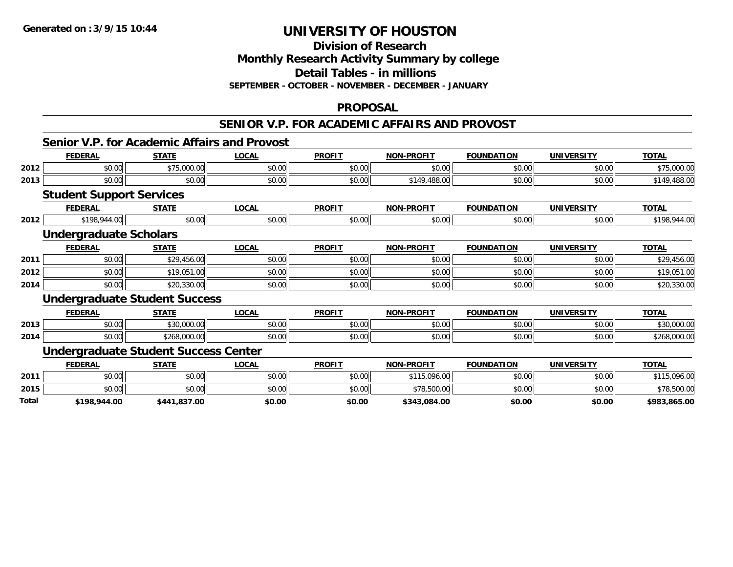**Division of Research**

**Monthly Research Activity Summary by college**

**Detail Tables - in millions**

**SEPTEMBER - OCTOBER - NOVEMBER - DECEMBER - JANUARY**

#### **PROPOSAL**

#### **SENIOR V.P. FOR ACADEMIC AFFAIRS AND PROVOST**

### **Senior V.P. for Academic Affairs and Provost**

|       | <b>FEDERAL</b>                              | <b>STATE</b> | <b>LOCAL</b> | <b>PROFIT</b> | <b>NON-PROFIT</b> | <b>FOUNDATION</b> | <b>UNIVERSITY</b> | <b>TOTAL</b> |
|-------|---------------------------------------------|--------------|--------------|---------------|-------------------|-------------------|-------------------|--------------|
| 2012  | \$0.00                                      | \$75,000.00  | \$0.00       | \$0.00        | \$0.00            | \$0.00            | \$0.00            | \$75,000.00  |
| 2013  | \$0.00                                      | \$0.00       | \$0.00       | \$0.00        | \$149,488.00      | \$0.00            | \$0.00            | \$149,488.00 |
|       | <b>Student Support Services</b>             |              |              |               |                   |                   |                   |              |
|       | <b>FEDERAL</b>                              | <b>STATE</b> | <b>LOCAL</b> | <b>PROFIT</b> | <b>NON-PROFIT</b> | <b>FOUNDATION</b> | <b>UNIVERSITY</b> | <b>TOTAL</b> |
| 2012  | \$198,944.00                                | \$0.00       | \$0.00       | \$0.00        | \$0.00            | \$0.00            | \$0.00            | \$198,944.00 |
|       | <b>Undergraduate Scholars</b>               |              |              |               |                   |                   |                   |              |
|       | <b>FEDERAL</b>                              | <b>STATE</b> | <b>LOCAL</b> | <b>PROFIT</b> | <b>NON-PROFIT</b> | <b>FOUNDATION</b> | <b>UNIVERSITY</b> | <b>TOTAL</b> |
| 2011  | \$0.00                                      | \$29,456.00  | \$0.00       | \$0.00        | \$0.00            | \$0.00            | \$0.00            | \$29,456.00  |
| 2012  | \$0.00                                      | \$19,051.00  | \$0.00       | \$0.00        | \$0.00            | \$0.00            | \$0.00            | \$19,051.00  |
| 2014  | \$0.00                                      | \$20,330.00  | \$0.00       | \$0.00        | \$0.00            | \$0.00            | \$0.00            | \$20,330.00  |
|       | <b>Undergraduate Student Success</b>        |              |              |               |                   |                   |                   |              |
|       | <b>FEDERAL</b>                              | <b>STATE</b> | <b>LOCAL</b> | <b>PROFIT</b> | <b>NON-PROFIT</b> | <b>FOUNDATION</b> | <b>UNIVERSITY</b> | <b>TOTAL</b> |
| 2013  | \$0.00                                      | \$30,000.00  | \$0.00       | \$0.00        | \$0.00            | \$0.00            | \$0.00            | \$30,000.00  |
| 2014  | \$0.00                                      | \$268,000.00 | \$0.00       | \$0.00        | \$0.00            | \$0.00            | \$0.00            | \$268,000.00 |
|       | <b>Undergraduate Student Success Center</b> |              |              |               |                   |                   |                   |              |
|       | <b>FEDERAL</b>                              | <b>STATE</b> | <b>LOCAL</b> | <b>PROFIT</b> | <b>NON-PROFIT</b> | <b>FOUNDATION</b> | <b>UNIVERSITY</b> | <b>TOTAL</b> |
| 2011  | \$0.00                                      | \$0.00       | \$0.00       | \$0.00        | \$115,096.00      | \$0.00            | \$0.00            | \$115,096.00 |
| 2015  | \$0.00                                      | \$0.00       | \$0.00       | \$0.00        | \$78,500.00       | \$0.00            | \$0.00            | \$78,500.00  |
| Total | \$198,944.00                                | \$441,837.00 | \$0.00       | \$0.00        | \$343,084.00      | \$0.00            | \$0.00            | \$983,865.00 |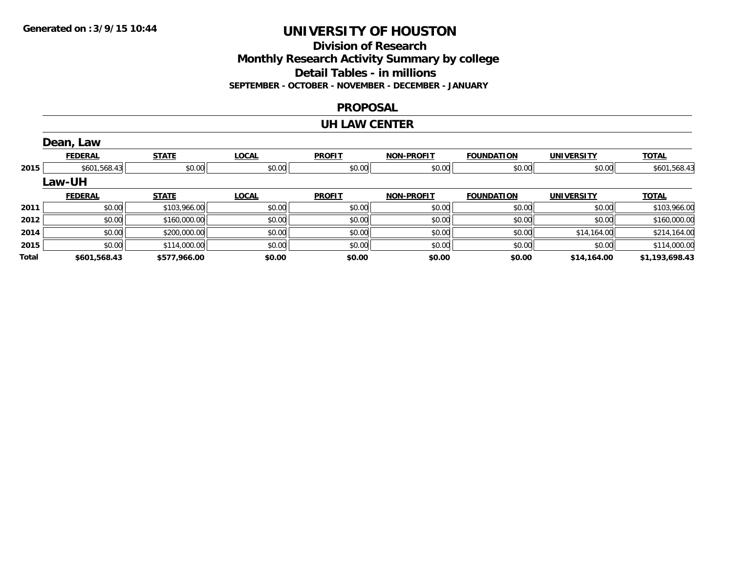### **Division of Research Monthly Research Activity Summary by college Detail Tables - in millions SEPTEMBER - OCTOBER - NOVEMBER - DECEMBER - JANUARY**

#### **PROPOSAL**

#### **UH LAW CENTER**

|       | Dean, Law      |              |              |               |                   |                   |                   |                |
|-------|----------------|--------------|--------------|---------------|-------------------|-------------------|-------------------|----------------|
|       | <b>FEDERAL</b> | <b>STATE</b> | <b>LOCAL</b> | <b>PROFIT</b> | <b>NON-PROFIT</b> | <b>FOUNDATION</b> | <b>UNIVERSITY</b> | <b>TOTAL</b>   |
| 2015  | \$601,568.43   | \$0.00       | \$0.00       | \$0.00        | \$0.00            | \$0.00            | \$0.00            | \$601,568.43   |
|       | <b>Law-UH</b>  |              |              |               |                   |                   |                   |                |
|       | <b>FEDERAL</b> | <b>STATE</b> | <b>LOCAL</b> | <b>PROFIT</b> | <b>NON-PROFIT</b> | <b>FOUNDATION</b> | <b>UNIVERSITY</b> | <b>TOTAL</b>   |
| 2011  | \$0.00         | \$103,966.00 | \$0.00       | \$0.00        | \$0.00            | \$0.00            | \$0.00            | \$103,966.00   |
| 2012  | \$0.00         | \$160,000.00 | \$0.00       | \$0.00        | \$0.00            | \$0.00            | \$0.00            | \$160,000.00   |
| 2014  | \$0.00         | \$200,000.00 | \$0.00       | \$0.00        | \$0.00            | \$0.00            | \$14,164.00       | \$214,164.00   |
| 2015  | \$0.00         | \$114,000.00 | \$0.00       | \$0.00        | \$0.00            | \$0.00            | \$0.00            | \$114,000.00   |
| Total | \$601,568.43   | \$577,966.00 | \$0.00       | \$0.00        | \$0.00            | \$0.00            | \$14,164.00       | \$1,193,698.43 |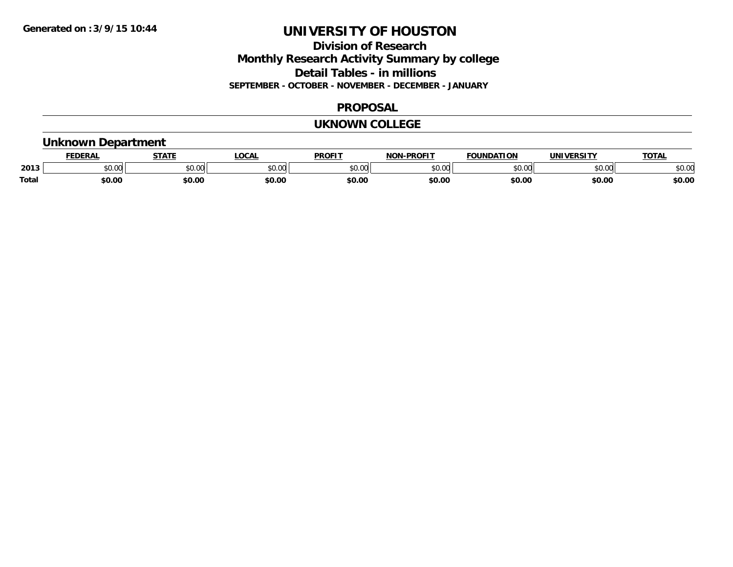### **Division of Research Monthly Research Activity Summary by college Detail Tables - in millions SEPTEMBER - OCTOBER - NOVEMBER - DECEMBER - JANUARY**

### **PROPOSAL**

### **UKNOWN COLLEGE**

### **Unknown Department**

|              | DERAI         | CTATL         | .OCAI          | <b>PROFIT</b> | <b>DDOEL1</b><br>810 R | <b>FOUNDATION</b> | UNIVERSITY | TOTAL  |
|--------------|---------------|---------------|----------------|---------------|------------------------|-------------------|------------|--------|
| 2013         | 0.00<br>JU.UU | 0.00<br>JU.UU | ≮∩ ∩r<br>JU.UL | 0000<br>JU.UU | $\sim$ 00<br>וטט.טי    | 0000              | \$0.00     | \$0.00 |
| <b>Total</b> | \$0.00        | \$0.00        | \$0.00         | \$0.00        | \$0.00                 | \$0.00            | \$0.00     | \$0.00 |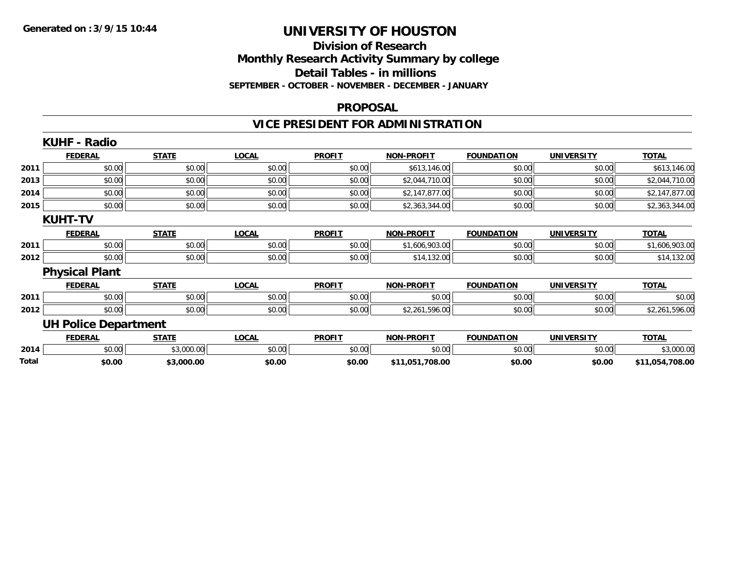### **Division of Research Monthly Research Activity Summary by college Detail Tables - in millions SEPTEMBER - OCTOBER - NOVEMBER - DECEMBER - JANUARY**

#### **PROPOSAL**

## **VICE PRESIDENT FOR ADMINISTRATION**

|       | <b>KUHF - Radio</b>         |              |              |               |                   |                   |                   |                 |
|-------|-----------------------------|--------------|--------------|---------------|-------------------|-------------------|-------------------|-----------------|
|       | <b>FEDERAL</b>              | <b>STATE</b> | <b>LOCAL</b> | <b>PROFIT</b> | <b>NON-PROFIT</b> | <b>FOUNDATION</b> | <b>UNIVERSITY</b> | <b>TOTAL</b>    |
| 2011  | \$0.00                      | \$0.00       | \$0.00       | \$0.00        | \$613,146.00      | \$0.00            | \$0.00            | \$613,146.00    |
| 2013  | \$0.00                      | \$0.00       | \$0.00       | \$0.00        | \$2,044,710.00    | \$0.00            | \$0.00            | \$2,044,710.00  |
| 2014  | \$0.00                      | \$0.00       | \$0.00       | \$0.00        | \$2,147,877.00    | \$0.00            | \$0.00            | \$2,147,877.00  |
| 2015  | \$0.00                      | \$0.00       | \$0.00       | \$0.00        | \$2,363,344.00    | \$0.00            | \$0.00            | \$2,363,344.00  |
|       | <b>KUHT-TV</b>              |              |              |               |                   |                   |                   |                 |
|       | <b>FEDERAL</b>              | <b>STATE</b> | <b>LOCAL</b> | <b>PROFIT</b> | <b>NON-PROFIT</b> | <b>FOUNDATION</b> | <b>UNIVERSITY</b> | <b>TOTAL</b>    |
| 2011  | \$0.00                      | \$0.00       | \$0.00       | \$0.00        | \$1,606,903.00    | \$0.00            | \$0.00            | \$1,606,903.00  |
| 2012  | \$0.00                      | \$0.00       | \$0.00       | \$0.00        | \$14,132.00       | \$0.00            | \$0.00            | \$14,132.00     |
|       | <b>Physical Plant</b>       |              |              |               |                   |                   |                   |                 |
|       | <b>FEDERAL</b>              | <b>STATE</b> | <b>LOCAL</b> | <b>PROFIT</b> | <b>NON-PROFIT</b> | <b>FOUNDATION</b> | <b>UNIVERSITY</b> | <b>TOTAL</b>    |
| 2011  | \$0.00                      | \$0.00       | \$0.00       | \$0.00        | \$0.00            | \$0.00            | \$0.00            | \$0.00          |
| 2012  | \$0.00                      | \$0.00       | \$0.00       | \$0.00        | \$2,261,596.00    | \$0.00            | \$0.00            | \$2,261,596.00  |
|       | <b>UH Police Department</b> |              |              |               |                   |                   |                   |                 |
|       | <b>FEDERAL</b>              | <b>STATE</b> | <b>LOCAL</b> | <b>PROFIT</b> | <b>NON-PROFIT</b> | <b>FOUNDATION</b> | <b>UNIVERSITY</b> | <b>TOTAL</b>    |
| 2014  | \$0.00                      | \$3,000.00   | \$0.00       | \$0.00        | \$0.00            | \$0.00            | \$0.00            | \$3,000.00      |
| Total | \$0.00                      | \$3,000.00   | \$0.00       | \$0.00        | \$11,051,708.00   | \$0.00            | \$0.00            | \$11,054,708.00 |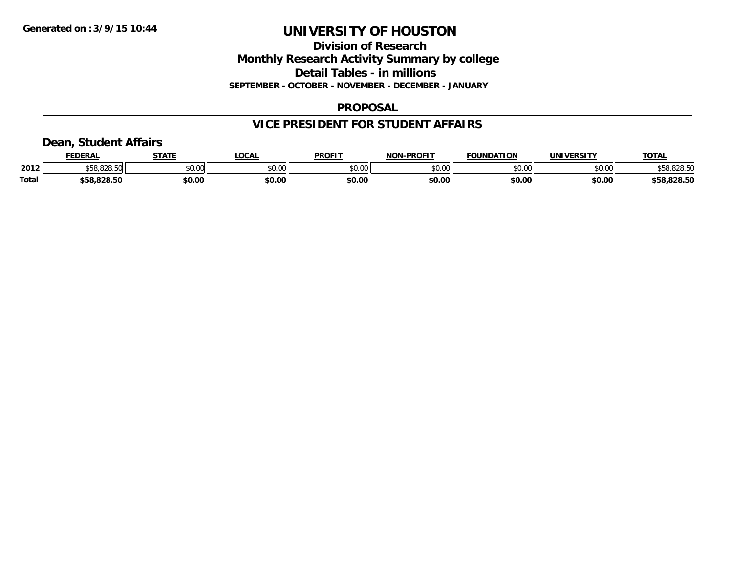### **Division of Research Monthly Research Activity Summary by college Detail Tables - in millions SEPTEMBER - OCTOBER - NOVEMBER - DECEMBER - JANUARY**

### **PROPOSAL**

### **VICE PRESIDENT FOR STUDENT AFFAIRS**

### **Dean, Student Affairs**

|              | <b>FEDERAL</b> | <b>STATE</b> | <b>OCAL</b>   | <b>PROFIT</b> | <b>NON-PROFIT</b> | <b>FOUNDATION</b> | UNIVERSITY | <b>TOTAL</b> |
|--------------|----------------|--------------|---------------|---------------|-------------------|-------------------|------------|--------------|
| 2012         | <b>OOO EO</b>  | \$0.00       | 0000<br>vv.vv | \$0.00        | ልስ ለሰ<br>pv.uu    | \$0.00            | \$0.00     | \$58,828.50  |
| <b>Total</b> | \$58.828.50    | \$0.00       | \$0.00        | \$0.00        | \$0.00            | \$0.00            | \$0.00     | \$58,828.50  |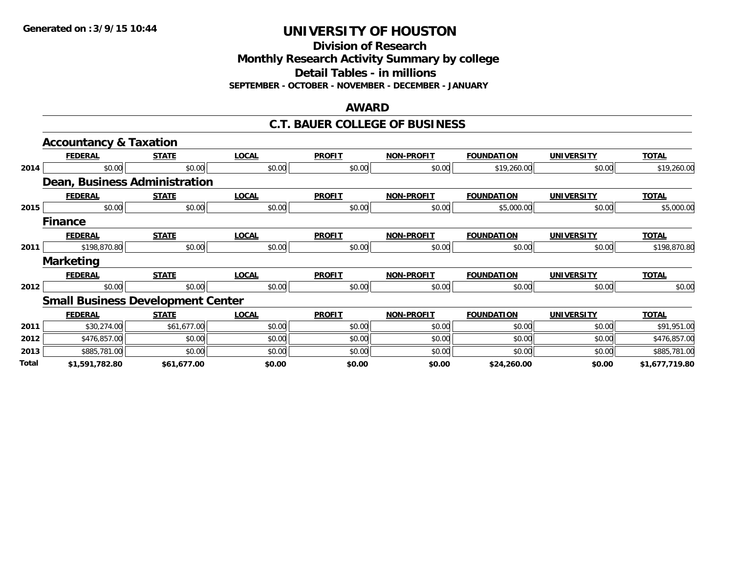**Division of Research**

**Monthly Research Activity Summary by college**

**Detail Tables - in millions**

**SEPTEMBER - OCTOBER - NOVEMBER - DECEMBER - JANUARY**

#### **AWARD**

### **C.T. BAUER COLLEGE OF BUSINESS**

|       | <b>Accountancy &amp; Taxation</b>        |              |              |               |                   |                   |                   |                |
|-------|------------------------------------------|--------------|--------------|---------------|-------------------|-------------------|-------------------|----------------|
|       | <b>FEDERAL</b>                           | <b>STATE</b> | <b>LOCAL</b> | <b>PROFIT</b> | <b>NON-PROFIT</b> | <b>FOUNDATION</b> | <b>UNIVERSITY</b> | <b>TOTAL</b>   |
| 2014  | \$0.00                                   | \$0.00       | \$0.00       | \$0.00        | \$0.00            | \$19,260.00       | \$0.00            | \$19,260.00    |
|       | Dean, Business Administration            |              |              |               |                   |                   |                   |                |
|       | <b>FEDERAL</b>                           | <b>STATE</b> | <b>LOCAL</b> | <b>PROFIT</b> | <b>NON-PROFIT</b> | <b>FOUNDATION</b> | <b>UNIVERSITY</b> | <b>TOTAL</b>   |
| 2015  | \$0.00                                   | \$0.00       | \$0.00       | \$0.00        | \$0.00            | \$5,000.00        | \$0.00            | \$5,000.00     |
|       | <b>Finance</b>                           |              |              |               |                   |                   |                   |                |
|       | <b>FEDERAL</b>                           | <b>STATE</b> | <b>LOCAL</b> | <b>PROFIT</b> | <b>NON-PROFIT</b> | <b>FOUNDATION</b> | <b>UNIVERSITY</b> | <b>TOTAL</b>   |
| 2011  | \$198,870.80                             | \$0.00       | \$0.00       | \$0.00        | \$0.00            | \$0.00            | \$0.00            | \$198,870.80   |
|       | <b>Marketing</b>                         |              |              |               |                   |                   |                   |                |
|       | <b>FEDERAL</b>                           | <b>STATE</b> | <b>LOCAL</b> | <b>PROFIT</b> | <b>NON-PROFIT</b> | <b>FOUNDATION</b> | <b>UNIVERSITY</b> | <b>TOTAL</b>   |
| 2012  | \$0.00                                   | \$0.00       | \$0.00       | \$0.00        | \$0.00            | \$0.00            | \$0.00            | \$0.00         |
|       | <b>Small Business Development Center</b> |              |              |               |                   |                   |                   |                |
|       | <b>FEDERAL</b>                           | <b>STATE</b> | <b>LOCAL</b> | <b>PROFIT</b> | <b>NON-PROFIT</b> | <b>FOUNDATION</b> | <b>UNIVERSITY</b> | <b>TOTAL</b>   |
| 2011  | \$30,274.00                              | \$61,677.00  | \$0.00       | \$0.00        | \$0.00            | \$0.00            | \$0.00            | \$91,951.00    |
| 2012  | \$476,857.00                             | \$0.00       | \$0.00       | \$0.00        | \$0.00            | \$0.00            | \$0.00            | \$476,857.00   |
| 2013  | \$885,781.00                             | \$0.00       | \$0.00       | \$0.00        | \$0.00            | \$0.00            | \$0.00            | \$885,781.00   |
| Total | \$1,591,782.80                           | \$61,677.00  | \$0.00       | \$0.00        | \$0.00            | \$24,260.00       | \$0.00            | \$1,677,719.80 |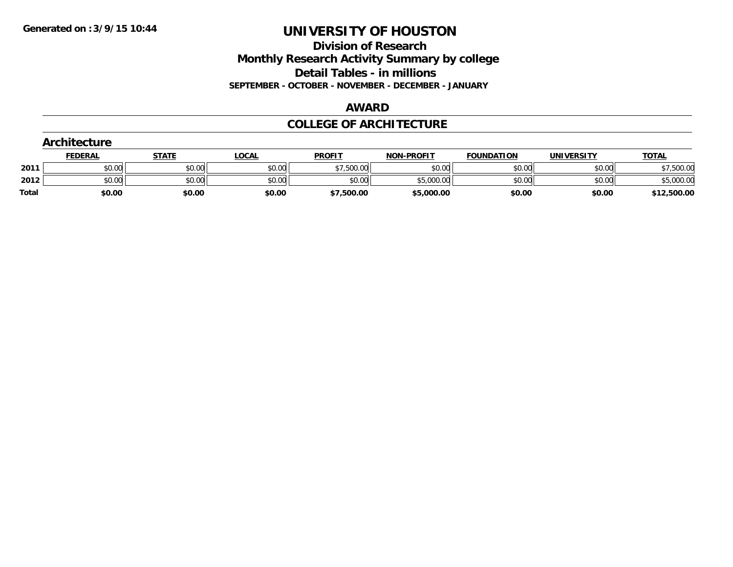**Division of Research Monthly Research Activity Summary by college Detail Tables - in millions SEPTEMBER - OCTOBER - NOVEMBER - DECEMBER - JANUARY**

#### **AWARD**

### **COLLEGE OF ARCHITECTURE**

| Architecture |                |              |              |               |                   |                   |                   |              |  |
|--------------|----------------|--------------|--------------|---------------|-------------------|-------------------|-------------------|--------------|--|
|              | <b>FEDERAL</b> | <b>STATE</b> | <u>LOCAL</u> | <b>PROFIT</b> | <b>NON-PROFIT</b> | <b>FOUNDATION</b> | <b>UNIVERSITY</b> | <b>TOTAL</b> |  |
| 2011         | \$0.00         | \$0.00       | \$0.00       | \$7,500.00    | \$0.00            | \$0.00            | \$0.00            | \$7,500.00   |  |
| 2012         | \$0.00         | \$0.00       | \$0.00       | \$0.00        | \$5,000.00        | \$0.00            | \$0.00            | \$5,000.00   |  |
| <b>Total</b> | \$0.00         | \$0.00       | \$0.00       | \$7,500.00    | \$5,000.00        | \$0.00            | \$0.00            | \$12,500.00  |  |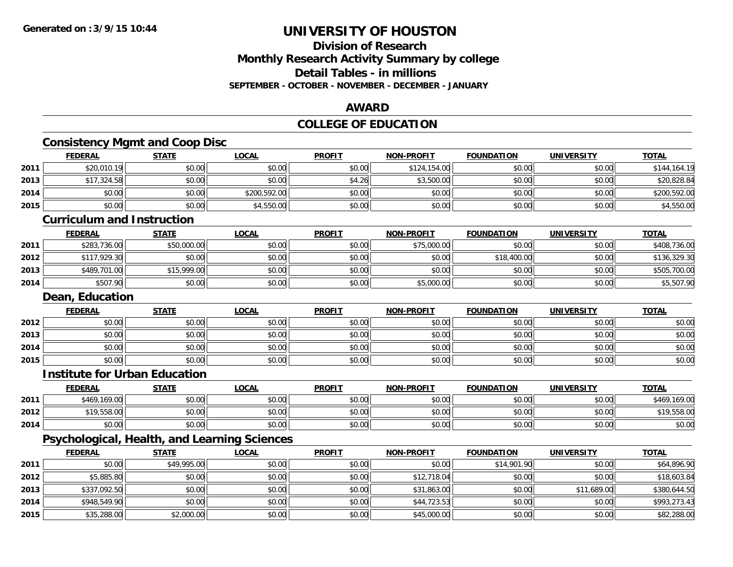**2015**

# **UNIVERSITY OF HOUSTON**

### **Division of ResearchMonthly Research Activity Summary by college Detail Tables - in millions SEPTEMBER - OCTOBER - NOVEMBER - DECEMBER - JANUARY**

### **AWARD**

## **COLLEGE OF EDUCATION**

| <b>FEDERAL</b>                               | <b>STATE</b> | <b>LOCAL</b>                                                | <b>PROFIT</b> | <b>NON-PROFIT</b> | <b>FOUNDATION</b> | <b>UNIVERSITY</b>                     | <b>TOTAL</b>                                                                                            |
|----------------------------------------------|--------------|-------------------------------------------------------------|---------------|-------------------|-------------------|---------------------------------------|---------------------------------------------------------------------------------------------------------|
| \$20,010.19                                  | \$0.00       | \$0.00                                                      | \$0.00        | \$124,154.00      | \$0.00            | \$0.00                                | \$144,164.19                                                                                            |
| \$17,324.58                                  | \$0.00       | \$0.00                                                      | \$4.26        | \$3,500.00        | \$0.00            | \$0.00                                | \$20,828.84                                                                                             |
| \$0.00                                       | \$0.00       | \$200,592.00                                                | \$0.00        | \$0.00            | \$0.00            | \$0.00                                | \$200,592.00                                                                                            |
| \$0.00                                       | \$0.00       | \$4,550.00                                                  | \$0.00        | \$0.00            | \$0.00            | \$0.00                                | \$4,550.00                                                                                              |
|                                              |              |                                                             |               |                   |                   |                                       |                                                                                                         |
| <b>FEDERAL</b>                               | <b>STATE</b> | <b>LOCAL</b>                                                | <b>PROFIT</b> | <b>NON-PROFIT</b> | <b>FOUNDATION</b> | <b>UNIVERSITY</b>                     | <b>TOTAL</b>                                                                                            |
| \$283,736.00                                 | \$50,000.00  | \$0.00                                                      | \$0.00        | \$75,000.00       | \$0.00            | \$0.00                                | \$408,736.00                                                                                            |
| \$117,929.30                                 | \$0.00       | \$0.00                                                      | \$0.00        | \$0.00            | \$18,400.00       | \$0.00                                | \$136,329.30                                                                                            |
| \$489,701.00                                 | \$15,999.00  | \$0.00                                                      | \$0.00        | \$0.00            | \$0.00            | \$0.00                                | \$505,700.00                                                                                            |
| \$507.90                                     | \$0.00       | \$0.00                                                      | \$0.00        | \$5,000.00        | \$0.00            | \$0.00                                | \$5,507.90                                                                                              |
|                                              |              |                                                             |               |                   |                   |                                       |                                                                                                         |
| <b>FEDERAL</b>                               | <b>STATE</b> | <b>LOCAL</b>                                                | <b>PROFIT</b> | <b>NON-PROFIT</b> | <b>FOUNDATION</b> | <b>UNIVERSITY</b>                     | <b>TOTAL</b>                                                                                            |
| \$0.00                                       | \$0.00       | \$0.00                                                      | \$0.00        | \$0.00            | \$0.00            | \$0.00                                | \$0.00                                                                                                  |
| \$0.00                                       | \$0.00       | \$0.00                                                      | \$0.00        | \$0.00            | \$0.00            | \$0.00                                | \$0.00                                                                                                  |
|                                              |              |                                                             |               |                   |                   |                                       |                                                                                                         |
| \$0.00                                       | \$0.00       | \$0.00                                                      | \$0.00        | \$0.00            | \$0.00            | \$0.00                                |                                                                                                         |
| \$0.00                                       | \$0.00       | \$0.00                                                      | \$0.00        | \$0.00            | \$0.00            | \$0.00                                |                                                                                                         |
| <b>Institute for Urban Education</b>         |              |                                                             |               |                   |                   |                                       |                                                                                                         |
| <b>FEDERAL</b>                               | <b>STATE</b> | <b>LOCAL</b>                                                | <b>PROFIT</b> | <b>NON-PROFIT</b> | <b>FOUNDATION</b> | <b>UNIVERSITY</b>                     | <b>TOTAL</b>                                                                                            |
| \$469,169.00                                 | \$0.00       | \$0.00                                                      | \$0.00        | \$0.00            | \$0.00            | \$0.00                                |                                                                                                         |
| \$19,558.00                                  | \$0.00       | \$0.00                                                      | \$0.00        | \$0.00            | \$0.00            | \$0.00                                |                                                                                                         |
| \$0.00                                       | \$0.00       | \$0.00                                                      | \$0.00        | \$0.00            | \$0.00            | \$0.00                                |                                                                                                         |
| Psychological, Health, and Learning Sciences |              |                                                             |               |                   |                   |                                       |                                                                                                         |
| <b>FEDERAL</b>                               | <b>STATE</b> | <b>LOCAL</b>                                                | <b>PROFIT</b> | <b>NON-PROFIT</b> | <b>FOUNDATION</b> | <b>UNIVERSITY</b>                     | <b>TOTAL</b>                                                                                            |
| \$0.00                                       | \$49,995.00  | \$0.00                                                      | \$0.00        | \$0.00            | \$14,901.90       | \$0.00                                |                                                                                                         |
| \$5,885.80                                   | \$0.00       | \$0.00                                                      | \$0.00        | \$12,718.04       | \$0.00            | \$0.00                                |                                                                                                         |
| \$337,092.50                                 | \$0.00       | \$0.00                                                      | \$0.00        | \$31,863.00       | \$0.00            | \$11,689.00                           | \$0.00<br>\$0.00<br>\$469,169.00<br>\$19,558.00<br>\$0.00<br>\$64,896.90<br>\$18,603.84<br>\$380,644.50 |
|                                              |              | <b>Curriculum and Instruction</b><br><b>Dean, Education</b> |               |                   |                   | <b>Consistency Mgmt and Coop Disc</b> |                                                                                                         |

5 | \$35,288.00| \$2,000.00| \$2,000.00| \$0.00| \$0.00| \$0.00| \$45,000.00| \$0.00| \$0.00| \$0.00| \$82,288.00| \$82,28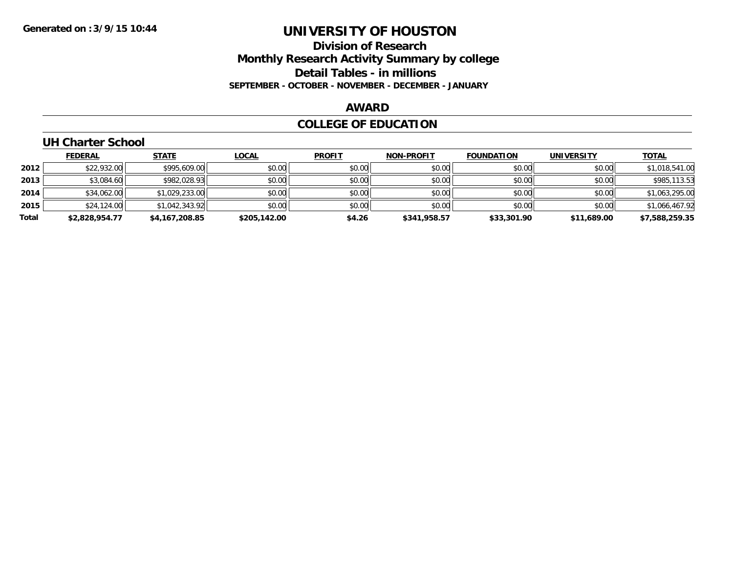### **Division of Research Monthly Research Activity Summary by college Detail Tables - in millions SEPTEMBER - OCTOBER - NOVEMBER - DECEMBER - JANUARY**

#### **AWARD**

### **COLLEGE OF EDUCATION**

### **UH Charter School**

|       | <b>FEDERAL</b> | <b>STATE</b>   | <u>LOCAL</u> | <b>PROFIT</b> | <b>NON-PROFIT</b> | <b>FOUNDATION</b> | <b>UNIVERSITY</b> | <b>TOTAL</b>   |
|-------|----------------|----------------|--------------|---------------|-------------------|-------------------|-------------------|----------------|
| 2012  | \$22,932.00    | \$995,609.00   | \$0.00       | \$0.00        | \$0.00            | \$0.00            | \$0.00            | \$1,018,541.00 |
| 2013  | \$3,084.60     | \$982,028.93   | \$0.00       | \$0.00        | \$0.00            | \$0.00            | \$0.00            | \$985,113.53   |
| 2014  | \$34,062.00    | \$1,029,233.00 | \$0.00       | \$0.00        | \$0.00            | \$0.00            | \$0.00            | \$1,063,295.00 |
| 2015  | \$24,124.00    | \$1,042,343.92 | \$0.00       | \$0.00        | \$0.00            | \$0.00            | \$0.00            | \$1,066,467.92 |
| Total | \$2,828,954.77 | \$4,167,208.85 | \$205,142.00 | \$4.26        | \$341,958.57      | \$33,301.90       | \$11,689.00       | \$7,588,259.35 |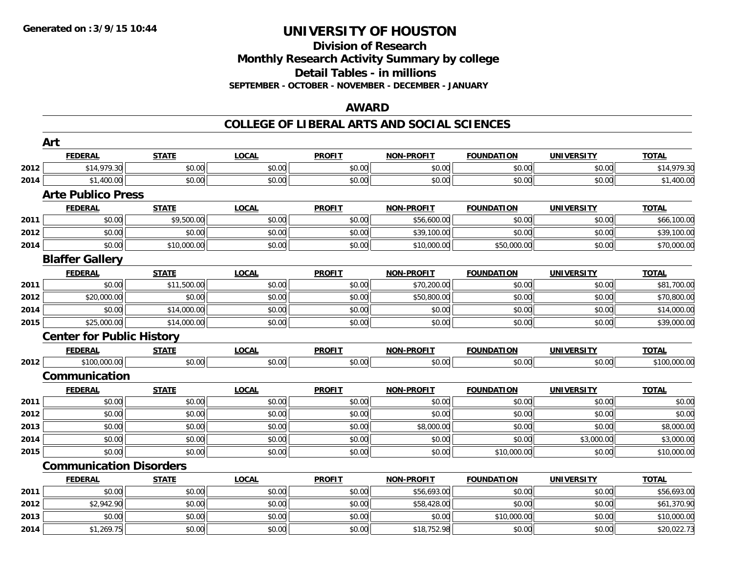### **Division of ResearchMonthly Research Activity Summary by college Detail Tables - in millions SEPTEMBER - OCTOBER - NOVEMBER - DECEMBER - JANUARY**

### **AWARD**

|      | Art                              |              |              |               |                   |                   |                   |              |
|------|----------------------------------|--------------|--------------|---------------|-------------------|-------------------|-------------------|--------------|
|      | <b>FEDERAL</b>                   | <b>STATE</b> | <b>LOCAL</b> | <b>PROFIT</b> | <b>NON-PROFIT</b> | <b>FOUNDATION</b> | <b>UNIVERSITY</b> | <b>TOTAL</b> |
| 2012 | \$14,979.30                      | \$0.00       | \$0.00       | \$0.00        | \$0.00            | \$0.00            | \$0.00            | \$14,979.30  |
| 2014 | \$1,400.00                       | \$0.00       | \$0.00       | \$0.00        | \$0.00            | \$0.00            | \$0.00            | \$1,400.00   |
|      | <b>Arte Publico Press</b>        |              |              |               |                   |                   |                   |              |
|      | <b>FEDERAL</b>                   | <b>STATE</b> | <b>LOCAL</b> | <b>PROFIT</b> | <b>NON-PROFIT</b> | <b>FOUNDATION</b> | <b>UNIVERSITY</b> | <b>TOTAL</b> |
| 2011 | \$0.00                           | \$9,500.00   | \$0.00       | \$0.00        | \$56,600.00       | \$0.00            | \$0.00            | \$66,100.00  |
| 2012 | \$0.00                           | \$0.00       | \$0.00       | \$0.00        | \$39,100.00       | \$0.00            | \$0.00            | \$39,100.00  |
| 2014 | \$0.00                           | \$10,000.00  | \$0.00       | \$0.00        | \$10,000.00       | \$50,000.00       | \$0.00            | \$70,000.00  |
|      | <b>Blaffer Gallery</b>           |              |              |               |                   |                   |                   |              |
|      | <b>FEDERAL</b>                   | <b>STATE</b> | <b>LOCAL</b> | <b>PROFIT</b> | <b>NON-PROFIT</b> | <b>FOUNDATION</b> | <b>UNIVERSITY</b> | <b>TOTAL</b> |
| 2011 | \$0.00                           | \$11,500.00  | \$0.00       | \$0.00        | \$70,200.00       | \$0.00            | \$0.00            | \$81,700.00  |
| 2012 | \$20,000.00                      | \$0.00       | \$0.00       | \$0.00        | \$50,800.00       | \$0.00            | \$0.00            | \$70,800.00  |
| 2014 | \$0.00                           | \$14,000.00  | \$0.00       | \$0.00        | \$0.00            | \$0.00            | \$0.00            | \$14,000.00  |
| 2015 | \$25,000.00                      | \$14,000.00  | \$0.00       | \$0.00        | \$0.00            | \$0.00            | \$0.00            | \$39,000.00  |
|      | <b>Center for Public History</b> |              |              |               |                   |                   |                   |              |
|      | <b>FEDERAL</b>                   | <b>STATE</b> | <b>LOCAL</b> | <b>PROFIT</b> | <b>NON-PROFIT</b> | <b>FOUNDATION</b> | <b>UNIVERSITY</b> | <b>TOTAL</b> |
| 2012 | \$100,000.00                     | \$0.00       | \$0.00       | \$0.00        | \$0.00            | \$0.00            | \$0.00            | \$100,000.00 |
|      | Communication                    |              |              |               |                   |                   |                   |              |
|      | <b>FEDERAL</b>                   | <b>STATE</b> | <b>LOCAL</b> | <b>PROFIT</b> | <b>NON-PROFIT</b> | <b>FOUNDATION</b> | <b>UNIVERSITY</b> | <b>TOTAL</b> |
| 2011 | \$0.00                           | \$0.00       | \$0.00       | \$0.00        | \$0.00            | \$0.00            | \$0.00            | \$0.00       |
| 2012 | \$0.00                           | \$0.00       | \$0.00       | \$0.00        | \$0.00            | \$0.00            | \$0.00            | \$0.00       |
| 2013 | \$0.00                           | \$0.00       | \$0.00       | \$0.00        | \$8,000.00        | \$0.00            | \$0.00            | \$8,000.00   |
| 2014 | \$0.00                           | \$0.00       | \$0.00       | \$0.00        | \$0.00            | \$0.00            | \$3,000.00        | \$3,000.00   |
| 2015 | \$0.00                           | \$0.00       | \$0.00       | \$0.00        | \$0.00            | \$10,000.00       | \$0.00            | \$10,000.00  |
|      | <b>Communication Disorders</b>   |              |              |               |                   |                   |                   |              |
|      | <b>FEDERAL</b>                   | <b>STATE</b> | <b>LOCAL</b> | <b>PROFIT</b> | <b>NON-PROFIT</b> | <b>FOUNDATION</b> | <b>UNIVERSITY</b> | <b>TOTAL</b> |
| 2011 | \$0.00                           | \$0.00       | \$0.00       | \$0.00        | \$56,693.00       | \$0.00            | \$0.00            | \$56,693.00  |
| 2012 | \$2,942.90                       | \$0.00       | \$0.00       | \$0.00        | \$58,428.00       | \$0.00            | \$0.00            | \$61,370.90  |
| 2013 | \$0.00                           | \$0.00       | \$0.00       | \$0.00        | \$0.00            | \$10,000.00       | \$0.00            | \$10,000.00  |
| 2014 | \$1,269.75                       | \$0.00       | \$0.00       | \$0.00        | \$18,752.98       | \$0.00            | \$0.00            | \$20,022.73  |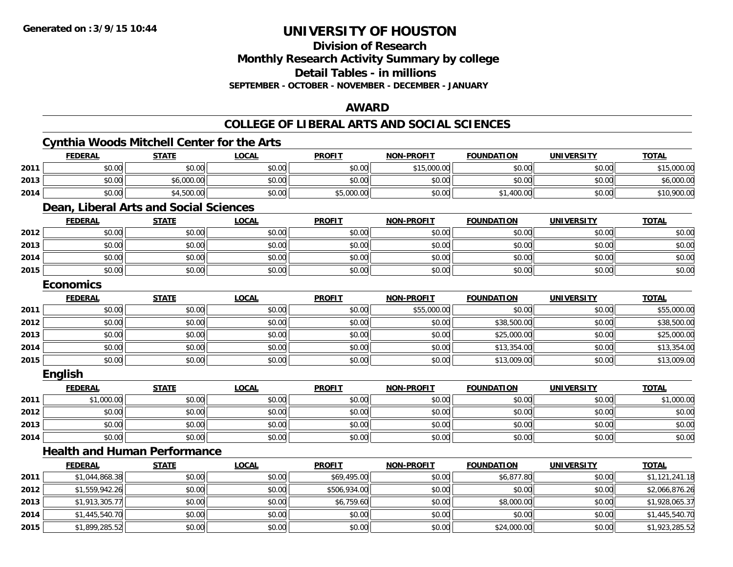**Division of Research**

**Monthly Research Activity Summary by college**

**Detail Tables - in millions**

**SEPTEMBER - OCTOBER - NOVEMBER - DECEMBER - JANUARY**

### **AWARD**

|      |                  | <b>Cynthia Woods Mitchell Center for the Arts</b> |              |               |                   |                   |                   |                |
|------|------------------|---------------------------------------------------|--------------|---------------|-------------------|-------------------|-------------------|----------------|
|      | <b>FEDERAL</b>   | <b>STATE</b>                                      | <b>LOCAL</b> | <b>PROFIT</b> | <b>NON-PROFIT</b> | <b>FOUNDATION</b> | <b>UNIVERSITY</b> | <b>TOTAL</b>   |
| 2011 | \$0.00           | \$0.00                                            | \$0.00       | \$0.00        | \$15,000.00       | \$0.00            | \$0.00            | \$15,000.00    |
| 2013 | \$0.00           | \$6,000.00                                        | \$0.00       | \$0.00        | \$0.00            | \$0.00            | \$0.00            | \$6,000.00     |
| 2014 | \$0.00           | \$4,500.00                                        | \$0.00       | \$5,000.00    | \$0.00            | \$1,400.00        | \$0.00            | \$10,900.00    |
|      |                  | Dean, Liberal Arts and Social Sciences            |              |               |                   |                   |                   |                |
|      | <b>FEDERAL</b>   | <b>STATE</b>                                      | <b>LOCAL</b> | <b>PROFIT</b> | <b>NON-PROFIT</b> | <b>FOUNDATION</b> | <b>UNIVERSITY</b> | <b>TOTAL</b>   |
| 2012 | \$0.00           | \$0.00                                            | \$0.00       | \$0.00        | \$0.00            | \$0.00            | \$0.00            | \$0.00         |
| 2013 | \$0.00           | \$0.00                                            | \$0.00       | \$0.00        | \$0.00            | \$0.00            | \$0.00            | \$0.00         |
| 2014 | \$0.00           | \$0.00                                            | \$0.00       | \$0.00        | \$0.00            | \$0.00            | \$0.00            | \$0.00         |
| 2015 | \$0.00           | \$0.00                                            | \$0.00       | \$0.00        | \$0.00            | \$0.00            | \$0.00            | \$0.00         |
|      | <b>Economics</b> |                                                   |              |               |                   |                   |                   |                |
|      | <b>FEDERAL</b>   | <b>STATE</b>                                      | <b>LOCAL</b> | <b>PROFIT</b> | <b>NON-PROFIT</b> | <b>FOUNDATION</b> | <b>UNIVERSITY</b> | <b>TOTAL</b>   |
| 2011 | \$0.00           | \$0.00                                            | \$0.00       | \$0.00        | \$55,000.00       | \$0.00            | \$0.00            | \$55,000.00    |
| 2012 | \$0.00           | \$0.00                                            | \$0.00       | \$0.00        | \$0.00            | \$38,500.00       | \$0.00            | \$38,500.00    |
| 2013 | \$0.00           | \$0.00                                            | \$0.00       | \$0.00        | \$0.00            | \$25,000.00       | \$0.00            | \$25,000.00    |
| 2014 | \$0.00           | \$0.00                                            | \$0.00       | \$0.00        | \$0.00            | \$13,354.00       | \$0.00            | \$13,354.00    |
| 2015 | \$0.00           | \$0.00                                            | \$0.00       | \$0.00        | \$0.00            | \$13,009.00       | \$0.00            | \$13,009.00    |
|      | <b>English</b>   |                                                   |              |               |                   |                   |                   |                |
|      | <b>FEDERAL</b>   | <b>STATE</b>                                      | <b>LOCAL</b> | <b>PROFIT</b> | <b>NON-PROFIT</b> | <b>FOUNDATION</b> | <b>UNIVERSITY</b> | <b>TOTAL</b>   |
| 2011 | \$1,000.00       | \$0.00                                            | \$0.00       | \$0.00        | \$0.00            | \$0.00            | \$0.00            | \$1,000.00     |
| 2012 | \$0.00           | \$0.00                                            | \$0.00       | \$0.00        | \$0.00            | \$0.00            | \$0.00            | \$0.00         |
| 2013 | \$0.00           | \$0.00                                            | \$0.00       | \$0.00        | \$0.00            | \$0.00            | \$0.00            | \$0.00         |
| 2014 | \$0.00           | \$0.00                                            | \$0.00       | \$0.00        | \$0.00            | \$0.00            | \$0.00            | \$0.00         |
|      |                  | <b>Health and Human Performance</b>               |              |               |                   |                   |                   |                |
|      | <b>FEDERAL</b>   | <b>STATE</b>                                      | <b>LOCAL</b> | <b>PROFIT</b> | <b>NON-PROFIT</b> | <b>FOUNDATION</b> | <b>UNIVERSITY</b> | <b>TOTAL</b>   |
| 2011 | \$1,044,868.38   | \$0.00                                            | \$0.00       | \$69,495.00   | \$0.00            | \$6,877.80        | \$0.00            | \$1,121,241.18 |
| 2012 | \$1,559,942.26   | \$0.00                                            | \$0.00       | \$506,934.00  | \$0.00            | \$0.00            | \$0.00            | \$2,066,876.26 |
| 2013 | \$1,913,305.77   | \$0.00                                            | \$0.00       | \$6,759.60    | \$0.00            | \$8,000.00        | \$0.00            | \$1,928,065.37 |
| 2014 | \$1,445,540.70   | \$0.00                                            | \$0.00       | \$0.00        | \$0.00            | \$0.00            | \$0.00            | \$1,445,540.70 |
| 2015 | \$1,899,285.52   | \$0.00                                            | \$0.00       | \$0.00        | \$0.00            | \$24,000.00       | \$0.00            | \$1,923,285.52 |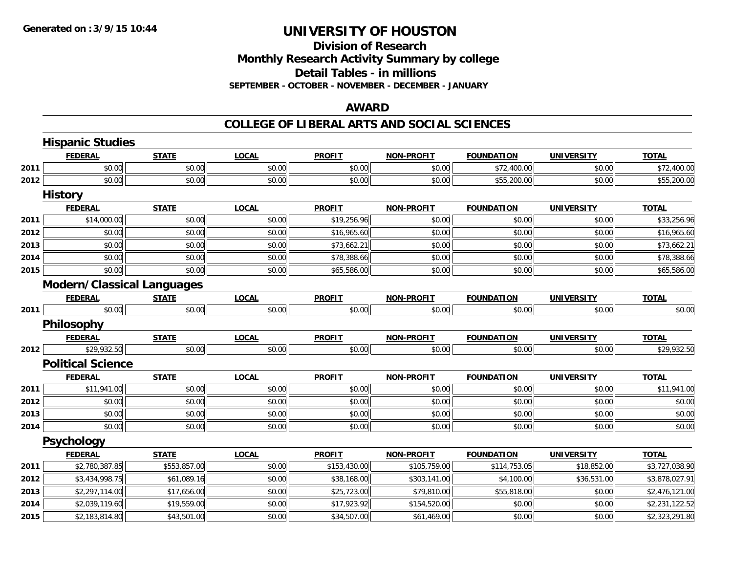### **Division of ResearchMonthly Research Activity Summary by college Detail Tables - in millions SEPTEMBER - OCTOBER - NOVEMBER - DECEMBER - JANUARY**

### **AWARD**

|      | <b>Hispanic Studies</b>           |              |              |               |                   |                   |                   |                |
|------|-----------------------------------|--------------|--------------|---------------|-------------------|-------------------|-------------------|----------------|
|      | <b>FEDERAL</b>                    | <b>STATE</b> | <b>LOCAL</b> | <b>PROFIT</b> | <b>NON-PROFIT</b> | <b>FOUNDATION</b> | <b>UNIVERSITY</b> | <b>TOTAL</b>   |
| 2011 | \$0.00                            | \$0.00       | \$0.00       | \$0.00        | \$0.00            | \$72,400.00       | \$0.00            | \$72,400.00    |
| 2012 | \$0.00                            | \$0.00       | \$0.00       | \$0.00        | \$0.00            | \$55,200.00       | \$0.00            | \$55,200.00    |
|      | <b>History</b>                    |              |              |               |                   |                   |                   |                |
|      | <b>FEDERAL</b>                    | <b>STATE</b> | <b>LOCAL</b> | <b>PROFIT</b> | <b>NON-PROFIT</b> | <b>FOUNDATION</b> | <b>UNIVERSITY</b> | <b>TOTAL</b>   |
| 2011 | \$14,000.00                       | \$0.00       | \$0.00       | \$19,256.96   | \$0.00            | \$0.00            | \$0.00            | \$33,256.96    |
| 2012 | \$0.00                            | \$0.00       | \$0.00       | \$16,965.60   | \$0.00            | \$0.00            | \$0.00            | \$16,965.60    |
| 2013 | \$0.00                            | \$0.00       | \$0.00       | \$73,662.21   | \$0.00            | \$0.00            | \$0.00            | \$73,662.21    |
| 2014 | \$0.00                            | \$0.00       | \$0.00       | \$78,388.66   | \$0.00            | \$0.00            | \$0.00            | \$78,388.66    |
| 2015 | \$0.00                            | \$0.00       | \$0.00       | \$65,586.00   | \$0.00            | \$0.00            | \$0.00            | \$65,586.00    |
|      | <b>Modern/Classical Languages</b> |              |              |               |                   |                   |                   |                |
|      | <b>FEDERAL</b>                    | <b>STATE</b> | <b>LOCAL</b> | <b>PROFIT</b> | <b>NON-PROFIT</b> | <b>FOUNDATION</b> | <b>UNIVERSITY</b> | <b>TOTAL</b>   |
| 2011 | \$0.00                            | \$0.00       | \$0.00       | \$0.00        | \$0.00            | \$0.00            | \$0.00            | \$0.00         |
|      | Philosophy                        |              |              |               |                   |                   |                   |                |
|      | <b>FEDERAL</b>                    | <b>STATE</b> | <b>LOCAL</b> | <b>PROFIT</b> | <b>NON-PROFIT</b> | <b>FOUNDATION</b> | <b>UNIVERSITY</b> | <b>TOTAL</b>   |
| 2012 | \$29,932.50                       | \$0.00       | \$0.00       | \$0.00        | \$0.00            | \$0.00            | \$0.00            | \$29,932.50    |
|      | <b>Political Science</b>          |              |              |               |                   |                   |                   |                |
|      | <b>FEDERAL</b>                    | <b>STATE</b> | <b>LOCAL</b> | <b>PROFIT</b> | <b>NON-PROFIT</b> | <b>FOUNDATION</b> | <b>UNIVERSITY</b> | <b>TOTAL</b>   |
| 2011 | \$11,941.00                       | \$0.00       | \$0.00       | \$0.00        | \$0.00            | \$0.00            | \$0.00            | \$11,941.00    |
| 2012 | \$0.00                            | \$0.00       | \$0.00       | \$0.00        | \$0.00            | \$0.00            | \$0.00            | \$0.00         |
| 2013 | \$0.00                            | \$0.00       | \$0.00       | \$0.00        | \$0.00            | \$0.00            | \$0.00            | \$0.00         |
| 2014 | \$0.00                            | \$0.00       | \$0.00       | \$0.00        | \$0.00            | \$0.00            | \$0.00            | \$0.00         |
|      | Psychology                        |              |              |               |                   |                   |                   |                |
|      | <b>FEDERAL</b>                    | <b>STATE</b> | <b>LOCAL</b> | <b>PROFIT</b> | <b>NON-PROFIT</b> | <b>FOUNDATION</b> | <b>UNIVERSITY</b> | <b>TOTAL</b>   |
| 2011 | \$2,780,387.85                    | \$553,857.00 | \$0.00       | \$153,430.00  | \$105,759.00      | \$114,753.05      | \$18,852.00       | \$3,727,038.90 |
| 2012 | \$3,434,998.75                    | \$61,089.16  | \$0.00       | \$38,168.00   | \$303,141.00      | \$4,100.00        | \$36,531.00       | \$3,878,027.91 |
| 2013 | \$2,297,114.00                    | \$17,656.00  | \$0.00       | \$25,723.00   | \$79,810.00       | \$55,818.00       | \$0.00            | \$2,476,121.00 |
| 2014 | \$2,039,119.60                    | \$19,559.00  | \$0.00       | \$17,923.92   | \$154,520.00      | \$0.00            | \$0.00            | \$2,231,122.52 |
| 2015 | \$2,183,814.80                    | \$43,501.00  | \$0.00       | \$34,507.00   | \$61,469.00       | \$0.00            | \$0.00            | \$2,323,291.80 |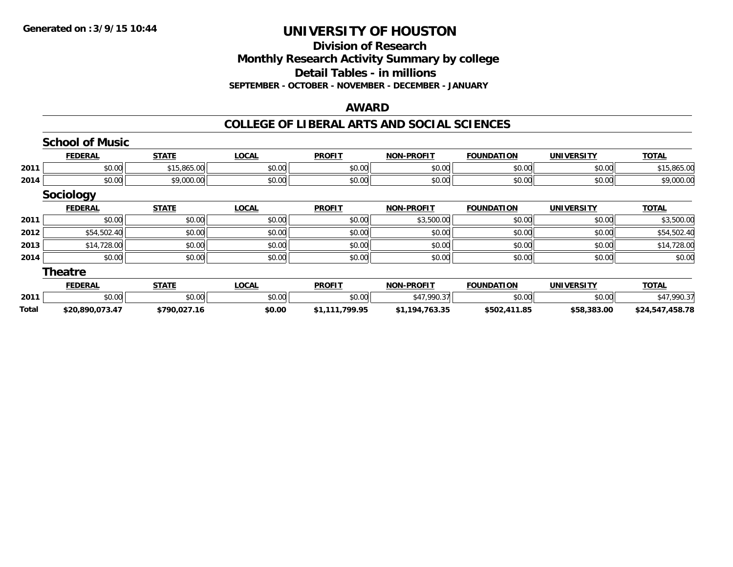### **Division of Research Monthly Research Activity Summary by college Detail Tables - in millions SEPTEMBER - OCTOBER - NOVEMBER - DECEMBER - JANUARY**

#### **AWARD**

|       | <b>School of Music</b> |              |              |                |                   |                   |                   |                 |
|-------|------------------------|--------------|--------------|----------------|-------------------|-------------------|-------------------|-----------------|
|       | <b>FEDERAL</b>         | <b>STATE</b> | <b>LOCAL</b> | <b>PROFIT</b>  | <b>NON-PROFIT</b> | <b>FOUNDATION</b> | <b>UNIVERSITY</b> | <b>TOTAL</b>    |
| 2011  | \$0.00                 | \$15,865.00  | \$0.00       | \$0.00         | \$0.00            | \$0.00            | \$0.00            | \$15,865.00     |
| 2014  | \$0.00                 | \$9,000.00   | \$0.00       | \$0.00         | \$0.00            | \$0.00            | \$0.00            | \$9,000.00      |
|       | <b>Sociology</b>       |              |              |                |                   |                   |                   |                 |
|       | <b>FEDERAL</b>         | <b>STATE</b> | <b>LOCAL</b> | <b>PROFIT</b>  | <b>NON-PROFIT</b> | <b>FOUNDATION</b> | <b>UNIVERSITY</b> | <b>TOTAL</b>    |
| 2011  | \$0.00                 | \$0.00       | \$0.00       | \$0.00         | \$3,500.00        | \$0.00            | \$0.00            | \$3,500.00      |
| 2012  | \$54,502.40            | \$0.00       | \$0.00       | \$0.00         | \$0.00            | \$0.00            | \$0.00            | \$54,502.40     |
| 2013  | \$14,728.00            | \$0.00       | \$0.00       | \$0.00         | \$0.00            | \$0.00            | \$0.00            | \$14,728.00     |
| 2014  | \$0.00                 | \$0.00       | \$0.00       | \$0.00         | \$0.00            | \$0.00            | \$0.00            | \$0.00          |
|       | <b>Theatre</b>         |              |              |                |                   |                   |                   |                 |
|       | <b>FEDERAL</b>         | <b>STATE</b> | <b>LOCAL</b> | <b>PROFIT</b>  | <b>NON-PROFIT</b> | <b>FOUNDATION</b> | <b>UNIVERSITY</b> | <b>TOTAL</b>    |
| 2011  | \$0.00                 | \$0.00       | \$0.00       | \$0.00         | \$47,990.37       | \$0.00            | \$0.00            | \$47,990.37     |
| Total | \$20,890,073.47        | \$790,027.16 | \$0.00       | \$1,111,799.95 | \$1,194,763.35    | \$502,411.85      | \$58,383.00       | \$24,547,458.78 |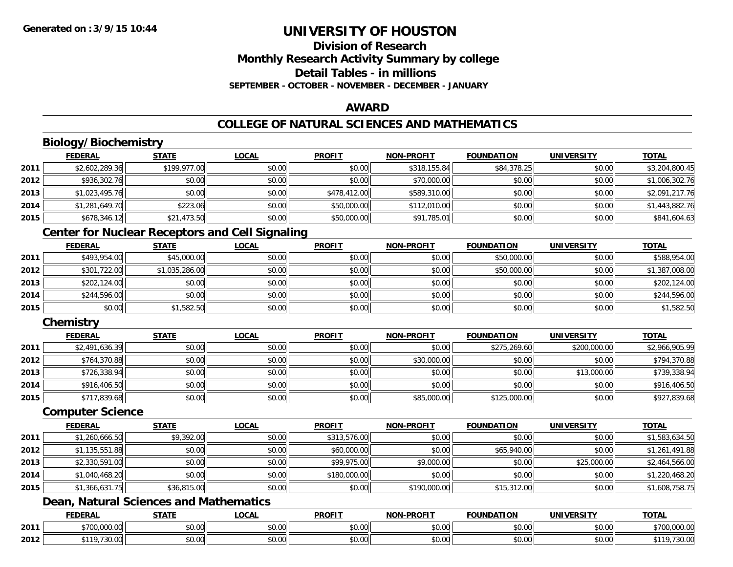### **Division of ResearchMonthly Research Activity Summary by college Detail Tables - in millionsSEPTEMBER - OCTOBER - NOVEMBER - DECEMBER - JANUARY**

### **AWARD**

# **COLLEGE OF NATURAL SCIENCES AND MATHEMATICS**

# **Biology/Biochemistry**

|      | <b>FEDERAL</b> | <b>STATE</b> | <u>LOCAL</u> | <b>PROFIT</b> | <b>NON-PROFIT</b> | <b>FOUNDATION</b> | <b>UNIVERSITY</b> | <b>TOTAL</b>   |
|------|----------------|--------------|--------------|---------------|-------------------|-------------------|-------------------|----------------|
| 2011 | \$2,602,289.36 | \$199,977.00 | \$0.00       | \$0.00        | \$318,155.84      | \$84,378.25       | \$0.00            | \$3,204,800.45 |
| 2012 | \$936,302.76   | \$0.00       | \$0.00       | \$0.00        | \$70,000.00       | \$0.00            | \$0.00            | \$1,006,302.76 |
| 2013 | \$1,023,495.76 | \$0.00       | \$0.00       | \$478,412.00  | \$589,310.00      | \$0.00            | \$0.00            | \$2,091,217.76 |
| 2014 | \$1,281,649.70 | \$223.06     | \$0.00       | \$50,000.00   | \$112,010.00      | \$0.00            | \$0.00            | \$1,443,882.76 |
| 2015 | \$678,346.12   | \$21,473.50  | \$0.00       | \$50,000.00   | \$91,785.01       | \$0.00            | \$0.00            | \$841,604.63   |

# **Center for Nuclear Receptors and Cell Signaling**

|      | <b>FEDERAL</b> | <u>STATE</u>   | <u>LOCAL</u> | <b>PROFIT</b> | <b>NON-PROFIT</b> | <b>FOUNDATION</b> | <b>UNIVERSITY</b> | <b>TOTAL</b>   |
|------|----------------|----------------|--------------|---------------|-------------------|-------------------|-------------------|----------------|
| 2011 | \$493,954.00   | \$45,000.00    | \$0.00       | \$0.00        | \$0.00            | \$50,000.00       | \$0.00            | \$588,954.00   |
| 2012 | \$301,722.00   | \$1,035,286.00 | \$0.00       | \$0.00        | \$0.00            | \$50,000.00       | \$0.00            | \$1,387,008.00 |
| 2013 | \$202,124.00   | \$0.00         | \$0.00       | \$0.00        | \$0.00            | \$0.00            | \$0.00            | \$202,124.00   |
| 2014 | \$244,596.00   | \$0.00         | \$0.00       | \$0.00        | \$0.00            | \$0.00            | \$0.00            | \$244,596.00   |
| 2015 | \$0.00         | \$1,582.50     | \$0.00       | \$0.00        | \$0.00            | \$0.00            | \$0.00            | \$1,582.50     |

### **Chemistry**

|      | <u>FEDERAL</u> | <u>STATE</u> | <u>LOCAL</u> | <b>PROFIT</b> | <b>NON-PROFIT</b> | <b>FOUNDATION</b> | <b>UNIVERSITY</b> | <b>TOTAL</b>   |
|------|----------------|--------------|--------------|---------------|-------------------|-------------------|-------------------|----------------|
| 2011 | \$2,491,636.39 | \$0.00       | \$0.00       | \$0.00        | \$0.00            | \$275,269.60      | \$200,000.00      | \$2,966,905.99 |
| 2012 | \$764,370.88   | \$0.00       | \$0.00       | \$0.00        | \$30,000.00       | \$0.00            | \$0.00            | \$794,370.88   |
| 2013 | \$726,338.94   | \$0.00       | \$0.00       | \$0.00        | \$0.00            | \$0.00            | \$13,000.00       | \$739,338.94   |
| 2014 | \$916,406.50   | \$0.00       | \$0.00       | \$0.00        | \$0.00            | \$0.00            | \$0.00            | \$916,406.50   |
| 2015 | \$717,839.68   | \$0.00       | \$0.00       | \$0.00        | \$85,000.00       | \$125,000.00      | \$0.00            | \$927,839.68   |

#### **Computer Science**

|      | <b>FEDERAL</b> | <b>STATE</b> | <b>LOCAL</b> | <b>PROFIT</b> | <b>NON-PROFIT</b> | <b>FOUNDATION</b> | <b>UNIVERSITY</b> | <b>TOTAL</b>   |
|------|----------------|--------------|--------------|---------------|-------------------|-------------------|-------------------|----------------|
| 2011 | \$1,260,666.50 | \$9,392.00   | \$0.00       | \$313,576.00  | \$0.00            | \$0.00            | \$0.00            | \$1,583,634.50 |
| 2012 | \$1,135,551.88 | \$0.00       | \$0.00       | \$60,000.00   | \$0.00            | \$65,940.00       | \$0.00            | \$1,261,491.88 |
| 2013 | \$2,330,591.00 | \$0.00       | \$0.00       | \$99,975.00   | \$9,000.00        | \$0.00            | \$25,000.00       | \$2,464,566.00 |
| 2014 | \$1,040,468.20 | \$0.00       | \$0.00       | \$180,000.00  | \$0.00            | \$0.00            | \$0.00            | \$1,220,468.20 |
| 2015 | \$1,366,631.75 | \$36,815.00  | \$0.00       | \$0.00        | \$190,000.00      | \$15,312.00       | \$0.00            | \$1,608,758.75 |

# **Dean, Natural Sciences and Mathematics**

|      | <b>FEDERAL</b>                     | 27.77                | LOCAL                                    | <b>PROFIT</b>      | -PROFIT<br><b>NION!</b> | <b>FOUNDATION</b> | <b>UNIVERSIT</b>                              | <b>TOTA</b>                     |
|------|------------------------------------|----------------------|------------------------------------------|--------------------|-------------------------|-------------------|-----------------------------------------------|---------------------------------|
| 2011 | 00000<br>ሐግሰሰ                      | 0000<br><b>DU.UU</b> | $\uparrow$ $\uparrow$<br>$\sim$<br>vu.uu | $\sim$ 00<br>JU.UU | 0000<br>PO.OO           | \$0.00            | $\mathfrak{g}$ $\mathfrak{g}$<br>งบ.บบ        | 0.70c<br>00000<br>, / UU.UUU.UU |
| 2012 | <b>¢110 720</b><br>$\sim$<br>JU.UU | 0000<br>JU.UU        | $\sim$ 00<br>vv.vv                       | $\sim$ 00<br>งบ.บบ | 0000<br>JU.UU           | \$0.00            | $\mathfrak{g}$ $\mathfrak{g}$<br><b>DU.UU</b> | $\sim$ $\sim$ $\sim$<br>้ว∪.∪∪  |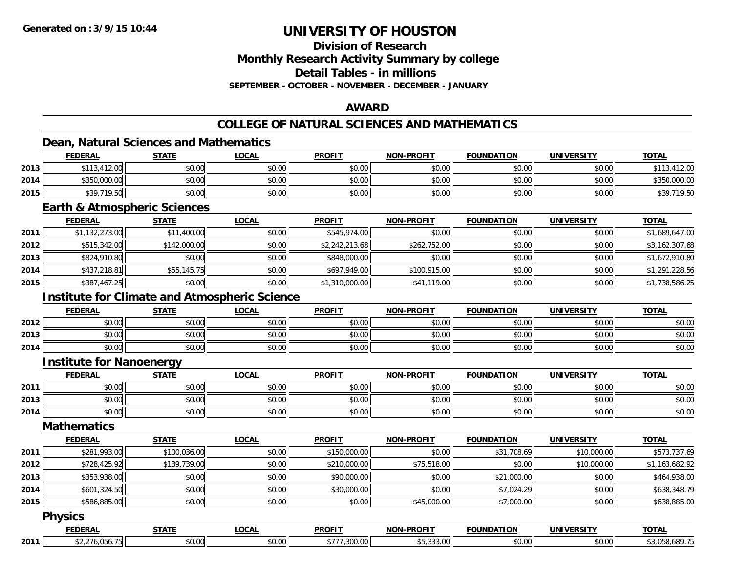**Division of Research**

**Monthly Research Activity Summary by college**

**Detail Tables - in millions**

**SEPTEMBER - OCTOBER - NOVEMBER - DECEMBER - JANUARY**

# **AWARD**

# **COLLEGE OF NATURAL SCIENCES AND MATHEMATICS**

### **Dean, Natural Sciences and Mathematics**

|      | <b>FEDERAL</b> | <b>STATE</b> | <u>_OCAL</u> | <b>PROFIT</b> | <b>NON-PROFIT</b> | <b>FOUNDATION</b> | <b>UNIVERSITY</b> | <b>TOTAL</b> |
|------|----------------|--------------|--------------|---------------|-------------------|-------------------|-------------------|--------------|
| 2013 | \$113,412.00   | \$0.00       | \$0.00       | \$0.00        | \$0.00            | \$0.00            | \$0.00            | 412.00       |
| 2014 | \$350,000.00   | \$0.00       | \$0.00       | \$0.00        | \$0.00            | \$0.00            | \$0.00            | \$350,000.00 |
| 2015 | \$39,719.50    | \$0.00       | \$0.00       | \$0.00        | \$0.00            | \$0.00            | \$0.00            | \$39,719.50  |

#### **Earth & Atmospheric Sciences**

|      | <b>FEDERAL</b> | <b>STATE</b> | <u>LOCAL</u> | <b>PROFIT</b>  | <b>NON-PROFIT</b> | <b>FOUNDATION</b> | UNIVERSITY | <b>TOTAL</b>   |
|------|----------------|--------------|--------------|----------------|-------------------|-------------------|------------|----------------|
| 2011 | \$1,132,273.00 | \$11,400.00  | \$0.00       | \$545,974.00   | \$0.00            | \$0.00            | \$0.00     | \$1,689,647.00 |
| 2012 | \$515,342.00   | \$142,000.00 | \$0.00       | \$2,242,213.68 | \$262,752.00      | \$0.00            | \$0.00     | \$3,162,307.68 |
| 2013 | \$824,910.80   | \$0.00       | \$0.00       | \$848,000.00   | \$0.00            | \$0.00            | \$0.00     | \$1,672,910.80 |
| 2014 | \$437,218.81   | \$55,145.75  | \$0.00       | \$697,949.00   | \$100,915,00      | \$0.00            | \$0.00     | \$1,291,228.56 |
| 2015 | \$387,467.25   | \$0.00       | \$0.00       | \$1,310,000.00 | \$41,119.00       | \$0.00            | \$0.00     | \$1,738,586.25 |

# **Institute for Climate and Atmospheric Science**

|      | <b>FEDERAL</b> | <b>STATE</b> | <b>LOCAL</b> | <b>PROFIT</b> | <b>NON-PROFIT</b> | <b>FOUNDATION</b> | <b>UNIVERSITY</b> | <u>TOTAL</u> |
|------|----------------|--------------|--------------|---------------|-------------------|-------------------|-------------------|--------------|
| 2012 | \$0.00         | \$0.00       | \$0.00       | \$0.00        | \$0.00            | \$0.00            | \$0.00            | \$0.00       |
| 2013 | \$0.00         | \$0.00       | \$0.00       | \$0.00        | \$0.00            | \$0.00            | \$0.00            | \$0.00       |
| 2014 | \$0.00         | \$0.00       | \$0.00       | \$0.00        | \$0.00            | \$0.00            | \$0.00            | \$0.00       |

### **Institute for Nanoenergy**

|      | <b>FEDERAL</b> | <b>CTATE</b>   | <b>_OCAL</b> | <b>PROFIT</b> | -PROFIT<br>NON. | <b>FOUNDATION</b> | UNIVERSITY | TOTAL  |
|------|----------------|----------------|--------------|---------------|-----------------|-------------------|------------|--------|
| 2011 | ტი იი<br>DU.UU | ≮∩ ∩∩<br>JU.UU | \$0.00       | 3000<br>JU.U  | 0000<br>vu.vu   | \$0.00            | \$0.00     | \$0.00 |
| 2013 | ሶስ ሰሰ<br>DU.UU | 0000<br>\$U.UU | \$0.00       | \$0.00        | 0000<br>PO.OO   | \$0.00            | \$0.00     | \$0.00 |
| 2014 | 0000<br>DU.UU  | \$0.00         | \$0.00       | \$0.00        | 0000<br>JU.UU   | \$0.00            | \$0.00     | \$0.00 |

### **Mathematics**

|      | <b>FEDERAL</b> | <b>STATE</b> | <b>LOCAL</b> | <b>PROFIT</b> | <b>NON-PROFIT</b> | <b>FOUNDATION</b> | UNIVERSITY  | <b>TOTAL</b>   |
|------|----------------|--------------|--------------|---------------|-------------------|-------------------|-------------|----------------|
| 2011 | \$281,993.00   | \$100,036.00 | \$0.00       | \$150,000.00  | \$0.00            | \$31,708.69       | \$10,000.00 | \$573,737.69   |
| 2012 | \$728,425.92   | \$139,739.00 | \$0.00       | \$210,000.00  | \$75,518.00       | \$0.00            | \$10,000.00 | \$1,163,682.92 |
| 2013 | \$353,938.00   | \$0.00       | \$0.00       | \$90,000.00   | \$0.00            | \$21,000.00       | \$0.00      | \$464,938.00   |
| 2014 | \$601,324.50   | \$0.00       | \$0.00       | \$30,000.00   | \$0.00            | \$7,024.29        | \$0.00      | \$638,348.79   |
| 2015 | \$586,885.00   | \$0.00       | \$0.00       | \$0.00        | \$45,000.00       | \$7,000.00        | \$0.00      | \$638,885.00   |
|      |                |              |              |               |                   |                   |             |                |

#### **Physics**

|      |      | -----                                  | ne n                 | <b>DDOEIT</b><br>17 L | <b>DDOFIT</b><br><b>NON</b> |                   | JNI V         | <b>TOTI</b> |
|------|------|----------------------------------------|----------------------|-----------------------|-----------------------------|-------------------|---------------|-------------|
| 2011 | $ -$ | $\uparrow$ $\land$ $\land$<br>$\ldots$ | $\sim$ 00.<br>וטט.טש | 200<br>$\mathbf{u}$   |                             | $\Omega$<br>∠∪.∪∪ | 0.00<br>งบ.บบ |             |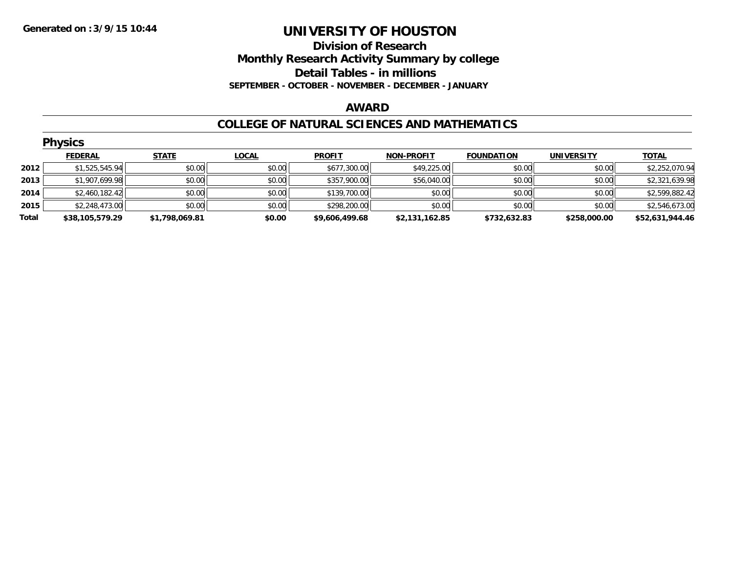### **Division of Research Monthly Research Activity Summary by college Detail Tables - in millions SEPTEMBER - OCTOBER - NOVEMBER - DECEMBER - JANUARY**

#### **AWARD**

#### **COLLEGE OF NATURAL SCIENCES AND MATHEMATICS**

|       | <b>Physics</b>  |                |              |                |                   |                   |                   |                 |  |  |  |
|-------|-----------------|----------------|--------------|----------------|-------------------|-------------------|-------------------|-----------------|--|--|--|
|       | <b>FEDERAL</b>  | <b>STATE</b>   | <b>LOCAL</b> | <b>PROFIT</b>  | <b>NON-PROFIT</b> | <b>FOUNDATION</b> | <b>UNIVERSITY</b> | <b>TOTAL</b>    |  |  |  |
| 2012  | \$1,525,545.94  | \$0.00         | \$0.00       | \$677,300.00   | \$49,225.00       | \$0.00            | \$0.00            | \$2,252,070.94  |  |  |  |
| 2013  | \$1,907,699.98  | \$0.00         | \$0.00       | \$357,900.00   | \$56,040.00       | \$0.00            | \$0.00            | \$2,321,639.98  |  |  |  |
| 2014  | \$2,460,182.42  | \$0.00         | \$0.00       | \$139,700.00   | \$0.00            | \$0.00            | \$0.00            | \$2,599,882.42  |  |  |  |
| 2015  | \$2,248,473.00  | \$0.00         | \$0.00       | \$298,200.00   | \$0.00            | \$0.00            | \$0.00            | \$2,546,673.00  |  |  |  |
| Total | \$38,105,579.29 | \$1,798,069.81 | \$0.00       | \$9,606,499.68 | \$2,131,162.85    | \$732,632.83      | \$258,000.00      | \$52,631,944.46 |  |  |  |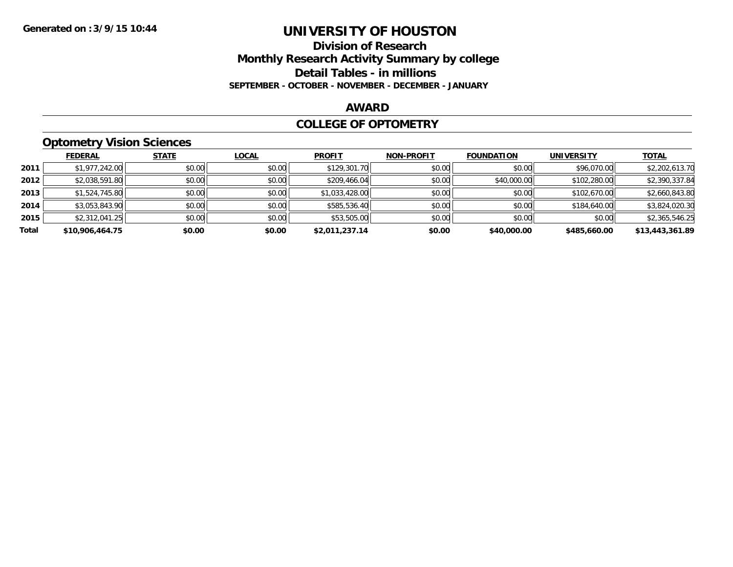### **Division of Research Monthly Research Activity Summary by college Detail Tables - in millions SEPTEMBER - OCTOBER - NOVEMBER - DECEMBER - JANUARY**

#### **AWARD**

#### **COLLEGE OF OPTOMETRY**

# **Optometry Vision Sciences**

|       | <b>FEDERAL</b>  | <b>STATE</b> | <b>LOCAL</b> | <b>PROFIT</b>  | <b>NON-PROFIT</b> | <b>FOUNDATION</b> | UNIVERSITY   | <b>TOTAL</b>    |
|-------|-----------------|--------------|--------------|----------------|-------------------|-------------------|--------------|-----------------|
| 2011  | \$1,977,242.00  | \$0.00       | \$0.00       | \$129,301.70   | \$0.00            | \$0.00            | \$96,070.00  | \$2,202,613.70  |
| 2012  | \$2,038,591.80  | \$0.00       | \$0.00       | \$209,466.04   | \$0.00            | \$40,000.00       | \$102,280.00 | \$2,390,337.84  |
| 2013  | \$1,524,745.80  | \$0.00       | \$0.00       | \$1,033,428.00 | \$0.00            | \$0.00            | \$102,670.00 | \$2,660,843.80  |
| 2014  | \$3,053,843.90  | \$0.00       | \$0.00       | \$585,536.40   | \$0.00            | \$0.00            | \$184,640.00 | \$3,824,020.30  |
| 2015  | \$2,312,041.25  | \$0.00       | \$0.00       | \$53,505.00    | \$0.00            | \$0.00            | \$0.00       | \$2,365,546.25  |
| Total | \$10,906,464.75 | \$0.00       | \$0.00       | \$2,011,237.14 | \$0.00            | \$40,000.00       | \$485,660.00 | \$13,443,361.89 |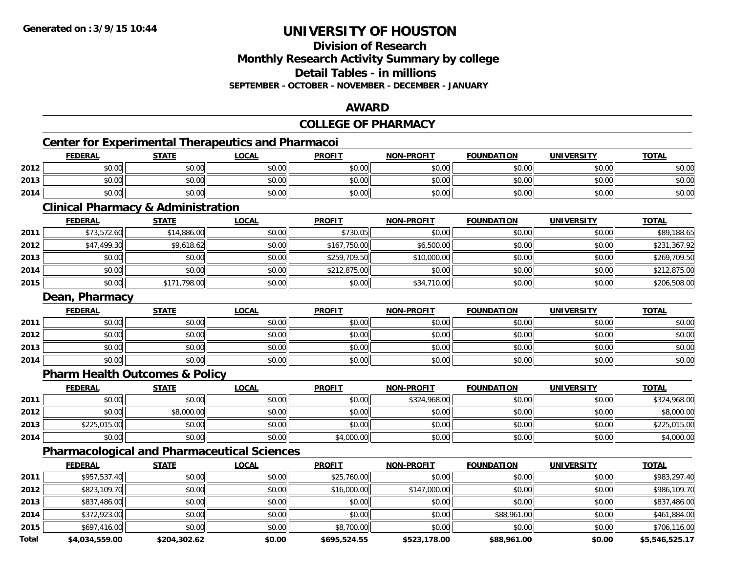# **Division of ResearchMonthly Research Activity Summary by college**

**Detail Tables - in millions**

**SEPTEMBER - OCTOBER - NOVEMBER - DECEMBER - JANUARY**

### **AWARD**

# **COLLEGE OF PHARMACY**

# **Center for Experimental Therapeutics and Pharmacoi**

|      | <b>FEDERAL</b>           | <b>STATE</b> | LOCAL  | <b>PROFIT</b> | <b>NON-PROFIT</b> | <b>FOUNDATION</b> | <b>UNIVERSITY</b> | <b>TOTAL</b> |
|------|--------------------------|--------------|--------|---------------|-------------------|-------------------|-------------------|--------------|
| 2012 | $n \cap \Omega$<br>pu.uu | \$0.00       | \$0.00 | \$0.00        | \$0.00            | \$0.00            | \$0.00            | \$0.00       |
| 2013 | \$0.00                   | \$0.00       | \$0.00 | \$0.00        | \$0.00            | \$0.00            | \$0.00            | \$0.00       |
| 2014 | \$0.00                   | \$0.00       | \$0.00 | \$0.00        | \$0.00            | \$0.00            | \$0.00            | \$0.00       |

#### **Clinical Pharmacy & Administration**

|      | <b>FEDERAL</b> | <b>STATE</b> | <u>LOCAL</u> | <b>PROFIT</b> | <b>NON-PROFIT</b> | <b>FOUNDATION</b> | <b>UNIVERSITY</b> | <b>TOTAL</b> |
|------|----------------|--------------|--------------|---------------|-------------------|-------------------|-------------------|--------------|
| 2011 | \$73,572.60    | \$14,886.00  | \$0.00       | \$730.05      | \$0.00            | \$0.00            | \$0.00            | \$89,188.65  |
| 2012 | \$47,499.30    | \$9,618.62   | \$0.00       | \$167,750.00  | \$6,500.00        | \$0.00            | \$0.00            | \$231,367.92 |
| 2013 | \$0.00         | \$0.00       | \$0.00       | \$259,709.50  | \$10,000.00       | \$0.00            | \$0.00            | \$269,709.50 |
| 2014 | \$0.00         | \$0.00       | \$0.00       | \$212,875.00  | \$0.00            | \$0.00            | \$0.00            | \$212,875.00 |
| 2015 | \$0.00         | \$171,798.00 | \$0.00       | \$0.00        | \$34,710.00       | \$0.00            | \$0.00            | \$206,508.00 |

#### **Dean, Pharmacy**

|      | <b>FEDERAL</b> | <b>STATE</b> | <b>LOCAL</b> | <b>PROFIT</b> | <b>NON-PROFIT</b> | <b>FOUNDATION</b> | <b>UNIVERSITY</b> | <u>TOTAL</u> |
|------|----------------|--------------|--------------|---------------|-------------------|-------------------|-------------------|--------------|
| 2011 | \$0.00         | \$0.00       | \$0.00       | \$0.00        | \$0.00            | \$0.00            | \$0.00            | \$0.00       |
| 2012 | \$0.00         | \$0.00       | \$0.00       | \$0.00        | \$0.00            | \$0.00            | \$0.00            | \$0.00       |
| 2013 | \$0.00         | \$0.00       | \$0.00       | \$0.00        | \$0.00            | \$0.00            | \$0.00            | \$0.00       |
| 2014 | \$0.00         | \$0.00       | \$0.00       | \$0.00        | \$0.00            | \$0.00            | \$0.00            | \$0.00       |

### **Pharm Health Outcomes & Policy**

|      | <b>FEDERAL</b> | <u>STATE</u> | <u>LOCAL</u> | <b>PROFIT</b> | <b>NON-PROFIT</b> | <b>FOUNDATION</b> | <b>UNIVERSITY</b> | <b>TOTAL</b> |
|------|----------------|--------------|--------------|---------------|-------------------|-------------------|-------------------|--------------|
| 2011 | \$0.00         | \$0.00       | \$0.00       | \$0.00        | \$324,968.00      | \$0.00            | \$0.00            | \$324,968.00 |
| 2012 | \$0.00         | \$8,000.00   | \$0.00       | \$0.00        | \$0.00            | \$0.00            | \$0.00            | \$8,000.00   |
| 2013 | \$225,015.00   | \$0.00       | \$0.00       | \$0.00        | \$0.00            | \$0.00            | \$0.00            | \$225,015.00 |
| 2014 | \$0.00         | \$0.00       | \$0.00       | \$4,000.00    | \$0.00            | \$0.00            | \$0.00            | \$4,000.00   |

# **Pharmacological and Pharmaceutical Sciences**

|       | <b>FEDERAL</b> | <b>STATE</b> | <b>LOCAL</b> | <b>PROFIT</b> | <b>NON-PROFIT</b> | <b>FOUNDATION</b> | <b>UNIVERSITY</b> | <b>TOTAL</b>   |
|-------|----------------|--------------|--------------|---------------|-------------------|-------------------|-------------------|----------------|
| 2011  | \$957,537.40   | \$0.00       | \$0.00       | \$25,760.00   | \$0.00            | \$0.00            | \$0.00            | \$983,297.40   |
| 2012  | \$823,109.70   | \$0.00       | \$0.00       | \$16,000.00   | \$147,000.00      | \$0.00            | \$0.00            | \$986,109.70   |
| 2013  | \$837,486.00   | \$0.00       | \$0.00       | \$0.00        | \$0.00            | \$0.00            | \$0.00            | \$837,486.00   |
| 2014  | \$372,923.00   | \$0.00       | \$0.00       | \$0.00        | \$0.00            | \$88,961.00       | \$0.00            | \$461,884.00   |
| 2015  | \$697,416.00   | \$0.00       | \$0.00       | \$8,700.00    | \$0.00            | \$0.00            | \$0.00            | \$706,116.00   |
| Total | \$4,034,559.00 | \$204,302.62 | \$0.00       | \$695,524.55  | \$523,178.00      | \$88,961.00       | \$0.00            | \$5,546,525.17 |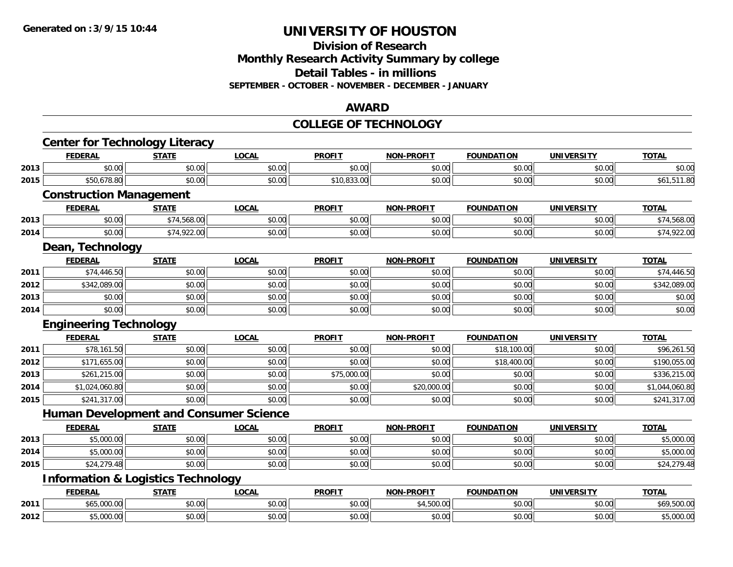#### **Division of Research Monthly Research Activity Summary by college Detail Tables - in millions SEPTEMBER - OCTOBER - NOVEMBER - DECEMBER - JANUARY**

#### **AWARD**

#### **COLLEGE OF TECHNOLOGY**

|      | <b>Center for Technology Literacy</b>         |              |              |               |                   |                   |                   |                |
|------|-----------------------------------------------|--------------|--------------|---------------|-------------------|-------------------|-------------------|----------------|
|      | <b>FEDERAL</b>                                | <b>STATE</b> | <b>LOCAL</b> | <b>PROFIT</b> | <b>NON-PROFIT</b> | <b>FOUNDATION</b> | <b>UNIVERSITY</b> | <b>TOTAL</b>   |
| 2013 | \$0.00                                        | \$0.00       | \$0.00       | \$0.00        | \$0.00            | \$0.00            | \$0.00            | \$0.00         |
| 2015 | \$50,678.80                                   | \$0.00       | \$0.00       | \$10,833.00   | \$0.00            | \$0.00            | \$0.00            | \$61,511.80    |
|      | <b>Construction Management</b>                |              |              |               |                   |                   |                   |                |
|      | <b>FEDERAL</b>                                | <b>STATE</b> | <b>LOCAL</b> | <b>PROFIT</b> | <b>NON-PROFIT</b> | <b>FOUNDATION</b> | <b>UNIVERSITY</b> | <b>TOTAL</b>   |
| 2013 | \$0.00                                        | \$74,568.00  | \$0.00       | \$0.00        | \$0.00            | \$0.00            | \$0.00            | \$74,568.00    |
| 2014 | \$0.00                                        | \$74,922.00  | \$0.00       | \$0.00        | \$0.00            | \$0.00            | \$0.00            | \$74,922.00    |
|      | Dean, Technology                              |              |              |               |                   |                   |                   |                |
|      | <b>FEDERAL</b>                                | <b>STATE</b> | <b>LOCAL</b> | <b>PROFIT</b> | <b>NON-PROFIT</b> | <b>FOUNDATION</b> | <b>UNIVERSITY</b> | <b>TOTAL</b>   |
| 2011 | \$74,446.50                                   | \$0.00       | \$0.00       | \$0.00        | \$0.00            | \$0.00            | \$0.00            | \$74,446.50    |
| 2012 | \$342,089.00                                  | \$0.00       | \$0.00       | \$0.00        | \$0.00            | \$0.00            | \$0.00            | \$342,089.00   |
| 2013 | \$0.00                                        | \$0.00       | \$0.00       | \$0.00        | \$0.00            | \$0.00            | \$0.00            | \$0.00         |
| 2014 | \$0.00                                        | \$0.00       | \$0.00       | \$0.00        | \$0.00            | \$0.00            | \$0.00            | \$0.00         |
|      | <b>Engineering Technology</b>                 |              |              |               |                   |                   |                   |                |
|      | <b>FEDERAL</b>                                | <b>STATE</b> | <b>LOCAL</b> | <b>PROFIT</b> | <b>NON-PROFIT</b> | <b>FOUNDATION</b> | <b>UNIVERSITY</b> | <b>TOTAL</b>   |
| 2011 | \$78,161.50                                   | \$0.00       | \$0.00       | \$0.00        | \$0.00            | \$18,100.00       | \$0.00            | \$96,261.50    |
| 2012 | \$171,655.00                                  | \$0.00       | \$0.00       | \$0.00        | \$0.00            | \$18,400.00       | \$0.00            | \$190,055.00   |
| 2013 | \$261,215.00                                  | \$0.00       | \$0.00       | \$75,000.00   | \$0.00            | \$0.00            | \$0.00            | \$336,215.00   |
| 2014 | \$1,024,060.80                                | \$0.00       | \$0.00       | \$0.00        | \$20,000.00       | \$0.00            | \$0.00            | \$1,044,060.80 |
| 2015 | \$241,317.00                                  | \$0.00       | \$0.00       | \$0.00        | \$0.00            | \$0.00            | \$0.00            | \$241,317.00   |
|      | <b>Human Development and Consumer Science</b> |              |              |               |                   |                   |                   |                |
|      | <b>FEDERAL</b>                                | <b>STATE</b> | <b>LOCAL</b> | <b>PROFIT</b> | <b>NON-PROFIT</b> | <b>FOUNDATION</b> | <b>UNIVERSITY</b> | <b>TOTAL</b>   |
|      |                                               |              |              |               |                   |                   |                   |                |
| 2013 | \$5,000.00                                    | \$0.00       | \$0.00       | \$0.00        | \$0.00            | \$0.00            | \$0.00            | \$5,000.00     |
| 2014 | \$5,000.00                                    | \$0.00       | \$0.00       | \$0.00        | \$0.00            | \$0.00            | \$0.00            | \$5,000.00     |
| 2015 | \$24,279.48                                   | \$0.00       | \$0.00       | \$0.00        | \$0.00            | \$0.00            | \$0.00            | \$24,279.48    |
|      | <b>Information &amp; Logistics Technology</b> |              |              |               |                   |                   |                   |                |
|      | <b>FEDERAL</b>                                | <b>STATE</b> | <b>LOCAL</b> | <b>PROFIT</b> | <b>NON-PROFIT</b> | <b>FOUNDATION</b> | <b>UNIVERSITY</b> | <b>TOTAL</b>   |
| 2011 | \$65,000.00                                   | \$0.00       | \$0.00       | \$0.00        | \$4,500.00        | \$0.00            | \$0.00            | \$69,500.00    |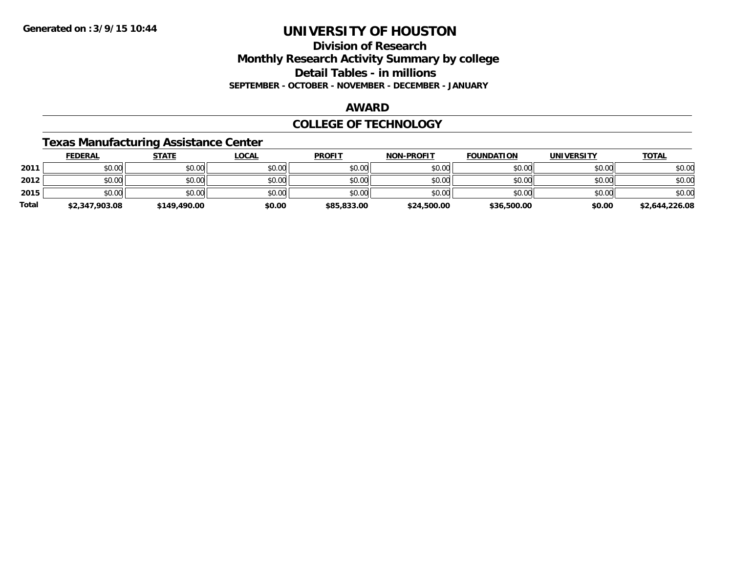### **Division of Research Monthly Research Activity Summary by college Detail Tables - in millions SEPTEMBER - OCTOBER - NOVEMBER - DECEMBER - JANUARY**

#### **AWARD**

#### **COLLEGE OF TECHNOLOGY**

### **Texas Manufacturing Assistance Center**

|              | <b>FEDERAL</b> | <b>STATE</b> | <u>LOCAL</u> | <b>PROFIT</b> | <b>NON-PROFIT</b> | <b>FOUNDATION</b> | <b>UNIVERSITY</b> | <b>TOTAL</b>   |
|--------------|----------------|--------------|--------------|---------------|-------------------|-------------------|-------------------|----------------|
| 2011         | \$0.00         | \$0.00       | \$0.00       | \$0.00        | \$0.00            | \$0.00            | \$0.00            | \$0.00         |
| 2012         | \$0.00         | \$0.00       | \$0.00       | \$0.00        | \$0.00            | \$0.00            | \$0.00            | \$0.00         |
| 2015         | \$0.00         | \$0.00       | \$0.00       | \$0.00        | \$0.00            | \$0.00            | \$0.00            | \$0.00         |
| <b>Total</b> | \$2,347,903.08 | \$149,490.00 | \$0.00       | \$85,833.00   | \$24,500.00       | \$36,500.00       | \$0.00            | \$2,644,226.08 |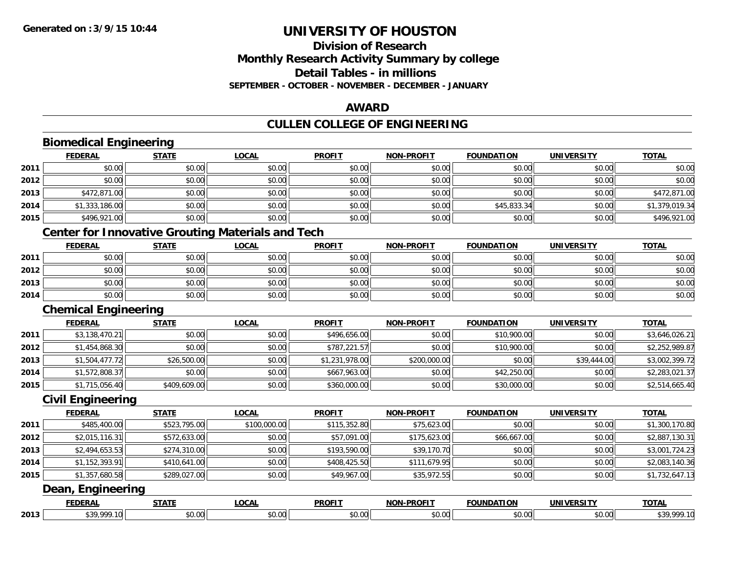### **Division of ResearchMonthly Research Activity Summary by college Detail Tables - in millionsSEPTEMBER - OCTOBER - NOVEMBER - DECEMBER - JANUARY**

#### **AWARD**

### **CULLEN COLLEGE OF ENGINEERING**

#### **Biomedical Engineering FEDERAL STATE LOCAL PROFIT NON-PROFIT FOUNDATION UNIVERSITY TOTALTOTAL 2011** \$0.00 \$0.00 \$0.00 \$0.00 \$0.00 \$0.00 \$0.00 \$0.00 **2012**2 | \$0.00 \$0.00 \$0.00 \$0.00 \$0.00 \$0.00 \$0.00 \$0.00 \$0.00 \$0.00 \$0.00 \$0.00 \$0.00 \$0.00 \$0.00 \$0.00 \$0.00 \$0.00 **2013** \$472,871.00 \$0.00 \$0.00 \$0.00 \$0.00 \$0.00 \$0.00 \$472,871.00 **2014**4 \$1,333,186.00|| \$0.00|| \$0.00|| \$0.00|| \$0.00|| \$45,833.34|| \$0.00|| \$1,379,019.34 **2015** \$496,921.00 \$0.00 \$0.00 \$0.00 \$0.00 \$0.00 \$0.00 \$496,921.00 **Center for Innovative Grouting Materials and Tech FEDERAL STATE LOCAL PROFIT NON-PROFIT FOUNDATION UNIVERSITY TOTAL2011** \$0.00 \$0.00 \$0.00 \$0.00 \$0.00 \$0.00 \$0.00 \$0.00 **2012**2 | \$0.00 \$0.00 \$0.00 \$0.00 \$0.00 \$0.00 \$0.00 \$0.00 \$0.00 \$0.00 \$0.00 \$0.00 \$0.00 \$0.00 \$0.00 \$0.00 \$0.00 \$0.0 **2013** \$0.00 \$0.00 \$0.00 \$0.00 \$0.00 \$0.00 \$0.00 \$0.00 **2014**4 \$0.00 \$0.00 \$0.00 \$0.00 \$0.00 \$0.00 \$0.00 \$0.00 \$0.00 \$0.00 \$0.00 \$0.00 \$0.00 \$0.00 \$0.00 \$0.00 \$0.00 **Chemical Engineering FEDERAL STATE LOCAL PROFIT NON-PROFIT FOUNDATION UNIVERSITY TOTAL2011** \$3,138,470.21 \$0.00 \$0.00 \$496,656.00 \$0.00 \$10,900.00 \$0.00 \$3,646,026.21 **2012** \$1,454,868.30 \$0.00 \$0.00 \$787,221.57 \$0.00 \$10,900.00 \$0.00 \$2,252,989.87 **2013** $\bf{3} \mid \textcolor{red}{0.311} \mid \textcolor{red}{0.4477.72} \mid \textcolor{red}{0.399.72} \mid \textcolor{red}{0.500.00} \mid \textcolor{red}{0.444.00} \mid \textcolor{red}{0.5002.399.72}$ **2014**4 \$1,572,808.37|| \$0.00|| \$0.00|| \$667,963.00|| \$0.00|| \$42,250.00|| \$0.00|| \$2,283,021.37 **2015** \$1,715,056.40 \$409,609.00 \$0.00 \$360,000.00 \$0.00 \$30,000.00 \$0.00 \$2,514,665.40 **Civil Engineering FEDERAL STATE LOCAL PROFIT NON-PROFIT FOUNDATION UNIVERSITY TOTALTOTAL 2011** \$485,400.00 \$523,795.00 \$100,000.00 \$115,352.80 \$75,623.00 \$0.00 \$0.00 \$1,300,170.80 **2012**2 \ \$2,015,116.31|| \$572,633.00|| \$0.00|| \$57,091.00|| \$57,091.00|| \$175,623.00|| \$66,667.00|| \$0.00|| \$2,887,130.3 **2013** \$2,494,653.53 \$274,310.00 \$0.00 \$193,590.00 \$39,170.70 \$0.00 \$0.00 \$3,001,724.23 **2014**4 \$1,152,393.91|| \$410,641.00|| \$0.00|| \$408,425.50|| \$111,679.95|| \$0.00|| \$0.00|| \$2,083,140.36 **2015** \$1,357,680.58 \$289,027.00 \$0.00 \$49,967.00 \$35,972.55 \$0.00 \$0.00 \$1,732,647.13 **Dean, Engineering FEDERAL STATE LOCAL PROFIT NON-PROFIT FOUNDATION UNIVERSITY TOTAL2013**

\$39,999.10 \$0.00 \$0.00 \$0.00 \$0.00 \$0.00 \$0.00 \$39,999.10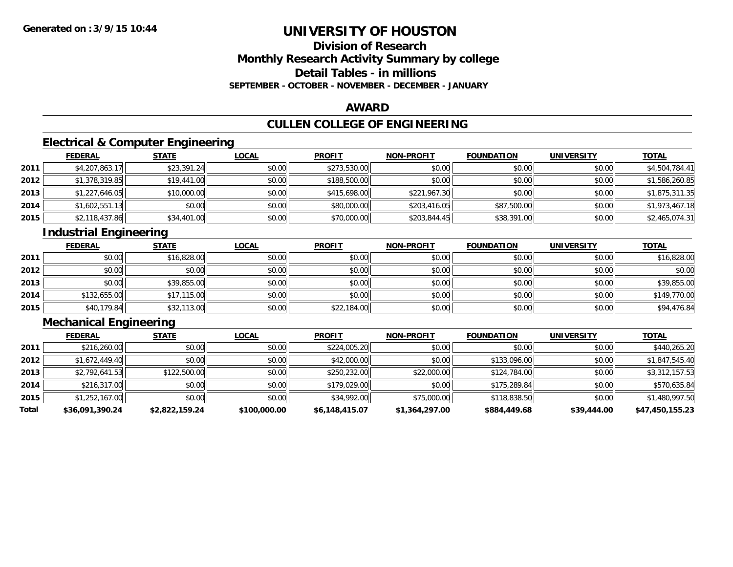# **Division of ResearchMonthly Research Activity Summary by college Detail Tables - in millions SEPTEMBER - OCTOBER - NOVEMBER - DECEMBER - JANUARY**

#### **AWARD**

# **CULLEN COLLEGE OF ENGINEERING**

# **Electrical & Computer Engineering**

|      | <b>FEDERAL</b> | <b>STATE</b> | <u>LOCAL</u> | <b>PROFIT</b> | <b>NON-PROFIT</b> | <b>FOUNDATION</b> | <b>UNIVERSITY</b> | <b>TOTAL</b>   |
|------|----------------|--------------|--------------|---------------|-------------------|-------------------|-------------------|----------------|
| 2011 | \$4,207,863.17 | \$23,391.24  | \$0.00       | \$273,530.00  | \$0.00            | \$0.00            | \$0.00            | \$4,504,784.41 |
| 2012 | \$1,378,319.85 | \$19,441.00  | \$0.00       | \$188,500.00  | \$0.00            | \$0.00            | \$0.00            | \$1,586,260.85 |
| 2013 | \$1,227,646.05 | \$10,000.00  | \$0.00       | \$415,698.00  | \$221,967.30      | \$0.00            | \$0.00            | \$1,875,311.35 |
| 2014 | \$1,602,551.13 | \$0.00       | \$0.00       | \$80,000.00   | \$203,416.05      | \$87,500.00       | \$0.00            | \$1,973,467.18 |
| 2015 | \$2,118,437.86 | \$34,401.00  | \$0.00       | \$70,000.00   | \$203,844.45      | \$38,391.00       | \$0.00            | \$2,465,074.31 |

# **Industrial Engineering**

|      | <u>FEDERAL</u> | <b>STATE</b> | <b>LOCAL</b> | <b>PROFIT</b> | <b>NON-PROFIT</b> | <b>FOUNDATION</b> | <b>UNIVERSITY</b> | <b>TOTAL</b> |
|------|----------------|--------------|--------------|---------------|-------------------|-------------------|-------------------|--------------|
| 2011 | \$0.00         | \$16,828.00  | \$0.00       | \$0.00        | \$0.00            | \$0.00            | \$0.00            | \$16,828.00  |
| 2012 | \$0.00         | \$0.00       | \$0.00       | \$0.00        | \$0.00            | \$0.00            | \$0.00            | \$0.00       |
| 2013 | \$0.00         | \$39,855.00  | \$0.00       | \$0.00        | \$0.00            | \$0.00            | \$0.00            | \$39,855.00  |
| 2014 | \$132,655.00   | \$17,115.00  | \$0.00       | \$0.00        | \$0.00            | \$0.00            | \$0.00            | \$149,770.00 |
| 2015 | \$40,179.84    | \$32,113.00  | \$0.00       | \$22,184.00   | \$0.00            | \$0.00            | \$0.00            | \$94,476.84  |

# **Mechanical Engineering**

|       | <b>FEDERAL</b>  | <b>STATE</b>   | <b>LOCAL</b> | <b>PROFIT</b>  | <b>NON-PROFIT</b> | <b>FOUNDATION</b> | <b>UNIVERSITY</b> | <b>TOTAL</b>    |
|-------|-----------------|----------------|--------------|----------------|-------------------|-------------------|-------------------|-----------------|
| 2011  | \$216,260.00    | \$0.00         | \$0.00       | \$224,005.20   | \$0.00            | \$0.00            | \$0.00            | \$440,265.20    |
| 2012  | \$1,672,449.40  | \$0.00         | \$0.00       | \$42,000.00    | \$0.00            | \$133,096.00      | \$0.00            | \$1,847,545.40  |
| 2013  | \$2,792,641.53  | \$122,500.00   | \$0.00       | \$250,232.00   | \$22,000.00       | \$124,784.00      | \$0.00            | \$3,312,157.53  |
| 2014  | \$216,317.00    | \$0.00         | \$0.00       | \$179,029,00   | \$0.00            | \$175,289.84      | \$0.00            | \$570,635.84    |
| 2015  | \$1,252,167.00  | \$0.00         | \$0.00       | \$34,992.00    | \$75,000.00       | \$118,838.50      | \$0.00            | \$1,480,997.50  |
| Total | \$36,091,390.24 | \$2,822,159.24 | \$100,000.00 | \$6,148,415.07 | \$1,364,297.00    | \$884,449.68      | \$39,444.00       | \$47,450,155,23 |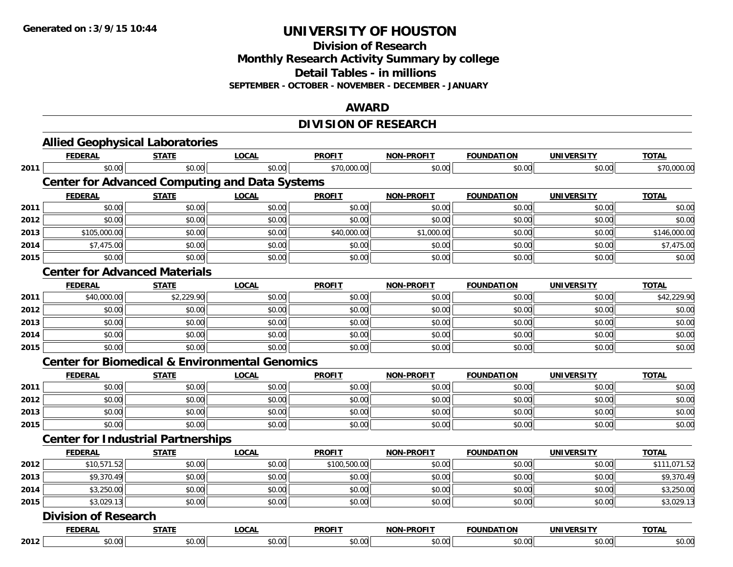**Division of Research**

**Monthly Research Activity Summary by college**

**Detail Tables - in millions**

**SEPTEMBER - OCTOBER - NOVEMBER - DECEMBER - JANUARY**

#### **AWARD**

# **DIVISION OF RESEARCH**

|      | <b>FEDERAL</b>                                            | <b>STATE</b> | <b>LOCAL</b> | <b>PROFIT</b> | <b>NON-PROFIT</b> | <b>FOUNDATION</b> | <b>UNIVERSITY</b> | <b>TOTAL</b> |
|------|-----------------------------------------------------------|--------------|--------------|---------------|-------------------|-------------------|-------------------|--------------|
| 2011 | \$0.00                                                    | \$0.00       | \$0.00       | \$70,000.00   | \$0.00            | \$0.00            | \$0.00            | \$70,000.00  |
|      | <b>Center for Advanced Computing and Data Systems</b>     |              |              |               |                   |                   |                   |              |
|      | <b>FEDERAL</b>                                            | <b>STATE</b> | <b>LOCAL</b> | <b>PROFIT</b> | <b>NON-PROFIT</b> | <b>FOUNDATION</b> | <b>UNIVERSITY</b> | <b>TOTAL</b> |
| 2011 | \$0.00                                                    | \$0.00       | \$0.00       | \$0.00        | \$0.00            | \$0.00            | \$0.00            | \$0.00       |
| 2012 | \$0.00                                                    | \$0.00       | \$0.00       | \$0.00        | \$0.00            | \$0.00            | \$0.00            | \$0.00       |
| 2013 | \$105,000.00                                              | \$0.00       | \$0.00       | \$40,000.00   | \$1,000.00        | \$0.00            | \$0.00            | \$146,000.00 |
| 2014 | \$7,475.00                                                | \$0.00       | \$0.00       | \$0.00        | \$0.00            | \$0.00            | \$0.00            | \$7,475.00   |
| 2015 | \$0.00                                                    | \$0.00       | \$0.00       | \$0.00        | \$0.00            | \$0.00            | \$0.00            | \$0.00       |
|      | <b>Center for Advanced Materials</b>                      |              |              |               |                   |                   |                   |              |
|      | <b>FEDERAL</b>                                            | <b>STATE</b> | <b>LOCAL</b> | <b>PROFIT</b> | <b>NON-PROFIT</b> | <b>FOUNDATION</b> | <b>UNIVERSITY</b> | <b>TOTAL</b> |
| 2011 | \$40,000.00                                               | \$2,229.90   | \$0.00       | \$0.00        | \$0.00            | \$0.00            | \$0.00            | \$42,229.90  |
| 2012 | \$0.00                                                    | \$0.00       | \$0.00       | \$0.00        | \$0.00            | \$0.00            | \$0.00            | \$0.00       |
| 2013 | \$0.00                                                    | \$0.00       | \$0.00       | \$0.00        | \$0.00            | \$0.00            | \$0.00            | \$0.00       |
| 2014 | \$0.00                                                    | \$0.00       | \$0.00       | \$0.00        | \$0.00            | \$0.00            | \$0.00            | \$0.00       |
| 2015 | \$0.00                                                    | \$0.00       | \$0.00       | \$0.00        | \$0.00            | \$0.00            | \$0.00            | \$0.00       |
|      | <b>Center for Biomedical &amp; Environmental Genomics</b> |              |              |               |                   |                   |                   |              |
|      | <b>FEDERAL</b>                                            | <b>STATE</b> | <b>LOCAL</b> | <b>PROFIT</b> | NON-PROFIT        | <b>FOUNDATION</b> | <b>UNIVERSITY</b> | <b>TOTAL</b> |
| 2011 | \$0.00                                                    | \$0.00       | \$0.00       | \$0.00        | \$0.00            | \$0.00            | \$0.00            | \$0.00       |
| 2012 | \$0.00                                                    | \$0.00       | \$0.00       | \$0.00        | \$0.00            | \$0.00            | \$0.00            | \$0.00       |
| 2013 | \$0.00                                                    | \$0.00       | \$0.00       | \$0.00        | \$0.00            | \$0.00            | \$0.00            | \$0.00       |
| 2015 | \$0.00                                                    | \$0.00       | \$0.00       | \$0.00        | \$0.00            | \$0.00            | \$0.00            | \$0.00       |
|      | <b>Center for Industrial Partnerships</b>                 |              |              |               |                   |                   |                   |              |
|      | <b>FEDERAL</b>                                            | <b>STATE</b> | <b>LOCAL</b> | <b>PROFIT</b> | <b>NON-PROFIT</b> | <b>FOUNDATION</b> | <b>UNIVERSITY</b> | <b>TOTAL</b> |
| 2012 | \$10,571.52                                               | \$0.00       | \$0.00       | \$100,500.00  | \$0.00            | \$0.00            | \$0.00            | \$111,071.52 |
| 2013 | \$9,370.49                                                | \$0.00       | \$0.00       | \$0.00        | \$0.00            | \$0.00            | \$0.00            | \$9,370.49   |
| 2014 | \$3,250.00                                                | \$0.00       | \$0.00       | \$0.00        | \$0.00            | \$0.00            | \$0.00            | \$3,250.00   |
| 2015 | \$3,029.13                                                | \$0.00       | \$0.00       | \$0.00        | \$0.00            | \$0.00            | \$0.00            | \$3,029.13   |
|      | <b>Division of Research</b>                               |              |              |               |                   |                   |                   |              |
|      | <b>FEDERAL</b>                                            | <b>STATE</b> | <b>LOCAL</b> | <b>PROFIT</b> | <b>NON-PROFIT</b> | <b>FOUNDATION</b> | <b>UNIVERSITY</b> | <b>TOTAL</b> |
| 2012 | \$0.00                                                    | \$0.00       | \$0.00       | \$0.00        | \$0.00            | \$0.00            | \$0.00            | \$0.00       |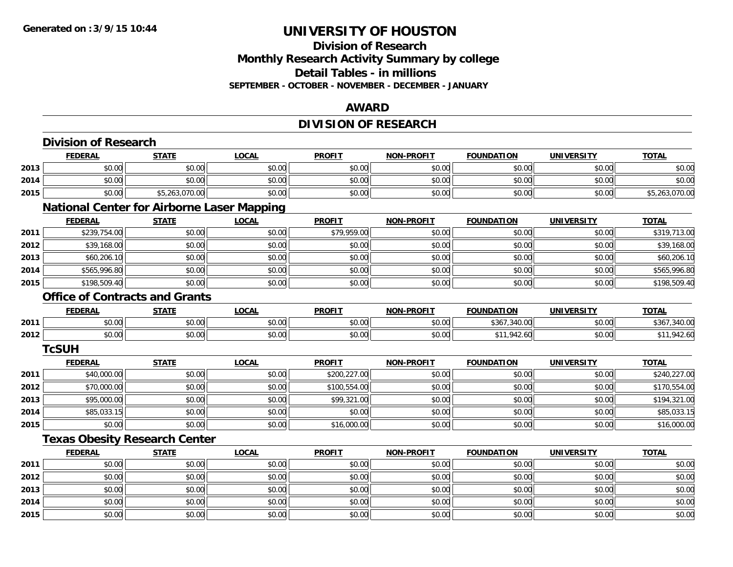# **Division of ResearchMonthly Research Activity Summary by college Detail Tables - in millions SEPTEMBER - OCTOBER - NOVEMBER - DECEMBER - JANUARY**

### **AWARD**

# **DIVISION OF RESEARCH**

|      | <b>Division of Research</b> |                                                   |              |               |                   |                   |                   |                |
|------|-----------------------------|---------------------------------------------------|--------------|---------------|-------------------|-------------------|-------------------|----------------|
|      | <b>FEDERAL</b>              | <b>STATE</b>                                      | <b>LOCAL</b> | <b>PROFIT</b> | <b>NON-PROFIT</b> | <b>FOUNDATION</b> | <b>UNIVERSITY</b> | <b>TOTAL</b>   |
| 2013 | \$0.00                      | \$0.00                                            | \$0.00       | \$0.00        | \$0.00            | \$0.00            | \$0.00            | \$0.00         |
| 2014 | \$0.00                      | \$0.00                                            | \$0.00       | \$0.00        | \$0.00            | \$0.00            | \$0.00            | \$0.00         |
| 2015 | \$0.00                      | \$5,263,070.00                                    | \$0.00       | \$0.00        | \$0.00            | \$0.00            | \$0.00            | \$5,263,070.00 |
|      |                             | <b>National Center for Airborne Laser Mapping</b> |              |               |                   |                   |                   |                |
|      | <b>FEDERAL</b>              | <b>STATE</b>                                      | <b>LOCAL</b> | <b>PROFIT</b> | <b>NON-PROFIT</b> | <b>FOUNDATION</b> | <b>UNIVERSITY</b> | <b>TOTAL</b>   |
| 2011 | \$239,754.00                | \$0.00                                            | \$0.00       | \$79,959.00   | \$0.00            | \$0.00            | \$0.00            | \$319,713.00   |
| 2012 | \$39,168.00                 | \$0.00                                            | \$0.00       | \$0.00        | \$0.00            | \$0.00            | \$0.00            | \$39,168.00    |
| 2013 | \$60,206.10                 | \$0.00                                            | \$0.00       | \$0.00        | \$0.00            | \$0.00            | \$0.00            | \$60,206.10    |
| 2014 | \$565,996.80                | \$0.00                                            | \$0.00       | \$0.00        | \$0.00            | \$0.00            | \$0.00            | \$565,996.80   |
| 2015 | \$198,509.40                | \$0.00                                            | \$0.00       | \$0.00        | \$0.00            | \$0.00            | \$0.00            | \$198,509.40   |
|      |                             | <b>Office of Contracts and Grants</b>             |              |               |                   |                   |                   |                |
|      | <b>FEDERAL</b>              | <b>STATE</b>                                      | <b>LOCAL</b> | <b>PROFIT</b> | <b>NON-PROFIT</b> | <b>FOUNDATION</b> | <b>UNIVERSITY</b> | <b>TOTAL</b>   |
| 2011 | \$0.00                      | \$0.00                                            | \$0.00       | \$0.00        | \$0.00            | \$367,340.00      | \$0.00            | \$367,340.00   |
| 2012 | \$0.00                      | \$0.00                                            | \$0.00       | \$0.00        | \$0.00            | \$11,942.60       | \$0.00            | \$11,942.60    |
|      | <b>TcSUH</b>                |                                                   |              |               |                   |                   |                   |                |
|      | <b>FEDERAL</b>              | <b>STATE</b>                                      | <b>LOCAL</b> | <b>PROFIT</b> | <b>NON-PROFIT</b> | <b>FOUNDATION</b> | <b>UNIVERSITY</b> | <b>TOTAL</b>   |
| 2011 | \$40,000.00                 | \$0.00                                            | \$0.00       | \$200,227.00  | \$0.00            | \$0.00            | \$0.00            | \$240,227.00   |
| 2012 | \$70,000.00                 | \$0.00                                            | \$0.00       | \$100,554.00  | \$0.00            | \$0.00            | \$0.00            | \$170,554.00   |
| 2013 | \$95,000.00                 | \$0.00                                            | \$0.00       | \$99,321.00   | \$0.00            | \$0.00            | \$0.00            | \$194,321.00   |
| 2014 | \$85,033.15                 | \$0.00                                            | \$0.00       | \$0.00        | \$0.00            | \$0.00            | \$0.00            | \$85,033.15    |
| 2015 | \$0.00                      | \$0.00                                            | \$0.00       | \$16,000.00   | \$0.00            | \$0.00            | \$0.00            | \$16,000.00    |
|      |                             | <b>Texas Obesity Research Center</b>              |              |               |                   |                   |                   |                |
|      | <b>FEDERAL</b>              | <b>STATE</b>                                      | <b>LOCAL</b> | <b>PROFIT</b> | <b>NON-PROFIT</b> | <b>FOUNDATION</b> | <b>UNIVERSITY</b> | <b>TOTAL</b>   |
| 2011 | \$0.00                      | \$0.00                                            | \$0.00       | \$0.00        | \$0.00            | \$0.00            | \$0.00            | \$0.00         |
| 2012 | \$0.00                      | \$0.00                                            | \$0.00       | \$0.00        | \$0.00            | \$0.00            | \$0.00            | \$0.00         |
| 2013 | \$0.00                      | \$0.00                                            | \$0.00       | \$0.00        | \$0.00            | \$0.00            | \$0.00            | \$0.00         |
| 2014 | \$0.00                      | \$0.00                                            | \$0.00       | \$0.00        | \$0.00            | \$0.00            | \$0.00            | \$0.00         |
| 2015 | \$0.00                      | \$0.00                                            | \$0.00       | \$0.00        | \$0.00            | \$0.00            | \$0.00            | \$0.00         |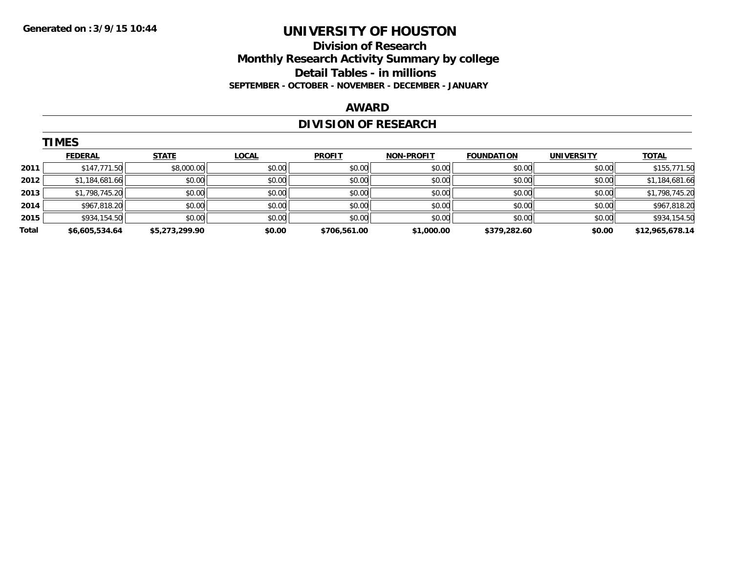### **Division of Research Monthly Research Activity Summary by college Detail Tables - in millions SEPTEMBER - OCTOBER - NOVEMBER - DECEMBER - JANUARY**

#### **AWARD**

# **DIVISION OF RESEARCH**

|       | <b>TIMES</b>   |                |              |               |                   |                   |                   |                 |
|-------|----------------|----------------|--------------|---------------|-------------------|-------------------|-------------------|-----------------|
|       | <b>FEDERAL</b> | <b>STATE</b>   | <b>LOCAL</b> | <b>PROFIT</b> | <b>NON-PROFIT</b> | <b>FOUNDATION</b> | <b>UNIVERSITY</b> | <b>TOTAL</b>    |
| 2011  | \$147,771.50   | \$8,000.00     | \$0.00       | \$0.00        | \$0.00            | \$0.00            | \$0.00            | \$155,771.50    |
| 2012  | \$1,184,681.66 | \$0.00         | \$0.00       | \$0.00        | \$0.00            | \$0.00            | \$0.00            | \$1,184,681.66  |
| 2013  | \$1,798,745.20 | \$0.00         | \$0.00       | \$0.00        | \$0.00            | \$0.00            | \$0.00            | \$1,798,745.20  |
| 2014  | \$967,818.20   | \$0.00         | \$0.00       | \$0.00        | \$0.00            | \$0.00            | \$0.00            | \$967,818.20    |
| 2015  | \$934,154.50   | \$0.00         | \$0.00       | \$0.00        | \$0.00            | \$0.00            | \$0.00            | \$934,154.50    |
| Total | \$6,605,534.64 | \$5,273,299.90 | \$0.00       | \$706,561.00  | \$1,000.00        | \$379,282.60      | \$0.00            | \$12,965,678.14 |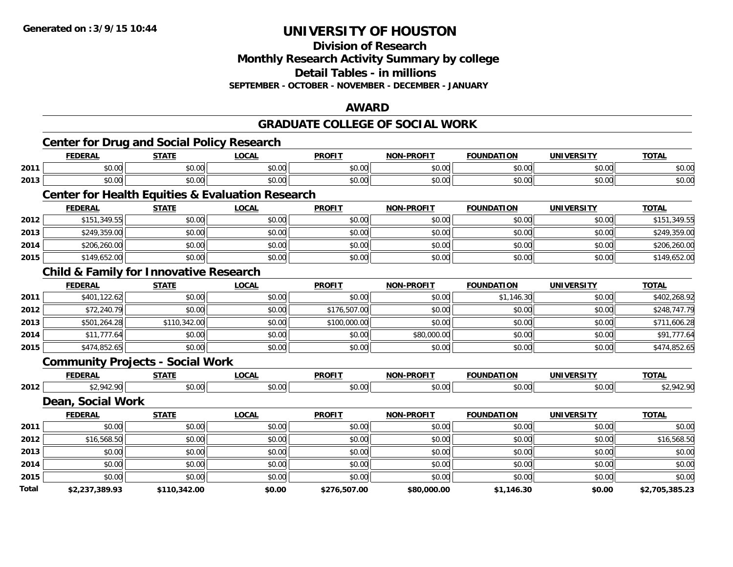**Division of Research**

**Monthly Research Activity Summary by college**

**Detail Tables - in millions**

**SEPTEMBER - OCTOBER - NOVEMBER - DECEMBER - JANUARY**

#### **AWARD**

#### **GRADUATE COLLEGE OF SOCIAL WORK**

|       | <b>Center for Drug and Social Policy Research</b> |              |                                                             |               |                   |                   |                   |                |
|-------|---------------------------------------------------|--------------|-------------------------------------------------------------|---------------|-------------------|-------------------|-------------------|----------------|
|       | <b>FEDERAL</b>                                    | <b>STATE</b> | <b>LOCAL</b>                                                | <b>PROFIT</b> | <b>NON-PROFIT</b> | <b>FOUNDATION</b> | <b>UNIVERSITY</b> | <b>TOTAL</b>   |
| 2011  | \$0.00                                            | \$0.00       | \$0.00                                                      | \$0.00        | \$0.00            | \$0.00            | \$0.00            | \$0.00         |
| 2013  | \$0.00                                            | \$0.00       | \$0.00                                                      | \$0.00        | \$0.00            | \$0.00            | \$0.00            | \$0.00         |
|       |                                                   |              | <b>Center for Health Equities &amp; Evaluation Research</b> |               |                   |                   |                   |                |
|       | <b>FEDERAL</b>                                    | <b>STATE</b> | <b>LOCAL</b>                                                | <b>PROFIT</b> | <b>NON-PROFIT</b> | <b>FOUNDATION</b> | <b>UNIVERSITY</b> | <b>TOTAL</b>   |
| 2012  | \$151,349.55                                      | \$0.00       | \$0.00                                                      | \$0.00        | \$0.00            | \$0.00            | \$0.00            | \$151,349.55   |
| 2013  | \$249,359.00                                      | \$0.00       | \$0.00                                                      | \$0.00        | \$0.00            | \$0.00            | \$0.00            | \$249,359.00   |
| 2014  | \$206,260.00                                      | \$0.00       | \$0.00                                                      | \$0.00        | \$0.00            | \$0.00            | \$0.00            | \$206,260.00   |
| 2015  | \$149,652.00                                      | \$0.00       | \$0.00                                                      | \$0.00        | \$0.00            | \$0.00            | \$0.00            | \$149,652.00   |
|       | <b>Child &amp; Family for Innovative Research</b> |              |                                                             |               |                   |                   |                   |                |
|       | <b>FEDERAL</b>                                    | <b>STATE</b> | <b>LOCAL</b>                                                | <b>PROFIT</b> | <b>NON-PROFIT</b> | <b>FOUNDATION</b> | <b>UNIVERSITY</b> | <b>TOTAL</b>   |
| 2011  | \$401,122.62                                      | \$0.00       | \$0.00                                                      | \$0.00        | \$0.00            | \$1,146.30        | \$0.00            | \$402,268.92   |
| 2012  | \$72,240.79                                       | \$0.00       | \$0.00                                                      | \$176,507.00  | \$0.00            | \$0.00            | \$0.00            | \$248,747.79   |
| 2013  | \$501,264.28                                      | \$110,342.00 | \$0.00                                                      | \$100,000.00  | \$0.00            | \$0.00            | \$0.00            | \$711,606.28   |
| 2014  | \$11,777.64                                       | \$0.00       | \$0.00                                                      | \$0.00        | \$80,000.00       | \$0.00            | \$0.00            | \$91,777.64    |
| 2015  | \$474,852.65                                      | \$0.00       | \$0.00                                                      | \$0.00        | \$0.00            | \$0.00            | \$0.00            | \$474,852.65   |
|       | <b>Community Projects - Social Work</b>           |              |                                                             |               |                   |                   |                   |                |
|       | <b>FEDERAL</b>                                    | <b>STATE</b> | <b>LOCAL</b>                                                | <b>PROFIT</b> | <b>NON-PROFIT</b> | <b>FOUNDATION</b> | <b>UNIVERSITY</b> | <b>TOTAL</b>   |
| 2012  | \$2,942.90                                        | \$0.00       | \$0.00                                                      | \$0.00        | \$0.00            | \$0.00            | \$0.00            | \$2,942.90     |
|       | Dean, Social Work                                 |              |                                                             |               |                   |                   |                   |                |
|       | <b>FEDERAL</b>                                    | <b>STATE</b> | <b>LOCAL</b>                                                | <b>PROFIT</b> | <b>NON-PROFIT</b> | <b>FOUNDATION</b> | <b>UNIVERSITY</b> | <b>TOTAL</b>   |
| 2011  | \$0.00                                            | \$0.00       | \$0.00                                                      | \$0.00        | \$0.00            | \$0.00            | \$0.00            | \$0.00         |
| 2012  | \$16,568.50                                       | \$0.00       | \$0.00                                                      | \$0.00        | \$0.00            | \$0.00            | \$0.00            | \$16,568.50    |
| 2013  | \$0.00                                            | \$0.00       | \$0.00                                                      | \$0.00        | \$0.00            | \$0.00            | \$0.00            | \$0.00         |
| 2014  | \$0.00                                            | \$0.00       | \$0.00                                                      | \$0.00        | \$0.00            | \$0.00            | \$0.00            | \$0.00         |
| 2015  | \$0.00                                            | \$0.00       | \$0.00                                                      | \$0.00        | \$0.00            | \$0.00            | \$0.00            | \$0.00         |
| Total | \$2,237,389.93                                    | \$110,342.00 | \$0.00                                                      | \$276,507.00  | \$80,000.00       | \$1,146.30        | \$0.00            | \$2,705,385.23 |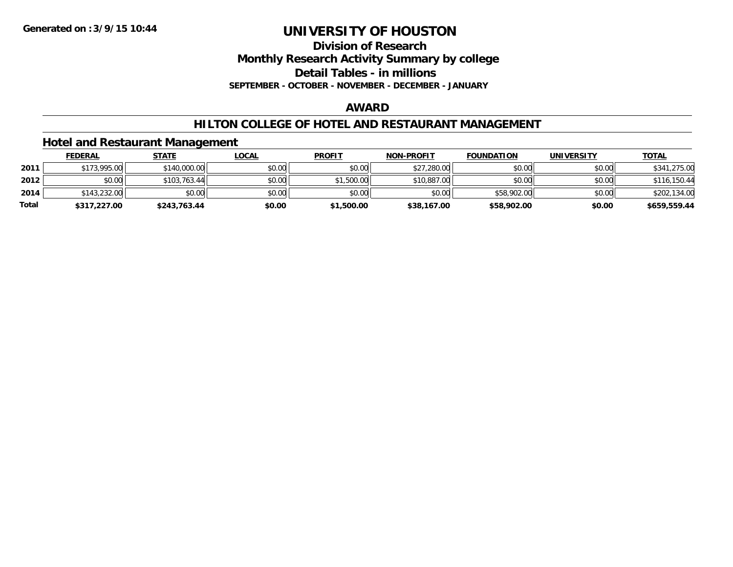**Division of Research**

**Monthly Research Activity Summary by college**

**Detail Tables - in millions**

**SEPTEMBER - OCTOBER - NOVEMBER - DECEMBER - JANUARY**

#### **AWARD**

#### **HILTON COLLEGE OF HOTEL AND RESTAURANT MANAGEMENT**

### **Hotel and Restaurant Management**

|              | <b>FEDERAL</b> | <u>STATE</u> | <u>LOCAL</u> | <b>PROFIT</b> | <b>NON-PROFIT</b> | <b>FOUNDATION</b> | UNIVERSITY | <b>TOTAL</b> |
|--------------|----------------|--------------|--------------|---------------|-------------------|-------------------|------------|--------------|
| 2011         | \$173,995.00   | \$140,000.00 | \$0.00       | \$0.00        | \$27,280.00       | \$0.00            | \$0.00     | \$341,275.00 |
| 2012         | \$0.00         | \$103,763.44 | \$0.00       | \$1,500.00    | \$10,887.00       | \$0.00            | \$0.00     | \$116,150.44 |
| 2014         | \$143,232,00   | \$0.00       | \$0.00       | \$0.00        | \$0.00            | \$58,902.00       | \$0.00     | \$202,134.00 |
| <b>Total</b> | \$317,227.00   | \$243,763.44 | \$0.00       | \$1,500.00    | \$38,167.00       | \$58,902.00       | \$0.00     | \$659,559.44 |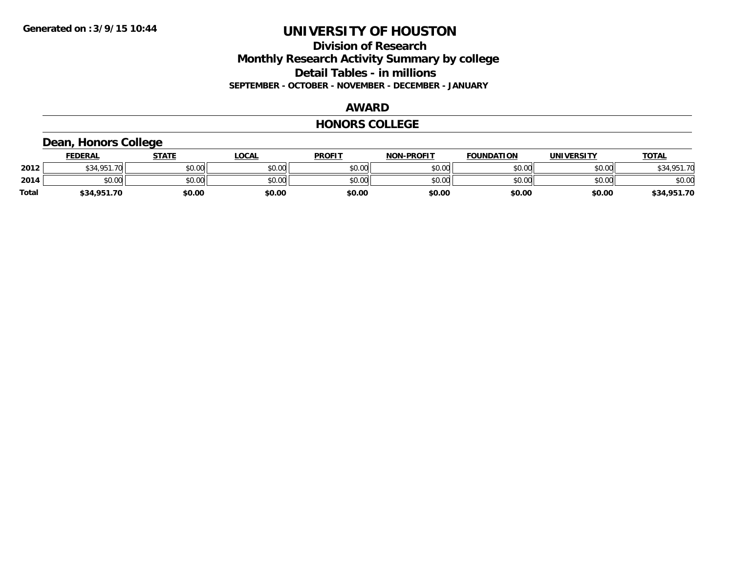### **Division of Research Monthly Research Activity Summary by college Detail Tables - in millions SEPTEMBER - OCTOBER - NOVEMBER - DECEMBER - JANUARY**

#### **AWARD**

#### **HONORS COLLEGE**

# **Dean, Honors College**

|       | <b>FEDERAL</b> | STATE  | <u>LOCAL</u> | <b>PROFIT</b> | <b>NON-PROFIT</b> | <b>FOUNDATION</b> | <b>UNIVERSITY</b> | <b>TOTAL</b> |
|-------|----------------|--------|--------------|---------------|-------------------|-------------------|-------------------|--------------|
| 2012  | \$34,951.70    | \$0.00 | \$0.00       | \$0.00        | \$0.00            | \$0.00            | \$0.00            | \$34,951.70  |
| 2014  | \$0.00         | \$0.00 | \$0.00       | \$0.00        | \$0.00            | \$0.00            | \$0.00            | \$0.00       |
| Total | \$34,951.70    | \$0.00 | \$0.00       | \$0.00        | \$0.00            | \$0.00            | \$0.00            | \$34,951.70  |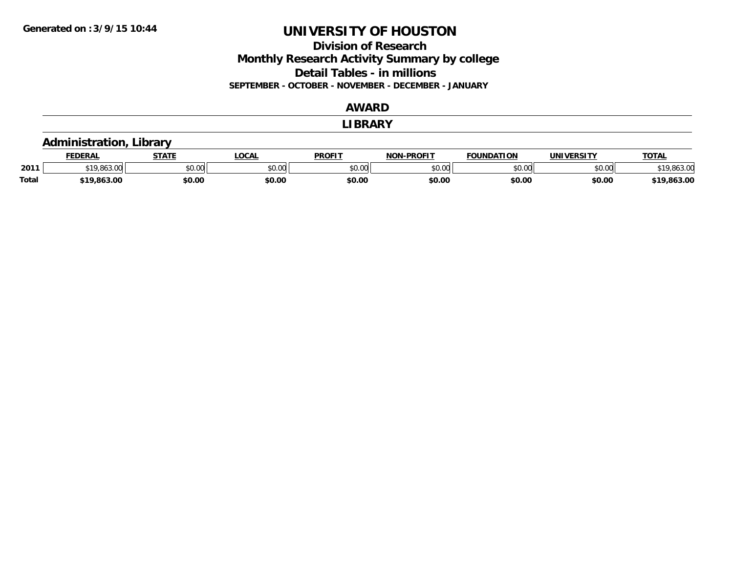**Division of Research Monthly Research Activity Summary by college Detail Tables - in millions SEPTEMBER - OCTOBER - NOVEMBER - DECEMBER - JANUARY**

#### **AWARD**

#### **LIBRARY**

### **Administration, Library**

|              | <b>FEDERAL</b> |                | <b>OCAL</b> | <b>PROFIT</b> | -PROFIT<br>NON     | <b>FOUNDATION</b> | UNIVERSITY | TOTAL                  |
|--------------|----------------|----------------|-------------|---------------|--------------------|-------------------|------------|------------------------|
| 2011         | ,,,,,,,,       | 0.001<br>JU.UU | JU.UU       | \$0.00        | $\sim$ 00<br>JU.UU | 0000<br>งบ.บบ     | \$0.00     | (10.012.0)<br>9.803.UU |
| <b>Total</b> | \$19,863.00    | \$0.00         | \$0.00      | \$0.00        | \$0.00             | \$0.00            | \$0.00     | .863.00                |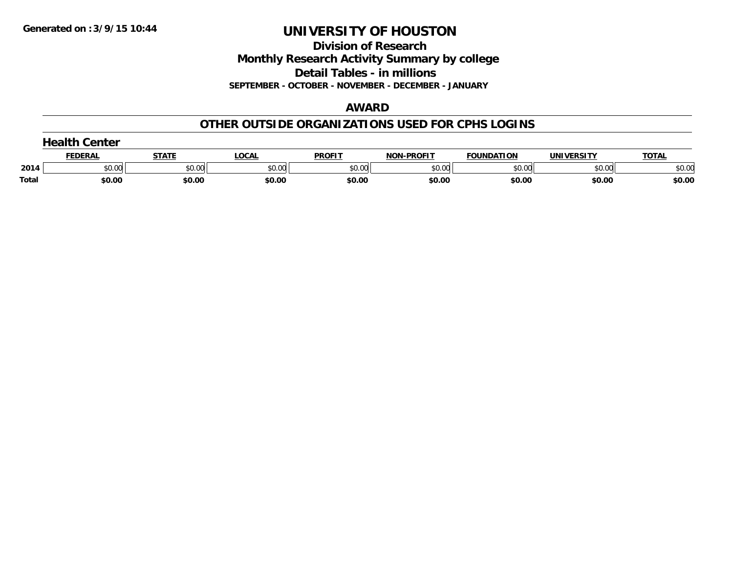**Division of Research**

**Monthly Research Activity Summary by college**

**Detail Tables - in millions**

**SEPTEMBER - OCTOBER - NOVEMBER - DECEMBER - JANUARY**

#### **AWARD**

### **OTHER OUTSIDE ORGANIZATIONS USED FOR CPHS LOGINS**

| Center |               |        |        |               |                         |                   |                   |              |
|--------|---------------|--------|--------|---------------|-------------------------|-------------------|-------------------|--------------|
|        | <b>FEDERA</b> | STATI  | LOCAL  | <b>PROFIT</b> | <b>.-PROFIT</b><br>NON. | <b>FOUNDATION</b> | <b>UNIVERSITY</b> | <b>TOTAL</b> |
| 2014   | \$0.00        | \$0.00 | \$0.00 | \$0.00        | \$0.00                  | \$0.00            | \$0.00            | \$0.00       |
| Total  | \$0.00        | \$0.00 | \$0.00 | \$0.00        | \$0.00                  | \$0.00            | \$0.00            | \$0.00       |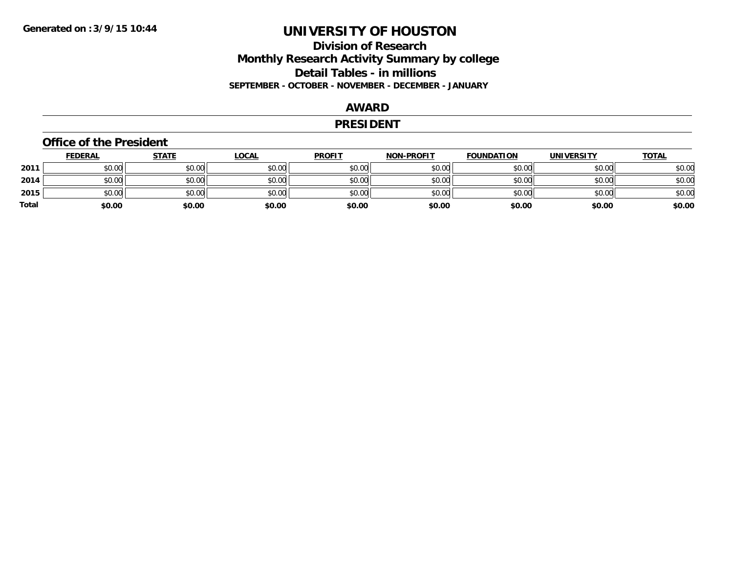### **Division of Research Monthly Research Activity Summary by college Detail Tables - in millions SEPTEMBER - OCTOBER - NOVEMBER - DECEMBER - JANUARY**

### **AWARD**

#### **PRESIDENT**

#### **Office of the President**

|       | <b>FEDERAL</b> | <b>STATE</b> | <b>LOCAL</b> | <b>PROFIT</b> | <b>NON-PROFIT</b> | <b>FOUNDATION</b> | <b>UNIVERSITY</b> | <u>TOTAL</u> |
|-------|----------------|--------------|--------------|---------------|-------------------|-------------------|-------------------|--------------|
| 2011  | \$0.00         | \$0.00       | \$0.00       | \$0.00        | \$0.00            | \$0.00            | \$0.00            | \$0.00       |
| 2014  | \$0.00         | \$0.00       | \$0.00       | \$0.00        | \$0.00            | \$0.00            | \$0.00            | \$0.00       |
| 2015  | \$0.00         | \$0.00       | \$0.00       | \$0.00        | \$0.00            | \$0.00            | \$0.00            | \$0.00       |
| Total | \$0.00         | \$0.00       | \$0.00       | \$0.00        | \$0.00            | \$0.00            | \$0.00            | \$0.00       |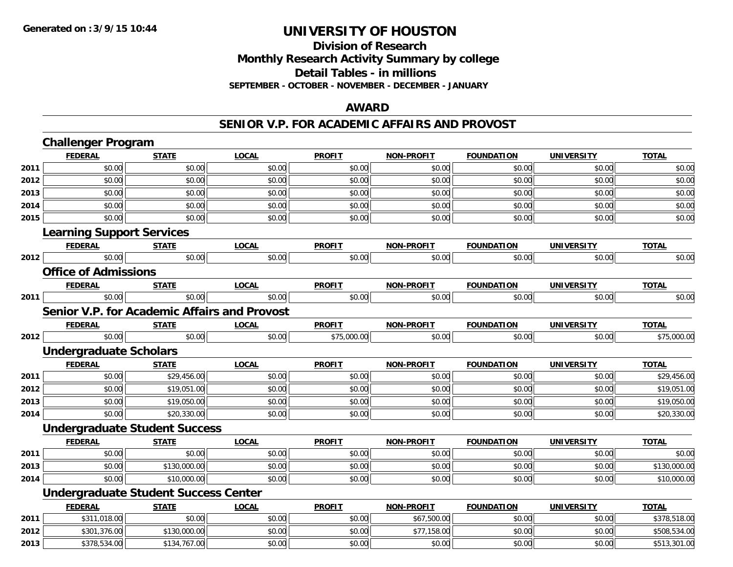#### **Division of Research Monthly Research Activity Summary by college Detail Tables - in millions SEPTEMBER - OCTOBER - NOVEMBER - DECEMBER - JANUARY**

#### **AWARD**

#### **SENIOR V.P. FOR ACADEMIC AFFAIRS AND PROVOST**

|      | <b>Challenger Program</b>                           |              |              |               |                   |                   |                   |              |
|------|-----------------------------------------------------|--------------|--------------|---------------|-------------------|-------------------|-------------------|--------------|
|      | <b>FEDERAL</b>                                      | <b>STATE</b> | <b>LOCAL</b> | <b>PROFIT</b> | <b>NON-PROFIT</b> | <b>FOUNDATION</b> | <b>UNIVERSITY</b> | <b>TOTAL</b> |
| 2011 | \$0.00                                              | \$0.00       | \$0.00       | \$0.00        | \$0.00            | \$0.00            | \$0.00            | \$0.00       |
| 2012 | \$0.00                                              | \$0.00       | \$0.00       | \$0.00        | \$0.00            | \$0.00            | \$0.00            | \$0.00       |
| 2013 | \$0.00                                              | \$0.00       | \$0.00       | \$0.00        | \$0.00            | \$0.00            | \$0.00            | \$0.00       |
| 2014 | \$0.00                                              | \$0.00       | \$0.00       | \$0.00        | \$0.00            | \$0.00            | \$0.00            | \$0.00       |
| 2015 | \$0.00                                              | \$0.00       | \$0.00       | \$0.00        | \$0.00            | \$0.00            | \$0.00            | \$0.00       |
|      | <b>Learning Support Services</b>                    |              |              |               |                   |                   |                   |              |
|      | <b>FEDERAL</b>                                      | <b>STATE</b> | <b>LOCAL</b> | <b>PROFIT</b> | <b>NON-PROFIT</b> | <b>FOUNDATION</b> | <b>UNIVERSITY</b> | <b>TOTAL</b> |
| 2012 | \$0.00                                              | \$0.00       | \$0.00       | \$0.00        | \$0.00            | \$0.00            | \$0.00            | \$0.00       |
|      | <b>Office of Admissions</b>                         |              |              |               |                   |                   |                   |              |
|      | <b>FEDERAL</b>                                      | <b>STATE</b> | <b>LOCAL</b> | <b>PROFIT</b> | <b>NON-PROFIT</b> | <b>FOUNDATION</b> | <b>UNIVERSITY</b> | <b>TOTAL</b> |
| 2011 | \$0.00                                              | \$0.00       | \$0.00       | \$0.00        | \$0.00            | \$0.00            | \$0.00            | \$0.00       |
|      | <b>Senior V.P. for Academic Affairs and Provost</b> |              |              |               |                   |                   |                   |              |
|      | <b>FEDERAL</b>                                      | <b>STATE</b> | <b>LOCAL</b> | <b>PROFIT</b> | <b>NON-PROFIT</b> | <b>FOUNDATION</b> | <b>UNIVERSITY</b> | <b>TOTAL</b> |
| 2012 | \$0.00                                              | \$0.00       | \$0.00       | \$75,000.00   | \$0.00            | \$0.00            | \$0.00            | \$75,000.00  |
|      | <b>Undergraduate Scholars</b>                       |              |              |               |                   |                   |                   |              |
|      | <b>FEDERAL</b>                                      | <b>STATE</b> | <b>LOCAL</b> | <b>PROFIT</b> | <b>NON-PROFIT</b> | <b>FOUNDATION</b> | <b>UNIVERSITY</b> | <b>TOTAL</b> |
| 2011 | \$0.00                                              | \$29,456.00  | \$0.00       | \$0.00        | \$0.00            | \$0.00            | \$0.00            | \$29,456.00  |
| 2012 | \$0.00                                              | \$19,051.00  | \$0.00       | \$0.00        | \$0.00            | \$0.00            | \$0.00            | \$19,051.00  |
| 2013 | \$0.00                                              | \$19,050.00  | \$0.00       | \$0.00        | \$0.00            | \$0.00            | \$0.00            | \$19,050.00  |
| 2014 | \$0.00                                              | \$20,330.00  | \$0.00       | \$0.00        | \$0.00            | \$0.00            | \$0.00            | \$20,330.00  |
|      | <b>Undergraduate Student Success</b>                |              |              |               |                   |                   |                   |              |
|      | <b>FEDERAL</b>                                      | <b>STATE</b> | <b>LOCAL</b> | <b>PROFIT</b> | <b>NON-PROFIT</b> | <b>FOUNDATION</b> | <b>UNIVERSITY</b> | <b>TOTAL</b> |
| 2011 | \$0.00                                              | \$0.00       | \$0.00       | \$0.00        | \$0.00            | \$0.00            | \$0.00            | \$0.00       |
| 2013 | \$0.00                                              | \$130,000.00 | \$0.00       | \$0.00        | \$0.00            | \$0.00            | \$0.00            | \$130,000.00 |
| 2014 | \$0.00                                              | \$10,000.00  | \$0.00       | \$0.00        | \$0.00            | \$0.00            | \$0.00            | \$10,000.00  |
|      | <b>Undergraduate Student Success Center</b>         |              |              |               |                   |                   |                   |              |
|      | <b>FEDERAL</b>                                      | <b>STATE</b> | <b>LOCAL</b> | <b>PROFIT</b> | <b>NON-PROFIT</b> | <b>FOUNDATION</b> | <b>UNIVERSITY</b> | <b>TOTAL</b> |
| 2011 | \$311,018.00                                        | \$0.00       | \$0.00       | \$0.00        | \$67,500.00       | \$0.00            | \$0.00            | \$378,518.00 |
| 2012 | \$301,376.00                                        | \$130,000.00 | \$0.00       | \$0.00        | \$77,158.00       | \$0.00            | \$0.00            | \$508,534.00 |
| 2013 | \$378,534.00                                        | \$134,767.00 | \$0.00       | \$0.00        | \$0.00            | \$0.00            | \$0.00            | \$513,301.00 |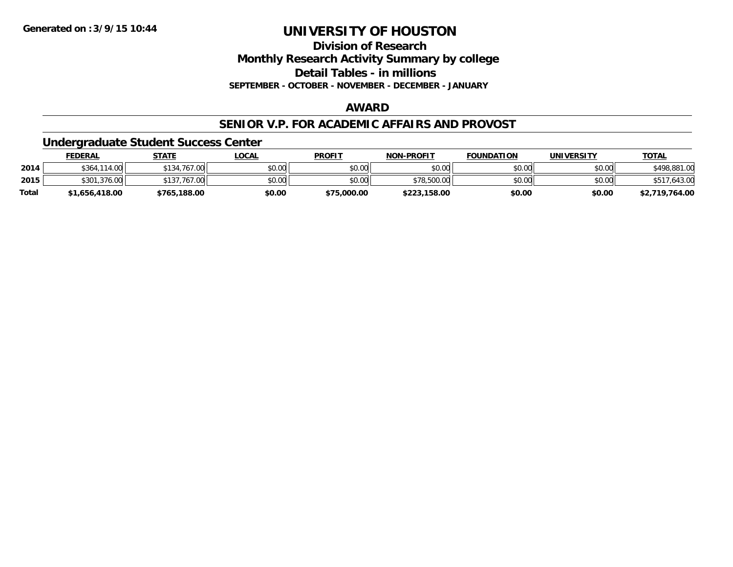**Division of ResearchMonthly Research Activity Summary by college**

**Detail Tables - in millions**

**SEPTEMBER - OCTOBER - NOVEMBER - DECEMBER - JANUARY**

### **AWARD**

#### **SENIOR V.P. FOR ACADEMIC AFFAIRS AND PROVOST**

**Undergraduate Student Success Center**

|              | FEDERAL        | <u>STATE</u>                | <u>LOCAL</u> | <b>PROFIT</b> | <b>NON-PROFIT</b> | <b>FOUNDATION</b> | <b>UNIVERSITY</b> | <b>TOTAL</b>   |
|--------------|----------------|-----------------------------|--------------|---------------|-------------------|-------------------|-------------------|----------------|
| 2014         | \$364,114,00   | \$134,767.00                | \$0.00       | \$0.00        | \$0.00            | \$0.00            | \$0.00            | \$498,881,00   |
| 2015         | \$301,376.00   | $767.00 \text{ m}$<br>\$137 | \$0.00       | \$0.00        | \$78,500.00       | \$0.00            | \$0.00            | .643.00        |
| <b>Total</b> | \$1,656,418.00 | \$765,188.00                | \$0.00       | \$75,000.00   | \$223,158.00      | \$0.00            | \$0.00            | \$2,719,764.00 |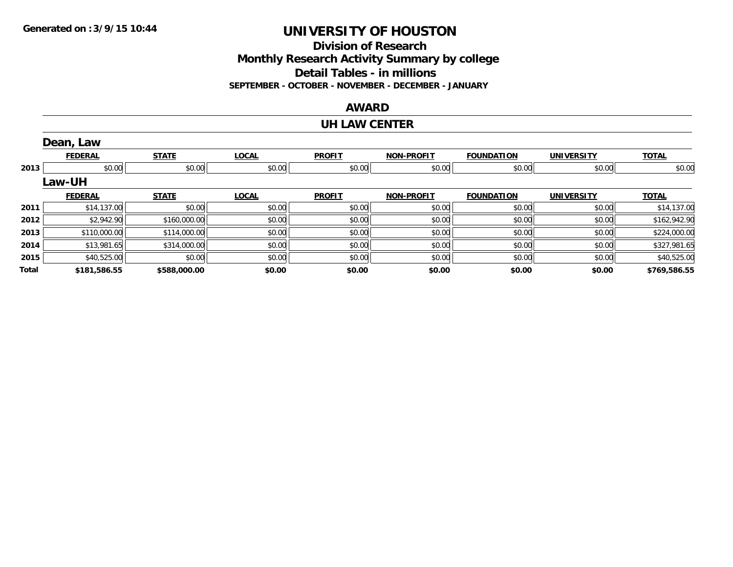**Division of ResearchMonthly Research Activity Summary by college Detail Tables - in millions SEPTEMBER - OCTOBER - NOVEMBER - DECEMBER - JANUARY**

#### **AWARD**

#### **UH LAW CENTER**

|       | Dean, Law      |              |              |               |                   |                   |                   |              |
|-------|----------------|--------------|--------------|---------------|-------------------|-------------------|-------------------|--------------|
|       | <b>FEDERAL</b> | <b>STATE</b> | <b>LOCAL</b> | <b>PROFIT</b> | NON-PROFIT        | <b>FOUNDATION</b> | <b>UNIVERSITY</b> | <b>TOTAL</b> |
| 2013  | \$0.00         | \$0.00       | \$0.00       | \$0.00        | \$0.00            | \$0.00            | \$0.00            | \$0.00       |
|       | <b>Law-UH</b>  |              |              |               |                   |                   |                   |              |
|       | <b>FEDERAL</b> | <b>STATE</b> | <b>LOCAL</b> | <b>PROFIT</b> | <b>NON-PROFIT</b> | <b>FOUNDATION</b> | <b>UNIVERSITY</b> | <b>TOTAL</b> |
| 2011  | \$14,137.00    | \$0.00       | \$0.00       | \$0.00        | \$0.00            | \$0.00            | \$0.00            | \$14,137.00  |
| 2012  | \$2,942.90     | \$160,000.00 | \$0.00       | \$0.00        | \$0.00            | \$0.00            | \$0.00            | \$162,942.90 |
| 2013  | \$110,000.00   | \$114,000.00 | \$0.00       | \$0.00        | \$0.00            | \$0.00            | \$0.00            | \$224,000.00 |
| 2014  | \$13,981.65    | \$314,000.00 | \$0.00       | \$0.00        | \$0.00            | \$0.00            | \$0.00            | \$327,981.65 |
| 2015  | \$40,525.00    | \$0.00       | \$0.00       | \$0.00        | \$0.00            | \$0.00            | \$0.00            | \$40,525.00  |
| Total | \$181,586.55   | \$588,000.00 | \$0.00       | \$0.00        | \$0.00            | \$0.00            | \$0.00            | \$769,586.55 |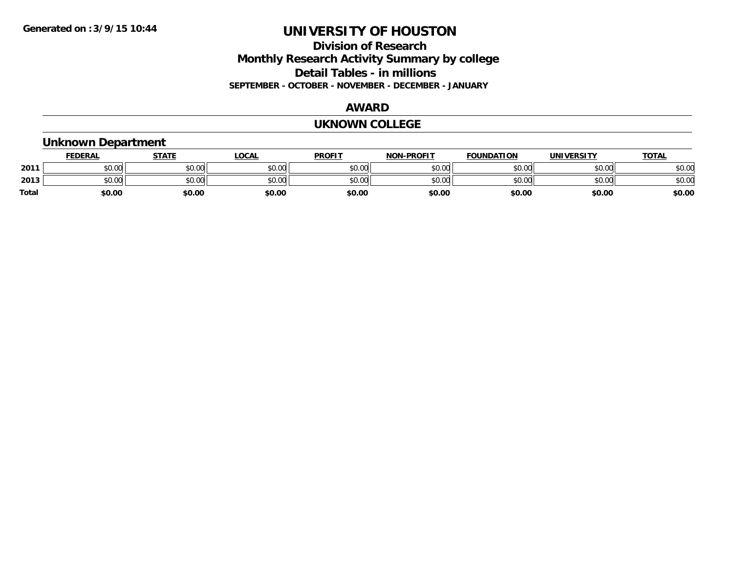### **Division of Research Monthly Research Activity Summary by college Detail Tables - in millions SEPTEMBER - OCTOBER - NOVEMBER - DECEMBER - JANUARY**

#### **AWARD**

#### **UKNOWN COLLEGE**

# **Unknown Department**

|       | <b>FEDERAL</b>     | <b>STATE</b> | LOCAL  | <b>PROFIT</b> | <b>NON-PROFIT</b> | <b>FOUNDATION</b> | <b>UNIVERSITY</b> | <u>TOTAL</u> |
|-------|--------------------|--------------|--------|---------------|-------------------|-------------------|-------------------|--------------|
| 2011  | ሐሴ ሰሰ<br>PU.UU     | \$0.00       | \$0.00 | \$0.00        | \$0.00            | \$0.00            | \$0.00            | \$0.00       |
| 2013  | $\sim$ 00<br>JU.UU | \$0.00       | \$0.00 | \$0.00        | \$0.00            | \$0.00            | \$0.00            | \$0.00       |
| Total | \$0.00             | \$0.00       | \$0.00 | \$0.00        | \$0.00            | \$0.00            | \$0.00            | \$0.00       |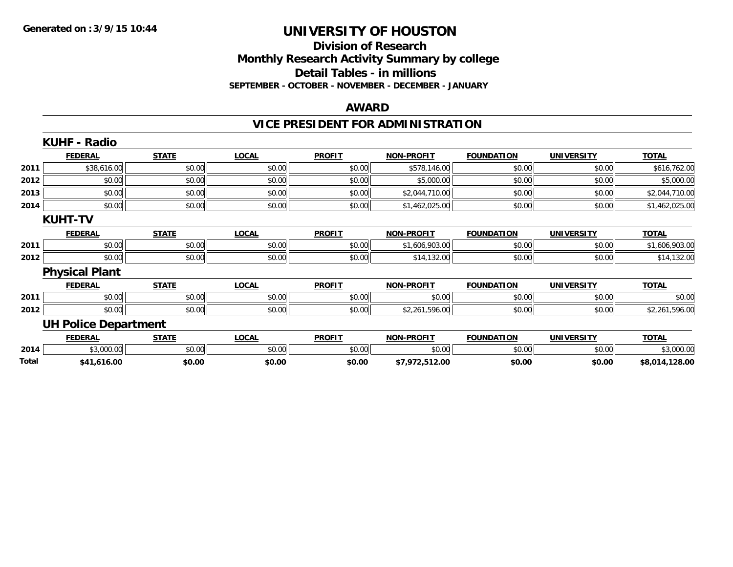#### **Division of Research Monthly Research Activity Summary by college Detail Tables - in millions SEPTEMBER - OCTOBER - NOVEMBER - DECEMBER - JANUARY**

#### **AWARD**

# **VICE PRESIDENT FOR ADMINISTRATION**

|       | <b>KUHF - Radio</b>         |              |              |               |                   |                   |                   |                |
|-------|-----------------------------|--------------|--------------|---------------|-------------------|-------------------|-------------------|----------------|
|       | <b>FEDERAL</b>              | <b>STATE</b> | <b>LOCAL</b> | <b>PROFIT</b> | <b>NON-PROFIT</b> | <b>FOUNDATION</b> | <b>UNIVERSITY</b> | <b>TOTAL</b>   |
| 2011  | \$38,616.00                 | \$0.00       | \$0.00       | \$0.00        | \$578,146.00      | \$0.00            | \$0.00            | \$616,762.00   |
| 2012  | \$0.00                      | \$0.00       | \$0.00       | \$0.00        | \$5,000.00        | \$0.00            | \$0.00            | \$5,000.00     |
| 2013  | \$0.00                      | \$0.00       | \$0.00       | \$0.00        | \$2,044,710.00    | \$0.00            | \$0.00            | \$2,044,710.00 |
| 2014  | \$0.00                      | \$0.00       | \$0.00       | \$0.00        | \$1,462,025.00    | \$0.00            | \$0.00            | \$1,462,025.00 |
|       | <b>KUHT-TV</b>              |              |              |               |                   |                   |                   |                |
|       | <b>FEDERAL</b>              | <b>STATE</b> | <b>LOCAL</b> | <b>PROFIT</b> | <b>NON-PROFIT</b> | <b>FOUNDATION</b> | <b>UNIVERSITY</b> | <b>TOTAL</b>   |
| 2011  | \$0.00                      | \$0.00       | \$0.00       | \$0.00        | \$1,606,903.00    | \$0.00            | \$0.00            | \$1,606,903.00 |
| 2012  | \$0.00                      | \$0.00       | \$0.00       | \$0.00        | \$14,132.00       | \$0.00            | \$0.00            | \$14,132.00    |
|       | <b>Physical Plant</b>       |              |              |               |                   |                   |                   |                |
|       | <b>FEDERAL</b>              | <b>STATE</b> | <b>LOCAL</b> | <b>PROFIT</b> | <b>NON-PROFIT</b> | <b>FOUNDATION</b> | <b>UNIVERSITY</b> | <b>TOTAL</b>   |
| 2011  | \$0.00                      | \$0.00       | \$0.00       | \$0.00        | \$0.00            | \$0.00            | \$0.00            | \$0.00         |
| 2012  | \$0.00                      | \$0.00       | \$0.00       | \$0.00        | \$2,261,596.00    | \$0.00            | \$0.00            | \$2,261,596.00 |
|       | <b>UH Police Department</b> |              |              |               |                   |                   |                   |                |
|       | <b>FEDERAL</b>              | <b>STATE</b> | <b>LOCAL</b> | <b>PROFIT</b> | <b>NON-PROFIT</b> | <b>FOUNDATION</b> | <b>UNIVERSITY</b> | <b>TOTAL</b>   |
| 2014  | \$3,000.00                  | \$0.00       | \$0.00       | \$0.00        | \$0.00            | \$0.00            | \$0.00            | \$3,000.00     |
| Total | \$41,616.00                 | \$0.00       | \$0.00       | \$0.00        | \$7,972,512.00    | \$0.00            | \$0.00            | \$8,014,128.00 |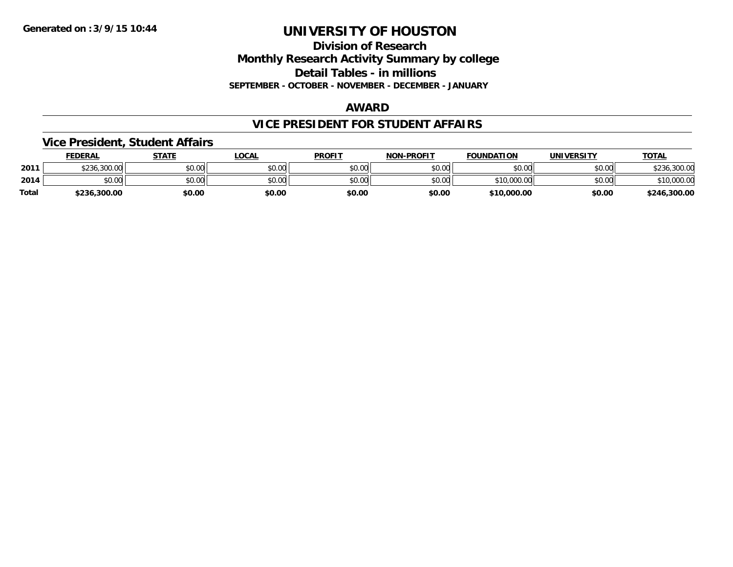**Division of Research Monthly Research Activity Summary by college Detail Tables - in millions SEPTEMBER - OCTOBER - NOVEMBER - DECEMBER - JANUARY**

#### **AWARD**

### **VICE PRESIDENT FOR STUDENT AFFAIRS**

#### **Vice President, Student Affairs**

|       | <b>FEDERAL</b> | STATE  | <u>LOCAL</u> | <b>PROFIT</b> | <b>NON-PROFIT</b> | <b>FOUNDATION</b> | <b>UNIVERSITY</b> | <u>TOTAL</u> |
|-------|----------------|--------|--------------|---------------|-------------------|-------------------|-------------------|--------------|
| 2011  | \$236,300.00   | \$0.00 | \$0.00       | \$0.00        | \$0.00            | \$0.00            | \$0.00            | \$236,300.00 |
| 2014  | ልስ ሰሰ<br>DU.UU | \$0.00 | \$0.00       | \$0.00        | \$0.00            | \$10,000.00       | \$0.00            | \$10,000.00  |
| Total | \$236,300.00   | \$0.00 | \$0.00       | \$0.00        | \$0.00            | \$10,000.00       | \$0.00            | \$246,300.00 |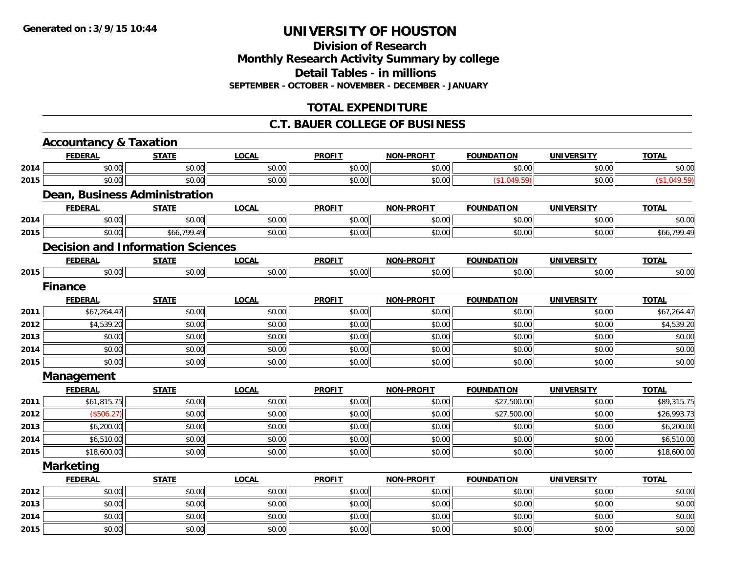**Division of ResearchMonthly Research Activity Summary by college Detail Tables - in millions SEPTEMBER - OCTOBER - NOVEMBER - DECEMBER - JANUARY**

# **TOTAL EXPENDITURE**

#### **C.T. BAUER COLLEGE OF BUSINESS**

|      | <b>Accountancy &amp; Taxation</b>        |              |              |               |                   |                   |                   |              |
|------|------------------------------------------|--------------|--------------|---------------|-------------------|-------------------|-------------------|--------------|
|      | <b>FEDERAL</b>                           | <b>STATE</b> | <b>LOCAL</b> | <b>PROFIT</b> | <b>NON-PROFIT</b> | <b>FOUNDATION</b> | <b>UNIVERSITY</b> | <b>TOTAL</b> |
| 2014 | \$0.00                                   | \$0.00       | \$0.00       | \$0.00        | \$0.00            | \$0.00            | \$0.00            | \$0.00       |
| 2015 | \$0.00                                   | \$0.00       | \$0.00       | \$0.00        | \$0.00            | (\$1,049.59)      | \$0.00            | (\$1,049.59) |
|      | <b>Dean, Business Administration</b>     |              |              |               |                   |                   |                   |              |
|      | <b>FEDERAL</b>                           | <b>STATE</b> | <b>LOCAL</b> | <b>PROFIT</b> | <b>NON-PROFIT</b> | <b>FOUNDATION</b> | <b>UNIVERSITY</b> | <b>TOTAL</b> |
| 2014 | \$0.00                                   | \$0.00       | \$0.00       | \$0.00        | \$0.00            | \$0.00            | \$0.00            | \$0.00       |
| 2015 | \$0.00                                   | \$66,799.49  | \$0.00       | \$0.00        | \$0.00            | \$0.00            | \$0.00            | \$66,799.49  |
|      | <b>Decision and Information Sciences</b> |              |              |               |                   |                   |                   |              |
|      | <b>FEDERAL</b>                           | <b>STATE</b> | <b>LOCAL</b> | <b>PROFIT</b> | <b>NON-PROFIT</b> | <b>FOUNDATION</b> | <b>UNIVERSITY</b> | <b>TOTAL</b> |
| 2015 | \$0.00                                   | \$0.00       | \$0.00       | \$0.00        | \$0.00            | \$0.00            | \$0.00            | \$0.00       |
|      | <b>Finance</b>                           |              |              |               |                   |                   |                   |              |
|      | <b>FEDERAL</b>                           | <b>STATE</b> | <b>LOCAL</b> | <b>PROFIT</b> | <b>NON-PROFIT</b> | <b>FOUNDATION</b> | <b>UNIVERSITY</b> | <b>TOTAL</b> |
| 2011 | \$67,264.47                              | \$0.00       | \$0.00       | \$0.00        | \$0.00            | \$0.00            | \$0.00            | \$67,264.47  |
| 2012 | \$4,539.20                               | \$0.00       | \$0.00       | \$0.00        | \$0.00            | \$0.00            | \$0.00            | \$4,539.20   |
| 2013 | \$0.00                                   | \$0.00       | \$0.00       | \$0.00        | \$0.00            | \$0.00            | \$0.00            | \$0.00       |
| 2014 | \$0.00                                   | \$0.00       | \$0.00       | \$0.00        | \$0.00            | \$0.00            | \$0.00            | \$0.00       |
| 2015 | \$0.00                                   | \$0.00       | \$0.00       | \$0.00        | \$0.00            | \$0.00            | \$0.00            | \$0.00       |
|      | Management                               |              |              |               |                   |                   |                   |              |
|      | <b>FEDERAL</b>                           | <b>STATE</b> | <b>LOCAL</b> | <b>PROFIT</b> | <b>NON-PROFIT</b> | <b>FOUNDATION</b> | <b>UNIVERSITY</b> | <b>TOTAL</b> |
| 2011 | \$61,815.75                              | \$0.00       | \$0.00       | \$0.00        | \$0.00            | \$27,500.00       | \$0.00            | \$89,315.75  |
| 2012 | (\$506.27)                               | \$0.00       | \$0.00       | \$0.00        | \$0.00            | \$27,500.00       | \$0.00            | \$26,993.73  |
| 2013 | \$6,200.00                               | \$0.00       | \$0.00       | \$0.00        | \$0.00            | \$0.00            | \$0.00            | \$6,200.00   |
| 2014 | \$6,510.00                               | \$0.00       | \$0.00       | \$0.00        | \$0.00            | \$0.00            | \$0.00            | \$6,510.00   |
| 2015 | \$18,600.00                              | \$0.00       | \$0.00       | \$0.00        | \$0.00            | \$0.00            | \$0.00            | \$18,600.00  |
|      | <b>Marketing</b>                         |              |              |               |                   |                   |                   |              |
|      | <b>FEDERAL</b>                           | <b>STATE</b> | <b>LOCAL</b> | <b>PROFIT</b> | <b>NON-PROFIT</b> | <b>FOUNDATION</b> | <b>UNIVERSITY</b> | <b>TOTAL</b> |
| 2012 | \$0.00                                   | \$0.00       | \$0.00       | \$0.00        | \$0.00            | \$0.00            | \$0.00            | \$0.00       |
| 2013 | \$0.00                                   | \$0.00       | \$0.00       | \$0.00        | \$0.00            | \$0.00            | \$0.00            | \$0.00       |
| 2014 | \$0.00                                   | \$0.00       | \$0.00       | \$0.00        | \$0.00            | \$0.00            | \$0.00            | \$0.00       |
| 2015 | \$0.00                                   | \$0.00       | \$0.00       | \$0.00        | \$0.00            | \$0.00            | \$0.00            | \$0.00       |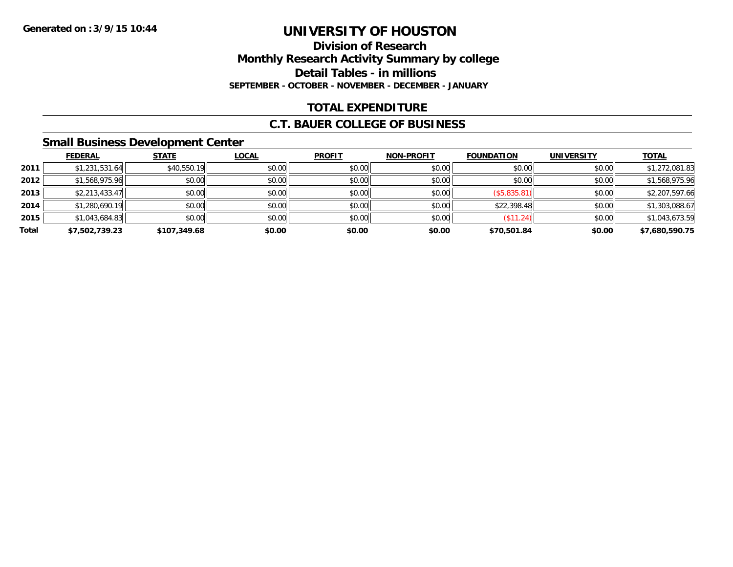# **Division of ResearchMonthly Research Activity Summary by college Detail Tables - in millions SEPTEMBER - OCTOBER - NOVEMBER - DECEMBER - JANUARY**

# **TOTAL EXPENDITURE**

### **C.T. BAUER COLLEGE OF BUSINESS**

### **Small Business Development Center**

|       | <b>FEDERAL</b> | <b>STATE</b> | <u>LOCAL</u> | <b>PROFIT</b> | <b>NON-PROFIT</b> | <b>FOUNDATION</b> | <b>UNIVERSITY</b> | <b>TOTAL</b>   |
|-------|----------------|--------------|--------------|---------------|-------------------|-------------------|-------------------|----------------|
| 2011  | \$1,231,531.64 | \$40,550.19  | \$0.00       | \$0.00        | \$0.00            | \$0.00            | \$0.00            | \$1,272,081.83 |
| 2012  | \$1,568,975.96 | \$0.00       | \$0.00       | \$0.00        | \$0.00            | \$0.00            | \$0.00            | \$1,568,975.96 |
| 2013  | \$2,213,433.47 | \$0.00       | \$0.00       | \$0.00        | \$0.00            | (\$5,835.81)      | \$0.00            | \$2,207,597.66 |
| 2014  | \$1,280,690.19 | \$0.00       | \$0.00       | \$0.00        | \$0.00            | \$22,398.48       | \$0.00            | \$1,303,088.67 |
| 2015  | \$1,043,684.83 | \$0.00       | \$0.00       | \$0.00        | \$0.00            | (S11.24)          | \$0.00            | \$1,043,673.59 |
| Total | \$7,502,739.23 | \$107,349.68 | \$0.00       | \$0.00        | \$0.00            | \$70,501.84       | \$0.00            | \$7,680,590.75 |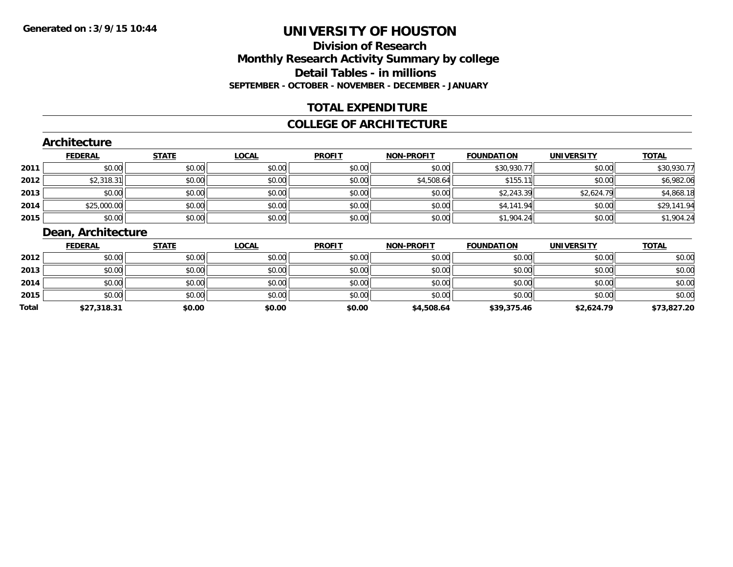# **Division of ResearchMonthly Research Activity Summary by college Detail Tables - in millions SEPTEMBER - OCTOBER - NOVEMBER - DECEMBER - JANUARY**

### **TOTAL EXPENDITURE**

#### **COLLEGE OF ARCHITECTURE**

#### **Architecture**

|      | <b>FEDERAL</b> | <b>STATE</b> | <u>LOCAL</u> | <b>PROFIT</b> | <b>NON-PROFIT</b> | <b>FOUNDATION</b> | <b>UNIVERSITY</b> | <b>TOTAL</b> |
|------|----------------|--------------|--------------|---------------|-------------------|-------------------|-------------------|--------------|
| 2011 | \$0.00         | \$0.00       | \$0.00       | \$0.00        | \$0.00            | \$30,930.77       | \$0.00            | \$30,930.77  |
| 2012 | \$2,318.31     | \$0.00       | \$0.00       | \$0.00        | \$4,508.64        | \$155.<br>11      | \$0.00            | \$6,982.06   |
| 2013 | \$0.00         | \$0.00       | \$0.00       | \$0.00        | \$0.00            | \$2,243.39        | \$2,624.79        | \$4,868.18   |
| 2014 | \$25,000.00    | \$0.00       | \$0.00       | \$0.00        | \$0.00            | \$4,141.94        | \$0.00            | \$29,141.94  |
| 2015 | \$0.00         | \$0.00       | \$0.00       | \$0.00        | \$0.00            | \$1,904.24        | \$0.00            | \$1,904.24   |

# **Dean, Architecture**

|       | <b>FEDERAL</b> | <b>STATE</b> | <u>LOCAL</u> | <b>PROFIT</b> | <b>NON-PROFIT</b> | <b>FOUNDATION</b> | <b>UNIVERSITY</b> | <b>TOTAL</b> |
|-------|----------------|--------------|--------------|---------------|-------------------|-------------------|-------------------|--------------|
| 2012  | \$0.00         | \$0.00       | \$0.00       | \$0.00        | \$0.00            | \$0.00            | \$0.00            | \$0.00       |
| 2013  | \$0.00         | \$0.00       | \$0.00       | \$0.00        | \$0.00            | \$0.00            | \$0.00            | \$0.00       |
| 2014  | \$0.00         | \$0.00       | \$0.00       | \$0.00        | \$0.00            | \$0.00            | \$0.00            | \$0.00       |
| 2015  | \$0.00         | \$0.00       | \$0.00       | \$0.00        | \$0.00            | \$0.00            | \$0.00            | \$0.00       |
| Total | \$27,318.31    | \$0.00       | \$0.00       | \$0.00        | \$4,508.64        | \$39,375.46       | \$2,624.79        | \$73,827.20  |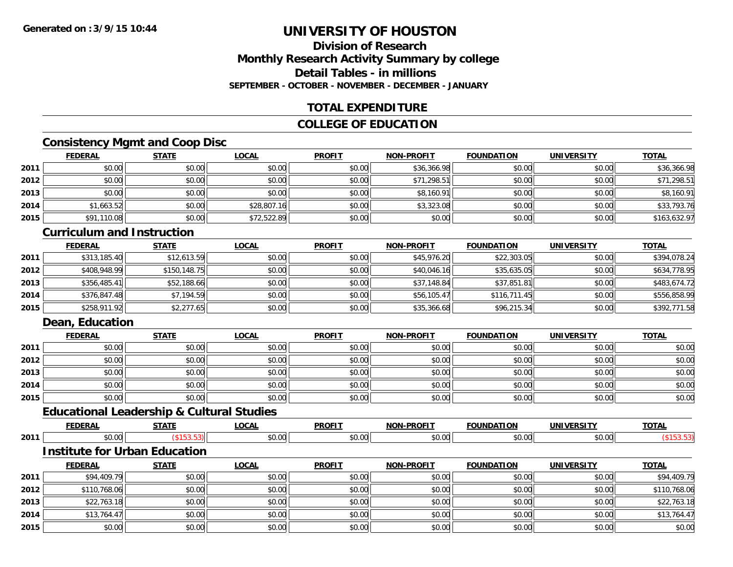### **Division of ResearchMonthly Research Activity Summary by college Detail Tables - in millionsSEPTEMBER - OCTOBER - NOVEMBER - DECEMBER - JANUARY**

# **TOTAL EXPENDITURE**

### **COLLEGE OF EDUCATION**

# **Consistency Mgmt and Coop Disc**

|      | <b>FEDERAL</b> | <b>STATE</b> | <u>LOCAL</u> | <b>PROFIT</b> | <b>NON-PROFIT</b> | <b>FOUNDATION</b> | <b>UNIVERSITY</b> | <b>TOTAL</b> |
|------|----------------|--------------|--------------|---------------|-------------------|-------------------|-------------------|--------------|
| 2011 | \$0.00         | \$0.00       | \$0.00       | \$0.00        | \$36,366.98       | \$0.00            | \$0.00            | \$36,366.98  |
| 2012 | \$0.00         | \$0.00       | \$0.00       | \$0.00        | \$71,298.51       | \$0.00            | \$0.00            | \$71,298.51  |
| 2013 | \$0.00         | \$0.00       | \$0.00       | \$0.00        | \$8,160.91        | \$0.00            | \$0.00            | \$8,160.91   |
| 2014 | \$1,663.52     | \$0.00       | \$28,807.16  | \$0.00        | \$3,323.08        | \$0.00            | \$0.00            | \$33,793.76  |
| 2015 | \$91,110.08    | \$0.00       | \$72,522.89  | \$0.00        | \$0.00            | \$0.00            | \$0.00            | \$163,632.97 |

#### **Curriculum and Instruction**

|      | <b>FEDERAL</b> | <b>STATE</b> | <u>LOCAL</u> | <b>PROFIT</b> | <b>NON-PROFIT</b> | <b>FOUNDATION</b> | <b>UNIVERSITY</b> | <b>TOTAL</b> |
|------|----------------|--------------|--------------|---------------|-------------------|-------------------|-------------------|--------------|
| 2011 | \$313,185.40   | \$12,613.59  | \$0.00       | \$0.00        | \$45,976.20       | \$22,303.05       | \$0.00            | \$394,078.24 |
| 2012 | \$408,948.99   | \$150,148.75 | \$0.00       | \$0.00        | \$40,046.16       | \$35,635.05       | \$0.00            | \$634,778.95 |
| 2013 | \$356,485.41   | \$52,188.66  | \$0.00       | \$0.00        | \$37,148.84       | \$37,851.81       | \$0.00            | \$483,674.72 |
| 2014 | \$376,847.48   | \$7,194.59   | \$0.00       | \$0.00        | \$56,105.47       | \$116,711.45      | \$0.00            | \$556,858.99 |
| 2015 | \$258,911.92   | \$2,277.65   | \$0.00       | \$0.00        | \$35,366.68       | \$96,215.34       | \$0.00            | \$392,771.58 |

# **Dean, Education**

|      | <b>FEDERAL</b> | <b>STATE</b> | <u>LOCAL</u> | <b>PROFIT</b> | <b>NON-PROFIT</b> | <b>FOUNDATION</b> | <b>UNIVERSITY</b> | <b>TOTAL</b> |
|------|----------------|--------------|--------------|---------------|-------------------|-------------------|-------------------|--------------|
| 2011 | \$0.00         | \$0.00       | \$0.00       | \$0.00        | \$0.00            | \$0.00            | \$0.00            | \$0.00       |
| 2012 | \$0.00         | \$0.00       | \$0.00       | \$0.00        | \$0.00            | \$0.00            | \$0.00            | \$0.00       |
| 2013 | \$0.00         | \$0.00       | \$0.00       | \$0.00        | \$0.00            | \$0.00            | \$0.00            | \$0.00       |
| 2014 | \$0.00         | \$0.00       | \$0.00       | \$0.00        | \$0.00            | \$0.00            | \$0.00            | \$0.00       |
| 2015 | \$0.00         | \$0.00       | \$0.00       | \$0.00        | \$0.00            | \$0.00            | \$0.00            | \$0.00       |

# **Educational Leadership & Cultural Studies**

|      |                         | 67871 | 20.8<br>. | <b>PROF'T</b>           | ----<br>ימות           | מרוח<br>1 U F   |       | $-2$ |
|------|-------------------------|-------|-----------|-------------------------|------------------------|-----------------|-------|------|
| 2011 | $\sim$ $\sim$<br>JU.UU  |       | JU.UU     | 0 <sub>n</sub><br>JU.UU | $\sim$ $\sim$<br>⊋∪.∪u | $\mathcal{L}$ . | JU.UU |      |
|      | _ _ _<br>____<br>$\sim$ | ___   |           |                         |                        |                 |       |      |

#### **Institute for Urban Education**

|      | <u>FEDERAL</u> | <b>STATE</b> | <u>LOCAL</u> | <b>PROFIT</b> | <b>NON-PROFIT</b> | <b>FOUNDATION</b> | <b>UNIVERSITY</b> | <b>TOTAL</b> |
|------|----------------|--------------|--------------|---------------|-------------------|-------------------|-------------------|--------------|
| 2011 | \$94,409.79    | \$0.00       | \$0.00       | \$0.00        | \$0.00            | \$0.00            | \$0.00            | \$94,409.79  |
| 2012 | \$110,768.06   | \$0.00       | \$0.00       | \$0.00        | \$0.00            | \$0.00            | \$0.00            | \$110,768.06 |
| 2013 | \$22,763.18    | \$0.00       | \$0.00       | \$0.00        | \$0.00            | \$0.00            | \$0.00            | \$22,763.18  |
| 2014 | \$13,764.47    | \$0.00       | \$0.00       | \$0.00        | \$0.00            | \$0.00            | \$0.00            | \$13,764.47  |
| 2015 | \$0.00         | \$0.00       | \$0.00       | \$0.00        | \$0.00            | \$0.00            | \$0.00            | \$0.00       |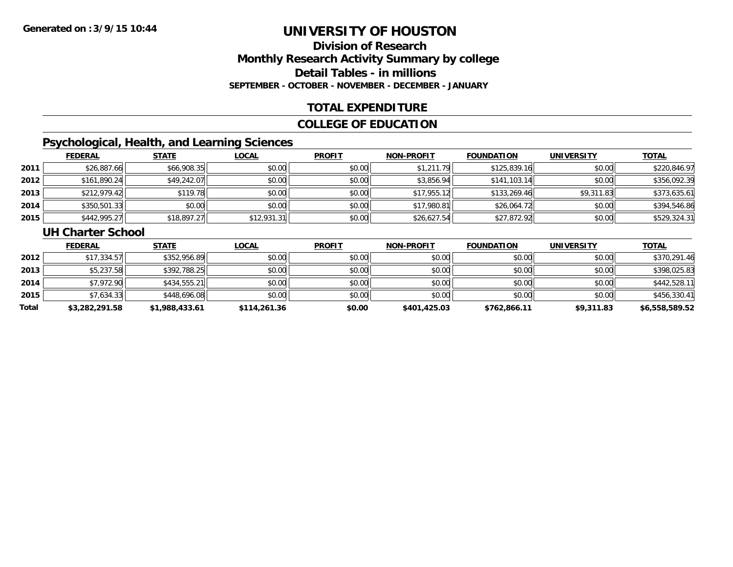# **Division of ResearchMonthly Research Activity Summary by college Detail Tables - in millions SEPTEMBER - OCTOBER - NOVEMBER - DECEMBER - JANUARY**

### **TOTAL EXPENDITURE**

### **COLLEGE OF EDUCATION**

# **Psychological, Health, and Learning Sciences**

|      | <b>FEDERAL</b> | <b>STATE</b> | <b>LOCAL</b> | <b>PROFIT</b> | <b>NON-PROFIT</b> | <b>FOUNDATION</b> | <b>UNIVERSITY</b> | <u>TOTAL</u> |
|------|----------------|--------------|--------------|---------------|-------------------|-------------------|-------------------|--------------|
| 2011 | \$26,887.66    | \$66,908.35  | \$0.00       | \$0.00        | \$1,211.79        | \$125,839.16      | \$0.00            | \$220,846.97 |
| 2012 | \$161,890.24   | \$49,242.07  | \$0.00       | \$0.00        | \$3,856.94        | \$141,103.14      | \$0.00            | \$356,092.39 |
| 2013 | \$212,979.42   | \$119.78     | \$0.00       | \$0.00        | \$17,955.12       | \$133,269.46      | \$9,311.83        | \$373,635.61 |
| 2014 | \$350,501.33   | \$0.00       | \$0.00       | \$0.00        | \$17,980.81       | \$26,064.72       | \$0.00            | \$394,546.86 |
| 2015 | \$442,995.27   | \$18,897.27  | \$12,931.31  | \$0.00        | \$26,627.54       | \$27,872.92       | \$0.00            | \$529,324.31 |

#### **UH Charter School**

|       | <b>FEDERAL</b> | <b>STATE</b>   | <u>LOCAL</u> | <b>PROFIT</b> | <b>NON-PROFIT</b> | <b>FOUNDATION</b> | <b>UNIVERSITY</b> | <b>TOTAL</b>   |
|-------|----------------|----------------|--------------|---------------|-------------------|-------------------|-------------------|----------------|
| 2012  | \$17,334.57    | \$352,956.89   | \$0.00       | \$0.00        | \$0.00            | \$0.00            | \$0.00            | \$370,291.46   |
| 2013  | \$5,237.58     | \$392,788.25   | \$0.00       | \$0.00        | \$0.00            | \$0.00            | \$0.00            | \$398,025.83   |
| 2014  | \$7,972.90     | \$434,555.21   | \$0.00       | \$0.00        | \$0.00            | \$0.00            | \$0.00            | \$442,528.11   |
| 2015  | \$7,634.33     | \$448,696.08   | \$0.00       | \$0.00        | \$0.00            | \$0.00            | \$0.00            | \$456,330.41   |
| Total | \$3,282,291.58 | \$1,988,433.61 | \$114,261.36 | \$0.00        | \$401,425.03      | \$762,866.11      | \$9,311.83        | \$6,558,589.52 |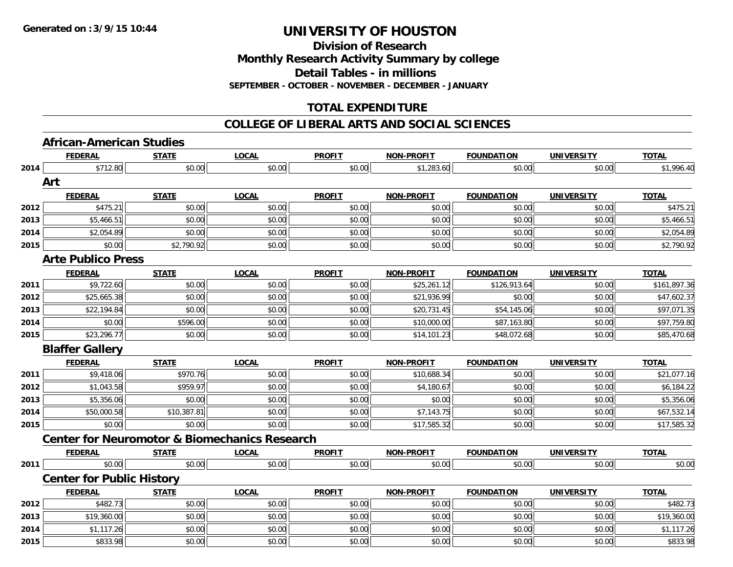**Division of Research**

**Monthly Research Activity Summary by college**

**Detail Tables - in millions**

**SEPTEMBER - OCTOBER - NOVEMBER - DECEMBER - JANUARY**

# **TOTAL EXPENDITURE**

#### **COLLEGE OF LIBERAL ARTS AND SOCIAL SCIENCES**

# **African-American Studies**

|              | <b>FEDERAL</b>                                           | <b>STATE</b> | <b>LOCAL</b> | <b>PROFIT</b> | NON-PROFIT        | <b>FOUNDATION</b> | <b>UNIVERSITY</b> | <b>TOTAL</b> |
|--------------|----------------------------------------------------------|--------------|--------------|---------------|-------------------|-------------------|-------------------|--------------|
| 2014         | \$712.80                                                 | \$0.00       | \$0.00       | \$0.00        | \$1,283.60        | \$0.00            | \$0.00            | \$1,996.40   |
|              | Art                                                      |              |              |               |                   |                   |                   |              |
|              | <b>FEDERAL</b>                                           | <b>STATE</b> | <b>LOCAL</b> | <b>PROFIT</b> | <b>NON-PROFIT</b> | <b>FOUNDATION</b> | <b>UNIVERSITY</b> | <b>TOTAL</b> |
| 2012         | \$475.21                                                 | \$0.00       | \$0.00       | \$0.00        | \$0.00            | \$0.00            | \$0.00            | \$475.21     |
| 2013         | \$5,466.51                                               | \$0.00       | \$0.00       | \$0.00        | \$0.00            | \$0.00            | \$0.00            | \$5,466.51   |
| 2014         | \$2,054.89                                               | \$0.00       | \$0.00       | \$0.00        | \$0.00            | \$0.00            | \$0.00            | \$2,054.89   |
| 2015         | \$0.00                                                   | \$2,790.92   | \$0.00       | \$0.00        | \$0.00            | \$0.00            | \$0.00            | \$2,790.92   |
|              | <b>Arte Publico Press</b>                                |              |              |               |                   |                   |                   |              |
|              | <b>FEDERAL</b>                                           | <b>STATE</b> | <b>LOCAL</b> | <b>PROFIT</b> | <b>NON-PROFIT</b> | <b>FOUNDATION</b> | <b>UNIVERSITY</b> | <b>TOTAL</b> |
| 2011         | \$9,722.60                                               | \$0.00       | \$0.00       | \$0.00        | \$25,261.12       | \$126,913.64      | \$0.00            | \$161,897.36 |
| 2012         | \$25,665.38                                              | \$0.00       | \$0.00       | \$0.00        | \$21,936.99       | \$0.00            | \$0.00            | \$47,602.37  |
| 2013         | \$22,194.84                                              | \$0.00       | \$0.00       | \$0.00        | \$20,731.45       | \$54,145.06       | \$0.00            | \$97,071.35  |
| 2014         | \$0.00                                                   | \$596.00     | \$0.00       | \$0.00        | \$10,000.00       | \$87,163.80       | \$0.00            | \$97,759.80  |
| 2015         | \$23,296.77                                              | \$0.00       | \$0.00       | \$0.00        | \$14,101.23       | \$48,072.68       | \$0.00            | \$85,470.68  |
|              | <b>Blaffer Gallery</b>                                   |              |              |               |                   |                   |                   |              |
|              | <b>FEDERAL</b>                                           | <b>STATE</b> | <b>LOCAL</b> | <b>PROFIT</b> | <b>NON-PROFIT</b> | <b>FOUNDATION</b> | <b>UNIVERSITY</b> | <b>TOTAL</b> |
| 2011         | \$9,418.06                                               | \$970.76     | \$0.00       | \$0.00        | \$10,688.34       | \$0.00            | \$0.00            | \$21,077.16  |
| 2012         | \$1,043.58                                               | \$959.97     | \$0.00       | \$0.00        | \$4,180.67        | \$0.00            | \$0.00            | \$6,184.22   |
| 2013         | \$5,356.06                                               | \$0.00       | \$0.00       | \$0.00        | \$0.00            | \$0.00            | \$0.00            | \$5,356.06   |
| 2014         | \$50,000.58                                              | \$10,387.81  | \$0.00       | \$0.00        | \$7,143.75        | \$0.00            | \$0.00            | \$67,532.14  |
| 2015         | \$0.00                                                   | \$0.00       | \$0.00       | \$0.00        | \$17,585.32       | \$0.00            | \$0.00            | \$17,585.32  |
|              | <b>Center for Neuromotor &amp; Biomechanics Research</b> |              |              |               |                   |                   |                   |              |
|              | <b>FEDERAL</b>                                           | <b>STATE</b> | <b>LOCAL</b> | <b>PROFIT</b> | <b>NON-PROFIT</b> | <b>FOUNDATION</b> | <b>UNIVERSITY</b> | <b>TOTAL</b> |
| 2011         | \$0.00                                                   | \$0.00       | \$0.00       | \$0.00        | \$0.00            | \$0.00            | \$0.00            | \$0.00       |
|              | <b>Center for Public History</b>                         |              |              |               |                   |                   |                   |              |
|              |                                                          |              |              |               |                   |                   |                   |              |
|              | <b>FEDERAL</b>                                           | <b>STATE</b> | <b>LOCAL</b> | <b>PROFIT</b> | <b>NON-PROFIT</b> | <b>FOUNDATION</b> | <b>UNIVERSITY</b> | <b>TOTAL</b> |
| 2012         | \$482.73                                                 | \$0.00       | \$0.00       | \$0.00        | \$0.00            | \$0.00            | \$0.00            | \$482.73     |
|              | \$19,360.00                                              | \$0.00       | \$0.00       | \$0.00        | \$0.00            | \$0.00            | \$0.00            | \$19,360.00  |
| 2013<br>2014 | \$1,117.26                                               | \$0.00       | \$0.00       | \$0.00        | \$0.00            | \$0.00            | \$0.00            | \$1,117.26   |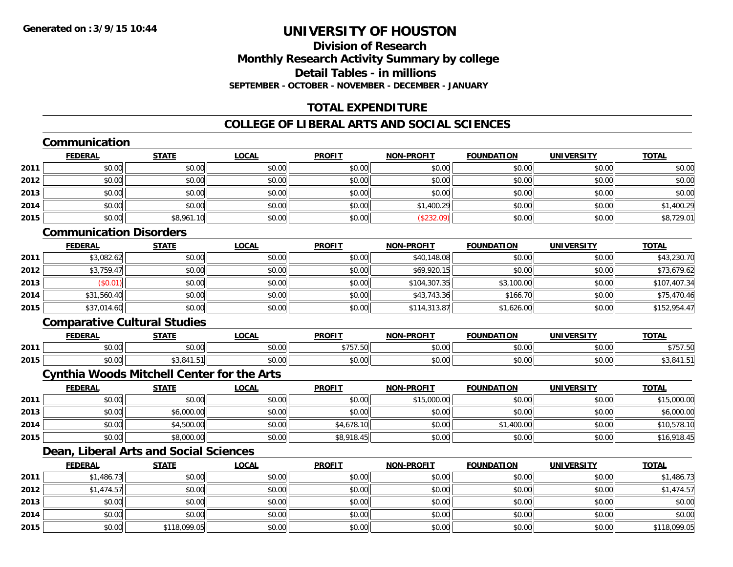# **Division of ResearchMonthly Research Activity Summary by college Detail Tables - in millionsSEPTEMBER - OCTOBER - NOVEMBER - DECEMBER - JANUARY**

# **TOTAL EXPENDITURE**

# **COLLEGE OF LIBERAL ARTS AND SOCIAL SCIENCES**

# **Communication**

|      | <b>FEDERAL</b> | <b>STATE</b> | <u>LOCAL</u> | <b>PROFIT</b> | <b>NON-PROFIT</b> | <b>FOUNDATION</b> | <b>UNIVERSITY</b> | <b>TOTAL</b> |
|------|----------------|--------------|--------------|---------------|-------------------|-------------------|-------------------|--------------|
| 2011 | \$0.00         | \$0.00       | \$0.00       | \$0.00        | \$0.00            | \$0.00            | \$0.00            | \$0.00       |
| 2012 | \$0.00         | \$0.00       | \$0.00       | \$0.00        | \$0.00            | \$0.00            | \$0.00            | \$0.00       |
| 2013 | \$0.00         | \$0.00       | \$0.00       | \$0.00        | \$0.00            | \$0.00            | \$0.00            | \$0.00       |
| 2014 | \$0.00         | \$0.00       | \$0.00       | \$0.00        | \$1,400.29        | \$0.00            | \$0.00            | \$1,400.29   |
| 2015 | \$0.00         | \$8,961.10   | \$0.00       | \$0.00        | (\$232.09         | \$0.00            | \$0.00            | \$8,729.01   |

### **Communication Disorders**

|      | <b>FEDERAL</b> | <b>STATE</b> | <b>LOCAL</b> | <b>PROFIT</b> | <b>NON-PROFIT</b> | <b>FOUNDATION</b> | <b>UNIVERSITY</b> | <b>TOTAL</b> |
|------|----------------|--------------|--------------|---------------|-------------------|-------------------|-------------------|--------------|
| 2011 | \$3,082.62     | \$0.00       | \$0.00       | \$0.00        | \$40,148.08       | \$0.00            | \$0.00            | \$43,230.70  |
| 2012 | \$3,759.47     | \$0.00       | \$0.00       | \$0.00        | \$69,920.15       | \$0.00            | \$0.00            | \$73,679.62  |
| 2013 | \$0.01)        | \$0.00       | \$0.00       | \$0.00        | \$104,307.35      | \$3,100.00        | \$0.00            | \$107,407.34 |
| 2014 | \$31,560.40    | \$0.00       | \$0.00       | \$0.00        | \$43,743.36       | \$166.70          | \$0.00            | \$75,470.46  |
| 2015 | \$37,014.60    | \$0.00       | \$0.00       | \$0.00        | \$114,313.87      | \$1,626.00        | \$0.00            | \$152,954.47 |

### **Comparative Cultural Studies**

|      | <b>FEDERAI</b> | <b>CTATI</b><br>,,,,,  | .OCAI                                      | <b>PROFIT</b>                          | -PROFIT<br><b>MAN</b>                                  | <b>FOLINDAT</b><br>ΓΙΟΝ | <b>UNIVERSITY</b>    | <b>TOTAL</b>      |
|------|----------------|------------------------|--------------------------------------------|----------------------------------------|--------------------------------------------------------|-------------------------|----------------------|-------------------|
| 2011 | 0000<br>pv.uu  | $\sim$ $\sim$<br>vu.uu | $\mathsf{A} \cap \mathsf{A} \cap$<br>vu.vu | ATFTFA<br>، ب ر<br>$\cdot \cdot \cdot$ | $\mathsf{A} \cap \mathsf{A} \cap \mathsf{A}$<br>\$U.UC | \$0.00                  | 0000<br>JU.UU        | $+ - - -$<br>,,,, |
| 2015 | 0000<br>pu.uu  | 0.11<br>r.51II         | $\sim$ 00<br>PO.OO                         | \$0.00                                 | \$0.00                                                 | \$0.00                  | ስ ሰሰ<br><b>JU.UU</b> | ∸0,ںپ             |

### **Cynthia Woods Mitchell Center for the Arts**

|      | <u>FEDERAL</u> | <u>STATE</u> | <b>LOCAL</b> | <b>PROFIT</b> | <b>NON-PROFIT</b> | <b>FOUNDATION</b> | <b>UNIVERSITY</b> | <b>TOTAL</b> |
|------|----------------|--------------|--------------|---------------|-------------------|-------------------|-------------------|--------------|
| 2011 | \$0.00         | \$0.00       | \$0.00       | \$0.00        | \$15,000.00       | \$0.00            | \$0.00            | \$15,000.00  |
| 2013 | \$0.00         | \$6,000.00   | \$0.00       | \$0.00        | \$0.00            | \$0.00            | \$0.00            | \$6,000.00   |
| 2014 | \$0.00         | \$4,500.00   | \$0.00       | \$4,678.10    | \$0.00            | \$1,400.00        | \$0.00            | \$10,578.10  |
| 2015 | \$0.00         | \$8,000.00   | \$0.00       | \$8,918.45    | \$0.00            | \$0.00            | \$0.00            | \$16,918.45  |

# **Dean, Liberal Arts and Social Sciences**

|      | <b>FEDERAL</b> | <b>STATE</b> | <b>LOCAL</b> | <b>PROFIT</b> | <b>NON-PROFIT</b> | <b>FOUNDATION</b> | <b>UNIVERSITY</b> | <b>TOTAL</b> |
|------|----------------|--------------|--------------|---------------|-------------------|-------------------|-------------------|--------------|
| 2011 | \$1,486.73     | \$0.00       | \$0.00       | \$0.00        | \$0.00            | \$0.00            | \$0.00            | \$1,486.73   |
| 2012 | \$1,474.57     | \$0.00       | \$0.00       | \$0.00        | \$0.00            | \$0.00            | \$0.00            | \$1,474.57   |
| 2013 | \$0.00         | \$0.00       | \$0.00       | \$0.00        | \$0.00            | \$0.00            | \$0.00            | \$0.00       |
| 2014 | \$0.00         | \$0.00       | \$0.00       | \$0.00        | \$0.00            | \$0.00            | \$0.00            | \$0.00       |
| 2015 | \$0.00         | \$118,099.05 | \$0.00       | \$0.00        | \$0.00            | \$0.00            | \$0.00            | \$118,099.05 |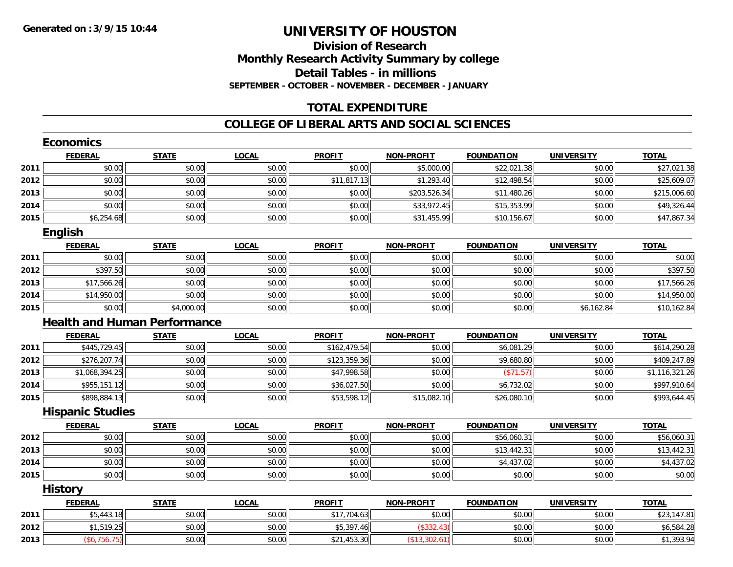# **Division of ResearchMonthly Research Activity Summary by college Detail Tables - in millions SEPTEMBER - OCTOBER - NOVEMBER - DECEMBER - JANUARY**

# **TOTAL EXPENDITURE**

#### **COLLEGE OF LIBERAL ARTS AND SOCIAL SCIENCES**

|      | <b>Economics</b>                    |              |              |               |                   |                   |                   |                |
|------|-------------------------------------|--------------|--------------|---------------|-------------------|-------------------|-------------------|----------------|
|      | <b>FEDERAL</b>                      | <b>STATE</b> | <b>LOCAL</b> | <b>PROFIT</b> | <b>NON-PROFIT</b> | <b>FOUNDATION</b> | <b>UNIVERSITY</b> | <b>TOTAL</b>   |
| 2011 | \$0.00                              | \$0.00       | \$0.00       | \$0.00        | \$5,000.00        | \$22,021.38       | \$0.00            | \$27,021.38    |
| 2012 | \$0.00                              | \$0.00       | \$0.00       | \$11,817.13   | \$1,293.40        | \$12,498.54       | \$0.00            | \$25,609.07    |
| 2013 | \$0.00                              | \$0.00       | \$0.00       | \$0.00        | \$203,526.34      | \$11,480.26       | \$0.00            | \$215,006.60   |
| 2014 | \$0.00                              | \$0.00       | \$0.00       | \$0.00        | \$33,972.45       | \$15,353.99       | \$0.00            | \$49,326.44    |
| 2015 | \$6,254.68                          | \$0.00       | \$0.00       | \$0.00        | \$31,455.99       | \$10,156.67       | \$0.00            | \$47,867.34    |
|      | <b>English</b>                      |              |              |               |                   |                   |                   |                |
|      | <b>FEDERAL</b>                      | <b>STATE</b> | <b>LOCAL</b> | <b>PROFIT</b> | <b>NON-PROFIT</b> | <b>FOUNDATION</b> | <b>UNIVERSITY</b> | <b>TOTAL</b>   |
| 2011 | \$0.00                              | \$0.00       | \$0.00       | \$0.00        | \$0.00            | \$0.00            | \$0.00            | \$0.00         |
| 2012 | \$397.50                            | \$0.00       | \$0.00       | \$0.00        | \$0.00            | \$0.00            | \$0.00            | \$397.50       |
| 2013 | \$17,566.26                         | \$0.00       | \$0.00       | \$0.00        | \$0.00            | \$0.00            | \$0.00            | \$17,566.26    |
| 2014 | \$14,950.00                         | \$0.00       | \$0.00       | \$0.00        | \$0.00            | \$0.00            | \$0.00            | \$14,950.00    |
| 2015 | \$0.00                              | \$4,000.00   | \$0.00       | \$0.00        | \$0.00            | \$0.00            | \$6,162.84        | \$10,162.84    |
|      | <b>Health and Human Performance</b> |              |              |               |                   |                   |                   |                |
|      | <b>FEDERAL</b>                      | <b>STATE</b> | <b>LOCAL</b> | <b>PROFIT</b> | <b>NON-PROFIT</b> | <b>FOUNDATION</b> | <b>UNIVERSITY</b> | <b>TOTAL</b>   |
| 2011 | \$445,729.45                        | \$0.00       | \$0.00       | \$162,479.54  | \$0.00            | \$6,081.29        | \$0.00            | \$614,290.28   |
| 2012 | \$276,207.74                        | \$0.00       | \$0.00       | \$123,359.36  | \$0.00            | \$9,680.80        | \$0.00            | \$409,247.89   |
| 2013 | \$1,068,394.25                      | \$0.00       | \$0.00       | \$47,998.58   | \$0.00            | (\$71.57)         | \$0.00            | \$1,116,321.26 |
| 2014 | \$955,151.12                        | \$0.00       | \$0.00       | \$36,027.50   | \$0.00            | \$6,732.02        | \$0.00            | \$997,910.64   |
| 2015 | \$898,884.13                        | \$0.00       | \$0.00       | \$53,598.12   | \$15,082.10       | \$26,080.10       | \$0.00            | \$993,644.45   |
|      | <b>Hispanic Studies</b>             |              |              |               |                   |                   |                   |                |
|      | <b>FEDERAL</b>                      | <b>STATE</b> | <b>LOCAL</b> | <b>PROFIT</b> | NON-PROFIT        | <b>FOUNDATION</b> | <b>UNIVERSITY</b> | <b>TOTAL</b>   |
| 2012 | \$0.00                              | \$0.00       | \$0.00       | \$0.00        | \$0.00            | \$56,060.31       | \$0.00            | \$56,060.31    |
| 2013 | \$0.00                              | \$0.00       | \$0.00       | \$0.00        | \$0.00            | \$13,442.31       | \$0.00            | \$13,442.31    |
| 2014 | \$0.00                              | \$0.00       | \$0.00       | \$0.00        | \$0.00            | \$4,437.02        | \$0.00            | \$4,437.02     |
| 2015 | \$0.00                              | \$0.00       | \$0.00       | \$0.00        | \$0.00            | \$0.00            | \$0.00            | \$0.00         |
|      | <b>History</b>                      |              |              |               |                   |                   |                   |                |
|      | <b>FEDERAL</b>                      | <b>STATE</b> | <b>LOCAL</b> | <b>PROFIT</b> | <b>NON-PROFIT</b> | <b>FOUNDATION</b> | <b>UNIVERSITY</b> | <b>TOTAL</b>   |
| 2011 | \$5,443.18                          | \$0.00       | \$0.00       | \$17,704.63   | \$0.00            | \$0.00            | \$0.00            | \$23,147.81    |
| 2012 | \$1,519.25                          | \$0.00       | \$0.00       | \$5,397.46    | (\$332.43)        | \$0.00            | \$0.00            | \$6,584.28     |
| 2013 | (\$6,756.75)                        | \$0.00       | \$0.00       | \$21,453.30   | (\$13,302.61)     | \$0.00            | \$0.00            | \$1,393.94     |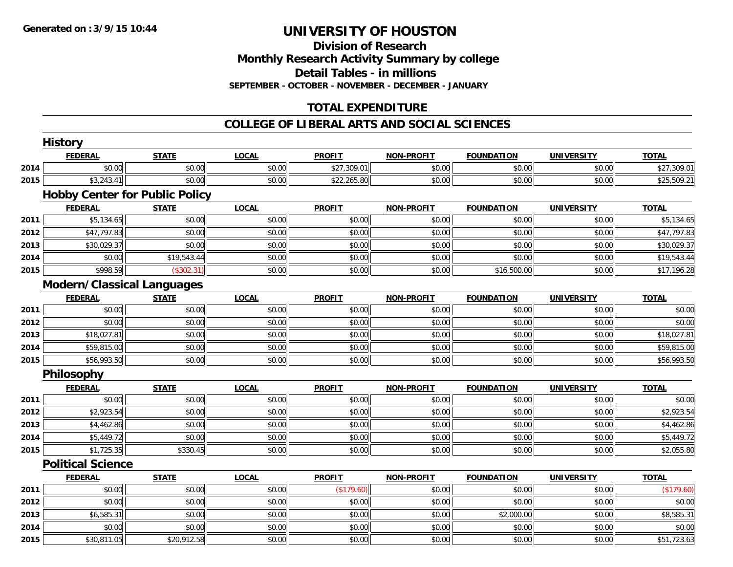**Division of Research Monthly Research Activity Summary by college Detail Tables - in millions SEPTEMBER - OCTOBER - NOVEMBER - DECEMBER - JANUARY**

# **TOTAL EXPENDITURE**

#### **COLLEGE OF LIBERAL ARTS AND SOCIAL SCIENCES**

|      | <b>History</b>                        |              |              |               |                   |                   |                   |              |
|------|---------------------------------------|--------------|--------------|---------------|-------------------|-------------------|-------------------|--------------|
|      | <b>FEDERAL</b>                        | <b>STATE</b> | <b>LOCAL</b> | <b>PROFIT</b> | <b>NON-PROFIT</b> | <b>FOUNDATION</b> | <b>UNIVERSITY</b> | <b>TOTAL</b> |
| 2014 | \$0.00                                | \$0.00       | \$0.00       | \$27,309.01   | \$0.00            | \$0.00            | \$0.00            | \$27,309.01  |
| 2015 | \$3,243.41                            | \$0.00       | \$0.00       | \$22,265.80   | \$0.00            | \$0.00            | \$0.00            | \$25,509.21  |
|      | <b>Hobby Center for Public Policy</b> |              |              |               |                   |                   |                   |              |
|      | <b>FEDERAL</b>                        | <b>STATE</b> | <b>LOCAL</b> | <b>PROFIT</b> | <b>NON-PROFIT</b> | <b>FOUNDATION</b> | <b>UNIVERSITY</b> | <b>TOTAL</b> |
| 2011 | \$5,134.65                            | \$0.00       | \$0.00       | \$0.00        | \$0.00            | \$0.00            | \$0.00            | \$5,134.65   |
| 2012 | \$47,797.83                           | \$0.00       | \$0.00       | \$0.00        | \$0.00            | \$0.00            | \$0.00            | \$47,797.83  |
| 2013 | \$30,029.37                           | \$0.00       | \$0.00       | \$0.00        | \$0.00            | \$0.00            | \$0.00            | \$30,029.37  |
| 2014 | \$0.00                                | \$19,543.44  | \$0.00       | \$0.00        | \$0.00            | \$0.00            | \$0.00            | \$19,543.44  |
| 2015 | \$998.59                              | (\$302.31)   | \$0.00       | \$0.00        | \$0.00            | \$16,500.00       | \$0.00            | \$17,196.28  |
|      | <b>Modern/Classical Languages</b>     |              |              |               |                   |                   |                   |              |
|      | <b>FEDERAL</b>                        | <b>STATE</b> | <b>LOCAL</b> | <b>PROFIT</b> | <b>NON-PROFIT</b> | <b>FOUNDATION</b> | <b>UNIVERSITY</b> | <b>TOTAL</b> |
| 2011 | \$0.00                                | \$0.00       | \$0.00       | \$0.00        | \$0.00            | \$0.00            | \$0.00            | \$0.00       |
| 2012 | \$0.00                                | \$0.00       | \$0.00       | \$0.00        | \$0.00            | \$0.00            | \$0.00            | \$0.00       |
| 2013 | \$18,027.81                           | \$0.00       | \$0.00       | \$0.00        | \$0.00            | \$0.00            | \$0.00            | \$18,027.81  |
| 2014 | \$59,815.00                           | \$0.00       | \$0.00       | \$0.00        | \$0.00            | \$0.00            | \$0.00            | \$59,815.00  |
| 2015 | \$56,993.50                           | \$0.00       | \$0.00       | \$0.00        | \$0.00            | \$0.00            | \$0.00            | \$56,993.50  |
|      | Philosophy                            |              |              |               |                   |                   |                   |              |
|      | <b>FEDERAL</b>                        | <b>STATE</b> | <b>LOCAL</b> | <b>PROFIT</b> | <b>NON-PROFIT</b> | <b>FOUNDATION</b> | <b>UNIVERSITY</b> | <b>TOTAL</b> |
| 2011 | \$0.00                                | \$0.00       | \$0.00       | \$0.00        | \$0.00            | \$0.00            | \$0.00            | \$0.00       |
| 2012 | \$2,923.54                            | \$0.00       | \$0.00       | \$0.00        | \$0.00            | \$0.00            | \$0.00            | \$2,923.54   |
| 2013 | \$4,462.86                            | \$0.00       | \$0.00       | \$0.00        | \$0.00            | \$0.00            | \$0.00            | \$4,462.86   |
| 2014 | \$5,449.72                            | \$0.00       | \$0.00       | \$0.00        | \$0.00            | \$0.00            | \$0.00            | \$5,449.72   |
| 2015 | \$1,725.35                            | \$330.45     | \$0.00       | \$0.00        | \$0.00            | \$0.00            | \$0.00            | \$2,055.80   |
|      | <b>Political Science</b>              |              |              |               |                   |                   |                   |              |
|      | <b>FEDERAL</b>                        | <b>STATE</b> | <b>LOCAL</b> | <b>PROFIT</b> | <b>NON-PROFIT</b> | <b>FOUNDATION</b> | <b>UNIVERSITY</b> | <b>TOTAL</b> |
| 2011 | \$0.00                                | \$0.00       | \$0.00       | (\$179.60)    | \$0.00            | \$0.00            | \$0.00            | (\$179.60)   |
| 2012 | \$0.00                                | \$0.00       | \$0.00       | \$0.00        | \$0.00            | \$0.00            | \$0.00            | \$0.00       |
| 2013 | \$6,585.31                            | \$0.00       | \$0.00       | \$0.00        | \$0.00            | \$2,000.00        | \$0.00            | \$8,585.31   |
| 2014 | \$0.00                                | \$0.00       | \$0.00       | \$0.00        | \$0.00            | \$0.00            | \$0.00            | \$0.00       |
| 2015 | \$30,811.05                           | \$20,912.58  | \$0.00       | \$0.00        | \$0.00            | \$0.00            | \$0.00            | \$51,723.63  |
|      |                                       |              |              |               |                   |                   |                   |              |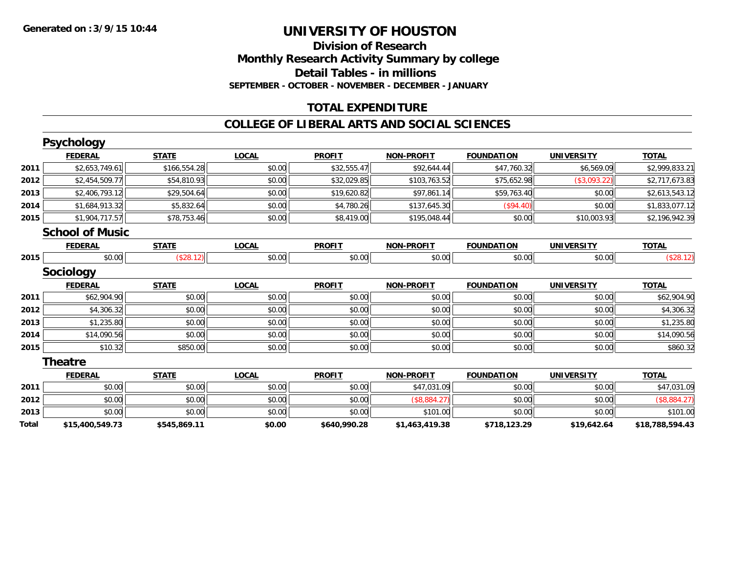**Division of Research Monthly Research Activity Summary by college Detail Tables - in millions SEPTEMBER - OCTOBER - NOVEMBER - DECEMBER - JANUARY**

### **TOTAL EXPENDITURE**

#### **COLLEGE OF LIBERAL ARTS AND SOCIAL SCIENCES**

|       | <b>Psychology</b>      |              |              |               |                   |                   |                   |                 |
|-------|------------------------|--------------|--------------|---------------|-------------------|-------------------|-------------------|-----------------|
|       | <b>FEDERAL</b>         | <b>STATE</b> | <b>LOCAL</b> | <b>PROFIT</b> | <b>NON-PROFIT</b> | <b>FOUNDATION</b> | <b>UNIVERSITY</b> | <b>TOTAL</b>    |
| 2011  | \$2,653,749.61         | \$166,554.28 | \$0.00       | \$32,555.47   | \$92,644.44       | \$47,760.32       | \$6,569.09        | \$2,999,833.21  |
| 2012  | \$2,454,509.77         | \$54,810.93  | \$0.00       | \$32,029.85   | \$103,763.52      | \$75,652.98       | (\$3,093.22)      | \$2,717,673.83  |
| 2013  | \$2,406,793.12         | \$29,504.64  | \$0.00       | \$19,620.82   | \$97,861.14       | \$59,763.40       | \$0.00            | \$2,613,543.12  |
| 2014  | \$1,684,913.32         | \$5,832.64   | \$0.00       | \$4,780.26    | \$137,645.30      | (\$94.40)         | \$0.00            | \$1,833,077.12  |
| 2015  | \$1,904,717.57         | \$78,753.46  | \$0.00       | \$8,419.00    | \$195,048.44      | \$0.00            | \$10,003.93       | \$2,196,942.39  |
|       | <b>School of Music</b> |              |              |               |                   |                   |                   |                 |
|       | <b>FEDERAL</b>         | <b>STATE</b> | <b>LOCAL</b> | <b>PROFIT</b> | <b>NON-PROFIT</b> | <b>FOUNDATION</b> | <b>UNIVERSITY</b> | <b>TOTAL</b>    |
| 2015  | \$0.00                 | (\$28.12)    | \$0.00       | \$0.00        | \$0.00            | \$0.00            | \$0.00            | (\$28.12)       |
|       | Sociology              |              |              |               |                   |                   |                   |                 |
|       | <b>FEDERAL</b>         | <b>STATE</b> | <b>LOCAL</b> | <b>PROFIT</b> | <b>NON-PROFIT</b> | <b>FOUNDATION</b> | <b>UNIVERSITY</b> | <b>TOTAL</b>    |
| 2011  | \$62,904.90            | \$0.00       | \$0.00       | \$0.00        | \$0.00            | \$0.00            | \$0.00            | \$62,904.90     |
| 2012  | \$4,306.32             | \$0.00       | \$0.00       | \$0.00        | \$0.00            | \$0.00            | \$0.00            | \$4,306.32      |
| 2013  | \$1,235.80             | \$0.00       | \$0.00       | \$0.00        | \$0.00            | \$0.00            | \$0.00            | \$1,235.80      |
| 2014  | \$14,090.56            | \$0.00       | \$0.00       | \$0.00        | \$0.00            | \$0.00            | \$0.00            | \$14,090.56     |
| 2015  | \$10.32                | \$850.00     | \$0.00       | \$0.00        | \$0.00            | \$0.00            | \$0.00            | \$860.32        |
|       | <b>Theatre</b>         |              |              |               |                   |                   |                   |                 |
|       | <b>FEDERAL</b>         | <b>STATE</b> | <b>LOCAL</b> | <b>PROFIT</b> | <b>NON-PROFIT</b> | <b>FOUNDATION</b> | <b>UNIVERSITY</b> | <b>TOTAL</b>    |
| 2011  | \$0.00                 | \$0.00       | \$0.00       | \$0.00        | \$47,031.09       | \$0.00            | \$0.00            | \$47,031.09     |
| 2012  | \$0.00                 | \$0.00       | \$0.00       | \$0.00        | (\$8,884.27)      | \$0.00            | \$0.00            | (\$8,884.27)    |
| 2013  | \$0.00                 | \$0.00       | \$0.00       | \$0.00        | \$101.00          | \$0.00            | \$0.00            | \$101.00        |
| Total | \$15,400,549.73        | \$545,869.11 | \$0.00       | \$640,990.28  | \$1,463,419.38    | \$718,123.29      | \$19,642.64       | \$18,788,594.43 |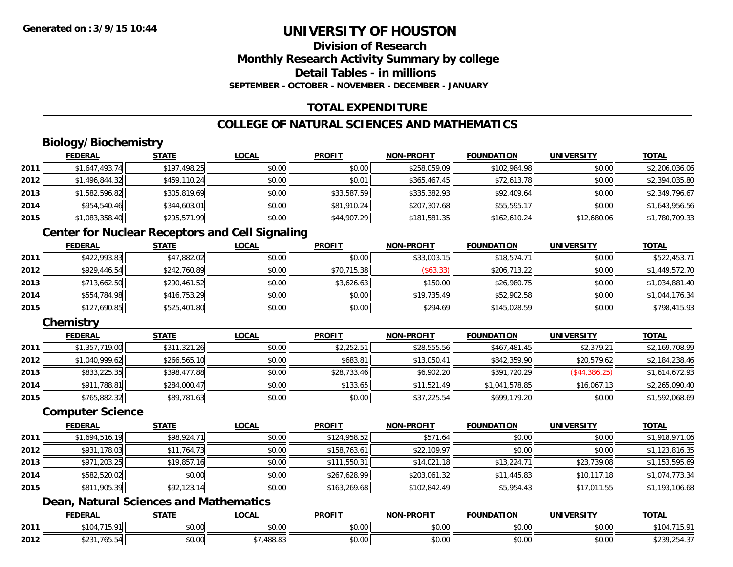# **Division of ResearchMonthly Research Activity Summary by college Detail Tables - in millionsSEPTEMBER - OCTOBER - NOVEMBER - DECEMBER - JANUARY**

# **TOTAL EXPENDITURE**

# **COLLEGE OF NATURAL SCIENCES AND MATHEMATICS**

# **Biology/Biochemistry**

|      | <b>FEDERAL</b> | <b>STATE</b> | <u>LOCAL</u> | <b>PROFIT</b> | <b>NON-PROFIT</b> | <b>FOUNDATION</b> | <b>UNIVERSITY</b> | <b>TOTAL</b>   |
|------|----------------|--------------|--------------|---------------|-------------------|-------------------|-------------------|----------------|
| 2011 | \$1,647,493.74 | \$197,498.25 | \$0.00       | \$0.00        | \$258,059.09      | \$102,984.98      | \$0.00            | \$2,206,036.06 |
| 2012 | \$1,496,844.32 | \$459,110.24 | \$0.00       | \$0.01        | \$365,467.45      | \$72,613.78       | \$0.00            | \$2,394,035.80 |
| 2013 | \$1,582,596.82 | \$305,819.69 | \$0.00       | \$33,587.59   | \$335,382.93      | \$92,409.64       | \$0.00            | \$2,349,796.67 |
| 2014 | \$954,540.46   | \$344,603.01 | \$0.00       | \$81,910.24   | \$207,307.68      | \$55,595.17       | \$0.00            | \$1,643,956.56 |
| 2015 | \$1,083,358.40 | \$295,571.99 | \$0.00       | \$44,907.29   | \$181,581.35      | \$162,610.24      | \$12,680.06       | \$1,780,709.33 |

# **Center for Nuclear Receptors and Cell Signaling**

|      | <u>FEDERAL</u> | <b>STATE</b> | <b>LOCAL</b> | <b>PROFIT</b> | <b>NON-PROFIT</b> | <b>FOUNDATION</b> | <b>UNIVERSITY</b> | <b>TOTAL</b>   |
|------|----------------|--------------|--------------|---------------|-------------------|-------------------|-------------------|----------------|
| 2011 | \$422,993.83   | \$47,882.02  | \$0.00       | \$0.00        | \$33,003.15       | \$18,574.71       | \$0.00            | \$522,453.71   |
| 2012 | \$929,446.54   | \$242,760.89 | \$0.00       | \$70,715.38   | $($ \$63.33)      | \$206,713.22      | \$0.00            | \$1,449,572.70 |
| 2013 | \$713,662.50   | \$290,461.52 | \$0.00       | \$3.626.63    | \$150.00          | \$26,980.75       | \$0.00            | \$1,034,881.40 |
| 2014 | \$554,784.98   | \$416,753.29 | \$0.00       | \$0.00        | \$19,735.49       | \$52,902.58       | \$0.00            | \$1,044,176.34 |
| 2015 | \$127,690.85   | \$525,401.80 | \$0.00       | \$0.00        | \$294.69          | \$145,028.59      | \$0.00            | \$798,415.93   |

### **Chemistry**

|      | <b>FEDERAL</b> | <b>STATE</b> | <b>LOCAL</b> | <b>PROFIT</b> | <b>NON-PROFIT</b> | <b>FOUNDATION</b> | <b>UNIVERSITY</b> | <b>TOTAL</b>   |
|------|----------------|--------------|--------------|---------------|-------------------|-------------------|-------------------|----------------|
| 2011 | \$1,357,719.00 | \$311,321.26 | \$0.00       | \$2,252.51    | \$28,555.56       | \$467,481.45      | \$2,379.21        | \$2,169,708.99 |
| 2012 | \$1,040,999.62 | \$266,565.10 | \$0.00       | \$683.81      | \$13,050.41       | \$842,359.90      | \$20,579.62       | \$2,184,238.46 |
| 2013 | \$833,225.35   | \$398,477.88 | \$0.00       | \$28,733.46   | \$6,902.20        | \$391,720.29      | (S44, 386.25)     | \$1,614,672.93 |
| 2014 | \$911,788.81   | \$284,000.47 | \$0.00       | \$133.65      | \$11,521.49       | \$1,041,578.85    | \$16,067.13       | \$2,265,090.40 |
| 2015 | \$765,882.32   | \$89,781.63  | \$0.00       | \$0.00        | \$37,225.54       | \$699,179.20      | \$0.00            | \$1,592,068.69 |

#### **Computer Science**

|      | <b>FEDERAL</b> | <b>STATE</b> | <u>LOCAL</u> | <b>PROFIT</b> | <b>NON-PROFIT</b> | <b>FOUNDATION</b> | <b>UNIVERSITY</b> | <b>TOTAL</b>   |
|------|----------------|--------------|--------------|---------------|-------------------|-------------------|-------------------|----------------|
| 2011 | \$1,694,516.19 | \$98,924.71  | \$0.00       | \$124,958.52  | \$571.64          | \$0.00            | \$0.00            | \$1,918,971.06 |
| 2012 | \$931,178.03   | \$11,764.73  | \$0.00       | \$158.763.61  | \$22,109.97       | \$0.00            | \$0.00            | \$1,123,816.35 |
| 2013 | \$971,203.25   | \$19,857.16  | \$0.00       | \$111,550.31  | \$14,021.18       | \$13,224.71       | \$23,739.08       | \$1,153,595.69 |
| 2014 | \$582,520.02   | \$0.00       | \$0.00       | \$267,628.99  | \$203,061.32      | \$11,445.83       | \$10,117.18       | \$1,074,773.34 |
| 2015 | \$811,905.39   | \$92,123.14  | \$0.00       | \$163,269.68  | \$102,842.49      | \$5,954.43        | \$17,011.55       | \$1,193,106.68 |

# **Dean, Natural Sciences and Mathematics**

|      | <b>FEDERAL</b>                                                                                                                                                                                                                                                                                                                                                                                                                                                                | <b>STATI</b>       | _OCAI              | <b>PROFIT</b> | J-PROFIT<br><b>NIONI</b> | FOUNDATION | -----<br>UNIVERSI    | <b>TOTAL</b> |
|------|-------------------------------------------------------------------------------------------------------------------------------------------------------------------------------------------------------------------------------------------------------------------------------------------------------------------------------------------------------------------------------------------------------------------------------------------------------------------------------|--------------------|--------------------|---------------|--------------------------|------------|----------------------|--------------|
| 2011 | $+10$<br>$\sim$                                                                                                                                                                                                                                                                                                                                                                                                                                                               | <b>ተገ</b><br>₽∪.∪∪ | $\sim$ 00<br>pu.uu | 0.00<br>vv.vv | 0000<br><b>JU.UU</b>     | vu.vu      | 0.00<br>JU.UU        |              |
| 2012 | $\frac{1}{2} \left( \frac{1}{2} \right) + \frac{1}{2} \left( \frac{1}{2} \right) + \frac{1}{2} \left( \frac{1}{2} \right) + \frac{1}{2} \left( \frac{1}{2} \right) + \frac{1}{2} \left( \frac{1}{2} \right) + \frac{1}{2} \left( \frac{1}{2} \right) + \frac{1}{2} \left( \frac{1}{2} \right) + \frac{1}{2} \left( \frac{1}{2} \right) + \frac{1}{2} \left( \frac{1}{2} \right) + \frac{1}{2} \left( \frac{1}{2} \right) + \frac{1}{2} \left($<br>$+ - - -$<br>.765.54<br>ง∠ง | ስ ለሰ<br>JU.UU      | $\cap$<br>+00.0.   | 0000<br>JU.UU | 0000<br><b>JU.UU</b>     | JU.UU      | 0.00<br><b>JU.UU</b> | ، ت⊢ت∠, ⁄    |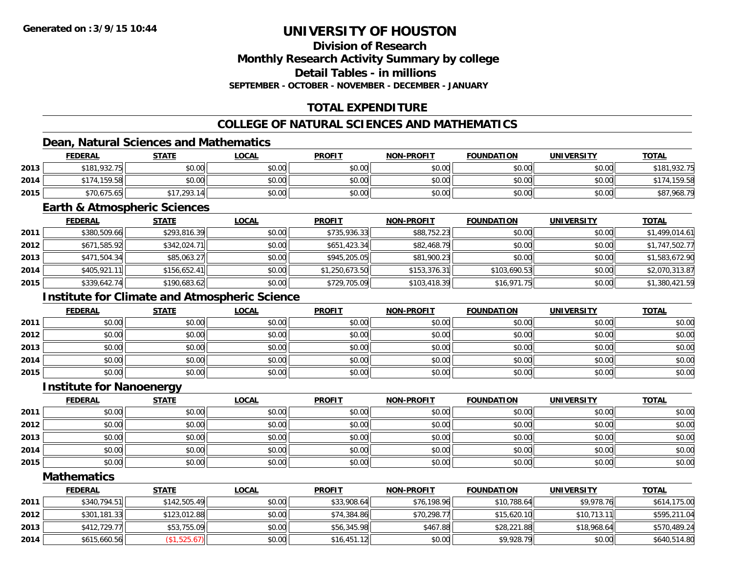**Division of ResearchMonthly Research Activity Summary by college**

**Detail Tables - in millions**

**SEPTEMBER - OCTOBER - NOVEMBER - DECEMBER - JANUARY**

# **TOTAL EXPENDITURE**

# **COLLEGE OF NATURAL SCIENCES AND MATHEMATICS**

# **Dean, Natural Sciences and Mathematics**

|      | <b>FEDERAL</b> | <b>STATE</b> | <u>LOCAL</u> | <b>PROFIT</b> | <b>NON-PROFIT</b> | <b>FOUNDATION</b> | <b>UNIVERSITY</b> | <b>TOTAL</b> |
|------|----------------|--------------|--------------|---------------|-------------------|-------------------|-------------------|--------------|
| 2013 | \$181,932.75   | \$0.00       | \$0.00       | \$0.00        | \$0.00            | \$0.00            | \$0.00            | 1,932.75     |
| 2014 | \$174,159.58   | \$0.00       | \$0.00       | \$0.00        | \$0.00            | \$0.00            | \$0.00            | 159.58       |
| 2015 | \$70,675.65    | .293.14      | \$0.00       | \$0.00        | \$0.00            | \$0.00            | \$0.00            | \$87,968.79  |

#### **Earth & Atmospheric Sciences**

|      | <b>FEDERAL</b> | <u>STATE</u> | <b>LOCAL</b> | <b>PROFIT</b>  | <b>NON-PROFIT</b> | <b>FOUNDATION</b> | <b>UNIVERSITY</b> | <b>TOTAL</b>   |
|------|----------------|--------------|--------------|----------------|-------------------|-------------------|-------------------|----------------|
| 2011 | \$380,509.66   | \$293,816.39 | \$0.00       | \$735,936.33   | \$88,752.23       | \$0.00            | \$0.00            | \$1,499,014.61 |
| 2012 | \$671,585.92   | \$342,024.71 | \$0.00       | \$651,423.34   | \$82,468.79       | \$0.00            | \$0.00            | \$1,747,502.77 |
| 2013 | \$471,504.34   | \$85,063.27  | \$0.00       | \$945,205.05   | \$81,900.23       | \$0.00            | \$0.00            | \$1,583,672.90 |
| 2014 | \$405.921.11   | \$156.652.41 | \$0.00       | \$1,250,673.50 | \$153,376.31      | \$103,690.53      | \$0.00            | \$2,070,313.87 |
| 2015 | \$339,642.74   | \$190,683.62 | \$0.00       | \$729,705.09   | \$103,418.39      | \$16,971.75       | \$0.00            | \$1,380,421.59 |

# **Institute for Climate and Atmospheric Science**

|      | <b>FEDERAL</b> | <b>STATE</b> | <u>LOCAL</u> | <b>PROFIT</b> | <b>NON-PROFIT</b> | <b>FOUNDATION</b> | <b>UNIVERSITY</b> | <b>TOTAL</b> |
|------|----------------|--------------|--------------|---------------|-------------------|-------------------|-------------------|--------------|
| 2011 | \$0.00         | \$0.00       | \$0.00       | \$0.00        | \$0.00            | \$0.00            | \$0.00            | \$0.00       |
| 2012 | \$0.00         | \$0.00       | \$0.00       | \$0.00        | \$0.00            | \$0.00            | \$0.00            | \$0.00       |
| 2013 | \$0.00         | \$0.00       | \$0.00       | \$0.00        | \$0.00            | \$0.00            | \$0.00            | \$0.00       |
| 2014 | \$0.00         | \$0.00       | \$0.00       | \$0.00        | \$0.00            | \$0.00            | \$0.00            | \$0.00       |
| 2015 | \$0.00         | \$0.00       | \$0.00       | \$0.00        | \$0.00            | \$0.00            | \$0.00            | \$0.00       |

#### **Institute for Nanoenergy**

|      | <u>FEDERAL</u> | <b>STATE</b> | <b>LOCAL</b> | <b>PROFIT</b> | <b>NON-PROFIT</b> | <b>FOUNDATION</b> | <b>UNIVERSITY</b> | <b>TOTAL</b> |
|------|----------------|--------------|--------------|---------------|-------------------|-------------------|-------------------|--------------|
| 2011 | \$0.00         | \$0.00       | \$0.00       | \$0.00        | \$0.00            | \$0.00            | \$0.00            | \$0.00       |
| 2012 | \$0.00         | \$0.00       | \$0.00       | \$0.00        | \$0.00            | \$0.00            | \$0.00            | \$0.00       |
| 2013 | \$0.00         | \$0.00       | \$0.00       | \$0.00        | \$0.00            | \$0.00            | \$0.00            | \$0.00       |
| 2014 | \$0.00         | \$0.00       | \$0.00       | \$0.00        | \$0.00            | \$0.00            | \$0.00            | \$0.00       |
| 2015 | \$0.00         | \$0.00       | \$0.00       | \$0.00        | \$0.00            | \$0.00            | \$0.00            | \$0.00       |

#### **Mathematics**

|      | <u>FEDERAL</u> | <b>STATE</b> | <u>LOCAL</u> | <b>PROFIT</b> | <b>NON-PROFIT</b> | <b>FOUNDATION</b> | <b>UNIVERSITY</b> | <b>TOTAL</b> |
|------|----------------|--------------|--------------|---------------|-------------------|-------------------|-------------------|--------------|
| 2011 | \$340,794.51   | \$142,505.49 | \$0.00       | \$33,908.64   | \$76,198.96       | \$10,788.64       | \$9,978.76        | \$614,175.00 |
| 2012 | \$301,181.33   | \$123,012.88 | \$0.00       | \$74,384.86   | \$70,298.77       | \$15,620.10       | \$10,713.11       | \$595,211.04 |
| 2013 | \$412,729.77   | \$53,755.09  | \$0.00       | \$56,345.98   | \$467.88          | \$28,221.88       | \$18,968.64       | \$570,489.24 |
| 2014 | \$615,660.56   | \$1,525.67   | \$0.00       | \$16,451.12   | \$0.00            | \$9,928.79        | \$0.00            | \$640,514.80 |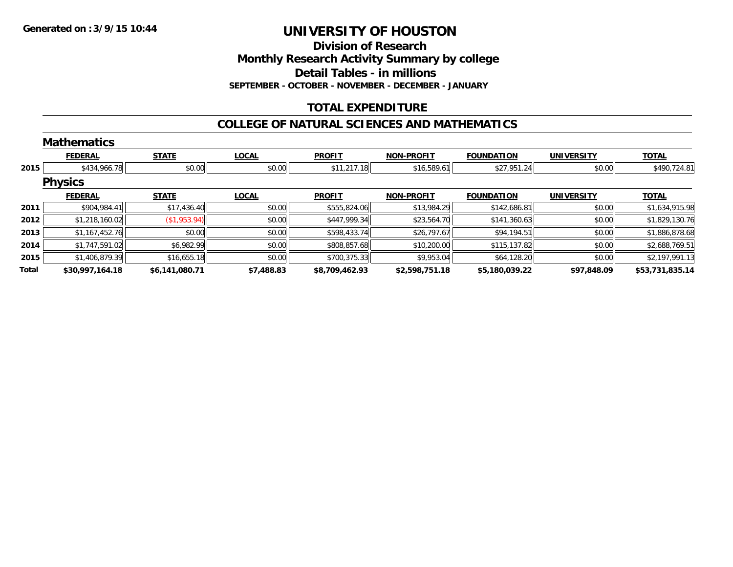**Division of Research**

**Monthly Research Activity Summary by college**

**Detail Tables - in millions**

**SEPTEMBER - OCTOBER - NOVEMBER - DECEMBER - JANUARY**

# **TOTAL EXPENDITURE**

#### **COLLEGE OF NATURAL SCIENCES AND MATHEMATICS**

|       | <b>Mathematics</b> |                |              |                |                   |                   |                   |                 |
|-------|--------------------|----------------|--------------|----------------|-------------------|-------------------|-------------------|-----------------|
|       | <b>FEDERAL</b>     | <b>STATE</b>   | <b>LOCAL</b> | <b>PROFIT</b>  | <b>NON-PROFIT</b> | <b>FOUNDATION</b> | <b>UNIVERSITY</b> | <b>TOTAL</b>    |
| 2015  | \$434,966.78       | \$0.00         | \$0.00       | \$11,217.18    | \$16,589.61       | \$27,951.24       | \$0.00            | \$490,724.81    |
|       | <b>Physics</b>     |                |              |                |                   |                   |                   |                 |
|       | <b>FEDERAL</b>     | <b>STATE</b>   | <b>LOCAL</b> | <b>PROFIT</b>  | <b>NON-PROFIT</b> | <b>FOUNDATION</b> | <b>UNIVERSITY</b> | <b>TOTAL</b>    |
| 2011  | \$904,984.41       | \$17,436.40    | \$0.00       | \$555,824.06   | \$13,984.29       | \$142,686.81      | \$0.00            | \$1,634,915.98  |
| 2012  | \$1,218,160.02     | (\$1,953.94)   | \$0.00       | \$447,999.34   | \$23,564.70       | \$141,360.63      | \$0.00            | \$1,829,130.76  |
| 2013  | \$1,167,452.76     | \$0.00         | \$0.00       | \$598,433.74   | \$26,797.67       | \$94,194.51       | \$0.00            | \$1,886,878.68  |
| 2014  | \$1,747,591.02     | \$6,982.99     | \$0.00       | \$808,857.68   | \$10,200.00       | \$115,137.82      | \$0.00            | \$2,688,769.51  |
| 2015  | \$1,406,879.39     | \$16,655.18    | \$0.00       | \$700,375.33   | \$9,953.04        | \$64,128.20       | \$0.00            | \$2,197,991.13  |
| Total | \$30,997,164.18    | \$6,141,080.71 | \$7,488.83   | \$8,709,462.93 | \$2,598,751.18    | \$5,180,039.22    | \$97,848.09       | \$53,731,835.14 |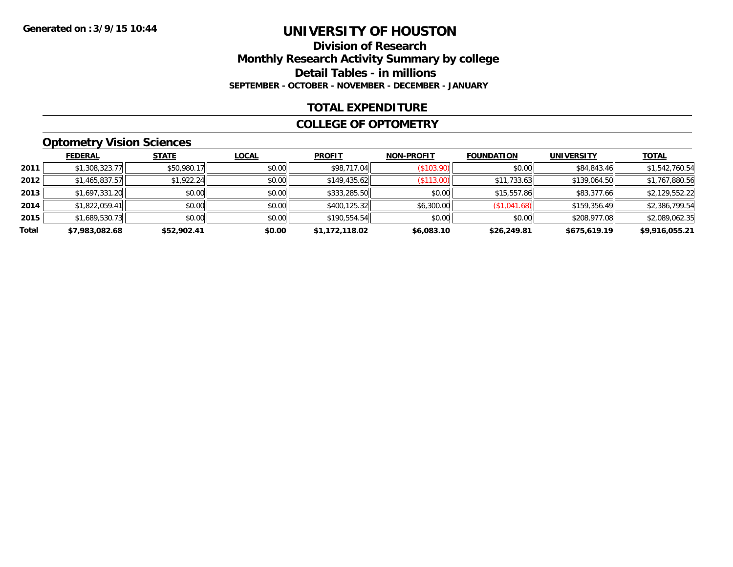### **Division of Research Monthly Research Activity Summary by college Detail Tables - in millions SEPTEMBER - OCTOBER - NOVEMBER - DECEMBER - JANUARY**

### **TOTAL EXPENDITURE**

#### **COLLEGE OF OPTOMETRY**

# **Optometry Vision Sciences**

|       | <b>FEDERAL</b> | <b>STATE</b> | <b>LOCAL</b> | <b>PROFIT</b>  | <b>NON-PROFIT</b> | <b>FOUNDATION</b> | <b>UNIVERSITY</b> | <b>TOTAL</b>   |
|-------|----------------|--------------|--------------|----------------|-------------------|-------------------|-------------------|----------------|
| 2011  | \$1,308,323.77 | \$50,980.17  | \$0.00       | \$98,717.04    | (\$103.90)        | \$0.00            | \$84,843.46       | \$1,542,760.54 |
| 2012  | \$1,465,837.57 | \$1,922.24   | \$0.00       | \$149,435.62   | (\$113.00)        | \$11,733.63       | \$139,064.50      | \$1,767,880.56 |
| 2013  | \$1,697,331.20 | \$0.00       | \$0.00       | \$333,285.50   | \$0.00            | \$15,557.86       | \$83,377.66       | \$2,129,552.22 |
| 2014  | \$1,822,059.41 | \$0.00       | \$0.00       | \$400,125.32   | \$6,300.00        | (\$1,041.68)      | \$159,356.49      | \$2,386,799.54 |
| 2015  | \$1,689,530.73 | \$0.00       | \$0.00       | \$190,554.54   | \$0.00            | \$0.00            | \$208,977.08      | \$2,089,062.35 |
| Total | \$7,983,082.68 | \$52,902.41  | \$0.00       | \$1,172,118.02 | \$6,083.10        | \$26,249.81       | \$675,619.19      | \$9,916,055.21 |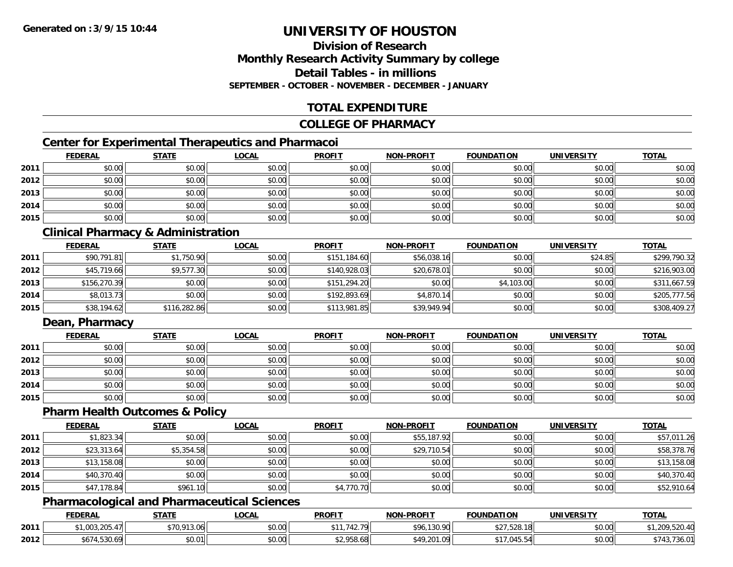# **Division of ResearchMonthly Research Activity Summary by college Detail Tables - in millionsSEPTEMBER - OCTOBER - NOVEMBER - DECEMBER - JANUARY**

# **TOTAL EXPENDITURE**

#### **COLLEGE OF PHARMACY**

# **Center for Experimental Therapeutics and Pharmacoi**

|      | <b>FEDERAL</b> | <b>STATE</b> | <b>LOCAL</b> | <b>PROFIT</b> | <b>NON-PROFIT</b> | <b>FOUNDATION</b> | <b>UNIVERSITY</b> | <b>TOTAL</b> |
|------|----------------|--------------|--------------|---------------|-------------------|-------------------|-------------------|--------------|
| 2011 | \$0.00         | \$0.00       | \$0.00       | \$0.00        | \$0.00            | \$0.00            | \$0.00            | \$0.00       |
| 2012 | \$0.00         | \$0.00       | \$0.00       | \$0.00        | \$0.00            | \$0.00            | \$0.00            | \$0.00       |
| 2013 | \$0.00         | \$0.00       | \$0.00       | \$0.00        | \$0.00            | \$0.00            | \$0.00            | \$0.00       |
| 2014 | \$0.00         | \$0.00       | \$0.00       | \$0.00        | \$0.00            | \$0.00            | \$0.00            | \$0.00       |
| 2015 | \$0.00         | \$0.00       | \$0.00       | \$0.00        | \$0.00            | \$0.00            | \$0.00            | \$0.00       |

# **Clinical Pharmacy & Administration**

|      | <b>FEDERAL</b> | <b>STATE</b> | <b>LOCAL</b> | <b>PROFIT</b> | <b>NON-PROFIT</b> | <b>FOUNDATION</b> | <b>UNIVERSITY</b> | <b>TOTAL</b> |
|------|----------------|--------------|--------------|---------------|-------------------|-------------------|-------------------|--------------|
| 2011 | \$90,791.81    | \$1,750.90   | \$0.00       | \$151,184.60  | \$56,038.16       | \$0.00            | \$24.85           | \$299,790.32 |
| 2012 | \$45,719.66    | \$9,577.30   | \$0.00       | \$140,928.03  | \$20,678.01       | \$0.00            | \$0.00            | \$216,903.00 |
| 2013 | \$156,270.39   | \$0.00       | \$0.00       | \$151,294.20  | \$0.00            | \$4,103.00        | \$0.00            | \$311,667.59 |
| 2014 | \$8,013.73     | \$0.00       | \$0.00       | \$192,893.69  | \$4,870.14        | \$0.00            | \$0.00            | \$205,777.56 |
| 2015 | \$38,194.62    | \$116,282.86 | \$0.00       | \$113,981.85  | \$39,949.94       | \$0.00            | \$0.00            | \$308,409.27 |

# **Dean, Pharmacy**

|      | <b>FEDERAL</b> | <b>STATE</b> | <u>LOCAL</u> | <b>PROFIT</b> | <b>NON-PROFIT</b> | <b>FOUNDATION</b> | <b>UNIVERSITY</b> | <b>TOTAL</b> |
|------|----------------|--------------|--------------|---------------|-------------------|-------------------|-------------------|--------------|
| 2011 | \$0.00         | \$0.00       | \$0.00       | \$0.00        | \$0.00            | \$0.00            | \$0.00            | \$0.00       |
| 2012 | \$0.00         | \$0.00       | \$0.00       | \$0.00        | \$0.00            | \$0.00            | \$0.00            | \$0.00       |
| 2013 | \$0.00         | \$0.00       | \$0.00       | \$0.00        | \$0.00            | \$0.00            | \$0.00            | \$0.00       |
| 2014 | \$0.00         | \$0.00       | \$0.00       | \$0.00        | \$0.00            | \$0.00            | \$0.00            | \$0.00       |
| 2015 | \$0.00         | \$0.00       | \$0.00       | \$0.00        | \$0.00            | \$0.00            | \$0.00            | \$0.00       |

### **Pharm Health Outcomes & Policy**

|      | <b>FEDERAL</b> | <b>STATE</b> | <b>LOCAL</b> | <b>PROFIT</b> | <b>NON-PROFIT</b> | <b>FOUNDATION</b> | UNIVERSITY | <b>TOTAL</b> |
|------|----------------|--------------|--------------|---------------|-------------------|-------------------|------------|--------------|
| 2011 | \$1,823.34     | \$0.00       | \$0.00       | \$0.00        | \$55,187.92       | \$0.00            | \$0.00     | \$57,011.26  |
| 2012 | \$23,313.64    | \$5,354.58   | \$0.00       | \$0.00        | \$29,710.54       | \$0.00            | \$0.00     | \$58,378.76  |
| 2013 | \$13,158.08    | \$0.00       | \$0.00       | \$0.00        | \$0.00            | \$0.00            | \$0.00     | \$13,158.08  |
| 2014 | \$40,370.40    | \$0.00       | \$0.00       | \$0.00        | \$0.00            | \$0.00            | \$0.00     | \$40,370.40  |
| 2015 | \$47,178.84    | \$961.10     | \$0.00       | \$4,770.70    | \$0.00            | \$0.00            | \$0.00     | \$52,910.64  |

# **Pharmacological and Pharmaceutical Sciences**

|      | <b>FEDERAI</b>                     | <b>STATE</b> | LOCAI              | <b>PROFIT</b>                      | <b>NON-PROFIT</b> | <b>FOUNDATION</b>      | UNIVERSITY | <b>TOTAL</b>            |
|------|------------------------------------|--------------|--------------------|------------------------------------|-------------------|------------------------|------------|-------------------------|
| 2011 | <b>OUS SUE</b><br>, UUS, ZUO, 4,   | \$70,913.06  | $\sim$ 00<br>PU.UU | ₼ ◢                                | \$96,130.90       | $F^{\circ}$<br>ں ے ں ا | \$0.00     | 77.70                   |
| 2012 | roo.<br>$   -$<br>.,530.69<br>30/4 | \$0.01       | vv.vv              | $\sim$ $\sim$ $\sim$<br>ა2,958.68⊩ | MQ 201<br>. 09    | .045.5                 | \$0.00     | 701<br>145.73<br>, JU.U |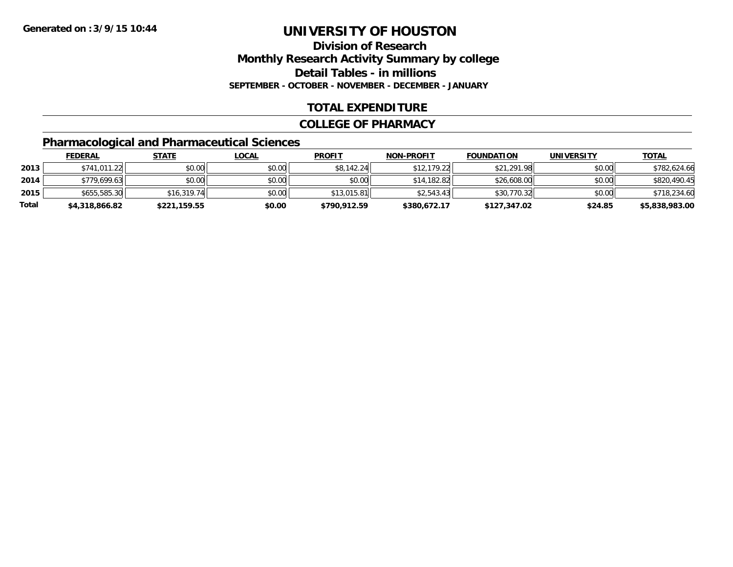# **Division of ResearchMonthly Research Activity Summary by college Detail Tables - in millions SEPTEMBER - OCTOBER - NOVEMBER - DECEMBER - JANUARY**

# **TOTAL EXPENDITURE**

#### **COLLEGE OF PHARMACY**

# **Pharmacological and Pharmaceutical Sciences**

|       | <u>FEDERAL</u> | <u>STATE</u> | <u>LOCAL</u> | <b>PROFIT</b> | <b>NON-PROFIT</b> | <b>FOUNDATION</b> | <b>UNIVERSITY</b> | <u>TOTAL</u>   |
|-------|----------------|--------------|--------------|---------------|-------------------|-------------------|-------------------|----------------|
| 2013  | \$741,011.22   | \$0.00       | \$0.00       | \$8,142.24    | \$12.179.22       | \$21,291.98       | \$0.00            | \$782,624.66   |
| 2014  | \$779.699.63   | \$0.00       | \$0.00       | \$0.00        | \$14,182.82       | \$26,608,00       | \$0.00            | \$820,490.45   |
| 2015  | \$655,585.30   | \$16.319.74  | \$0.00       | \$13,015.81   | \$2.543.43        | \$30,770.32       | \$0.00            | \$718,234.60   |
| Total | \$4,318,866.82 | \$221,159.55 | \$0.00       | \$790,912.59  | \$380,672.17      | \$127,347.02      | \$24.85           | \$5,838,983.00 |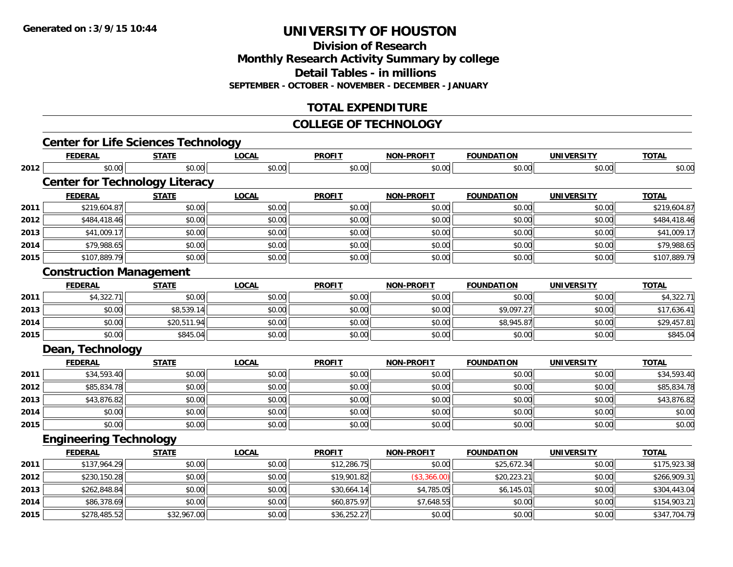**Division of Research**

**Monthly Research Activity Summary by college**

**Detail Tables - in millions**

**SEPTEMBER - OCTOBER - NOVEMBER - DECEMBER - JANUARY**

# **TOTAL EXPENDITURE**

#### **COLLEGE OF TECHNOLOGY**

|      | <b>Center for Life Sciences Technology</b> |              |              |               |                   |                   |                   |              |
|------|--------------------------------------------|--------------|--------------|---------------|-------------------|-------------------|-------------------|--------------|
|      | <b>FEDERAL</b>                             | <b>STATE</b> | <b>LOCAL</b> | <b>PROFIT</b> | <b>NON-PROFIT</b> | <b>FOUNDATION</b> | <b>UNIVERSITY</b> | <b>TOTAL</b> |
| 2012 | \$0.00                                     | \$0.00       | \$0.00       | \$0.00        | \$0.00            | \$0.00            | \$0.00            | \$0.00       |
|      | <b>Center for Technology Literacy</b>      |              |              |               |                   |                   |                   |              |
|      | <b>FEDERAL</b>                             | <b>STATE</b> | <b>LOCAL</b> | <b>PROFIT</b> | <b>NON-PROFIT</b> | <b>FOUNDATION</b> | <b>UNIVERSITY</b> | <b>TOTAL</b> |
| 2011 | \$219,604.87                               | \$0.00       | \$0.00       | \$0.00        | \$0.00            | \$0.00            | \$0.00            | \$219,604.87 |
| 2012 | \$484,418.46                               | \$0.00       | \$0.00       | \$0.00        | \$0.00            | \$0.00            | \$0.00            | \$484,418.46 |
| 2013 | \$41,009.17                                | \$0.00       | \$0.00       | \$0.00        | \$0.00            | \$0.00            | \$0.00            | \$41,009.17  |
| 2014 | \$79,988.65                                | \$0.00       | \$0.00       | \$0.00        | \$0.00            | \$0.00            | \$0.00            | \$79,988.65  |
| 2015 | \$107,889.79                               | \$0.00       | \$0.00       | \$0.00        | \$0.00            | \$0.00            | \$0.00            | \$107,889.79 |
|      | <b>Construction Management</b>             |              |              |               |                   |                   |                   |              |
|      | <b>FEDERAL</b>                             | <b>STATE</b> | <b>LOCAL</b> | <b>PROFIT</b> | <b>NON-PROFIT</b> | <b>FOUNDATION</b> | <b>UNIVERSITY</b> | <b>TOTAL</b> |
| 2011 | \$4,322.71                                 | \$0.00       | \$0.00       | \$0.00        | \$0.00            | \$0.00            | \$0.00            | \$4,322.71   |
| 2013 | \$0.00                                     | \$8,539.14   | \$0.00       | \$0.00        | \$0.00            | \$9,097.27        | \$0.00            | \$17,636.41  |
| 2014 | \$0.00                                     | \$20,511.94  | \$0.00       | \$0.00        | \$0.00            | \$8,945.87        | \$0.00            | \$29,457.81  |
| 2015 | \$0.00                                     | \$845.04     | \$0.00       | \$0.00        | \$0.00            | \$0.00            | \$0.00            | \$845.04     |
|      | Dean, Technology                           |              |              |               |                   |                   |                   |              |
|      | <b>FEDERAL</b>                             | <b>STATE</b> | <b>LOCAL</b> | <b>PROFIT</b> | <b>NON-PROFIT</b> | <b>FOUNDATION</b> | <b>UNIVERSITY</b> | <b>TOTAL</b> |
| 2011 | \$34,593.40                                | \$0.00       | \$0.00       | \$0.00        | \$0.00            | \$0.00            | \$0.00            | \$34,593.40  |
| 2012 | \$85,834.78                                | \$0.00       | \$0.00       | \$0.00        | \$0.00            | \$0.00            | \$0.00            | \$85,834.78  |
| 2013 | \$43,876.82                                | \$0.00       | \$0.00       | \$0.00        | \$0.00            | \$0.00            | \$0.00            | \$43,876.82  |
| 2014 | \$0.00                                     | \$0.00       | \$0.00       | \$0.00        | \$0.00            | \$0.00            | \$0.00            | \$0.00       |
| 2015 | \$0.00                                     | \$0.00       | \$0.00       | \$0.00        | \$0.00            | \$0.00            | \$0.00            | \$0.00       |
|      | <b>Engineering Technology</b>              |              |              |               |                   |                   |                   |              |
|      | <b>FEDERAL</b>                             | <b>STATE</b> | <b>LOCAL</b> | <b>PROFIT</b> | <b>NON-PROFIT</b> | <b>FOUNDATION</b> | <b>UNIVERSITY</b> | <b>TOTAL</b> |
| 2011 | \$137,964.29                               | \$0.00       | \$0.00       | \$12,286.75   | \$0.00            | \$25,672.34       | \$0.00            | \$175,923.38 |
| 2012 | \$230,150.28                               | \$0.00       | \$0.00       | \$19,901.82   | (\$3,366.00)      | \$20,223.21       | \$0.00            | \$266,909.31 |
| 2013 | \$262,848.84                               | \$0.00       | \$0.00       | \$30,664.14   | \$4,785.05        | \$6,145.01        | \$0.00            | \$304,443.04 |
| 2014 | \$86,378.69                                | \$0.00       | \$0.00       | \$60,875.97   | \$7,648.55        | \$0.00            | \$0.00            | \$154,903.21 |
| 2015 | \$278,485.52                               | \$32,967.00  | \$0.00       | \$36,252.27   | \$0.00            | \$0.00            | \$0.00            | \$347,704.79 |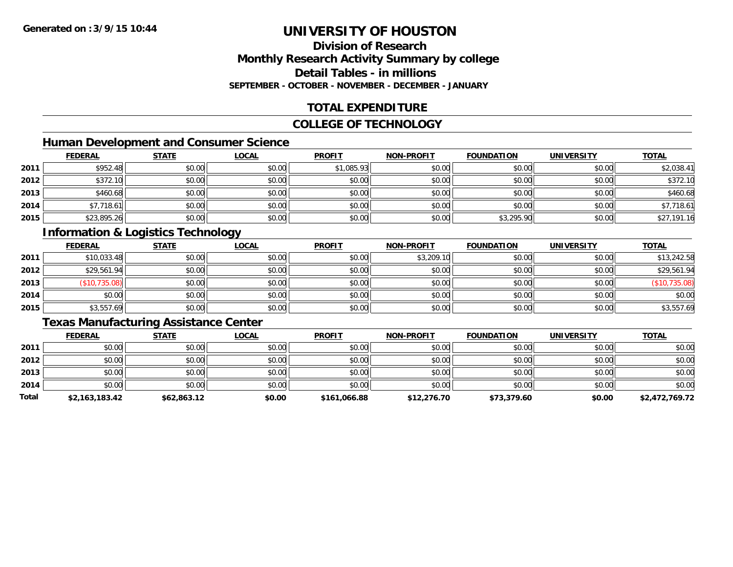# **Division of ResearchMonthly Research Activity Summary by college Detail Tables - in millionsSEPTEMBER - OCTOBER - NOVEMBER - DECEMBER - JANUARY**

# **TOTAL EXPENDITURE**

#### **COLLEGE OF TECHNOLOGY**

# **Human Development and Consumer Science**

|      | <b>FEDERAL</b> | <b>STATE</b> | <u>LOCAL</u> | <b>PROFIT</b> | <b>NON-PROFIT</b> | <b>FOUNDATION</b> | <b>UNIVERSITY</b> | <b>TOTAL</b> |
|------|----------------|--------------|--------------|---------------|-------------------|-------------------|-------------------|--------------|
| 2011 | \$952.48       | \$0.00       | \$0.00       | \$1,085.93    | \$0.00            | \$0.00            | \$0.00            | \$2,038.41   |
| 2012 | \$372.10       | \$0.00       | \$0.00       | \$0.00        | \$0.00            | \$0.00            | \$0.00            | \$372.10     |
| 2013 | \$460.68       | \$0.00       | \$0.00       | \$0.00        | \$0.00            | \$0.00            | \$0.00            | \$460.68     |
| 2014 | \$7,718.61     | \$0.00       | \$0.00       | \$0.00        | \$0.00            | \$0.00            | \$0.00            | \$7,718.61   |
| 2015 | \$23,895.26    | \$0.00       | \$0.00       | \$0.00        | \$0.00            | \$3,295.90        | \$0.00            | \$27,191.16  |

# **Information & Logistics Technology**

|      | <b>FEDERAL</b> | <b>STATE</b> | <u>LOCAL</u> | <b>PROFIT</b> | <b>NON-PROFIT</b> | <b>FOUNDATION</b> | <b>UNIVERSITY</b> | <b>TOTAL</b>  |
|------|----------------|--------------|--------------|---------------|-------------------|-------------------|-------------------|---------------|
| 2011 | \$10,033.48    | \$0.00       | \$0.00       | \$0.00        | \$3,209.10        | \$0.00            | \$0.00            | \$13,242.58   |
| 2012 | \$29,561.94    | \$0.00       | \$0.00       | \$0.00        | \$0.00            | \$0.00            | \$0.00            | \$29,561.94   |
| 2013 | (\$10,735.08)  | \$0.00       | \$0.00       | \$0.00        | \$0.00            | \$0.00            | \$0.00            | (\$10,735.08) |
| 2014 | \$0.00         | \$0.00       | \$0.00       | \$0.00        | \$0.00            | \$0.00            | \$0.00            | \$0.00        |
| 2015 | \$3,557.69     | \$0.00       | \$0.00       | \$0.00        | \$0.00            | \$0.00            | \$0.00            | \$3,557.69    |

# **Texas Manufacturing Assistance Center**

|       | <b>FEDERAL</b> | <b>STATE</b> | <b>LOCAL</b> | <b>PROFIT</b> | <b>NON-PROFIT</b> | <b>FOUNDATION</b> | <b>UNIVERSITY</b> | <b>TOTAL</b>   |
|-------|----------------|--------------|--------------|---------------|-------------------|-------------------|-------------------|----------------|
| 2011  | \$0.00         | \$0.00       | \$0.00       | \$0.00        | \$0.00            | \$0.00            | \$0.00            | \$0.00         |
| 2012  | \$0.00         | \$0.00       | \$0.00       | \$0.00        | \$0.00            | \$0.00            | \$0.00            | \$0.00         |
| 2013  | \$0.00         | \$0.00       | \$0.00       | \$0.00        | \$0.00            | \$0.00            | \$0.00            | \$0.00         |
| 2014  | \$0.00         | \$0.00       | \$0.00       | \$0.00        | \$0.00            | \$0.00            | \$0.00            | \$0.00         |
| Total | \$2,163,183.42 | \$62,863.12  | \$0.00       | \$161,066.88  | \$12,276.70       | \$73,379.60       | \$0.00            | \$2,472,769.72 |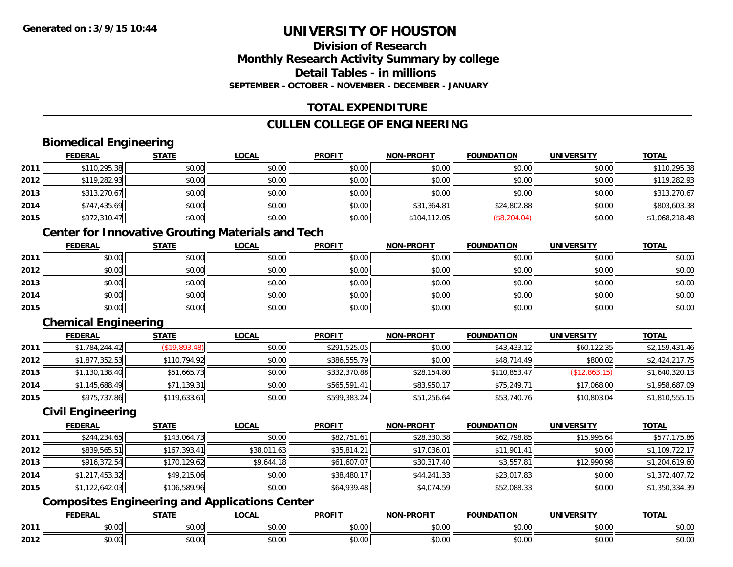# **Division of ResearchMonthly Research Activity Summary by college Detail Tables - in millionsSEPTEMBER - OCTOBER - NOVEMBER - DECEMBER - JANUARY**

# **TOTAL EXPENDITURE**

# **CULLEN COLLEGE OF ENGINEERING**

# **Biomedical Engineering**

|      | <b>FEDERAL</b> | <b>STATE</b> | <b>LOCAL</b> | <b>PROFIT</b> | <b>NON-PROFIT</b> | <b>FOUNDATION</b> | <b>UNIVERSITY</b> | <b>TOTAL</b>   |
|------|----------------|--------------|--------------|---------------|-------------------|-------------------|-------------------|----------------|
| 2011 | \$110,295.38   | \$0.00       | \$0.00       | \$0.00        | \$0.00            | \$0.00            | \$0.00            | \$110,295.38   |
| 2012 | \$119,282.93   | \$0.00       | \$0.00       | \$0.00        | \$0.00            | \$0.00            | \$0.00            | \$119,282.93   |
| 2013 | \$313,270.67   | \$0.00       | \$0.00       | \$0.00        | \$0.00            | \$0.00            | \$0.00            | \$313,270.67   |
| 2014 | \$747,435.69   | \$0.00       | \$0.00       | \$0.00        | \$31,364.81       | \$24,802.88       | \$0.00            | \$803,603.38   |
| 2015 | \$972,310.47   | \$0.00       | \$0.00       | \$0.00        | \$104,112.05      | (\$8, 204.04)     | \$0.00            | \$1,068,218.48 |

# **Center for Innovative Grouting Materials and Tech**

|      | <b>FEDERAL</b> | <b>STATE</b> | <u>LOCAL</u> | <b>PROFIT</b> | <b>NON-PROFIT</b> | <b>FOUNDATION</b> | <b>UNIVERSITY</b> | <b>TOTAL</b> |
|------|----------------|--------------|--------------|---------------|-------------------|-------------------|-------------------|--------------|
| 2011 | \$0.00         | \$0.00       | \$0.00       | \$0.00        | \$0.00            | \$0.00            | \$0.00            | \$0.00       |
| 2012 | \$0.00         | \$0.00       | \$0.00       | \$0.00        | \$0.00            | \$0.00            | \$0.00            | \$0.00       |
| 2013 | \$0.00         | \$0.00       | \$0.00       | \$0.00        | \$0.00            | \$0.00            | \$0.00            | \$0.00       |
| 2014 | \$0.00         | \$0.00       | \$0.00       | \$0.00        | \$0.00            | \$0.00            | \$0.00            | \$0.00       |
| 2015 | \$0.00         | \$0.00       | \$0.00       | \$0.00        | \$0.00            | \$0.00            | \$0.00            | \$0.00       |

# **Chemical Engineering**

|      | <b>FEDERAL</b> | <b>STATE</b>  | <b>LOCAL</b> | <b>PROFIT</b> | <b>NON-PROFIT</b> | <b>FOUNDATION</b> | <b>UNIVERSITY</b> | <b>TOTAL</b>   |
|------|----------------|---------------|--------------|---------------|-------------------|-------------------|-------------------|----------------|
| 2011 | \$1,784,244.42 | (\$19,893.48) | \$0.00       | \$291,525.05  | \$0.00            | \$43,433.12       | \$60,122.35       | \$2,159,431.46 |
| 2012 | \$1,877,352.53 | \$110,794.92  | \$0.00       | \$386,555.79  | \$0.00            | \$48,714.49       | \$800.02          | \$2,424,217.75 |
| 2013 | \$1,130,138.40 | \$51,665.73   | \$0.00       | \$332,370.88  | \$28,154.80       | \$110,853.47      | (\$12,863.15)     | \$1,640,320.13 |
| 2014 | \$1,145,688.49 | \$71,139.31   | \$0.00       | \$565,591.41  | \$83,950.17       | \$75,249.71       | \$17,068,00       | \$1,958,687.09 |
| 2015 | \$975,737.86   | \$119,633.61  | \$0.00       | \$599,383.24  | \$51,256.64       | \$53,740.76       | \$10,803.04       | \$1,810,555.15 |

### **Civil Engineering**

|      | <b>FEDERAL</b> | <b>STATE</b> | <b>LOCAL</b> | <b>PROFIT</b> | <b>NON-PROFIT</b> | <b>FOUNDATION</b> | <b>UNIVERSITY</b> | <b>TOTAL</b>   |
|------|----------------|--------------|--------------|---------------|-------------------|-------------------|-------------------|----------------|
| 2011 | \$244,234.65   | \$143,064.73 | \$0.00       | \$82,751.61   | \$28,330.38       | \$62,798.85       | \$15,995.64       | \$577,175.86   |
| 2012 | \$839,565.51   | \$167,393.41 | \$38,011.63  | \$35,814.21   | \$17,036.01       | \$11,901.41       | \$0.00            | \$1,109,722.17 |
| 2013 | \$916,372.54   | \$170,129.62 | \$9,644.18   | \$61,607.07   | \$30,317.40       | \$3,557.81        | \$12,990.98       | \$1,204,619.60 |
| 2014 | \$1,217,453.32 | \$49,215.06  | \$0.00       | \$38,480.17   | \$44,241.33       | \$23,017.83       | \$0.00            | \$1,372,407.72 |
| 2015 | \$1,122,642.03 | \$106,589.96 | \$0.00       | \$64,939.48   | \$4,074.59        | \$52,088.33       | \$0.00            | \$1,350,334.39 |

# **Composites Engineering and Applications Center**

|      | <b>FEBER!</b><br>LI\ <i>r</i> | $C = A$                  | $\bigcap_{n=1}^{\infty}$<br>.OCAI   | <b>PROFIT</b>          | יוחמחח<br><b>BIOB</b>         | ាកស<br>I ) Д                                 | . <i></i> .<br>.JIV∶ | <b>TOTAL</b>                                          |
|------|-------------------------------|--------------------------|-------------------------------------|------------------------|-------------------------------|----------------------------------------------|----------------------|-------------------------------------------------------|
| 2011 | 0.00<br>שט.טע                 | $\sim$ 0.0 $\sim$<br>ט.ט | $\sim$ 00<br>וטטוע                  | $\sim$ $\sim$<br>וטטוע | $\sim$ $\sim$ $\sim$<br>vv.vv | $\triangle$ $\triangle$ $\triangle$<br>wu.uu | 0.00<br>PU.UU        | $\mathbf{A} \cap \mathbf{A} \cap \mathbf{A}$<br>JU.UU |
| 2012 | 0000<br>JU.UU                 | <b>↑∩</b><br>JU.U        | $\uparrow$ $\land$ $\land$<br>PU.UU | $\sim$ 00<br>⊸ ∿ບ.ບບ⊩  | $\sim$<br>$\sim$<br>vv.vv     | $\sim$<br>JU.UU                              | 0000<br>JU.UU        | JU.UU                                                 |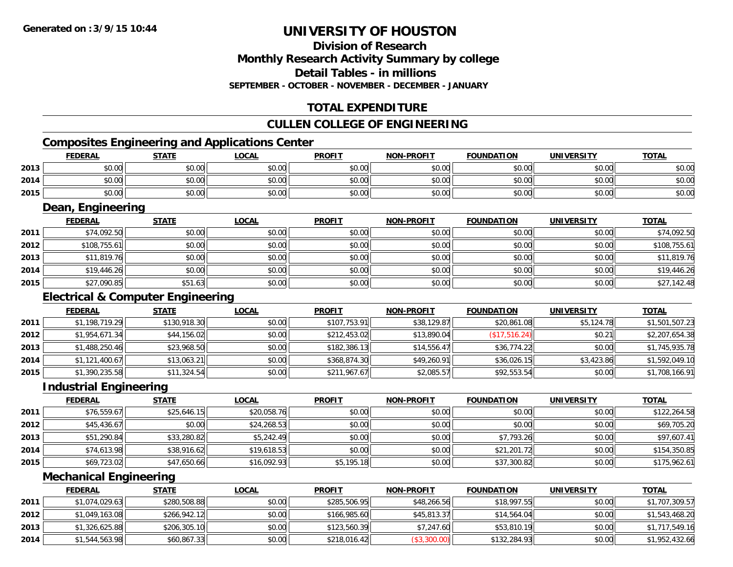# **Division of ResearchMonthly Research Activity Summary by college Detail Tables - in millions SEPTEMBER - OCTOBER - NOVEMBER - DECEMBER - JANUARY**

# **TOTAL EXPENDITURE**

# **CULLEN COLLEGE OF ENGINEERING**

# **Composites Engineering and Applications Center**

|      | <b>FEDERAL</b> | <b>STATE</b> | <u>LOCAL</u> | <b>PROFIT</b> | <b>NON-PROFIT</b> | <b>FOUNDATION</b> | UNIVERSITY | <b>TOTAL</b> |
|------|----------------|--------------|--------------|---------------|-------------------|-------------------|------------|--------------|
| 2013 | \$0.00         | \$0.00       | \$0.00       | \$0.00        | \$0.00            | \$0.00            | \$0.00     | \$0.00       |
| 2014 | \$0.00         | \$0.00       | \$0.00       | \$0.00        | \$0.00            | \$0.00            | \$0.00     | \$0.00       |
| 2015 | \$0.00         | \$0.00       | \$0.00       | \$0.00        | \$0.00            | \$0.00            | \$0.00     | \$0.00       |
|      | _______        |              |              |               |                   |                   |            |              |

# **Dean, Engineering**

|      | <b>FEDERAL</b> | <b>STATE</b> | <b>LOCAL</b> | <b>PROFIT</b> | <b>NON-PROFIT</b> | <b>FOUNDATION</b> | <b>UNIVERSITY</b> | <b>TOTAL</b> |
|------|----------------|--------------|--------------|---------------|-------------------|-------------------|-------------------|--------------|
| 2011 | \$74,092.50    | \$0.00       | \$0.00       | \$0.00        | \$0.00            | \$0.00            | \$0.00            | \$74,092.50  |
| 2012 | \$108,755.61   | \$0.00       | \$0.00       | \$0.00        | \$0.00            | \$0.00            | \$0.00            | \$108,755.61 |
| 2013 | \$11,819.76    | \$0.00       | \$0.00       | \$0.00        | \$0.00            | \$0.00            | \$0.00            | \$11,819.76  |
| 2014 | \$19,446.26    | \$0.00       | \$0.00       | \$0.00        | \$0.00            | \$0.00            | \$0.00            | \$19,446.26  |
| 2015 | \$27,090.85    | \$51.63      | \$0.00       | \$0.00        | \$0.00            | \$0.00            | \$0.00            | \$27,142.48  |

# **Electrical & Computer Engineering**

|      | <b>FEDERAL</b> | <b>STATE</b> | <b>LOCAL</b> | <b>PROFIT</b> | <b>NON-PROFIT</b> | <b>FOUNDATION</b> | <b>UNIVERSITY</b> | <b>TOTAL</b>   |
|------|----------------|--------------|--------------|---------------|-------------------|-------------------|-------------------|----------------|
| 2011 | \$1,198,719.29 | \$130,918.30 | \$0.00       | \$107,753.91  | \$38,129.87       | \$20,861.08       | \$5,124.78        | \$1,501,507.23 |
| 2012 | \$1,954,671.34 | \$44,156.02  | \$0.00       | \$212,453.02  | \$13,890.04       | (\$17,516.24)     | \$0.21            | \$2,207,654.38 |
| 2013 | \$1,488,250.46 | \$23,968.50  | \$0.00       | \$182,386.13  | \$14,556.47       | \$36,774.22       | \$0.00            | \$1,745,935.78 |
| 2014 | \$1,121,400.67 | \$13,063.21  | \$0.00       | \$368,874.30  | \$49,260.91       | \$36,026.15       | \$3,423.86        | \$1,592,049.10 |
| 2015 | \$1,390,235.58 | \$11,324.54  | \$0.00       | \$211,967.67  | \$2,085.57        | \$92,553.54       | \$0.00            | \$1,708,166.91 |

#### **Industrial Engineering**

|      | <b>FEDERAL</b> | <b>STATE</b> | <b>LOCAL</b> | <b>PROFIT</b> | <b>NON-PROFIT</b> | <b>FOUNDATION</b> | <b>UNIVERSITY</b> | <b>TOTAL</b> |
|------|----------------|--------------|--------------|---------------|-------------------|-------------------|-------------------|--------------|
| 2011 | \$76,559.67    | \$25,646.15  | \$20,058.76  | \$0.00        | \$0.00            | \$0.00            | \$0.00            | \$122,264.58 |
| 2012 | \$45,436.67    | \$0.00       | \$24,268.53  | \$0.00        | \$0.00            | \$0.00            | \$0.00            | \$69,705.20  |
| 2013 | \$51,290.84    | \$33,280.82  | \$5,242.49   | \$0.00        | \$0.00            | \$7,793.26        | \$0.00            | \$97,607.41  |
| 2014 | \$74,613.98    | \$38,916.62  | \$19,618.53  | \$0.00        | \$0.00            | \$21,201.72       | \$0.00            | \$154,350.85 |
| 2015 | \$69,723.02    | \$47,650.66  | \$16,092.93  | \$5,195.18    | \$0.00            | \$37,300.82       | \$0.00            | \$175,962.61 |

# **Mechanical Engineering**

|      | <b>FEDERAL</b> | <u>STATE</u> | <u>LOCAL</u> | <b>PROFIT</b> | <b>NON-PROFIT</b> | <b>FOUNDATION</b> | UNIVERSITY | <b>TOTAL</b>   |
|------|----------------|--------------|--------------|---------------|-------------------|-------------------|------------|----------------|
| 2011 | \$1,074,029.63 | \$280,508.88 | \$0.00       | \$285,506.95  | \$48,266.56       | \$18,997.55       | \$0.00     | \$1,707,309.57 |
| 2012 | \$1,049,163.08 | \$266.942.12 | \$0.00       | \$166,985.60  | \$45,813.37       | \$14,564.04       | \$0.00     | \$1,543,468.20 |
| 2013 | \$1,326,625.88 | \$206,305.10 | \$0.00       | \$123,560.39  | \$7,247.60        | \$53,810.19       | \$0.00     | \$1,717,549.16 |
| 2014 | \$1,544,563.98 | \$60,867.33  | \$0.00       | \$218,016.42  | (\$3,300.00)      | \$132,284.93      | \$0.00     | \$1,952,432.66 |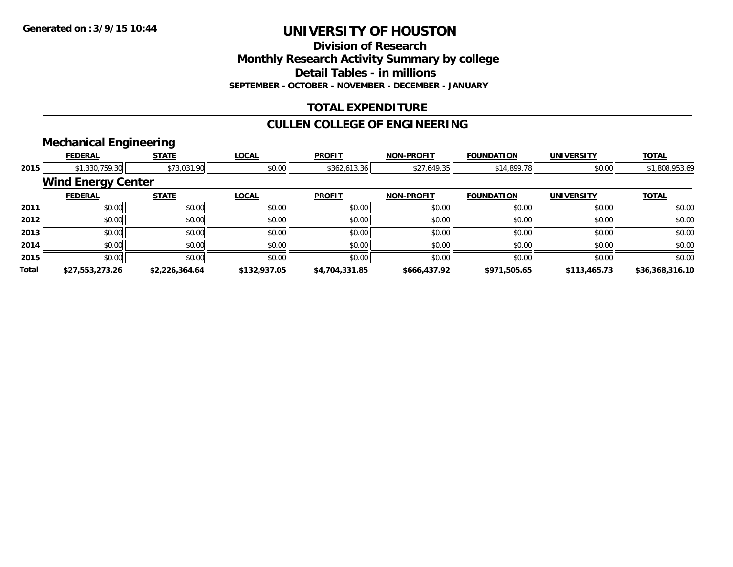**Division of Research**

**Monthly Research Activity Summary by college**

**Detail Tables - in millions**

**SEPTEMBER - OCTOBER - NOVEMBER - DECEMBER - JANUARY**

# **TOTAL EXPENDITURE**

# **CULLEN COLLEGE OF ENGINEERING**

### **Mechanical Engineering**

|              | <b>FEDERAL</b>            | <b>STATE</b>   | <b>LOCAL</b> | <b>PROFIT</b>  | <b>NON-PROFIT</b> | <b>FOUNDATION</b> | <b>UNIVERSITY</b> | <b>TOTAL</b>    |
|--------------|---------------------------|----------------|--------------|----------------|-------------------|-------------------|-------------------|-----------------|
| 2015         | \$1,330,759.30            | \$73,031.90    | \$0.00       | \$362,613.36   | \$27,649.35       | \$14,899.78       | \$0.00            | \$1,808,953.69  |
|              | <b>Wind Energy Center</b> |                |              |                |                   |                   |                   |                 |
|              | <b>FEDERAL</b>            | <b>STATE</b>   | <b>LOCAL</b> | <b>PROFIT</b>  | <b>NON-PROFIT</b> | <b>FOUNDATION</b> | <b>UNIVERSITY</b> | <b>TOTAL</b>    |
| 2011         | \$0.00                    | \$0.00         | \$0.00       | \$0.00         | \$0.00            | \$0.00            | \$0.00            | \$0.00          |
| 2012         | \$0.00                    | \$0.00         | \$0.00       | \$0.00         | \$0.00            | \$0.00            | \$0.00            | \$0.00          |
| 2013         | \$0.00                    | \$0.00         | \$0.00       | \$0.00         | \$0.00            | \$0.00            | \$0.00            | \$0.00          |
| 2014         | \$0.00                    | \$0.00         | \$0.00       | \$0.00         | \$0.00            | \$0.00            | \$0.00            | \$0.00          |
| 2015         | \$0.00                    | \$0.00         | \$0.00       | \$0.00         | \$0.00            | \$0.00            | \$0.00            | \$0.00          |
| <b>Total</b> | \$27,553,273.26           | \$2,226,364.64 | \$132,937.05 | \$4,704,331.85 | \$666,437.92      | \$971,505.65      | \$113,465.73      | \$36,368,316.10 |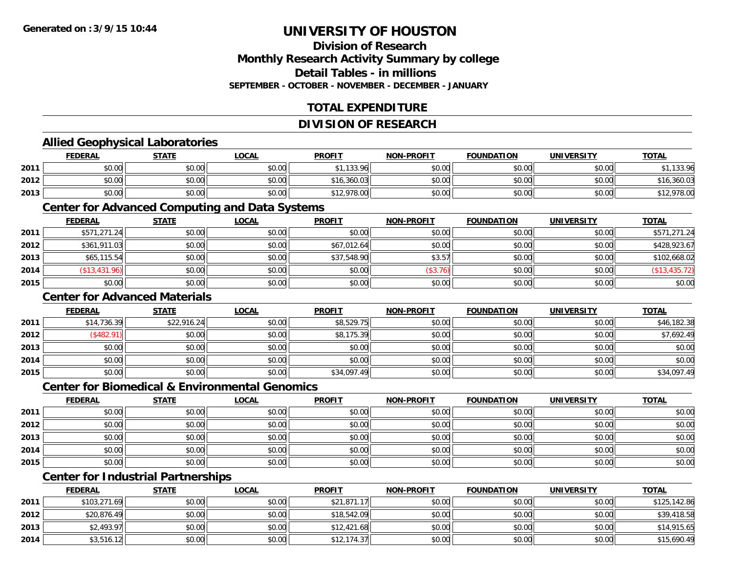# **Division of ResearchMonthly Research Activity Summary by college Detail Tables - in millions SEPTEMBER - OCTOBER - NOVEMBER - DECEMBER - JANUARY**

# **TOTAL EXPENDITURE**

### **DIVISION OF RESEARCH**

# **Allied Geophysical Laboratories**

|      | <b>FEDERAL</b> | <b>STATE</b> | <u>LOCAL</u> | <b>PROFIT</b> | <b>NON-PROFIT</b> | <b>FOUNDATION</b> | UNIVERSITY | <b>TOTAL</b> |
|------|----------------|--------------|--------------|---------------|-------------------|-------------------|------------|--------------|
| 2011 | \$0.00         | \$0.00       | \$0.00       | \$1,133.96    | \$0.00            | \$0.00            | \$0.00     | 133.96       |
| 2012 | \$0.00         | \$0.00       | \$0.00       | \$16,360.03   | \$0.00            | \$0.00            | \$0.00     | \$16,360.03  |
| 2013 | \$0.00         | \$0.00       | \$0.00       | \$12,978.00   | \$0.00            | \$0.00            | \$0.00     | 12,978.00    |

### **Center for Advanced Computing and Data Systems**

|      | <b>FEDERAL</b> | <b>STATE</b> | <u>LOCAL</u> | <b>PROFIT</b> | <b>NON-PROFIT</b> | <b>FOUNDATION</b> | <b>UNIVERSITY</b> | <b>TOTAL</b>  |
|------|----------------|--------------|--------------|---------------|-------------------|-------------------|-------------------|---------------|
| 2011 | \$571,271.24   | \$0.00       | \$0.00       | \$0.00        | \$0.00            | \$0.00            | \$0.00            | \$571,271.24  |
| 2012 | \$361,911.03   | \$0.00       | \$0.00       | \$67,012.64   | \$0.00            | \$0.00            | \$0.00            | \$428,923.67  |
| 2013 | \$65,115.54    | \$0.00       | \$0.00       | \$37,548.90   | \$3.57            | \$0.00            | \$0.00            | \$102,668.02  |
| 2014 | (\$13,431.96)  | \$0.00       | \$0.00       | \$0.00        | (\$3.76)          | \$0.00            | \$0.00            | (\$13,435.72) |
| 2015 | \$0.00         | \$0.00       | \$0.00       | \$0.00        | \$0.00            | \$0.00            | \$0.00            | \$0.00        |

### **Center for Advanced Materials**

|      | <b>FEDERAL</b> | <b>STATE</b> | <u>LOCAL</u> | <b>PROFIT</b> | <b>NON-PROFIT</b> | <b>FOUNDATION</b> | <b>UNIVERSITY</b> | <b>TOTAL</b> |
|------|----------------|--------------|--------------|---------------|-------------------|-------------------|-------------------|--------------|
| 2011 | \$14,736.39    | \$22,916.24  | \$0.00       | \$8,529.75    | \$0.00            | \$0.00            | \$0.00            | \$46,182.38  |
| 2012 | \$482.91       | \$0.00       | \$0.00       | \$8,175.39    | \$0.00            | \$0.00            | \$0.00            | \$7,692.49   |
| 2013 | \$0.00         | \$0.00       | \$0.00       | \$0.00        | \$0.00            | \$0.00            | \$0.00            | \$0.00       |
| 2014 | \$0.00         | \$0.00       | \$0.00       | \$0.00        | \$0.00            | \$0.00            | \$0.00            | \$0.00       |
| 2015 | \$0.00         | \$0.00       | \$0.00       | \$34,097.49   | \$0.00            | \$0.00            | \$0.00            | \$34,097.49  |

#### **Center for Biomedical & Environmental Genomics**

|      | <u>FEDERAL</u> | <b>STATE</b> | <b>LOCAL</b> | <b>PROFIT</b> | NON-PROFIT | <b>FOUNDATION</b> | <b>UNIVERSITY</b> | <b>TOTAL</b> |
|------|----------------|--------------|--------------|---------------|------------|-------------------|-------------------|--------------|
| 2011 | \$0.00         | \$0.00       | \$0.00       | \$0.00        | \$0.00     | \$0.00            | \$0.00            | \$0.00       |
| 2012 | \$0.00         | \$0.00       | \$0.00       | \$0.00        | \$0.00     | \$0.00            | \$0.00            | \$0.00       |
| 2013 | \$0.00         | \$0.00       | \$0.00       | \$0.00        | \$0.00     | \$0.00            | \$0.00            | \$0.00       |
| 2014 | \$0.00         | \$0.00       | \$0.00       | \$0.00        | \$0.00     | \$0.00            | \$0.00            | \$0.00       |
| 2015 | \$0.00         | \$0.00       | \$0.00       | \$0.00        | \$0.00     | \$0.00            | \$0.00            | \$0.00       |

# **Center for Industrial Partnerships**

|      | <u>FEDERAL</u> | <b>STATE</b> | <b>LOCAL</b> | <b>PROFIT</b> | <b>NON-PROFIT</b> | <b>FOUNDATION</b> | <b>UNIVERSITY</b> | <b>TOTAL</b> |
|------|----------------|--------------|--------------|---------------|-------------------|-------------------|-------------------|--------------|
| 2011 | \$103,271.69   | \$0.00       | \$0.00       | \$21,871.17   | \$0.00            | \$0.00            | \$0.00            | \$125,142.86 |
| 2012 | \$20,876.49    | \$0.00       | \$0.00       | \$18,542.09   | \$0.00            | \$0.00            | \$0.00            | \$39,418.58  |
| 2013 | \$2,493.97     | \$0.00       | \$0.00       | \$12,421.68   | \$0.00            | \$0.00            | \$0.00            | \$14,915.65  |
| 2014 | \$3,516.12     | \$0.00       | \$0.00       | \$12,174.37   | \$0.00            | \$0.00            | \$0.00            | \$15,690.49  |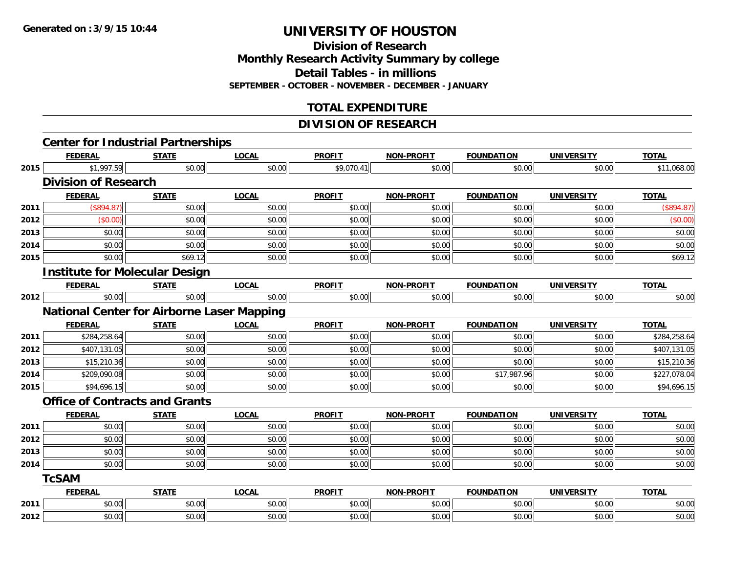**Division of ResearchMonthly Research Activity Summary by college Detail Tables - in millions SEPTEMBER - OCTOBER - NOVEMBER - DECEMBER - JANUARY**

# **TOTAL EXPENDITURE**

### **DIVISION OF RESEARCH**

|      | <b>Center for Industrial Partnerships</b>         |              |              |               |                   |                   |                   |              |
|------|---------------------------------------------------|--------------|--------------|---------------|-------------------|-------------------|-------------------|--------------|
|      | <b>FEDERAL</b>                                    | <b>STATE</b> | <b>LOCAL</b> | <b>PROFIT</b> | <b>NON-PROFIT</b> | <b>FOUNDATION</b> | <b>UNIVERSITY</b> | <b>TOTAL</b> |
| 2015 | \$1,997.59                                        | \$0.00       | \$0.00       | \$9,070.41    | \$0.00            | \$0.00            | \$0.00            | \$11,068.00  |
|      | <b>Division of Research</b>                       |              |              |               |                   |                   |                   |              |
|      | <b>FEDERAL</b>                                    | <b>STATE</b> | <b>LOCAL</b> | <b>PROFIT</b> | <b>NON-PROFIT</b> | <b>FOUNDATION</b> | <b>UNIVERSITY</b> | <b>TOTAL</b> |
| 2011 | (\$894.87)                                        | \$0.00       | \$0.00       | \$0.00        | \$0.00            | \$0.00            | \$0.00            | (\$894.87)   |
| 2012 | (\$0.00)                                          | \$0.00       | \$0.00       | \$0.00        | \$0.00            | \$0.00            | \$0.00            | (\$0.00)     |
| 2013 | \$0.00                                            | \$0.00       | \$0.00       | \$0.00        | \$0.00            | \$0.00            | \$0.00            | \$0.00       |
| 2014 | \$0.00                                            | \$0.00       | \$0.00       | \$0.00        | \$0.00            | \$0.00            | \$0.00            | \$0.00       |
| 2015 | \$0.00                                            | \$69.12      | \$0.00       | \$0.00        | \$0.00            | \$0.00            | \$0.00            | \$69.12      |
|      | <b>Institute for Molecular Design</b>             |              |              |               |                   |                   |                   |              |
|      | <b>FEDERAL</b>                                    | <b>STATE</b> | <b>LOCAL</b> | <b>PROFIT</b> | <b>NON-PROFIT</b> | <b>FOUNDATION</b> | <b>UNIVERSITY</b> | <b>TOTAL</b> |
| 2012 | \$0.00                                            | \$0.00       | \$0.00       | \$0.00        | \$0.00            | \$0.00            | \$0.00            | \$0.00       |
|      | <b>National Center for Airborne Laser Mapping</b> |              |              |               |                   |                   |                   |              |
|      | <b>FEDERAL</b>                                    | <b>STATE</b> | <b>LOCAL</b> | <b>PROFIT</b> | <b>NON-PROFIT</b> | <b>FOUNDATION</b> | <b>UNIVERSITY</b> | <b>TOTAL</b> |
| 2011 | \$284,258.64                                      | \$0.00       | \$0.00       | \$0.00        | \$0.00            | \$0.00            | \$0.00            | \$284,258.64 |
| 2012 | \$407,131.05                                      | \$0.00       | \$0.00       | \$0.00        | \$0.00            | \$0.00            | \$0.00            | \$407,131.05 |
| 2013 | \$15,210.36                                       | \$0.00       | \$0.00       | \$0.00        | \$0.00            | \$0.00            | \$0.00            | \$15,210.36  |
| 2014 | \$209,090.08                                      | \$0.00       | \$0.00       | \$0.00        | \$0.00            | \$17,987.96       | \$0.00            | \$227,078.04 |
| 2015 | \$94,696.15                                       | \$0.00       | \$0.00       | \$0.00        | \$0.00            | \$0.00            | \$0.00            | \$94,696.15  |
|      | <b>Office of Contracts and Grants</b>             |              |              |               |                   |                   |                   |              |
|      | <b>FEDERAL</b>                                    | <b>STATE</b> | <b>LOCAL</b> | <b>PROFIT</b> | <b>NON-PROFIT</b> | <b>FOUNDATION</b> | <b>UNIVERSITY</b> | <b>TOTAL</b> |
| 2011 | \$0.00                                            | \$0.00       | \$0.00       | \$0.00        | \$0.00            | \$0.00            | \$0.00            | \$0.00       |
| 2012 | \$0.00                                            | \$0.00       | \$0.00       | \$0.00        | \$0.00            | \$0.00            | \$0.00            | \$0.00       |
| 2013 | \$0.00                                            | \$0.00       | \$0.00       | \$0.00        | \$0.00            | \$0.00            | \$0.00            | \$0.00       |
| 2014 | \$0.00                                            | \$0.00       | \$0.00       | \$0.00        | \$0.00            | \$0.00            | \$0.00            | \$0.00       |
|      | <b>TcSAM</b>                                      |              |              |               |                   |                   |                   |              |
|      | <b>FEDERAL</b>                                    | <b>STATE</b> | <b>LOCAL</b> | <b>PROFIT</b> | <b>NON-PROFIT</b> | <b>FOUNDATION</b> | <b>UNIVERSITY</b> | <b>TOTAL</b> |
| 2011 | \$0.00                                            | \$0.00       | \$0.00       | \$0.00        | \$0.00            | \$0.00            | \$0.00            | \$0.00       |
| 2012 | \$0.00                                            | \$0.00       | \$0.00       | \$0.00        | \$0.00            | \$0.00            | \$0.00            | \$0.00       |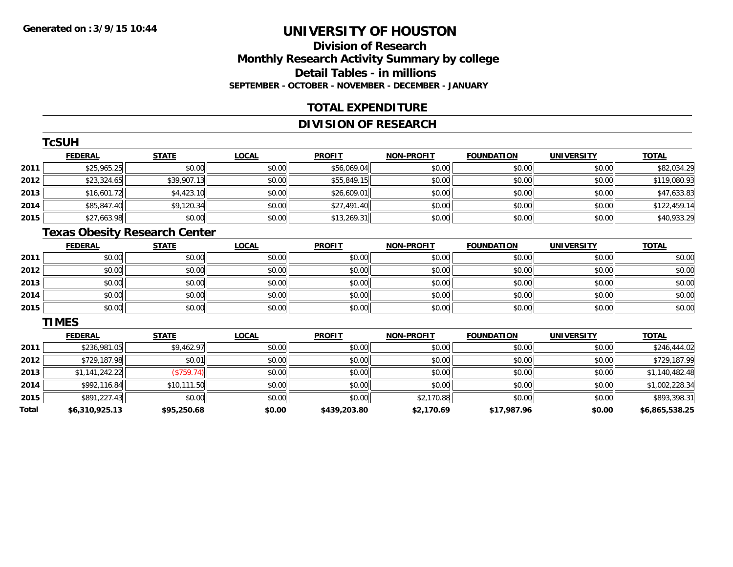# **Division of ResearchMonthly Research Activity Summary by college Detail Tables - in millions SEPTEMBER - OCTOBER - NOVEMBER - DECEMBER - JANUARY**

# **TOTAL EXPENDITURE**

# **DIVISION OF RESEARCH**

|      | TcSUH          |              |              |               |                   |                   |                   |              |  |  |  |  |
|------|----------------|--------------|--------------|---------------|-------------------|-------------------|-------------------|--------------|--|--|--|--|
|      | <b>FEDERAL</b> | <b>STATE</b> | <b>LOCAL</b> | <b>PROFIT</b> | <b>NON-PROFIT</b> | <b>FOUNDATION</b> | <b>UNIVERSITY</b> | <b>TOTAL</b> |  |  |  |  |
| 2011 | \$25,965.25    | \$0.00       | \$0.00       | \$56,069.04   | \$0.00            | \$0.00            | \$0.00            | \$82,034.29  |  |  |  |  |
| 2012 | \$23,324.65    | \$39,907.13  | \$0.00       | \$55,849.15   | \$0.00            | \$0.00            | \$0.00            | \$119,080.93 |  |  |  |  |
| 2013 | \$16,601.72    | \$4,423.10   | \$0.00       | \$26,609.01   | \$0.00            | \$0.00            | \$0.00            | \$47,633.83  |  |  |  |  |
| 2014 | \$85,847.40    | \$9,120.34   | \$0.00       | \$27,491.40   | \$0.00            | \$0.00            | \$0.00            | \$122,459.14 |  |  |  |  |
| 2015 | \$27,663.98    | \$0.00       | \$0.00       | \$13,269.31   | \$0.00            | \$0.00            | \$0.00            | \$40,933.29  |  |  |  |  |
|      |                |              |              |               |                   |                   |                   |              |  |  |  |  |

#### **Texas Obesity Research Center**

|      | <b>FEDERAL</b> | <b>STATE</b> | <u>LOCAL</u> | <b>PROFIT</b> | <b>NON-PROFIT</b> | <b>FOUNDATION</b> | <b>UNIVERSITY</b> | <b>TOTAL</b> |
|------|----------------|--------------|--------------|---------------|-------------------|-------------------|-------------------|--------------|
| 2011 | \$0.00         | \$0.00       | \$0.00       | \$0.00        | \$0.00            | \$0.00            | \$0.00            | \$0.00       |
| 2012 | \$0.00         | \$0.00       | \$0.00       | \$0.00        | \$0.00            | \$0.00            | \$0.00            | \$0.00       |
| 2013 | \$0.00         | \$0.00       | \$0.00       | \$0.00        | \$0.00            | \$0.00            | \$0.00            | \$0.00       |
| 2014 | \$0.00         | \$0.00       | \$0.00       | \$0.00        | \$0.00            | \$0.00            | \$0.00            | \$0.00       |
| 2015 | \$0.00         | \$0.00       | \$0.00       | \$0.00        | \$0.00            | \$0.00            | \$0.00            | \$0.00       |

#### **TIMES**

|       | <b>FEDERAL</b> | <b>STATE</b> | <u>LOCAL</u> | <b>PROFIT</b> | <b>NON-PROFIT</b> | <b>FOUNDATION</b> | <b>UNIVERSITY</b> | <b>TOTAL</b>   |
|-------|----------------|--------------|--------------|---------------|-------------------|-------------------|-------------------|----------------|
| 2011  | \$236,981.05   | \$9,462.97   | \$0.00       | \$0.00        | \$0.00            | \$0.00            | \$0.00            | \$246,444.02   |
| 2012  | \$729,187.98   | \$0.01       | \$0.00       | \$0.00        | \$0.00            | \$0.00            | \$0.00            | \$729,187.99   |
| 2013  | \$1,141,242.22 | (\$759.74)   | \$0.00       | \$0.00        | \$0.00            | \$0.00            | \$0.00            | \$1,140,482.48 |
| 2014  | \$992.116.84   | \$10,111.50  | \$0.00       | \$0.00        | \$0.00            | \$0.00            | \$0.00            | \$1,002,228.34 |
| 2015  | \$891,227.43   | \$0.00       | \$0.00       | \$0.00        | \$2,170.88        | \$0.00            | \$0.00            | \$893,398.31   |
| Total | \$6,310,925.13 | \$95,250.68  | \$0.00       | \$439,203.80  | \$2,170.69        | \$17,987.96       | \$0.00            | \$6,865,538.25 |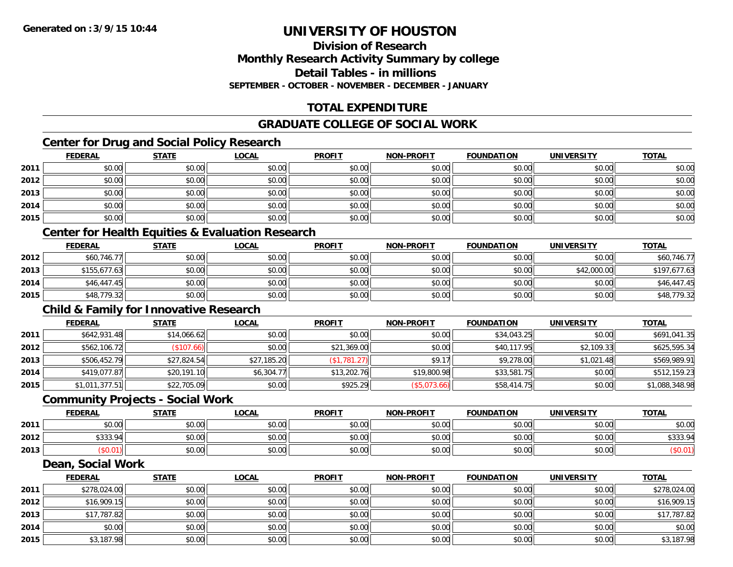# **Division of ResearchMonthly Research Activity Summary by college Detail Tables - in millionsSEPTEMBER - OCTOBER - NOVEMBER - DECEMBER - JANUARY**

# **TOTAL EXPENDITURE**

# **GRADUATE COLLEGE OF SOCIAL WORK**

# **Center for Drug and Social Policy Research**

|      | <b>FEDERAL</b> | <b>STATE</b> | <b>LOCAL</b>                                    | <b>PROFIT</b> | <b>NON-PROFIT</b> | <b>FOUNDATION</b> | <b>UNIVERSITY</b> | <b>TOTAL</b> |
|------|----------------|--------------|-------------------------------------------------|---------------|-------------------|-------------------|-------------------|--------------|
| 2011 | \$0.00         | \$0.00       | \$0.00                                          | \$0.00        | \$0.00            | \$0.00            | \$0.00            | \$0.00       |
| 2012 | \$0.00         | \$0.00       | \$0.00                                          | \$0.00        | \$0.00            | \$0.00            | \$0.00            | \$0.00       |
| 2013 | \$0.00         | \$0.00       | \$0.00                                          | \$0.00        | \$0.00            | \$0.00            | \$0.00            | \$0.00       |
| 2014 | \$0.00         | \$0.00       | \$0.00                                          | \$0.00        | \$0.00            | \$0.00            | \$0.00            | \$0.00       |
| 2015 | \$0.00         | \$0.00       | \$0.00                                          | \$0.00        | \$0.00            | \$0.00            | \$0.00            | \$0.00       |
|      |                |              | Contar for Hoolth Faultica B Fueluation Decease |               |                   |                   |                   |              |

#### **Center for Health Equities & Evaluation Research**

|      | <b>FEDERAL</b> | <b>STATE</b> | <u>LOCAL</u> | <b>PROFIT</b> | <b>NON-PROFIT</b> | <b>FOUNDATION</b> | UNIVERSITY  | <b>TOTAL</b> |
|------|----------------|--------------|--------------|---------------|-------------------|-------------------|-------------|--------------|
| 2012 | \$60,746.77    | \$0.00       | \$0.00       | \$0.00        | \$0.00            | \$0.00            | \$0.00      | \$60,746.77  |
| 2013 | \$155,677.63   | \$0.00       | \$0.00       | \$0.00        | \$0.00            | \$0.00            | \$42,000.00 | \$197.677.63 |
| 2014 | \$46,447.45    | \$0.00       | \$0.00       | \$0.00        | \$0.00            | \$0.00            | \$0.00      | \$46,447.45  |
| 2015 | \$48,779.32    | \$0.00       | \$0.00       | \$0.00        | \$0.00            | \$0.00            | \$0.00      | \$48,779.32  |

# **Child & Family for Innovative Research**

|      | <b>FEDERAL</b> | <b>STATE</b> | <b>LOCAL</b> | <b>PROFIT</b> | <b>NON-PROFIT</b> | <b>FOUNDATION</b> | <b>UNIVERSITY</b> | <b>TOTAL</b>   |
|------|----------------|--------------|--------------|---------------|-------------------|-------------------|-------------------|----------------|
| 2011 | \$642,931.48   | \$14,066.62  | \$0.00       | \$0.00        | \$0.00            | \$34,043.25       | \$0.00            | \$691,041.35   |
| 2012 | \$562,106.72   | (\$107.66)   | \$0.00       | \$21,369.00   | \$0.00            | \$40,117.95       | \$2,109.33        | \$625,595.34   |
| 2013 | \$506,452.79   | \$27,824.54  | \$27,185.20  | (\$1,781.27)  | \$9.17            | \$9,278.00        | \$1,021.48        | \$569,989.91   |
| 2014 | \$419,077.87   | \$20,191.10  | \$6,304.77   | \$13,202.76   | \$19,800.98       | \$33,581.75       | \$0.00            | \$512,159.23   |
| 2015 | \$1,011,377.51 | \$22,705.09  | \$0.00       | \$925.29      | (\$5,073.66)      | \$58,414.75       | \$0.00            | \$1,088,348.98 |

### **Community Projects - Social Work**

|      | <b>FEDERAL</b> | <b>STATE</b> | <u>LOCAL</u>           | <b>PROFIT</b>         | <b>NON-PROFIT</b> | <b>FOUNDATION</b> | <b>UNIVERSITY</b> | <u>TOTAL</u> |
|------|----------------|--------------|------------------------|-----------------------|-------------------|-------------------|-------------------|--------------|
| 2011 | \$0.00         | \$0.00       | $n \cap \neg$<br>DU.UG | 0000<br>\$0.00        | \$0.00            | \$0.00            | \$0.00            | \$0.00       |
| 2012 | \$333.94       | \$0.00       | 0000<br>DU.UG          | JU.UU                 | \$0.00            | \$0.00            | \$0.00            | \$333.94     |
| 2013 | SU.UT          | \$0.00       | \$0.00                 | t∩ ∩∩<br><b>SU.UU</b> | \$0.00            | \$0.00            | \$0.00            |              |

#### **Dean, Social Work**

|      | <b>FEDERAL</b> | <b>STATE</b> | <u>LOCAL</u> | <b>PROFIT</b> | <b>NON-PROFIT</b> | <b>FOUNDATION</b> | <b>UNIVERSITY</b> | <b>TOTAL</b> |
|------|----------------|--------------|--------------|---------------|-------------------|-------------------|-------------------|--------------|
| 2011 | \$278,024.00   | \$0.00       | \$0.00       | \$0.00        | \$0.00            | \$0.00            | \$0.00            | \$278,024.00 |
| 2012 | \$16,909.15    | \$0.00       | \$0.00       | \$0.00        | \$0.00            | \$0.00            | \$0.00            | \$16,909.15  |
| 2013 | \$17,787.82    | \$0.00       | \$0.00       | \$0.00        | \$0.00            | \$0.00            | \$0.00            | \$17,787.82  |
| 2014 | \$0.00         | \$0.00       | \$0.00       | \$0.00        | \$0.00            | \$0.00            | \$0.00            | \$0.00       |
| 2015 | \$3,187.98     | \$0.00       | \$0.00       | \$0.00        | \$0.00            | \$0.00            | \$0.00            | \$3,187.98   |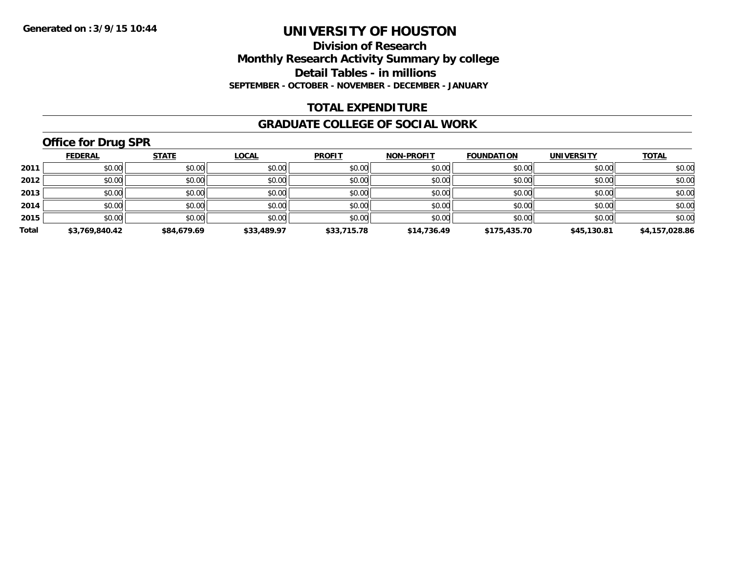### **Division of Research Monthly Research Activity Summary by college Detail Tables - in millions SEPTEMBER - OCTOBER - NOVEMBER - DECEMBER - JANUARY**

### **TOTAL EXPENDITURE**

#### **GRADUATE COLLEGE OF SOCIAL WORK**

# **Office for Drug SPR**

|       | <b>FEDERAL</b> | <b>STATE</b> | <b>LOCAL</b> | <b>PROFIT</b> | <b>NON-PROFIT</b> | <b>FOUNDATION</b> | <b>UNIVERSITY</b> | <b>TOTAL</b>   |
|-------|----------------|--------------|--------------|---------------|-------------------|-------------------|-------------------|----------------|
| 2011  | \$0.00         | \$0.00       | \$0.00       | \$0.00        | \$0.00            | \$0.00            | \$0.00            | \$0.00         |
| 2012  | \$0.00         | \$0.00       | \$0.00       | \$0.00        | \$0.00            | \$0.00            | \$0.00            | \$0.00         |
| 2013  | \$0.00         | \$0.00       | \$0.00       | \$0.00        | \$0.00            | \$0.00            | \$0.00            | \$0.00         |
| 2014  | \$0.00         | \$0.00       | \$0.00       | \$0.00        | \$0.00            | \$0.00            | \$0.00            | \$0.00         |
| 2015  | \$0.00         | \$0.00       | \$0.00       | \$0.00        | \$0.00            | \$0.00            | \$0.00            | \$0.00         |
| Total | \$3,769,840.42 | \$84,679.69  | \$33,489.97  | \$33,715.78   | \$14,736.49       | \$175,435.70      | \$45,130.81       | \$4,157,028.86 |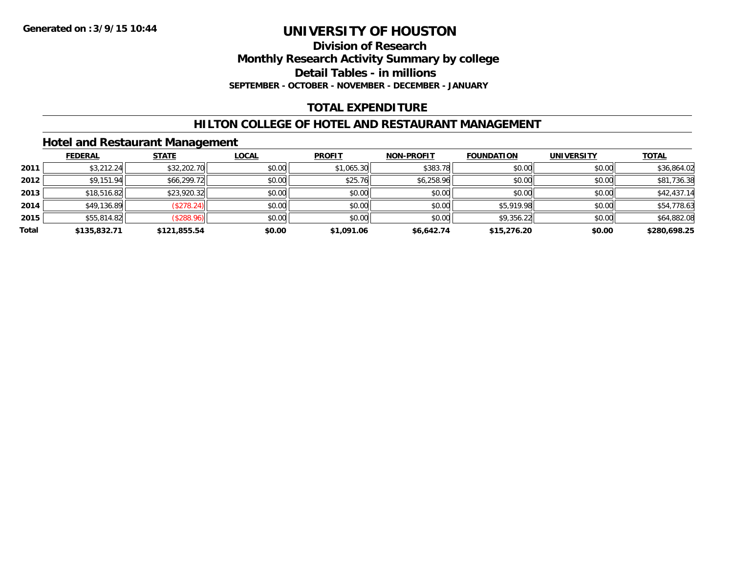#### **Division of Research Monthly Research Activity Summary by college Detail Tables - in millions SEPTEMBER - OCTOBER - NOVEMBER - DECEMBER - JANUARY**

# **TOTAL EXPENDITURE**

# **HILTON COLLEGE OF HOTEL AND RESTAURANT MANAGEMENT**

### **Hotel and Restaurant Management**

|       | <b>FEDERAL</b> | <b>STATE</b> | <b>LOCAL</b> | <b>PROFIT</b> | <b>NON-PROFIT</b> | <b>FOUNDATION</b> | <b>UNIVERSITY</b> | <b>TOTAL</b> |
|-------|----------------|--------------|--------------|---------------|-------------------|-------------------|-------------------|--------------|
| 2011  | \$3,212.24     | \$32,202.70  | \$0.00       | \$1,065.30    | \$383.78          | \$0.00            | \$0.00            | \$36,864.02  |
| 2012  | \$9,151.94     | \$66,299.72  | \$0.00       | \$25.76       | \$6,258.96        | \$0.00            | \$0.00            | \$81,736.38  |
| 2013  | \$18,516.82    | \$23,920.32  | \$0.00       | \$0.00        | \$0.00            | \$0.00            | \$0.00            | \$42,437.14  |
| 2014  | \$49,136.89    | (\$278.24)   | \$0.00       | \$0.00        | \$0.00            | \$5,919.98        | \$0.00            | \$54,778.63  |
| 2015  | \$55,814.82    | (\$288.96)   | \$0.00       | \$0.00        | \$0.00            | \$9,356.22        | \$0.00            | \$64,882.08  |
| Total | \$135,832.71   | \$121,855.54 | \$0.00       | \$1,091.06    | \$6,642.74        | \$15,276.20       | \$0.00            | \$280,698.25 |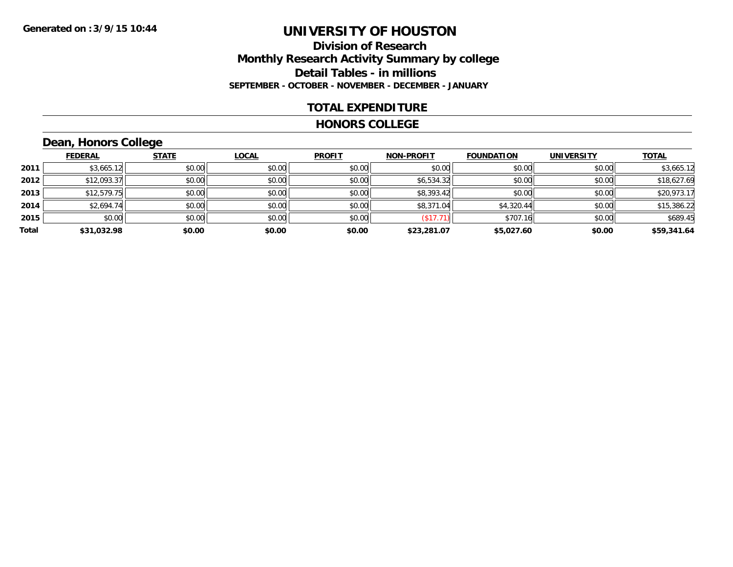### **Division of Research Monthly Research Activity Summary by college Detail Tables - in millions SEPTEMBER - OCTOBER - NOVEMBER - DECEMBER - JANUARY**

### **TOTAL EXPENDITURE**

#### **HONORS COLLEGE**

# **Dean, Honors College**

|       |                | $\sim$       |              |               |                   |                   |                   |              |
|-------|----------------|--------------|--------------|---------------|-------------------|-------------------|-------------------|--------------|
|       | <u>FEDERAL</u> | <b>STATE</b> | <b>LOCAL</b> | <b>PROFIT</b> | <b>NON-PROFIT</b> | <b>FOUNDATION</b> | <b>UNIVERSITY</b> | <b>TOTAL</b> |
| 2011  | \$3,665.12     | \$0.00       | \$0.00       | \$0.00        | \$0.00            | \$0.00            | \$0.00            | \$3,665.12   |
| 2012  | \$12,093.37    | \$0.00       | \$0.00       | \$0.00        | \$6,534.32        | \$0.00            | \$0.00            | \$18,627.69  |
| 2013  | \$12,579.75    | \$0.00       | \$0.00       | \$0.00        | \$8,393.42        | \$0.00            | \$0.00            | \$20,973.17  |
| 2014  | \$2,694.74     | \$0.00       | \$0.00       | \$0.00        | \$8,371.04        | \$4,320.44        | \$0.00            | \$15,386.22  |
| 2015  | \$0.00         | \$0.00       | \$0.00       | \$0.00        | (\$17.71)         | \$707.16          | \$0.00            | \$689.45     |
| Total | \$31,032.98    | \$0.00       | \$0.00       | \$0.00        | \$23,281.07       | \$5,027.60        | \$0.00            | \$59,341.64  |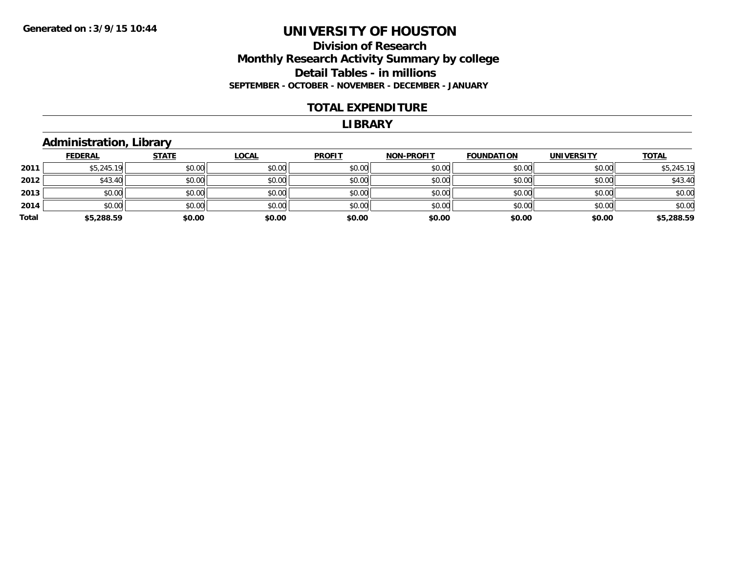### **Division of Research Monthly Research Activity Summary by college Detail Tables - in millions SEPTEMBER - OCTOBER - NOVEMBER - DECEMBER - JANUARY**

### **TOTAL EXPENDITURE**

#### **LIBRARY**

### **Administration, Library**

|       | <b>FEDERAL</b> | <b>STATE</b> | <u>LOCAL</u> | <b>PROFIT</b> | <b>NON-PROFIT</b> | <b>FOUNDATION</b> | <b>UNIVERSITY</b> | <b>TOTAL</b> |
|-------|----------------|--------------|--------------|---------------|-------------------|-------------------|-------------------|--------------|
| 2011  | \$5,245.19     | \$0.00       | \$0.00       | \$0.00        | \$0.00            | \$0.00            | \$0.00            | \$5,245.19   |
| 2012  | \$43.40        | \$0.00       | \$0.00       | \$0.00        | \$0.00            | \$0.00            | \$0.00            | \$43.40      |
| 2013  | \$0.00         | \$0.00       | \$0.00       | \$0.00        | \$0.00            | \$0.00            | \$0.00            | \$0.00       |
| 2014  | \$0.00         | \$0.00       | \$0.00       | \$0.00        | \$0.00            | \$0.00            | \$0.00            | \$0.00       |
| Total | \$5,288.59     | \$0.00       | \$0.00       | \$0.00        | \$0.00            | \$0.00            | \$0.00            | \$5,288.59   |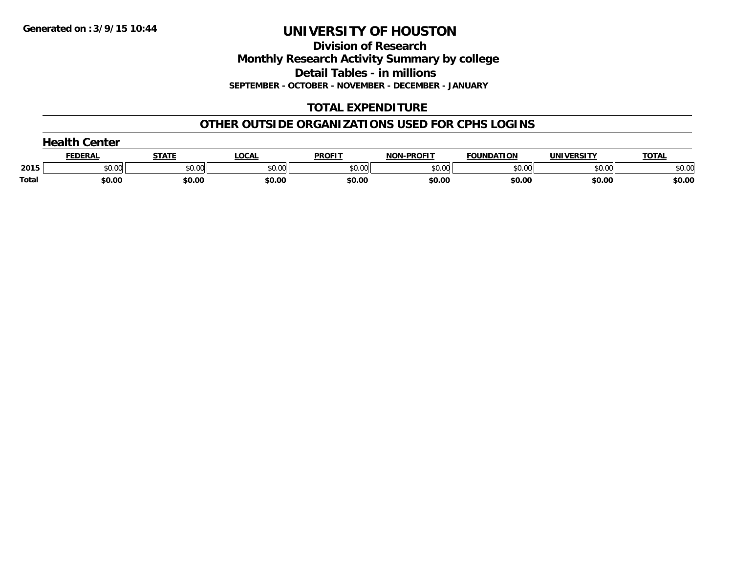**Division of Research Monthly Research Activity Summary by college Detail Tables - in millions SEPTEMBER - OCTOBER - NOVEMBER - DECEMBER - JANUARY**

# **TOTAL EXPENDITURE**

### **OTHER OUTSIDE ORGANIZATIONS USED FOR CPHS LOGINS**

| nealth <sup>o</sup><br><b>Center</b> |                |        |        |               |                              |                   |                   |              |
|--------------------------------------|----------------|--------|--------|---------------|------------------------------|-------------------|-------------------|--------------|
|                                      | <u>FEDERAL</u> | STATI  | LOCAL  | <b>PROFIT</b> | <b>LPROFIT</b><br><b>NON</b> | <b>FOUNDATION</b> | <b>UNIVERSITY</b> | <b>TOTAL</b> |
| 2015                                 | \$0.00         | \$0.00 | \$0.00 | \$0.00        | \$0.00                       | \$0.00            | \$0.00            | \$0.00       |
| Total                                | \$0.00         | \$0.00 | \$0.00 | \$0.00        | \$0.00                       | \$0.00            | \$0.00            | \$0.00       |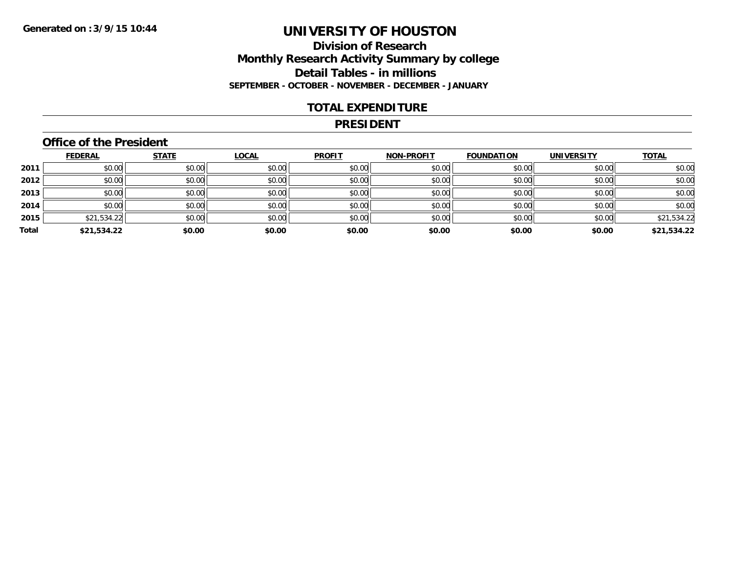### **Division of Research Monthly Research Activity Summary by college Detail Tables - in millions SEPTEMBER - OCTOBER - NOVEMBER - DECEMBER - JANUARY**

### **TOTAL EXPENDITURE**

#### **PRESIDENT**

### **Office of the President**

|       | <b>FEDERAL</b> | <b>STATE</b> | <b>LOCAL</b> | <b>PROFIT</b> | <b>NON-PROFIT</b> | <b>FOUNDATION</b> | <b>UNIVERSITY</b> | <b>TOTAL</b> |
|-------|----------------|--------------|--------------|---------------|-------------------|-------------------|-------------------|--------------|
| 2011  | \$0.00         | \$0.00       | \$0.00       | \$0.00        | \$0.00            | \$0.00            | \$0.00            | \$0.00       |
| 2012  | \$0.00         | \$0.00       | \$0.00       | \$0.00        | \$0.00            | \$0.00            | \$0.00            | \$0.00       |
| 2013  | \$0.00         | \$0.00       | \$0.00       | \$0.00        | \$0.00            | \$0.00            | \$0.00            | \$0.00       |
| 2014  | \$0.00         | \$0.00       | \$0.00       | \$0.00        | \$0.00            | \$0.00            | \$0.00            | \$0.00       |
| 2015  | \$21,534.22    | \$0.00       | \$0.00       | \$0.00        | \$0.00            | \$0.00            | \$0.00            | \$21,534.22  |
| Total | \$21,534.22    | \$0.00       | \$0.00       | \$0.00        | \$0.00            | \$0.00            | \$0.00            | \$21,534.22  |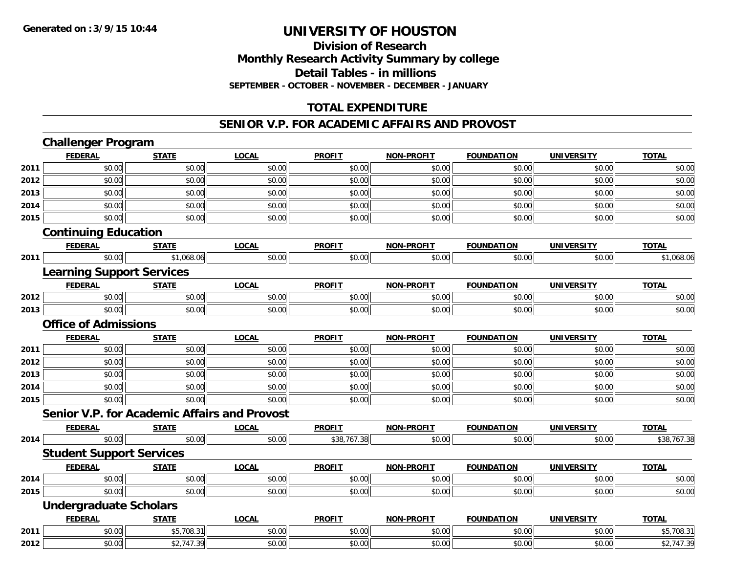### **Division of Research Monthly Research Activity Summary by college Detail Tables - in millions SEPTEMBER - OCTOBER - NOVEMBER - DECEMBER - JANUARY**

# **TOTAL EXPENDITURE**

### **SENIOR V.P. FOR ACADEMIC AFFAIRS AND PROVOST**

|      | <b>Challenger Program</b>                           |              |              |               |                   |                   |                   |              |
|------|-----------------------------------------------------|--------------|--------------|---------------|-------------------|-------------------|-------------------|--------------|
|      | <b>FEDERAL</b>                                      | <b>STATE</b> | <b>LOCAL</b> | <b>PROFIT</b> | <b>NON-PROFIT</b> | <b>FOUNDATION</b> | <b>UNIVERSITY</b> | <b>TOTAL</b> |
| 2011 | \$0.00                                              | \$0.00       | \$0.00       | \$0.00        | \$0.00            | \$0.00            | \$0.00            | \$0.00       |
| 2012 | \$0.00                                              | \$0.00       | \$0.00       | \$0.00        | \$0.00            | \$0.00            | \$0.00            | \$0.00       |
| 2013 | \$0.00                                              | \$0.00       | \$0.00       | \$0.00        | \$0.00            | \$0.00            | \$0.00            | \$0.00       |
| 2014 | \$0.00                                              | \$0.00       | \$0.00       | \$0.00        | \$0.00            | \$0.00            | \$0.00            | \$0.00       |
| 2015 | \$0.00                                              | \$0.00       | \$0.00       | \$0.00        | \$0.00            | \$0.00            | \$0.00            | \$0.00       |
|      | <b>Continuing Education</b>                         |              |              |               |                   |                   |                   |              |
|      | <b>FEDERAL</b>                                      | <b>STATE</b> | <b>LOCAL</b> | <b>PROFIT</b> | <b>NON-PROFIT</b> | <b>FOUNDATION</b> | <b>UNIVERSITY</b> | <b>TOTAL</b> |
| 2011 | \$0.00                                              | \$1,068.06   | \$0.00       | \$0.00        | \$0.00            | \$0.00            | \$0.00            | \$1,068.06   |
|      | <b>Learning Support Services</b>                    |              |              |               |                   |                   |                   |              |
|      | <b>FEDERAL</b>                                      | <b>STATE</b> | <b>LOCAL</b> | <b>PROFIT</b> | <b>NON-PROFIT</b> | <b>FOUNDATION</b> | <b>UNIVERSITY</b> | <b>TOTAL</b> |
| 2012 | \$0.00                                              | \$0.00       | \$0.00       | \$0.00        | \$0.00            | \$0.00            | \$0.00            | \$0.00       |
| 2013 | \$0.00                                              | \$0.00       | \$0.00       | \$0.00        | \$0.00            | \$0.00            | \$0.00            | \$0.00       |
|      | <b>Office of Admissions</b>                         |              |              |               |                   |                   |                   |              |
|      | <b>FEDERAL</b>                                      | <b>STATE</b> | <b>LOCAL</b> | <b>PROFIT</b> | <b>NON-PROFIT</b> | <b>FOUNDATION</b> | <b>UNIVERSITY</b> | <b>TOTAL</b> |
| 2011 | \$0.00                                              | \$0.00       | \$0.00       | \$0.00        | \$0.00            | \$0.00            | \$0.00            | \$0.00       |
| 2012 | \$0.00                                              | \$0.00       | \$0.00       | \$0.00        | \$0.00            | \$0.00            | \$0.00            | \$0.00       |
| 2013 | \$0.00                                              | \$0.00       | \$0.00       | \$0.00        | \$0.00            | \$0.00            | \$0.00            | \$0.00       |
| 2014 | \$0.00                                              | \$0.00       | \$0.00       | \$0.00        | \$0.00            | \$0.00            | \$0.00            | \$0.00       |
| 2015 | \$0.00                                              | \$0.00       | \$0.00       | \$0.00        | \$0.00            | \$0.00            | \$0.00            | \$0.00       |
|      | <b>Senior V.P. for Academic Affairs and Provost</b> |              |              |               |                   |                   |                   |              |
|      | <b>FEDERAL</b>                                      | <b>STATE</b> | <b>LOCAL</b> | <b>PROFIT</b> | <b>NON-PROFIT</b> | <b>FOUNDATION</b> | <b>UNIVERSITY</b> | <b>TOTAL</b> |
| 2014 | \$0.00                                              | \$0.00       | \$0.00       | \$38,767.38   | \$0.00            | \$0.00            | \$0.00            | \$38,767.38  |
|      | <b>Student Support Services</b>                     |              |              |               |                   |                   |                   |              |
|      | <b>FEDERAL</b>                                      | <b>STATE</b> | <b>LOCAL</b> | <b>PROFIT</b> | <b>NON-PROFIT</b> | <b>FOUNDATION</b> | <b>UNIVERSITY</b> | <b>TOTAL</b> |
| 2014 | \$0.00                                              | \$0.00       | \$0.00       | \$0.00        | \$0.00            | \$0.00            | \$0.00            | \$0.00       |
| 2015 | \$0.00                                              | \$0.00       | \$0.00       | \$0.00        | \$0.00            | \$0.00            | \$0.00            | \$0.00       |
|      | <b>Undergraduate Scholars</b>                       |              |              |               |                   |                   |                   |              |
|      | <b>FEDERAL</b>                                      | <b>STATE</b> | <b>LOCAL</b> | <b>PROFIT</b> | <b>NON-PROFIT</b> | <b>FOUNDATION</b> | <b>UNIVERSITY</b> | <b>TOTAL</b> |
| 2011 | \$0.00                                              | \$5,708.31   | \$0.00       | \$0.00        | \$0.00            | \$0.00            | \$0.00            | \$5,708.31   |
| 2012 | \$0.00                                              | \$2,747.39   | \$0.00       | \$0.00        | \$0.00            | \$0.00            | \$0.00            | \$2,747.39   |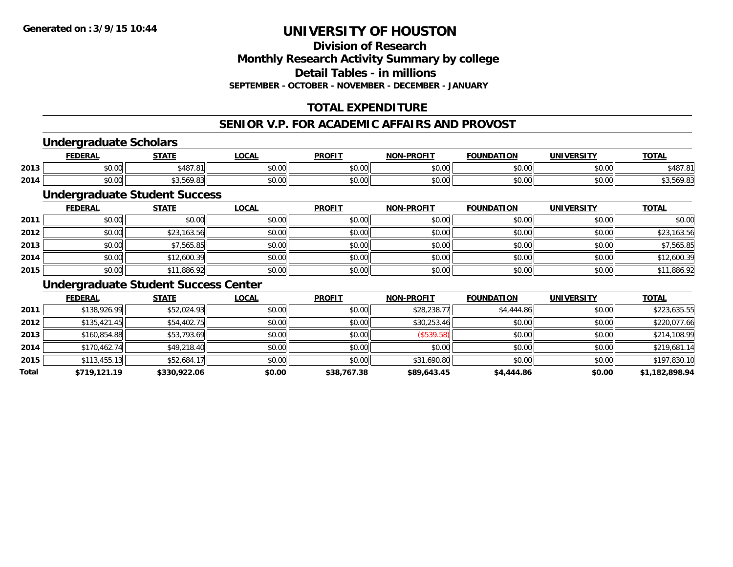**Division of ResearchMonthly Research Activity Summary by college Detail Tables - in millionsSEPTEMBER - OCTOBER - NOVEMBER - DECEMBER - JANUARY**

# **TOTAL EXPENDITURE**

#### **SENIOR V.P. FOR ACADEMIC AFFAIRS AND PROVOST**

### **Undergraduate Scholars**

|      | <b>FEDERAI</b>     | <b>СТЛТЕ</b>                              | <b>OCAL</b> | <b>PROFIT</b> | <b>LPROFIT</b><br><b>NIONI</b> | <b>FOUNDATION</b>  | <b>INIIVEDCITY</b><br>$\mathbf{v}$         | <b>TOTAL</b>               |
|------|--------------------|-------------------------------------------|-------------|---------------|--------------------------------|--------------------|--------------------------------------------|----------------------------|
| 2013 | $\sim$ 00<br>טט.טע | 107.01                                    | vv.vv       | 0000<br>JU.UU | \$0.00                         | $\sim$ 00          | 0000<br>vu.vu                              | \$487.<br>$\Omega$<br>ם. י |
| 2014 | $\sim$ 00<br>vv.vv | $\sim$ 0.000 $\sim$<br>, , , , ,<br>ט טיט | vu.vu       | 0000<br>PO.OO | \$0.00                         | $\sim$ 00<br>טט.טע | $\mathsf{A} \cap \mathsf{A} \cap$<br>vv.vv |                            |

# **Undergraduate Student Success**

|      | <b>FEDERAL</b> | <b>STATE</b> | <u>LOCAL</u> | <b>PROFIT</b> | NON-PROFIT | <b>FOUNDATION</b> | <b>UNIVERSITY</b> | <b>TOTAL</b> |
|------|----------------|--------------|--------------|---------------|------------|-------------------|-------------------|--------------|
| 2011 | \$0.00         | \$0.00       | \$0.00       | \$0.00        | \$0.00     | \$0.00            | \$0.00            | \$0.00       |
| 2012 | \$0.00         | \$23,163.56  | \$0.00       | \$0.00        | \$0.00     | \$0.00            | \$0.00            | \$23,163.56  |
| 2013 | \$0.00         | \$7,565.85   | \$0.00       | \$0.00        | \$0.00     | \$0.00            | \$0.00            | \$7,565.85   |
| 2014 | \$0.00         | \$12,600.39  | \$0.00       | \$0.00        | \$0.00     | \$0.00            | \$0.00            | \$12,600.39  |
| 2015 | \$0.00         | \$11,886.92  | \$0.00       | \$0.00        | \$0.00     | \$0.00            | \$0.00            | \$11,886.92  |

### **Undergraduate Student Success Center**

|       | <b>FEDERAL</b> | <b>STATE</b> | <u>LOCAL</u> | <b>PROFIT</b> | <b>NON-PROFIT</b> | <b>FOUNDATION</b> | <b>UNIVERSITY</b> | <b>TOTAL</b>   |
|-------|----------------|--------------|--------------|---------------|-------------------|-------------------|-------------------|----------------|
| 2011  | \$138,926.99   | \$52,024.93  | \$0.00       | \$0.00        | \$28,238.77       | \$4,444.86        | \$0.00            | \$223,635.55   |
| 2012  | \$135,421.45   | \$54,402.75  | \$0.00       | \$0.00        | \$30,253.46       | \$0.00            | \$0.00            | \$220,077.66   |
| 2013  | \$160,854.88   | \$53,793.69  | \$0.00       | \$0.00        | (\$539.58)        | \$0.00            | \$0.00            | \$214,108.99   |
| 2014  | \$170,462.74   | \$49,218.40  | \$0.00       | \$0.00        | \$0.00            | \$0.00            | \$0.00            | \$219,681.14   |
| 2015  | \$113,455.13   | \$52,684.17  | \$0.00       | \$0.00        | \$31,690.80       | \$0.00            | \$0.00            | \$197,830.10   |
| Total | \$719,121.19   | \$330,922.06 | \$0.00       | \$38,767.38   | \$89,643.45       | \$4,444.86        | \$0.00            | \$1,182,898.94 |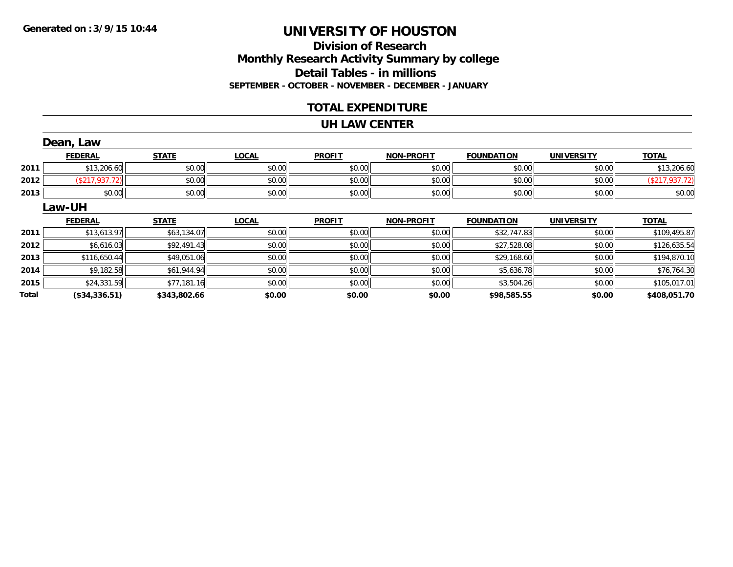# **Division of ResearchMonthly Research Activity Summary by college Detail Tables - in millions SEPTEMBER - OCTOBER - NOVEMBER - DECEMBER - JANUARY**

### **TOTAL EXPENDITURE**

#### **UH LAW CENTER**

|              | Dean, Law      |              |              |               |                   |                   |                   |                |
|--------------|----------------|--------------|--------------|---------------|-------------------|-------------------|-------------------|----------------|
|              | <b>FEDERAL</b> | <b>STATE</b> | <b>LOCAL</b> | <b>PROFIT</b> | <b>NON-PROFIT</b> | <b>FOUNDATION</b> | <b>UNIVERSITY</b> | <b>TOTAL</b>   |
| 2011         | \$13,206.60    | \$0.00       | \$0.00       | \$0.00        | \$0.00            | \$0.00            | \$0.00            | \$13,206.60    |
| 2012         | (\$217,937.72) | \$0.00       | \$0.00       | \$0.00        | \$0.00            | \$0.00            | \$0.00            | (\$217,937.72) |
| 2013         | \$0.00         | \$0.00       | \$0.00       | \$0.00        | \$0.00            | \$0.00            | \$0.00            | \$0.00         |
|              | Law-UH         |              |              |               |                   |                   |                   |                |
|              | <b>FEDERAL</b> | <b>STATE</b> | <b>LOCAL</b> | <b>PROFIT</b> | <b>NON-PROFIT</b> | <b>FOUNDATION</b> | <b>UNIVERSITY</b> | <b>TOTAL</b>   |
| 2011         | \$13,613.97    | \$63,134.07  | \$0.00       | \$0.00        | \$0.00            | \$32,747.83       | \$0.00            | \$109,495.87   |
| 2012         | \$6,616.03     | \$92,491.43  | \$0.00       | \$0.00        | \$0.00            | \$27,528.08       | \$0.00            | \$126,635.54   |
| 2013         | \$116,650.44   | \$49,051.06  | \$0.00       | \$0.00        | \$0.00            | \$29,168.60       | \$0.00            | \$194,870.10   |
| 2014         | \$9,182.58     | \$61,944.94  | \$0.00       | \$0.00        | \$0.00            | \$5,636.78        | \$0.00            | \$76,764.30    |
| 2015         | \$24,331.59    | \$77,181.16  | \$0.00       | \$0.00        | \$0.00            | \$3,504.26        | \$0.00            | \$105,017.01   |
| <b>Total</b> | (\$34,336.51)  | \$343,802.66 | \$0.00       | \$0.00        | \$0.00            | \$98,585.55       | \$0.00            | \$408,051.70   |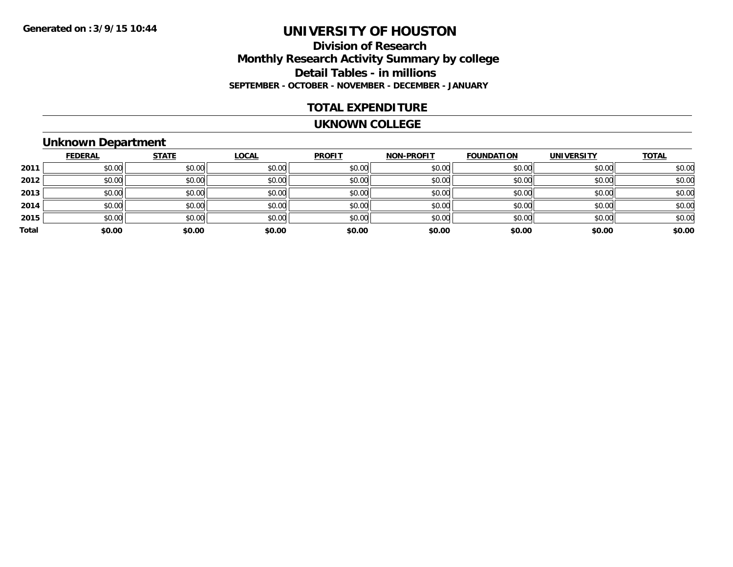# **Division of ResearchMonthly Research Activity Summary by college Detail Tables - in millions SEPTEMBER - OCTOBER - NOVEMBER - DECEMBER - JANUARY**

### **TOTAL EXPENDITURE**

#### **UKNOWN COLLEGE**

# **Unknown Department**

|       | <b>FEDERAL</b> | <b>STATE</b> | <b>LOCAL</b> | <b>PROFIT</b> | <b>NON-PROFIT</b> | <b>FOUNDATION</b> | <b>UNIVERSITY</b> | <b>TOTAL</b> |
|-------|----------------|--------------|--------------|---------------|-------------------|-------------------|-------------------|--------------|
| 2011  | \$0.00         | \$0.00       | \$0.00       | \$0.00        | \$0.00            | \$0.00            | \$0.00            | \$0.00       |
| 2012  | \$0.00         | \$0.00       | \$0.00       | \$0.00        | \$0.00            | \$0.00            | \$0.00            | \$0.00       |
| 2013  | \$0.00         | \$0.00       | \$0.00       | \$0.00        | \$0.00            | \$0.00            | \$0.00            | \$0.00       |
| 2014  | \$0.00         | \$0.00       | \$0.00       | \$0.00        | \$0.00            | \$0.00            | \$0.00            | \$0.00       |
| 2015  | \$0.00         | \$0.00       | \$0.00       | \$0.00        | \$0.00            | \$0.00            | \$0.00            | \$0.00       |
| Total | \$0.00         | \$0.00       | \$0.00       | \$0.00        | \$0.00            | \$0.00            | \$0.00            | \$0.00       |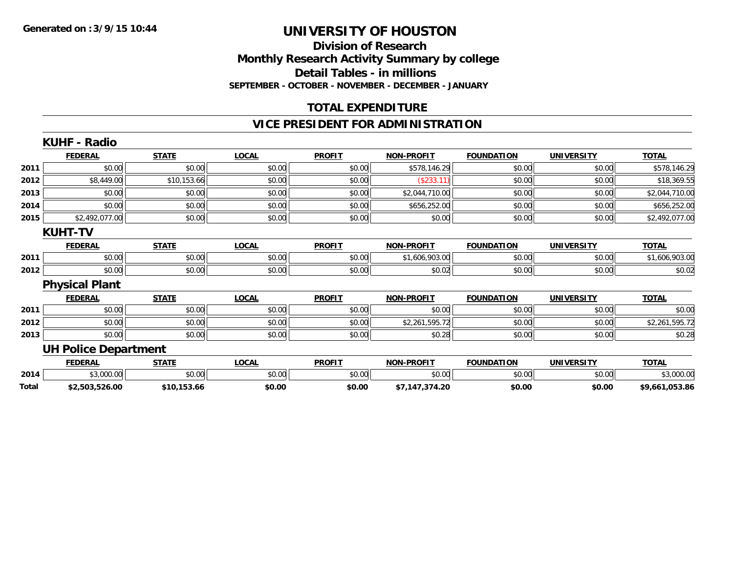### **Division of Research Monthly Research Activity Summary by college Detail Tables - in millions SEPTEMBER - OCTOBER - NOVEMBER - DECEMBER - JANUARY**

# **TOTAL EXPENDITURE**

### **VICE PRESIDENT FOR ADMINISTRATION**

|       | <b>KUHF - Radio</b>         |              |              |               |                   |                   |                   |                |
|-------|-----------------------------|--------------|--------------|---------------|-------------------|-------------------|-------------------|----------------|
|       | <b>FEDERAL</b>              | <b>STATE</b> | <b>LOCAL</b> | <b>PROFIT</b> | <b>NON-PROFIT</b> | <b>FOUNDATION</b> | <b>UNIVERSITY</b> | <b>TOTAL</b>   |
| 2011  | \$0.00                      | \$0.00       | \$0.00       | \$0.00        | \$578,146.29      | \$0.00            | \$0.00            | \$578,146.29   |
| 2012  | \$8,449.00                  | \$10,153.66  | \$0.00       | \$0.00        | (\$233.11)        | \$0.00            | \$0.00            | \$18,369.55    |
| 2013  | \$0.00                      | \$0.00       | \$0.00       | \$0.00        | \$2,044,710.00    | \$0.00            | \$0.00            | \$2,044,710.00 |
| 2014  | \$0.00                      | \$0.00       | \$0.00       | \$0.00        | \$656,252.00      | \$0.00            | \$0.00            | \$656,252.00   |
| 2015  | \$2,492,077.00              | \$0.00       | \$0.00       | \$0.00        | \$0.00            | \$0.00            | \$0.00            | \$2,492,077.00 |
|       | <b>KUHT-TV</b>              |              |              |               |                   |                   |                   |                |
|       | <b>FEDERAL</b>              | <b>STATE</b> | <b>LOCAL</b> | <b>PROFIT</b> | <b>NON-PROFIT</b> | <b>FOUNDATION</b> | <b>UNIVERSITY</b> | <b>TOTAL</b>   |
| 2011  | \$0.00                      | \$0.00       | \$0.00       | \$0.00        | \$1,606,903.00    | \$0.00            | \$0.00            | \$1,606,903.00 |
| 2012  | \$0.00                      | \$0.00       | \$0.00       | \$0.00        | \$0.02            | \$0.00            | \$0.00            | \$0.02         |
|       | <b>Physical Plant</b>       |              |              |               |                   |                   |                   |                |
|       | <b>FEDERAL</b>              | <b>STATE</b> | <b>LOCAL</b> | <b>PROFIT</b> | <b>NON-PROFIT</b> | <b>FOUNDATION</b> | <b>UNIVERSITY</b> | <b>TOTAL</b>   |
| 2011  | \$0.00                      | \$0.00       | \$0.00       | \$0.00        | \$0.00            | \$0.00            | \$0.00            | \$0.00         |
| 2012  | \$0.00                      | \$0.00       | \$0.00       | \$0.00        | \$2,261,595.72    | \$0.00            | \$0.00            | \$2,261,595.72 |
| 2013  | \$0.00                      | \$0.00       | \$0.00       | \$0.00        | \$0.28            | \$0.00            | \$0.00            | \$0.28         |
|       | <b>UH Police Department</b> |              |              |               |                   |                   |                   |                |
|       | <b>FEDERAL</b>              | <b>STATE</b> | <b>LOCAL</b> | <b>PROFIT</b> | <b>NON-PROFIT</b> | <b>FOUNDATION</b> | <b>UNIVERSITY</b> | <b>TOTAL</b>   |
| 2014  | \$3,000.00                  | \$0.00       | \$0.00       | \$0.00        | \$0.00            | \$0.00            | \$0.00            | \$3,000.00     |
| Total | \$2,503,526.00              | \$10,153.66  | \$0.00       | \$0.00        | \$7,147,374.20    | \$0.00            | \$0.00            | \$9,661,053.86 |
|       |                             |              |              |               |                   |                   |                   |                |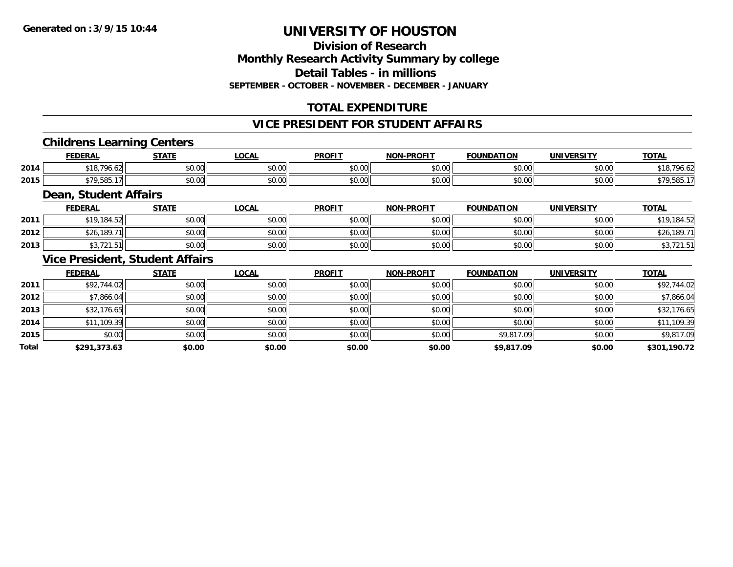### **Division of ResearchMonthly Research Activity Summary by college Detail Tables - in millions SEPTEMBER - OCTOBER - NOVEMBER - DECEMBER - JANUARY**

# **TOTAL EXPENDITURE**

#### **VICE PRESIDENT FOR STUDENT AFFAIRS**

### **Childrens Learning Centers**

|      | <b>FEDERAL</b>      | <b>STATE</b><br>.  | .OCAI          | <b>PROFIT</b> | <b>NON-PROFIT</b> | <b>FOUNDATION</b>      | <b>UNIVERSITY</b>                   | <b>TOTAL</b>              |
|------|---------------------|--------------------|----------------|---------------|-------------------|------------------------|-------------------------------------|---------------------------|
| 2014 | 706<br>0.10<br>- 10 | $\sim$ 00<br>vu.uu | nn nn<br>pu.uu | 0.00<br>JU.UU | \$0.00            | $n \cap \neg$<br>pu.uu | $\theta$ $\theta$ $\theta$<br>PU.UU | 90.04<br>۱о.              |
| 2015 | \$79.585.           | $\sim$ 00<br>JU.UU | nn nn<br>DU.UU | 0.00<br>JU.UU | \$0.00            | nn na<br>DU.UU         | m up<br>DU.UG                       | <b>¢70 505</b><br>,,,,,,, |

### **Dean, Student Affairs**

|      | <b>FEDERAL</b>                 | <b>STATE</b> | <b>LOCAL</b> | <b>PROFIT</b> | <b>NON-PROFIT</b> | <b>FOUNDATION</b> | UNIVERSITY | <b>TOTAL</b>                             |
|------|--------------------------------|--------------|--------------|---------------|-------------------|-------------------|------------|------------------------------------------|
| 2011 | \$19.184.52                    | \$0.00       | \$0.00       | \$0.00        | \$0.00            | mn n¢<br>JU.UU    | \$0.00     | 184.52<br>t 1 0                          |
| 2012 | 189.ه<br><b>ተገ</b> ረ           | \$0.00       | \$0.00       | \$0.00        | \$0.00            | \$0.00            | \$0.00     | .189.7'<br>\$26                          |
| 2013 | $\sim$ $\sim$ $\sim$<br>ں ، اے | \$0.00       | \$0.00       | \$0.00        | \$0.00            | \$0.00            | \$0.00     | $\overline{\phantom{a}}$<br>70, 12 I . J |

### **Vice President, Student Affairs**

|       | <b>FEDERAL</b> | <b>STATE</b> | <u>LOCAL</u> | <b>PROFIT</b> | <b>NON-PROFIT</b> | <b>FOUNDATION</b> | <b>UNIVERSITY</b> | <b>TOTAL</b> |
|-------|----------------|--------------|--------------|---------------|-------------------|-------------------|-------------------|--------------|
| 2011  | \$92,744.02    | \$0.00       | \$0.00       | \$0.00        | \$0.00            | \$0.00            | \$0.00            | \$92,744.02  |
| 2012  | \$7,866.04     | \$0.00       | \$0.00       | \$0.00        | \$0.00            | \$0.00            | \$0.00            | \$7,866.04   |
| 2013  | \$32,176.65    | \$0.00       | \$0.00       | \$0.00        | \$0.00            | \$0.00            | \$0.00            | \$32,176.65  |
| 2014  | \$11,109.39    | \$0.00       | \$0.00       | \$0.00        | \$0.00            | \$0.00            | \$0.00            | \$11,109.39  |
| 2015  | \$0.00         | \$0.00       | \$0.00       | \$0.00        | \$0.00            | \$9,817.09        | \$0.00            | \$9,817.09   |
| Total | \$291,373.63   | \$0.00       | \$0.00       | \$0.00        | \$0.00            | \$9,817.09        | \$0.00            | \$301,190.72 |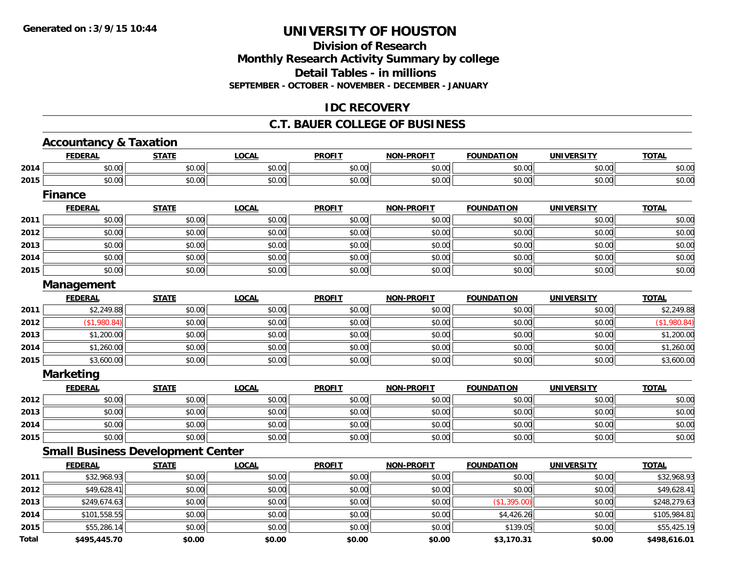**Total**

# **UNIVERSITY OF HOUSTON**

# **Division of ResearchMonthly Research Activity Summary by college Detail Tables - in millions SEPTEMBER - OCTOBER - NOVEMBER - DECEMBER - JANUARY**

# **IDC RECOVERY**

### **C.T. BAUER COLLEGE OF BUSINESS**

|      | <b>Accountancy &amp; Taxation</b>        |              |              |               |                   |                   |                   |              |
|------|------------------------------------------|--------------|--------------|---------------|-------------------|-------------------|-------------------|--------------|
|      | <b>FEDERAL</b>                           | <b>STATE</b> | <b>LOCAL</b> | <b>PROFIT</b> | <b>NON-PROFIT</b> | <b>FOUNDATION</b> | <b>UNIVERSITY</b> | <b>TOTAL</b> |
| 2014 | \$0.00                                   | \$0.00       | \$0.00       | \$0.00        | \$0.00            | \$0.00            | \$0.00            | \$0.00       |
| 2015 | \$0.00                                   | \$0.00       | \$0.00       | \$0.00        | \$0.00            | \$0.00            | \$0.00            | \$0.00       |
|      | <b>Finance</b>                           |              |              |               |                   |                   |                   |              |
|      | <b>FEDERAL</b>                           | <b>STATE</b> | <b>LOCAL</b> | <b>PROFIT</b> | <b>NON-PROFIT</b> | <b>FOUNDATION</b> | <b>UNIVERSITY</b> | <b>TOTAL</b> |
| 2011 | \$0.00                                   | \$0.00       | \$0.00       | \$0.00        | \$0.00            | \$0.00            | \$0.00            | \$0.00       |
| 2012 | \$0.00                                   | \$0.00       | \$0.00       | \$0.00        | \$0.00            | \$0.00            | \$0.00            | \$0.00       |
| 2013 | \$0.00                                   | \$0.00       | \$0.00       | \$0.00        | \$0.00            | \$0.00            | \$0.00            | \$0.00       |
| 2014 | \$0.00                                   | \$0.00       | \$0.00       | \$0.00        | \$0.00            | \$0.00            | \$0.00            | \$0.00       |
| 2015 | \$0.00                                   | \$0.00       | \$0.00       | \$0.00        | \$0.00            | \$0.00            | \$0.00            | \$0.00       |
|      | Management                               |              |              |               |                   |                   |                   |              |
|      | <b>FEDERAL</b>                           | <b>STATE</b> | <b>LOCAL</b> | <b>PROFIT</b> | <b>NON-PROFIT</b> | <b>FOUNDATION</b> | <b>UNIVERSITY</b> | <b>TOTAL</b> |
| 2011 | \$2,249.88                               | \$0.00       | \$0.00       | \$0.00        | \$0.00            | \$0.00            | \$0.00            | \$2,249.88   |
| 2012 | (\$1,980.84)                             | \$0.00       | \$0.00       | \$0.00        | \$0.00            | \$0.00            | \$0.00            | (\$1,980.84) |
| 2013 | \$1,200.00                               | \$0.00       | \$0.00       | \$0.00        | \$0.00            | \$0.00            | \$0.00            | \$1,200.00   |
| 2014 | \$1,260.00                               | \$0.00       | \$0.00       | \$0.00        | \$0.00            | \$0.00            | \$0.00            | \$1,260.00   |
| 2015 | \$3,600.00                               | \$0.00       | \$0.00       | \$0.00        | \$0.00            | \$0.00            | \$0.00            | \$3,600.00   |
|      | <b>Marketing</b>                         |              |              |               |                   |                   |                   |              |
|      | <b>FEDERAL</b>                           | <b>STATE</b> | <b>LOCAL</b> | <b>PROFIT</b> | <b>NON-PROFIT</b> | <b>FOUNDATION</b> | <b>UNIVERSITY</b> | <b>TOTAL</b> |
| 2012 | \$0.00                                   | \$0.00       | \$0.00       | \$0.00        | \$0.00            | \$0.00            | \$0.00            | \$0.00       |
| 2013 | \$0.00                                   | \$0.00       | \$0.00       | \$0.00        | \$0.00            | \$0.00            | \$0.00            | \$0.00       |
| 2014 | \$0.00                                   | \$0.00       | \$0.00       | \$0.00        | \$0.00            | \$0.00            | \$0.00            | \$0.00       |
| 2015 | \$0.00                                   | \$0.00       | \$0.00       | \$0.00        | \$0.00            | \$0.00            | \$0.00            | \$0.00       |
|      | <b>Small Business Development Center</b> |              |              |               |                   |                   |                   |              |
|      | <b>FEDERAL</b>                           | <b>STATE</b> | <b>LOCAL</b> | <b>PROFIT</b> | <b>NON-PROFIT</b> | <b>FOUNDATION</b> | <b>UNIVERSITY</b> | <b>TOTAL</b> |
| 2011 | \$32,968.93                              | \$0.00       | \$0.00       | \$0.00        | \$0.00            | \$0.00            | \$0.00            | \$32,968.93  |
| 2012 | \$49,628.41                              | \$0.00       | \$0.00       | \$0.00        | \$0.00            | \$0.00            | \$0.00            | \$49,628.41  |
| 2013 | \$249,674.63                             | \$0.00       | \$0.00       | \$0.00        | \$0.00            | (\$1,395.00)      | \$0.00            | \$248,279.63 |
| 2014 | \$101,558.55                             | \$0.00       | \$0.00       | \$0.00        | \$0.00            | \$4,426.26        | \$0.00            | \$105,984.81 |
| 2015 | \$55,286.14                              | \$0.00       | \$0.00       | \$0.00        | \$0.00            | \$139.05          | \$0.00            | \$55,425.19  |

**\$495,445.70 \$0.00 \$0.00 \$0.00 \$0.00 \$3,170.31 \$0.00 \$498,616.01**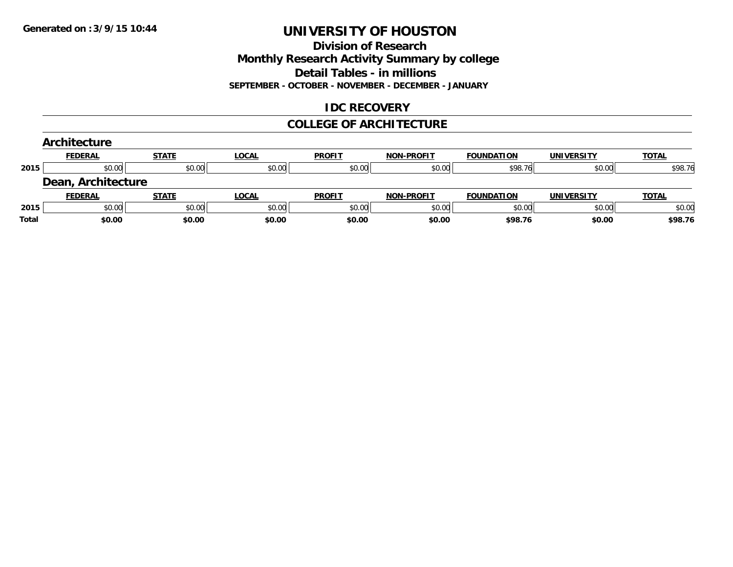### **Division of Research Monthly Research Activity Summary by college Detail Tables - in millions SEPTEMBER - OCTOBER - NOVEMBER - DECEMBER - JANUARY**

# **IDC RECOVERY**

### **COLLEGE OF ARCHITECTURE**

|       | Architecture       |              |              |               |                   |                   |                   |              |
|-------|--------------------|--------------|--------------|---------------|-------------------|-------------------|-------------------|--------------|
|       | <b>FEDERAL</b>     | <b>STATE</b> | <b>LOCAL</b> | <b>PROFIT</b> | <b>NON-PROFIT</b> | <b>FOUNDATION</b> | <b>UNIVERSITY</b> | <b>TOTAL</b> |
| 2015  | \$0.00             | \$0.00       | \$0.00       | \$0.00        | \$0.00            | \$98.76           | \$0.00            | \$98.76      |
|       | Dean, Architecture |              |              |               |                   |                   |                   |              |
|       | <b>FEDERAL</b>     | <b>STATE</b> | <b>LOCAL</b> | <b>PROFIT</b> | <b>NON-PROFIT</b> | <b>FOUNDATION</b> | <b>UNIVERSITY</b> | <b>TOTAL</b> |
| 2015  | \$0.00             | \$0.00       | \$0.00       | \$0.00        | \$0.00            | \$0.00            | \$0.00            | \$0.00       |
| Total | \$0.00             | \$0.00       | \$0.00       | \$0.00        | \$0.00            | \$98.76           | \$0.00            | \$98.76      |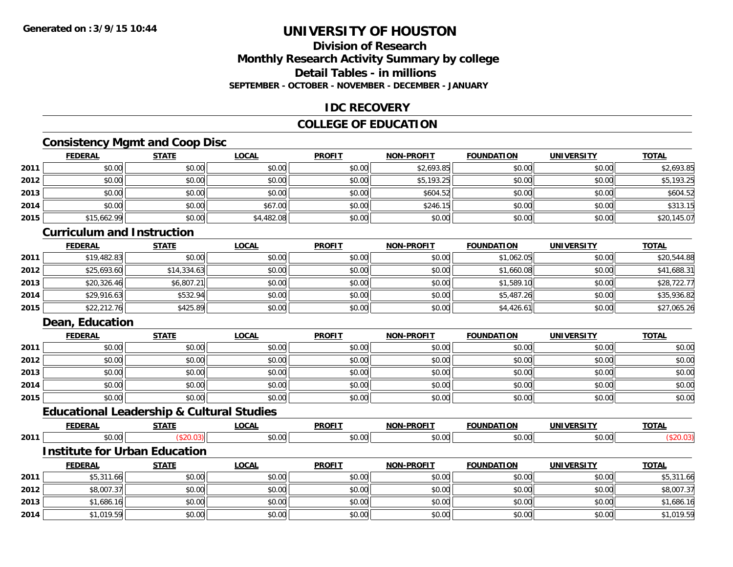# **Division of ResearchMonthly Research Activity Summary by college Detail Tables - in millionsSEPTEMBER - OCTOBER - NOVEMBER - DECEMBER - JANUARY**

### **IDC RECOVERY**

# **COLLEGE OF EDUCATION**

# **Consistency Mgmt and Coop Disc**

|      | <b>FEDERAL</b> | <b>STATE</b> | <u>LOCAL</u> | <b>PROFIT</b> | <b>NON-PROFIT</b> | <b>FOUNDATION</b> | <b>UNIVERSITY</b> | <b>TOTAL</b> |
|------|----------------|--------------|--------------|---------------|-------------------|-------------------|-------------------|--------------|
| 2011 | \$0.00         | \$0.00       | \$0.00       | \$0.00        | \$2,693.85        | \$0.00            | \$0.00            | \$2,693.85   |
| 2012 | \$0.00         | \$0.00       | \$0.00       | \$0.00        | \$5,193.25        | \$0.00            | \$0.00            | \$5,193.25   |
| 2013 | \$0.00         | \$0.00       | \$0.00       | \$0.00        | \$604.52          | \$0.00            | \$0.00            | \$604.52     |
| 2014 | \$0.00         | \$0.00       | \$67.00      | \$0.00        | \$246.15          | \$0.00            | \$0.00            | \$313.15     |
| 2015 | \$15,662.99    | \$0.00       | \$4,482.08   | \$0.00        | \$0.00            | \$0.00            | \$0.00            | \$20,145.07  |

#### **Curriculum and Instruction**

|      | <u>FEDERAL</u> | <b>STATE</b> | <b>LOCAL</b> | <b>PROFIT</b> | <b>NON-PROFIT</b> | <b>FOUNDATION</b> | <b>UNIVERSITY</b> | <b>TOTAL</b> |
|------|----------------|--------------|--------------|---------------|-------------------|-------------------|-------------------|--------------|
| 2011 | \$19,482.83    | \$0.00       | \$0.00       | \$0.00        | \$0.00            | \$1,062.05        | \$0.00            | \$20,544.88  |
| 2012 | \$25,693.60    | \$14,334.63  | \$0.00       | \$0.00        | \$0.00            | \$1,660.08        | \$0.00            | \$41,688.31  |
| 2013 | \$20,326.46    | \$6,807.21   | \$0.00       | \$0.00        | \$0.00            | \$1,589.10        | \$0.00            | \$28,722.77  |
| 2014 | \$29,916.63    | \$532.94     | \$0.00       | \$0.00        | \$0.00            | \$5,487.26        | \$0.00            | \$35,936.82  |
| 2015 | \$22,212.76    | \$425.89     | \$0.00       | \$0.00        | \$0.00            | \$4,426.61        | \$0.00            | \$27,065.26  |

# **Dean, Education**

|      | <b>FEDERAL</b> | <b>STATE</b> | <u>LOCAL</u> | <b>PROFIT</b> | <b>NON-PROFIT</b> | <b>FOUNDATION</b> | <b>UNIVERSITY</b> | <b>TOTAL</b> |
|------|----------------|--------------|--------------|---------------|-------------------|-------------------|-------------------|--------------|
| 2011 | \$0.00         | \$0.00       | \$0.00       | \$0.00        | \$0.00            | \$0.00            | \$0.00            | \$0.00       |
| 2012 | \$0.00         | \$0.00       | \$0.00       | \$0.00        | \$0.00            | \$0.00            | \$0.00            | \$0.00       |
| 2013 | \$0.00         | \$0.00       | \$0.00       | \$0.00        | \$0.00            | \$0.00            | \$0.00            | \$0.00       |
| 2014 | \$0.00         | \$0.00       | \$0.00       | \$0.00        | \$0.00            | \$0.00            | \$0.00            | \$0.00       |
| 2015 | \$0.00         | \$0.00       | \$0.00       | \$0.00        | \$0.00            | \$0.00            | \$0.00            | \$0.00       |

# **Educational Leadership & Cultural Studies**

|      |      | ----- | $- - -$<br>'N | <b>DDOEL</b> T | <b>DDAFIT</b><br><b>NON</b> |   | INL.        | $-0$ |
|------|------|-------|---------------|----------------|-----------------------------|---|-------------|------|
| 2011 | ,,,, |       | 0.00          |                | $\sim$ $\sim$               | . | $\sim$ 0.00 |      |

# **Institute for Urban Education**

|      | <b>FEDERAL</b> | STATE  | <u>LOCAL</u> | <b>PROFIT</b> | <b>NON-PROFIT</b> | <b>FOUNDATION</b> | <b>UNIVERSITY</b> | <b>TOTAL</b> |
|------|----------------|--------|--------------|---------------|-------------------|-------------------|-------------------|--------------|
| 2011 | \$5,311.66     | \$0.00 | \$0.00       | \$0.00        | \$0.00            | \$0.00            | \$0.00            | \$5,311.66   |
| 2012 | \$8,007.37     | \$0.00 | \$0.00       | \$0.00        | \$0.00            | \$0.00            | \$0.00            | \$8,007.37   |
| 2013 | \$1,686.16     | \$0.00 | \$0.00       | \$0.00        | \$0.00            | \$0.00            | \$0.00            | \$1,686.16   |
| 2014 | \$1,019.59     | \$0.00 | \$0.00       | \$0.00        | \$0.00            | \$0.00            | \$0.00            | \$1,019.59   |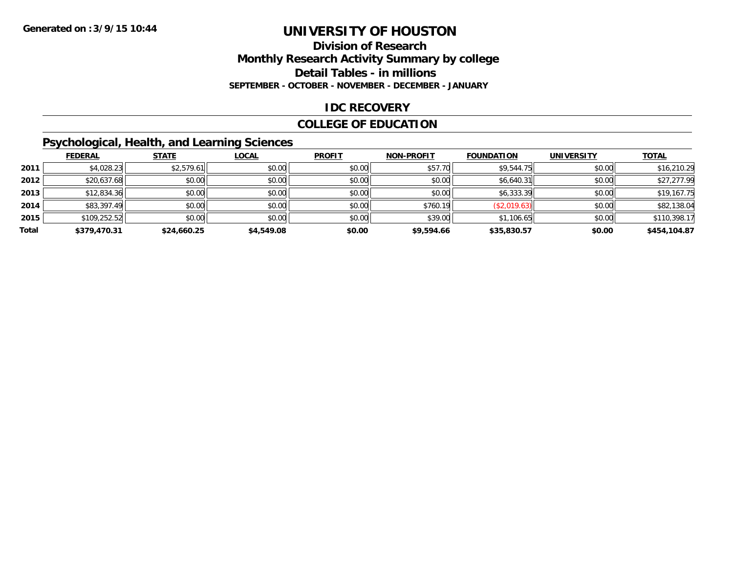### **Division of Research Monthly Research Activity Summary by college Detail Tables - in millions SEPTEMBER - OCTOBER - NOVEMBER - DECEMBER - JANUARY**

### **IDC RECOVERY**

### **COLLEGE OF EDUCATION**

# **Psychological, Health, and Learning Sciences**

|       | <b>FEDERAL</b> | <b>STATE</b> | <b>LOCAL</b> | <b>PROFIT</b> | <b>NON-PROFIT</b> | <b>FOUNDATION</b> | <b>UNIVERSITY</b> | <b>TOTAL</b> |
|-------|----------------|--------------|--------------|---------------|-------------------|-------------------|-------------------|--------------|
| 2011  | \$4,028.23     | \$2,579.61   | \$0.00       | \$0.00        | \$57.70           | \$9,544.75        | \$0.00            | \$16,210.29  |
| 2012  | \$20,637.68    | \$0.00       | \$0.00       | \$0.00        | \$0.00            | \$6,640.31        | \$0.00            | \$27,277.99  |
| 2013  | \$12,834.36    | \$0.00       | \$0.00       | \$0.00        | \$0.00            | \$6,333.39        | \$0.00            | \$19,167.75  |
| 2014  | \$83,397.49    | \$0.00       | \$0.00       | \$0.00        | \$760.19          | (\$2,019.63)      | \$0.00            | \$82,138.04  |
| 2015  | \$109,252.52   | \$0.00       | \$0.00       | \$0.00        | \$39.00           | \$1,106.65        | \$0.00            | \$110,398.17 |
| Total | \$379,470.31   | \$24,660.25  | \$4,549.08   | \$0.00        | \$9,594.66        | \$35,830.57       | \$0.00            | \$454,104.87 |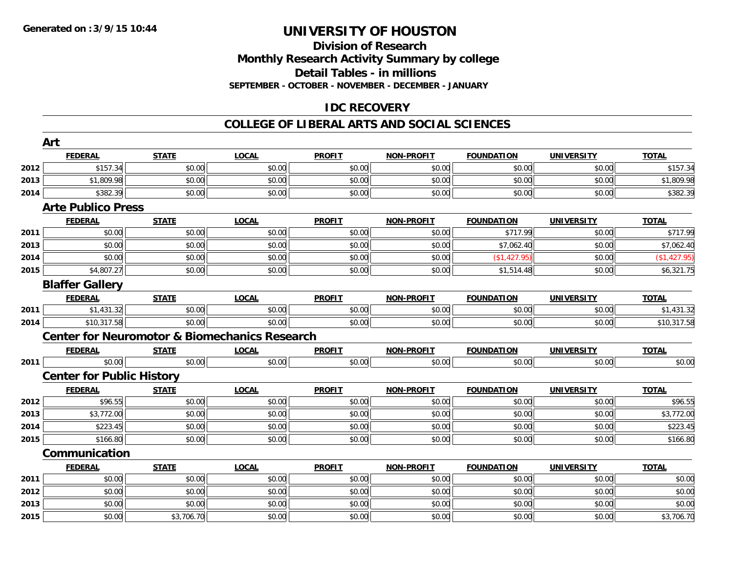# **Division of ResearchMonthly Research Activity Summary by college Detail Tables - in millions SEPTEMBER - OCTOBER - NOVEMBER - DECEMBER - JANUARY**

# **IDC RECOVERY**

### **COLLEGE OF LIBERAL ARTS AND SOCIAL SCIENCES**

|      | Art                                                      |              |              |               |                   |                   |                   |              |
|------|----------------------------------------------------------|--------------|--------------|---------------|-------------------|-------------------|-------------------|--------------|
|      | <b>FEDERAL</b>                                           | <b>STATE</b> | <b>LOCAL</b> | <b>PROFIT</b> | <b>NON-PROFIT</b> | <b>FOUNDATION</b> | <b>UNIVERSITY</b> | <b>TOTAL</b> |
| 2012 | \$157.34                                                 | \$0.00       | \$0.00       | \$0.00        | \$0.00            | \$0.00            | \$0.00            | \$157.34     |
| 2013 | \$1,809.98                                               | \$0.00       | \$0.00       | \$0.00        | \$0.00            | \$0.00            | \$0.00            | \$1,809.98   |
| 2014 | \$382.39                                                 | \$0.00       | \$0.00       | \$0.00        | \$0.00            | \$0.00            | \$0.00            | \$382.39     |
|      | <b>Arte Publico Press</b>                                |              |              |               |                   |                   |                   |              |
|      | <b>FEDERAL</b>                                           | <b>STATE</b> | <b>LOCAL</b> | <b>PROFIT</b> | NON-PROFIT        | <b>FOUNDATION</b> | <b>UNIVERSITY</b> | <b>TOTAL</b> |
| 2011 | \$0.00                                                   | \$0.00       | \$0.00       | \$0.00        | \$0.00            | \$717.99          | \$0.00            | \$717.99     |
| 2013 | \$0.00                                                   | \$0.00       | \$0.00       | \$0.00        | \$0.00            | \$7,062.40        | \$0.00            | \$7,062.40   |
| 2014 | \$0.00                                                   | \$0.00       | \$0.00       | \$0.00        | \$0.00            | (\$1,427.95)      | \$0.00            | (\$1,427.95) |
| 2015 | \$4,807.27                                               | \$0.00       | \$0.00       | \$0.00        | \$0.00            | \$1,514.48        | \$0.00            | \$6,321.75   |
|      | <b>Blaffer Gallery</b>                                   |              |              |               |                   |                   |                   |              |
|      | <b>FEDERAL</b>                                           | <b>STATE</b> | <b>LOCAL</b> | <b>PROFIT</b> | <b>NON-PROFIT</b> | <b>FOUNDATION</b> | <b>UNIVERSITY</b> | <b>TOTAL</b> |
| 2011 | $$1,431.\overline{32}]$                                  | \$0.00       | \$0.00       | \$0.00        | \$0.00            | \$0.00            | \$0.00            | \$1,431.32   |
| 2014 | \$10,317.58                                              | \$0.00       | \$0.00       | \$0.00        | \$0.00            | \$0.00            | \$0.00            | \$10,317.58  |
|      | <b>Center for Neuromotor &amp; Biomechanics Research</b> |              |              |               |                   |                   |                   |              |
|      | <b>FEDERAL</b>                                           | <b>STATE</b> | <b>LOCAL</b> | <b>PROFIT</b> | <b>NON-PROFIT</b> | <b>FOUNDATION</b> | <b>UNIVERSITY</b> | <b>TOTAL</b> |
| 2011 | \$0.00                                                   | \$0.00       | \$0.00       | \$0.00        | \$0.00            | \$0.00            | \$0.00            | \$0.00       |
|      | <b>Center for Public History</b>                         |              |              |               |                   |                   |                   |              |
|      | <b>FEDERAL</b>                                           | <b>STATE</b> | <b>LOCAL</b> | <b>PROFIT</b> | <b>NON-PROFIT</b> | <b>FOUNDATION</b> | <b>UNIVERSITY</b> | <b>TOTAL</b> |
| 2012 | \$96.55                                                  | \$0.00       | \$0.00       | \$0.00        | \$0.00            | \$0.00            | \$0.00            | \$96.55      |
| 2013 | \$3,772.00                                               | \$0.00       | \$0.00       | \$0.00        | \$0.00            | \$0.00            | \$0.00            | \$3,772.00   |
| 2014 | \$223.45                                                 | \$0.00       | \$0.00       | \$0.00        | \$0.00            | \$0.00            | \$0.00            | \$223.45     |
| 2015 | \$166.80                                                 | \$0.00       | \$0.00       | \$0.00        | \$0.00            | \$0.00            | \$0.00            | \$166.80     |
|      | Communication                                            |              |              |               |                   |                   |                   |              |
|      | <b>FEDERAL</b>                                           | <b>STATE</b> | <b>LOCAL</b> | <b>PROFIT</b> | <b>NON-PROFIT</b> | <b>FOUNDATION</b> | <b>UNIVERSITY</b> | <b>TOTAL</b> |
| 2011 | \$0.00                                                   | \$0.00       | \$0.00       | \$0.00        | \$0.00            | \$0.00            | \$0.00            | \$0.00       |
| 2012 | \$0.00                                                   | \$0.00       | \$0.00       | \$0.00        | \$0.00            | \$0.00            | \$0.00            | \$0.00       |
| 2013 | \$0.00                                                   | \$0.00       | \$0.00       | \$0.00        | \$0.00            | \$0.00            | \$0.00            | \$0.00       |
| 2015 | \$0.00                                                   | \$3,706.70   | \$0.00       | \$0.00        | \$0.00            | \$0.00            | \$0.00            | \$3,706.70   |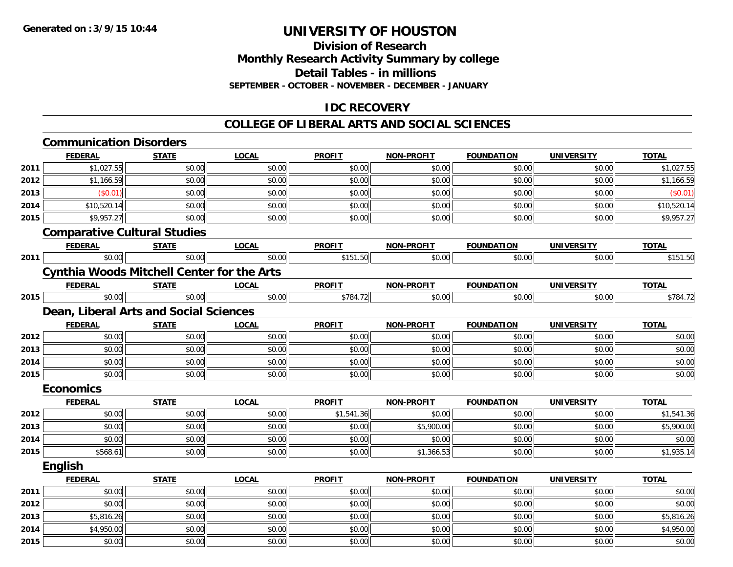# **Division of ResearchMonthly Research Activity Summary by college Detail Tables - in millionsSEPTEMBER - OCTOBER - NOVEMBER - DECEMBER - JANUARY**

# **IDC RECOVERY**

#### **COLLEGE OF LIBERAL ARTS AND SOCIAL SCIENCES**

# **Communication Disorders**

|      | <b>FEDERAL</b>                                    | <b>STATE</b> | <b>LOCAL</b> | <b>PROFIT</b> | <b>NON-PROFIT</b> | <b>FOUNDATION</b> | <b>UNIVERSITY</b> | <b>TOTAL</b> |
|------|---------------------------------------------------|--------------|--------------|---------------|-------------------|-------------------|-------------------|--------------|
| 2011 | \$1,027.55                                        | \$0.00       | \$0.00       | \$0.00        | \$0.00            | \$0.00            | \$0.00            | \$1,027.55   |
| 2012 | \$1,166.59                                        | \$0.00       | \$0.00       | \$0.00        | \$0.00            | \$0.00            | \$0.00            | \$1,166.59   |
| 2013 | (\$0.01)                                          | \$0.00       | \$0.00       | \$0.00        | \$0.00            | \$0.00            | \$0.00            | (\$0.01)     |
| 2014 | \$10,520.14                                       | \$0.00       | \$0.00       | \$0.00        | \$0.00            | \$0.00            | \$0.00            | \$10,520.14  |
| 2015 | \$9,957.27                                        | \$0.00       | \$0.00       | \$0.00        | \$0.00            | \$0.00            | \$0.00            | \$9,957.27   |
|      | <b>Comparative Cultural Studies</b>               |              |              |               |                   |                   |                   |              |
|      | <b>FEDERAL</b>                                    | <b>STATE</b> | <b>LOCAL</b> | <b>PROFIT</b> | NON-PROFIT        | <b>FOUNDATION</b> | <b>UNIVERSITY</b> | <b>TOTAL</b> |
| 2011 | \$0.00                                            | \$0.00       | \$0.00       | \$151.50      | \$0.00            | \$0.00            | \$0.00            | \$151.50     |
|      | <b>Cynthia Woods Mitchell Center for the Arts</b> |              |              |               |                   |                   |                   |              |
|      | <b>FEDERAL</b>                                    | <b>STATE</b> | <b>LOCAL</b> | <b>PROFIT</b> | <b>NON-PROFIT</b> | <b>FOUNDATION</b> | <b>UNIVERSITY</b> | <b>TOTAL</b> |
| 2015 | \$0.00                                            | \$0.00       | \$0.00       | \$784.72      | \$0.00            | \$0.00            | \$0.00            | \$784.72     |
|      | Dean, Liberal Arts and Social Sciences            |              |              |               |                   |                   |                   |              |
|      | <b>FEDERAL</b>                                    | <b>STATE</b> | <b>LOCAL</b> | <b>PROFIT</b> | <b>NON-PROFIT</b> | <b>FOUNDATION</b> | <b>UNIVERSITY</b> | <b>TOTAL</b> |
| 2012 | \$0.00                                            | \$0.00       | \$0.00       | \$0.00        | \$0.00            | \$0.00            | \$0.00            | \$0.00       |
| 2013 | \$0.00                                            | \$0.00       | \$0.00       | \$0.00        | \$0.00            | \$0.00            | \$0.00            | \$0.00       |
| 2014 | \$0.00                                            | \$0.00       | \$0.00       | \$0.00        | \$0.00            | \$0.00            | \$0.00            | \$0.00       |
| 2015 | \$0.00                                            | \$0.00       | \$0.00       | \$0.00        | \$0.00            | \$0.00            | \$0.00            | \$0.00       |
|      | <b>Economics</b>                                  |              |              |               |                   |                   |                   |              |
|      | <b>FEDERAL</b>                                    | <b>STATE</b> | <b>LOCAL</b> | <b>PROFIT</b> | NON-PROFIT        | <b>FOUNDATION</b> | <b>UNIVERSITY</b> | <b>TOTAL</b> |
| 2012 | \$0.00                                            | \$0.00       | \$0.00       | \$1,541.36    | \$0.00            | \$0.00            | \$0.00            | \$1,541.36   |
| 2013 | \$0.00                                            | \$0.00       | \$0.00       | \$0.00        | \$5,900.00        | \$0.00            | \$0.00            | \$5,900.00   |
| 2014 | \$0.00                                            | \$0.00       | \$0.00       | \$0.00        | \$0.00            | \$0.00            | \$0.00            | \$0.00       |
| 2015 | \$568.61                                          | \$0.00       | \$0.00       | \$0.00        | \$1,366.53        | \$0.00            | \$0.00            | \$1,935.14   |
|      | English                                           |              |              |               |                   |                   |                   |              |
|      | <b>FEDERAL</b>                                    | <b>STATE</b> | <b>LOCAL</b> | <b>PROFIT</b> | <b>NON-PROFIT</b> | <b>FOUNDATION</b> | <b>UNIVERSITY</b> | <b>TOTAL</b> |
| 2011 | \$0.00                                            | \$0.00       | \$0.00       | \$0.00        | \$0.00            | \$0.00            | \$0.00            | \$0.00       |
| 2012 | \$0.00                                            | \$0.00       | \$0.00       | \$0.00        | \$0.00            | \$0.00            | \$0.00            | \$0.00       |
| 2013 | \$5,816.26                                        | \$0.00       | \$0.00       | \$0.00        | \$0.00            | \$0.00            | \$0.00            | \$5,816.26   |
| 2014 | \$4,950.00                                        | \$0.00       | \$0.00       | \$0.00        | \$0.00            | \$0.00            | \$0.00            | \$4,950.00   |
| 2015 | \$0.00                                            | \$0.00       | \$0.00       | \$0.00        | \$0.00            | \$0.00            | \$0.00            | \$0.00       |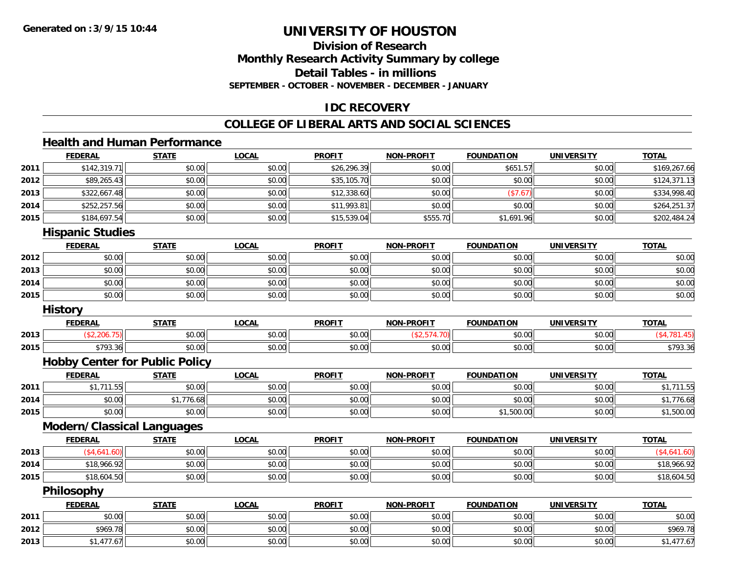# **Division of ResearchMonthly Research Activity Summary by college Detail Tables - in millions SEPTEMBER - OCTOBER - NOVEMBER - DECEMBER - JANUARY**

# **IDC RECOVERY**

### **COLLEGE OF LIBERAL ARTS AND SOCIAL SCIENCES**

# **Health and Human Performance**

|      | <b>FEDERAL</b>                        | <b>STATE</b> | <b>LOCAL</b> | <b>PROFIT</b> | <b>NON-PROFIT</b> | <b>FOUNDATION</b> | <b>UNIVERSITY</b> | <b>TOTAL</b> |
|------|---------------------------------------|--------------|--------------|---------------|-------------------|-------------------|-------------------|--------------|
| 2011 | \$142,319.71                          | \$0.00       | \$0.00       | \$26,296.39   | \$0.00            | \$651.57          | \$0.00            | \$169,267.66 |
| 2012 | \$89,265.43                           | \$0.00       | \$0.00       | \$35,105.70   | \$0.00            | \$0.00            | \$0.00            | \$124,371.13 |
| 2013 | \$322,667.48                          | \$0.00       | \$0.00       | \$12,338.60   | \$0.00            | (\$7.67)          | \$0.00            | \$334,998.40 |
| 2014 | \$252,257.56                          | \$0.00       | \$0.00       | \$11,993.81   | \$0.00            | \$0.00            | \$0.00            | \$264,251.37 |
| 2015 | \$184,697.54                          | \$0.00       | \$0.00       | \$15,539.04   | \$555.70          | \$1,691.96        | \$0.00            | \$202,484.24 |
|      | <b>Hispanic Studies</b>               |              |              |               |                   |                   |                   |              |
|      | <b>FEDERAL</b>                        | <b>STATE</b> | <b>LOCAL</b> | <b>PROFIT</b> | <b>NON-PROFIT</b> | <b>FOUNDATION</b> | <b>UNIVERSITY</b> | <b>TOTAL</b> |
| 2012 | \$0.00                                | \$0.00       | \$0.00       | \$0.00        | \$0.00            | \$0.00            | \$0.00            | \$0.00       |
| 2013 | \$0.00                                | \$0.00       | \$0.00       | \$0.00        | \$0.00            | \$0.00            | \$0.00            | \$0.00       |
| 2014 | \$0.00                                | \$0.00       | \$0.00       | \$0.00        | \$0.00            | \$0.00            | \$0.00            | \$0.00       |
| 2015 | \$0.00                                | \$0.00       | \$0.00       | \$0.00        | \$0.00            | \$0.00            | \$0.00            | \$0.00       |
|      | <b>History</b>                        |              |              |               |                   |                   |                   |              |
|      | <b>FEDERAL</b>                        | <b>STATE</b> | <b>LOCAL</b> | <b>PROFIT</b> | <b>NON-PROFIT</b> | <b>FOUNDATION</b> | <b>UNIVERSITY</b> | <b>TOTAL</b> |
| 2013 | (\$2,206.75)                          | \$0.00       | \$0.00       | \$0.00        | (\$2,574.70)      | \$0.00            | \$0.00            | (\$4,781.45) |
| 2015 | \$793.36                              | \$0.00       | \$0.00       | \$0.00        | \$0.00            | \$0.00            | \$0.00            | \$793.36     |
|      | <b>Hobby Center for Public Policy</b> |              |              |               |                   |                   |                   |              |
|      | <b>FEDERAL</b>                        | <b>STATE</b> | <b>LOCAL</b> | <b>PROFIT</b> | <b>NON-PROFIT</b> | <b>FOUNDATION</b> | <b>UNIVERSITY</b> | <b>TOTAL</b> |
| 2011 | \$1,711.55                            | \$0.00       | \$0.00       | \$0.00        | \$0.00            | \$0.00            | \$0.00            | \$1,711.55   |
| 2014 | \$0.00                                | \$1,776.68   | \$0.00       | \$0.00        | \$0.00            | \$0.00            | \$0.00            | \$1,776.68   |
| 2015 | \$0.00                                | \$0.00       | \$0.00       | \$0.00        | \$0.00            | \$1,500.00        | \$0.00            | \$1,500.00   |
|      | <b>Modern/Classical Languages</b>     |              |              |               |                   |                   |                   |              |
|      | <b>FEDERAL</b>                        | <b>STATE</b> | <b>LOCAL</b> | <b>PROFIT</b> | <b>NON-PROFIT</b> | <b>FOUNDATION</b> | <b>UNIVERSITY</b> | <b>TOTAL</b> |
| 2013 | (\$4,641.60)                          | \$0.00       | \$0.00       | \$0.00        | \$0.00            | \$0.00            | \$0.00            | (\$4,641.60) |
| 2014 | \$18,966.92                           | \$0.00       | \$0.00       | \$0.00        | \$0.00            | \$0.00            | \$0.00            | \$18,966.92  |
| 2015 | \$18,604.50                           | \$0.00       | \$0.00       | \$0.00        | \$0.00            | \$0.00            | \$0.00            | \$18,604.50  |
|      | Philosophy                            |              |              |               |                   |                   |                   |              |
|      | <b>FEDERAL</b>                        | <b>STATE</b> | <b>LOCAL</b> | <b>PROFIT</b> | <b>NON-PROFIT</b> | <b>FOUNDATION</b> | <b>UNIVERSITY</b> | <b>TOTAL</b> |
| 2011 | \$0.00                                | \$0.00       | \$0.00       | \$0.00        | \$0.00            | \$0.00            | \$0.00            | \$0.00       |
| 2012 | \$969.78                              | \$0.00       | \$0.00       | \$0.00        | \$0.00            | \$0.00            | \$0.00            | \$969.78     |
| 2013 | \$1,477.67                            | \$0.00       | \$0.00       | \$0.00        | \$0.00            | \$0.00            | \$0.00            | \$1,477.67   |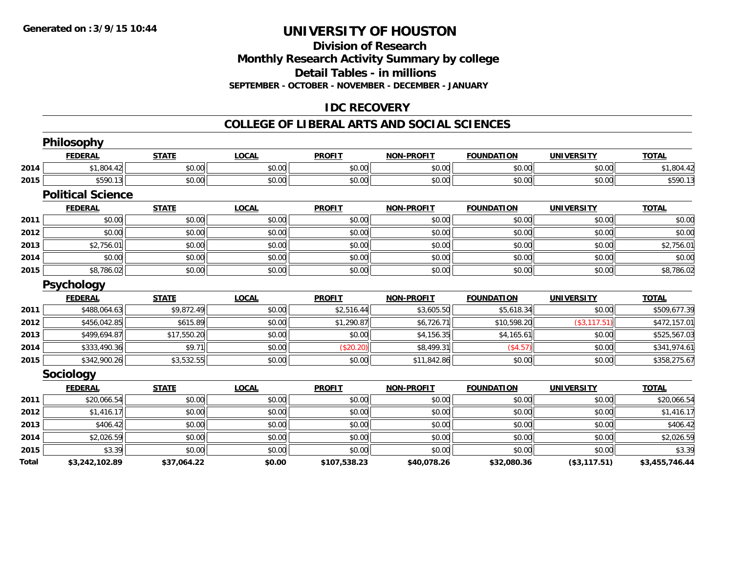# **Division of ResearchMonthly Research Activity Summary by college Detail Tables - in millions SEPTEMBER - OCTOBER - NOVEMBER - DECEMBER - JANUARY**

# **IDC RECOVERY**

#### **COLLEGE OF LIBERAL ARTS AND SOCIAL SCIENCES**

|       | <b>Philosophy</b>        |              |              |               |                   |                   |                   |                |
|-------|--------------------------|--------------|--------------|---------------|-------------------|-------------------|-------------------|----------------|
|       | <b>FEDERAL</b>           | <b>STATE</b> | <b>LOCAL</b> | <b>PROFIT</b> | <b>NON-PROFIT</b> | <b>FOUNDATION</b> | <b>UNIVERSITY</b> | <b>TOTAL</b>   |
| 2014  | \$1,804.42               | \$0.00       | \$0.00       | \$0.00        | \$0.00            | \$0.00            | \$0.00            | \$1,804.42     |
| 2015  | \$590.13                 | \$0.00       | \$0.00       | \$0.00        | \$0.00            | \$0.00            | \$0.00            | \$590.13       |
|       | <b>Political Science</b> |              |              |               |                   |                   |                   |                |
|       | <b>FEDERAL</b>           | <b>STATE</b> | <b>LOCAL</b> | <b>PROFIT</b> | <b>NON-PROFIT</b> | <b>FOUNDATION</b> | <b>UNIVERSITY</b> | <b>TOTAL</b>   |
| 2011  | \$0.00                   | \$0.00       | \$0.00       | \$0.00        | \$0.00            | \$0.00            | \$0.00            | \$0.00         |
| 2012  | \$0.00                   | \$0.00       | \$0.00       | \$0.00        | \$0.00            | \$0.00            | \$0.00            | \$0.00         |
| 2013  | \$2,756.01               | \$0.00       | \$0.00       | \$0.00        | \$0.00            | \$0.00            | \$0.00            | \$2,756.01     |
| 2014  | \$0.00                   | \$0.00       | \$0.00       | \$0.00        | \$0.00            | \$0.00            | \$0.00            | \$0.00         |
| 2015  | \$8,786.02               | \$0.00       | \$0.00       | \$0.00        | \$0.00            | \$0.00            | \$0.00            | \$8,786.02     |
|       | <b>Psychology</b>        |              |              |               |                   |                   |                   |                |
|       | <b>FEDERAL</b>           | <b>STATE</b> | <b>LOCAL</b> | <b>PROFIT</b> | <b>NON-PROFIT</b> | <b>FOUNDATION</b> | <b>UNIVERSITY</b> | <b>TOTAL</b>   |
| 2011  | \$488,064.63             | \$9,872.49   | \$0.00       | \$2,516.44    | \$3,605.50        | \$5,618.34        | \$0.00            | \$509,677.39   |
| 2012  | \$456,042.85             | \$615.89     | \$0.00       | \$1,290.87    | \$6,726.71        | \$10,598.20       | (\$3,117.51)      | \$472,157.01   |
| 2013  | \$499,694.87             | \$17,550.20  | \$0.00       | \$0.00        | \$4,156.35        | \$4,165.61        | \$0.00            | \$525,567.03   |
| 2014  | \$333,490.36             | \$9.71       | \$0.00       | (\$20.20)     | \$8,499.31        | (\$4.57)          | \$0.00            | \$341,974.61   |
| 2015  | \$342,900.26             | \$3,532.55   | \$0.00       | \$0.00        | \$11,842.86       | \$0.00            | \$0.00            | \$358,275.67   |
|       | <b>Sociology</b>         |              |              |               |                   |                   |                   |                |
|       | <b>FEDERAL</b>           | <b>STATE</b> | <b>LOCAL</b> | <b>PROFIT</b> | <b>NON-PROFIT</b> | <b>FOUNDATION</b> | <b>UNIVERSITY</b> | <b>TOTAL</b>   |
| 2011  | \$20,066.54              | \$0.00       | \$0.00       | \$0.00        | \$0.00            | \$0.00            | \$0.00            | \$20,066.54    |
| 2012  | \$1,416.17               | \$0.00       | \$0.00       | \$0.00        | \$0.00            | \$0.00            | \$0.00            | \$1,416.17     |
| 2013  | \$406.42                 | \$0.00       | \$0.00       | \$0.00        | \$0.00            | \$0.00            | \$0.00            | \$406.42       |
| 2014  | \$2,026.59               | \$0.00       | \$0.00       | \$0.00        | \$0.00            | \$0.00            | \$0.00            | \$2,026.59     |
| 2015  | \$3.39                   | \$0.00       | \$0.00       | \$0.00        | \$0.00            | \$0.00            | \$0.00            | \$3.39         |
| Total | \$3,242,102.89           | \$37,064.22  | \$0.00       | \$107,538.23  | \$40,078.26       | \$32,080.36       | (\$3,117.51)      | \$3,455,746.44 |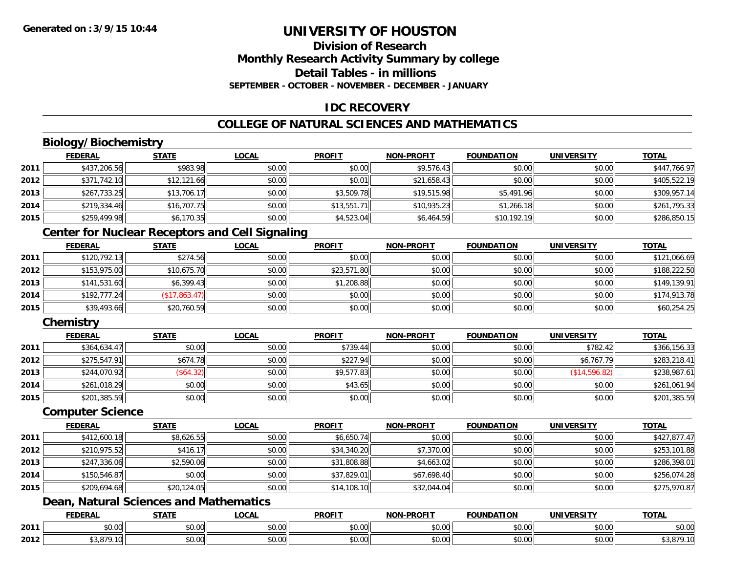# **Division of ResearchMonthly Research Activity Summary by college Detail Tables - in millionsSEPTEMBER - OCTOBER - NOVEMBER - DECEMBER - JANUARY**

# **IDC RECOVERY**

# **COLLEGE OF NATURAL SCIENCES AND MATHEMATICS**

# **Biology/Biochemistry**

|      | <b>FEDERAL</b> | <b>STATE</b> | <u>LOCAL</u> | <b>PROFIT</b> | <b>NON-PROFIT</b> | <b>FOUNDATION</b> | <b>UNIVERSITY</b> | <b>TOTAL</b> |
|------|----------------|--------------|--------------|---------------|-------------------|-------------------|-------------------|--------------|
| 2011 | \$437,206.56   | \$983.98     | \$0.00       | \$0.00        | \$9,576.43        | \$0.00            | \$0.00            | \$447,766.97 |
| 2012 | \$371,742.10   | \$12,121.66  | \$0.00       | \$0.01        | \$21,658.43       | \$0.00            | \$0.00            | \$405,522.19 |
| 2013 | \$267,733.25   | \$13,706.17  | \$0.00       | \$3,509.78    | \$19,515.98       | \$5,491.96        | \$0.00            | \$309,957.14 |
| 2014 | \$219,334.46   | \$16,707.75  | \$0.00       | \$13,551.71   | \$10,935.23       | \$1,266.18        | \$0.00            | \$261,795.33 |
| 2015 | \$259,499.98   | \$6,170.35   | \$0.00       | \$4,523.04    | \$6,464.59        | \$10,192.19       | \$0.00            | \$286,850.15 |

# **Center for Nuclear Receptors and Cell Signaling**

|      | <u>FEDERAL</u> | <b>STATE</b>  | <u>LOCAL</u> | <b>PROFIT</b> | <b>NON-PROFIT</b> | <b>FOUNDATION</b> | <b>UNIVERSITY</b> | <b>TOTAL</b> |
|------|----------------|---------------|--------------|---------------|-------------------|-------------------|-------------------|--------------|
| 2011 | \$120,792.13   | \$274.56      | \$0.00       | \$0.00        | \$0.00            | \$0.00            | \$0.00            | \$121,066.69 |
| 2012 | \$153,975.00   | \$10,675.70   | \$0.00       | \$23,571.80   | \$0.00            | \$0.00            | \$0.00            | \$188,222.50 |
| 2013 | \$141,531.60   | \$6,399.43    | \$0.00       | \$1,208.88    | \$0.00            | \$0.00            | \$0.00            | \$149,139.91 |
| 2014 | \$192,777.24   | (\$17,863.47) | \$0.00       | \$0.00        | \$0.00            | \$0.00            | \$0.00            | \$174,913.78 |
| 2015 | \$39,493.66    | \$20,760.59   | \$0.00       | \$0.00        | \$0.00            | \$0.00            | \$0.00            | \$60,254.25  |

# **Chemistry**

|      | <b>FEDERAL</b> | <b>STATE</b> | <b>LOCAL</b> | <b>PROFIT</b> | <b>NON-PROFIT</b> | <b>FOUNDATION</b> | <b>UNIVERSITY</b> | <b>TOTAL</b> |
|------|----------------|--------------|--------------|---------------|-------------------|-------------------|-------------------|--------------|
| 2011 | \$364,634.47   | \$0.00       | \$0.00       | \$739.44      | \$0.00            | \$0.00            | \$782.42          | \$366,156.33 |
| 2012 | \$275,547.91   | \$674.78     | \$0.00       | \$227.94      | \$0.00            | \$0.00            | \$6,767.79        | \$283,218.41 |
| 2013 | \$244,070.92   | $(\$64.32)$  | \$0.00       | \$9,577.83    | \$0.00            | \$0.00            | (\$14,596.82)     | \$238,987.61 |
| 2014 | \$261,018.29   | \$0.00       | \$0.00       | \$43.65       | \$0.00            | \$0.00            | \$0.00            | \$261,061.94 |
| 2015 | \$201,385.59   | \$0.00       | \$0.00       | \$0.00        | \$0.00            | \$0.00            | \$0.00            | \$201,385.59 |

#### **Computer Science**

|      | <b>FEDERAL</b> | <b>STATE</b> | <b>LOCAL</b> | <b>PROFIT</b> | <b>NON-PROFIT</b> | <b>FOUNDATION</b> | <b>UNIVERSITY</b> | <b>TOTAL</b> |
|------|----------------|--------------|--------------|---------------|-------------------|-------------------|-------------------|--------------|
| 2011 | \$412,600.18   | \$8,626.55   | \$0.00       | \$6,650.74    | \$0.00            | \$0.00            | \$0.00            | \$427,877.47 |
| 2012 | \$210,975.52   | \$416.17     | \$0.00       | \$34,340.20   | \$7,370.00        | \$0.00            | \$0.00            | \$253,101.88 |
| 2013 | \$247,336.06   | \$2,590.06   | \$0.00       | \$31,808.88   | \$4,663.02        | \$0.00            | \$0.00            | \$286,398.01 |
| 2014 | \$150,546.87   | \$0.00       | \$0.00       | \$37,829.01   | \$67,698.40       | \$0.00            | \$0.00            | \$256,074.28 |
| 2015 | \$209,694.68   | \$20,124.05  | \$0.00       | \$14,108.10   | \$32,044.04       | \$0.00            | \$0.00            | \$275,970.87 |

# **Dean, Natural Sciences and Mathematics**

|      | DERAI | <b>STATI</b>                 | <b>_OCAI</b>       | <b>PROFIT</b> | <b>LPROFIT</b><br><b>NON</b> | .<br><b>INDA</b>                                                                                                                                                                                                                                                                                                                                                                                                                                                     | IMBVE                                     | TOTAL   |
|------|-------|------------------------------|--------------------|---------------|------------------------------|----------------------------------------------------------------------------------------------------------------------------------------------------------------------------------------------------------------------------------------------------------------------------------------------------------------------------------------------------------------------------------------------------------------------------------------------------------------------|-------------------------------------------|---------|
| 2011 | 0.00  | $\sim$<br>70.UU              | $\sim$ 00<br>pu.uu | 0.00<br>DU.UU | \$0.00                       | $\mathsf{A}\cap\mathsf{A}\cap\mathsf{A}\cap\mathsf{A}\cap\mathsf{A}\cap\mathsf{A}\cap\mathsf{A}\cap\mathsf{A}\cap\mathsf{A}\cap\mathsf{A}\cap\mathsf{A}\cap\mathsf{A}\cap\mathsf{A}\cap\mathsf{A}\cap\mathsf{A}\cap\mathsf{A}\cap\mathsf{A}\cap\mathsf{A}\cap\mathsf{A}\cap\mathsf{A}\cap\mathsf{A}\cap\mathsf{A}\cap\mathsf{A}\cap\mathsf{A}\cap\mathsf{A}\cap\mathsf{A}\cap\mathsf{A}\cap\mathsf{A}\cap\mathsf{A}\cap\mathsf{A}\cap\mathsf{A}\cap\mathsf$<br>JU.UU | $\uparrow$ $\uparrow$ $\uparrow$<br>vu.vu | JU.UU   |
| 2012 | $ -$  | $\uparrow$ $\uparrow$<br>ט.ט | ሶስ ሰሰ<br>DU.UG     | 0.00<br>JU.UU | \$0.00                       | $\cdots$<br>vv.vv                                                                                                                                                                                                                                                                                                                                                                                                                                                    | امہ مہ<br>vu.vu                           | ו ט, טי |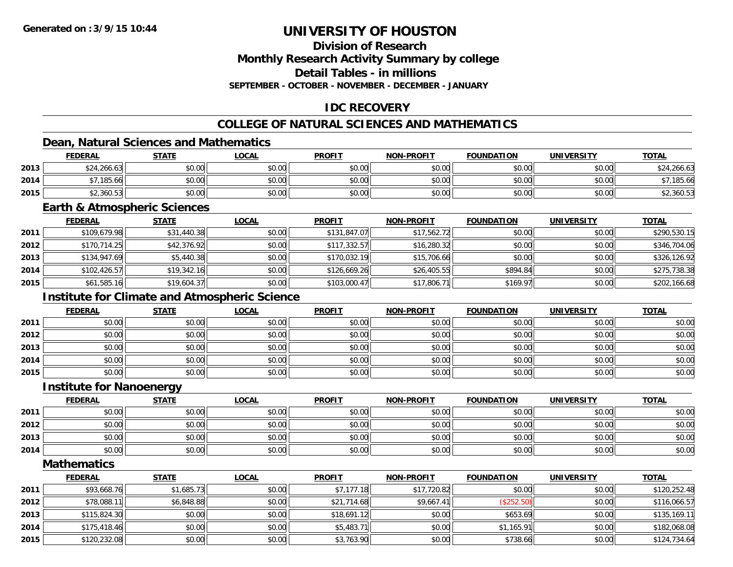# **Division of Research**

**Monthly Research Activity Summary by college**

**Detail Tables - in millions**

**SEPTEMBER - OCTOBER - NOVEMBER - DECEMBER - JANUARY**

# **IDC RECOVERY**

# **COLLEGE OF NATURAL SCIENCES AND MATHEMATICS**

# **Dean, Natural Sciences and Mathematics**

|      | <b>FEDERAL</b> | <b>STATE</b> | <u>LOCAL</u> | <b>PROFIT</b> | <b>NON-PROFIT</b> | <b>FOUNDATION</b> | UNIVERSITY | <b>TOTAL</b> |
|------|----------------|--------------|--------------|---------------|-------------------|-------------------|------------|--------------|
| 2013 | \$24,266.63    | \$0.00       | \$0.00       | \$0.00        | \$0.00            | \$0.00            | \$0.00     | \$24,266.63  |
| 2014 | 7185.66        | \$0.00       | \$0.00       | \$0.00        | \$0.00            | \$0.00            | \$0.00     | 185.66       |
| 2015 | \$2,360.53     | \$0.00       | \$0.00       | \$0.00        | \$0.00            | \$0.00            | \$0.00     | \$2,360.53   |

#### **Earth & Atmospheric Sciences**

|      | <u>FEDERAL</u> | <b>STATE</b> | <b>LOCAL</b> | <b>PROFIT</b> | <b>NON-PROFIT</b> | <b>FOUNDATION</b> | <b>UNIVERSITY</b> | <b>TOTAL</b> |
|------|----------------|--------------|--------------|---------------|-------------------|-------------------|-------------------|--------------|
| 2011 | \$109,679.98   | \$31,440.38  | \$0.00       | \$131,847.07  | \$17,562.72       | \$0.00            | \$0.00            | \$290,530.15 |
| 2012 | \$170,714.25   | \$42,376.92  | \$0.00       | \$117,332.57  | \$16,280.32       | \$0.00            | \$0.00            | \$346,704.06 |
| 2013 | \$134,947.69   | \$5,440.38   | \$0.00       | \$170,032.19  | \$15,706.66       | \$0.00            | \$0.00            | \$326,126.92 |
| 2014 | \$102,426.57   | \$19,342.16  | \$0.00       | \$126,669.26  | \$26,405.55       | \$894.84          | \$0.00            | \$275,738.38 |
| 2015 | \$61,585.16    | \$19,604.37  | \$0.00       | \$103,000.47  | \$17,806.71       | \$169.97          | \$0.00            | \$202,166.68 |

# **Institute for Climate and Atmospheric Science**

|      | <u>FEDERAL</u> | <b>STATE</b> | <u>LOCAL</u> | <b>PROFIT</b> | <b>NON-PROFIT</b> | <b>FOUNDATION</b> | <b>UNIVERSITY</b> | <b>TOTAL</b> |
|------|----------------|--------------|--------------|---------------|-------------------|-------------------|-------------------|--------------|
| 2011 | \$0.00         | \$0.00       | \$0.00       | \$0.00        | \$0.00            | \$0.00            | \$0.00            | \$0.00       |
| 2012 | \$0.00         | \$0.00       | \$0.00       | \$0.00        | \$0.00            | \$0.00            | \$0.00            | \$0.00       |
| 2013 | \$0.00         | \$0.00       | \$0.00       | \$0.00        | \$0.00            | \$0.00            | \$0.00            | \$0.00       |
| 2014 | \$0.00         | \$0.00       | \$0.00       | \$0.00        | \$0.00            | \$0.00            | \$0.00            | \$0.00       |
| 2015 | \$0.00         | \$0.00       | \$0.00       | \$0.00        | \$0.00            | \$0.00            | \$0.00            | \$0.00       |

#### **Institute for Nanoenergy**

|      | <u>FEDERAL</u> | <b>STATE</b> | <u>LOCAL</u> | <b>PROFIT</b> | <b>NON-PROFIT</b> | <b>FOUNDATION</b> | <b>UNIVERSITY</b> | <b>TOTAL</b> |
|------|----------------|--------------|--------------|---------------|-------------------|-------------------|-------------------|--------------|
| 2011 | \$0.00         | \$0.00       | \$0.00       | \$0.00        | \$0.00            | \$0.00            | \$0.00            | \$0.00       |
| 2012 | \$0.00         | \$0.00       | \$0.00       | \$0.00        | \$0.00            | \$0.00            | \$0.00            | \$0.00       |
| 2013 | \$0.00         | \$0.00       | \$0.00       | \$0.00        | \$0.00            | \$0.00            | \$0.00            | \$0.00       |
| 2014 | \$0.00         | \$0.00       | \$0.00       | \$0.00        | \$0.00            | \$0.00            | \$0.00            | \$0.00       |

**Mathematics**

|      | <u>FEDERAL</u> | <b>STATE</b> | <b>LOCAL</b> | <b>PROFIT</b> | <b>NON-PROFIT</b> | <b>FOUNDATION</b> | <b>UNIVERSITY</b> | <b>TOTAL</b> |
|------|----------------|--------------|--------------|---------------|-------------------|-------------------|-------------------|--------------|
| 2011 | \$93,668.76    | \$1,685.73   | \$0.00       | \$7.177.18    | \$17,720.82       | \$0.00            | \$0.00            | \$120,252.48 |
| 2012 | \$78,088.11    | \$6,848.88   | \$0.00       | \$21,714.68   | \$9,667.41        | (\$252.50)        | \$0.00            | \$116,066.57 |
| 2013 | \$115,824.30   | \$0.00       | \$0.00       | \$18,691.12   | \$0.00            | \$653.69          | \$0.00            | \$135,169.11 |
| 2014 | \$175,418.46   | \$0.00       | \$0.00       | \$5,483.71    | \$0.00            | \$1,165.91        | \$0.00            | \$182,068.08 |
| 2015 | \$120,232.08   | \$0.00       | \$0.00       | \$3,763.90    | \$0.00            | \$738.66          | \$0.00            | \$124,734.64 |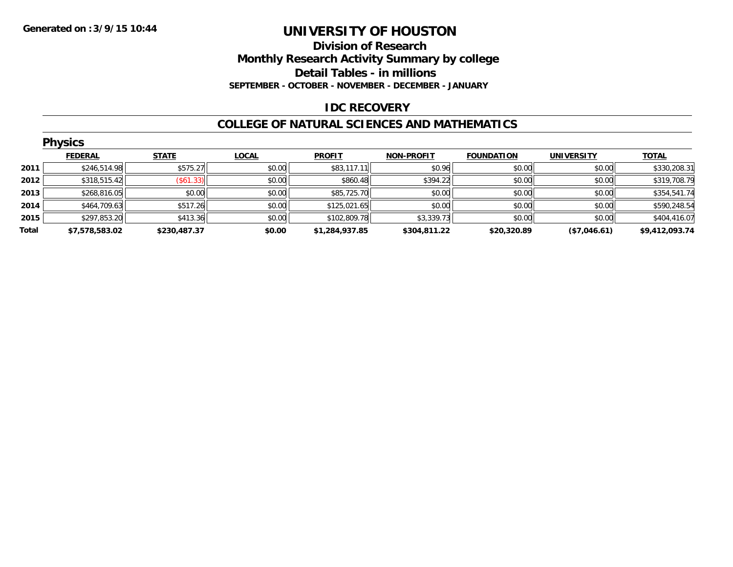### **Division of Research Monthly Research Activity Summary by college Detail Tables - in millions SEPTEMBER - OCTOBER - NOVEMBER - DECEMBER - JANUARY**

# **IDC RECOVERY**

### **COLLEGE OF NATURAL SCIENCES AND MATHEMATICS**

| <b>Physics</b> |                |              |              |                |                   |                   |                   |                |  |
|----------------|----------------|--------------|--------------|----------------|-------------------|-------------------|-------------------|----------------|--|
|                | <b>FEDERAL</b> | <b>STATE</b> | <b>LOCAL</b> | <b>PROFIT</b>  | <b>NON-PROFIT</b> | <b>FOUNDATION</b> | <b>UNIVERSITY</b> | <b>TOTAL</b>   |  |
| 2011           | \$246,514.98   | \$575.27     | \$0.00       | \$83,117.11    | \$0.96            | \$0.00            | \$0.00            | \$330,208.31   |  |
| 2012           | \$318,515.42   | (\$61.33)    | \$0.00       | \$860.48       | \$394.22          | \$0.00            | \$0.00            | \$319,708.79   |  |
| 2013           | \$268,816.05   | \$0.00       | \$0.00       | \$85,725.70    | \$0.00            | \$0.00            | \$0.00            | \$354,541.74   |  |
| 2014           | \$464,709.63   | \$517.26     | \$0.00       | \$125,021.65   | \$0.00            | \$0.00            | \$0.00            | \$590,248.54   |  |
| 2015           | \$297,853.20   | \$413.36     | \$0.00       | \$102,809.78   | \$3,339.73        | \$0.00            | \$0.00            | \$404,416.07   |  |
| Total          | \$7,578,583.02 | \$230.487.37 | \$0.00       | \$1,284,937.85 | \$304,811.22      | \$20,320.89       | (\$7,046.61)      | \$9,412,093.74 |  |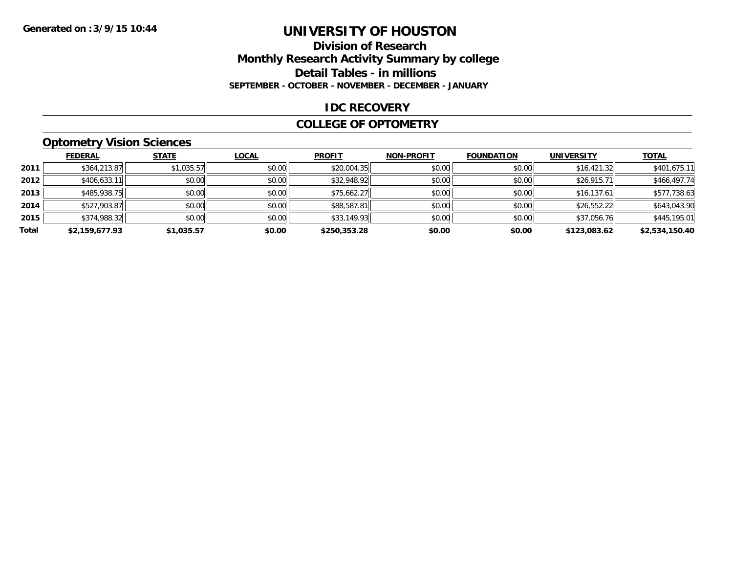#### **Division of Research Monthly Research Activity Summary by college Detail Tables - in millions SEPTEMBER - OCTOBER - NOVEMBER - DECEMBER - JANUARY**

#### **IDC RECOVERY**

#### **COLLEGE OF OPTOMETRY**

### **Optometry Vision Sciences**

|       | <b>FEDERAL</b> | <b>STATE</b> | <b>LOCAL</b> | <b>PROFIT</b> | <b>NON-PROFIT</b> | <b>FOUNDATION</b> | <b>UNIVERSITY</b> | <b>TOTAL</b>   |
|-------|----------------|--------------|--------------|---------------|-------------------|-------------------|-------------------|----------------|
| 2011  | \$364,213.87   | \$1,035.57   | \$0.00       | \$20,004.35   | \$0.00            | \$0.00            | \$16,421.32       | \$401,675.11   |
| 2012  | \$406,633.11   | \$0.00       | \$0.00       | \$32,948.92   | \$0.00            | \$0.00            | \$26,915.71       | \$466,497.74   |
| 2013  | \$485,938.75   | \$0.00       | \$0.00       | \$75,662.27   | \$0.00            | \$0.00            | \$16,137.61       | \$577,738.63   |
| 2014  | \$527,903.87   | \$0.00       | \$0.00       | \$88,587.81   | \$0.00            | \$0.00            | \$26,552.22       | \$643,043.90   |
| 2015  | \$374,988.32   | \$0.00       | \$0.00       | \$33,149.93   | \$0.00            | \$0.00            | \$37,056.76       | \$445,195.01   |
| Total | \$2,159,677.93 | \$1,035.57   | \$0.00       | \$250,353.28  | \$0.00            | \$0.00            | \$123,083.62      | \$2,534,150.40 |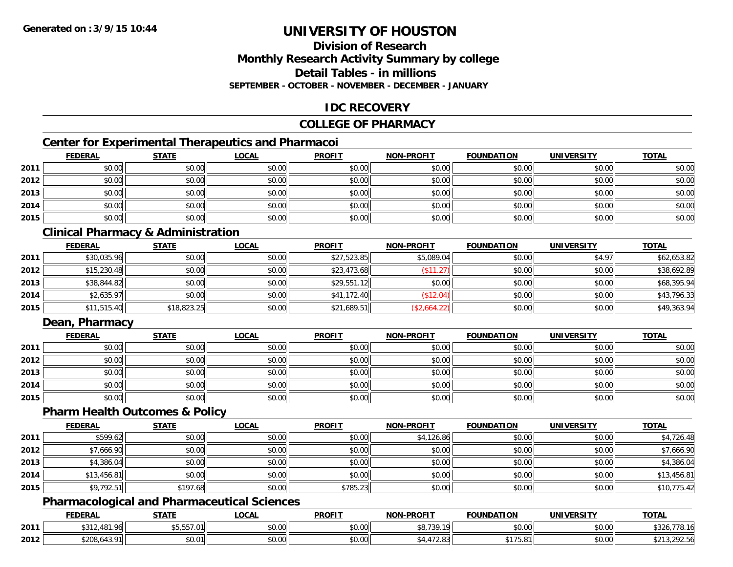### **Division of ResearchMonthly Research Activity Summary by college Detail Tables - in millionsSEPTEMBER - OCTOBER - NOVEMBER - DECEMBER - JANUARY**

### **IDC RECOVERY**

### **COLLEGE OF PHARMACY**

# **Center for Experimental Therapeutics and Pharmacoi**

|      | <b>FEDERAL</b> | <b>STATE</b> | <b>LOCAL</b> | <b>PROFIT</b> | NON-PROFIT | <b>FOUNDATION</b> | <b>UNIVERSITY</b> | <b>TOTAL</b> |
|------|----------------|--------------|--------------|---------------|------------|-------------------|-------------------|--------------|
| 2011 | \$0.00         | \$0.00       | \$0.00       | \$0.00        | \$0.00     | \$0.00            | \$0.00            | \$0.00       |
| 2012 | \$0.00         | \$0.00       | \$0.00       | \$0.00        | \$0.00     | \$0.00            | \$0.00            | \$0.00       |
| 2013 | \$0.00         | \$0.00       | \$0.00       | \$0.00        | \$0.00     | \$0.00            | \$0.00            | \$0.00       |
| 2014 | \$0.00         | \$0.00       | \$0.00       | \$0.00        | \$0.00     | \$0.00            | \$0.00            | \$0.00       |
| 2015 | \$0.00         | \$0.00       | \$0.00       | \$0.00        | \$0.00     | \$0.00            | \$0.00            | \$0.00       |

### **Clinical Pharmacy & Administration**

|      | <b>FEDERAL</b> | <b>STATE</b> | <b>LOCAL</b> | <b>PROFIT</b> | <b>NON-PROFIT</b> | <b>FOUNDATION</b> | <b>UNIVERSITY</b> | <b>TOTAL</b> |
|------|----------------|--------------|--------------|---------------|-------------------|-------------------|-------------------|--------------|
| 2011 | \$30,035.96    | \$0.00       | \$0.00       | \$27,523.85   | \$5,089.04        | \$0.00            | \$4.97            | \$62,653.82  |
| 2012 | \$15,230.48    | \$0.00       | \$0.00       | \$23,473.68   | \$11.27           | \$0.00            | \$0.00            | \$38,692.89  |
| 2013 | \$38,844.82    | \$0.00       | \$0.00       | \$29,551.12   | \$0.00            | \$0.00            | \$0.00            | \$68,395.94  |
| 2014 | \$2,635.97     | \$0.00       | \$0.00       | \$41,172.40   | (\$12.04)         | \$0.00            | \$0.00            | \$43,796.33  |
| 2015 | \$11,515.40    | \$18,823.25  | \$0.00       | \$21,689.51   | (\$2,664.22)      | \$0.00            | \$0.00            | \$49,363.94  |

### **Dean, Pharmacy**

|      | <b>FEDERAL</b> | <b>STATE</b> | <u>LOCAL</u> | <b>PROFIT</b> | <b>NON-PROFIT</b> | <b>FOUNDATION</b> | <b>UNIVERSITY</b> | <b>TOTAL</b> |
|------|----------------|--------------|--------------|---------------|-------------------|-------------------|-------------------|--------------|
| 2011 | \$0.00         | \$0.00       | \$0.00       | \$0.00        | \$0.00            | \$0.00            | \$0.00            | \$0.00       |
| 2012 | \$0.00         | \$0.00       | \$0.00       | \$0.00        | \$0.00            | \$0.00            | \$0.00            | \$0.00       |
| 2013 | \$0.00         | \$0.00       | \$0.00       | \$0.00        | \$0.00            | \$0.00            | \$0.00            | \$0.00       |
| 2014 | \$0.00         | \$0.00       | \$0.00       | \$0.00        | \$0.00            | \$0.00            | \$0.00            | \$0.00       |
| 2015 | \$0.00         | \$0.00       | \$0.00       | \$0.00        | \$0.00            | \$0.00            | \$0.00            | \$0.00       |

#### **Pharm Health Outcomes & Policy**

|      | <b>FEDERAL</b> | <b>STATE</b> | <u>LOCAL</u> | <b>PROFIT</b> | <b>NON-PROFIT</b> | <b>FOUNDATION</b> | <b>UNIVERSITY</b> | <b>TOTAL</b> |
|------|----------------|--------------|--------------|---------------|-------------------|-------------------|-------------------|--------------|
| 2011 | \$599.62       | \$0.00       | \$0.00       | \$0.00        | \$4,126.86        | \$0.00            | \$0.00            | \$4,726.48   |
| 2012 | \$7,666.90     | \$0.00       | \$0.00       | \$0.00        | \$0.00            | \$0.00            | \$0.00            | \$7,666.90   |
| 2013 | \$4,386.04     | \$0.00       | \$0.00       | \$0.00        | \$0.00            | \$0.00            | \$0.00            | \$4,386.04   |
| 2014 | \$13,456.81    | \$0.00       | \$0.00       | \$0.00        | \$0.00            | \$0.00            | \$0.00            | \$13,456.81  |
| 2015 | \$9,792.51     | \$197.68     | \$0.00       | \$785.23      | \$0.00            | \$0.00            | \$0.00            | \$10,775.42  |

### **Pharmacological and Pharmaceutical Sciences**

|      | <b>FEDERAL</b>                       | <b>STATE</b>        | <b>_OCAL</b>       | <b>PROFIT</b> | NON-DDOELT         | FOUNDATION      | UNIVERSITY | <b>TOTAL</b>                |
|------|--------------------------------------|---------------------|--------------------|---------------|--------------------|-----------------|------------|-----------------------------|
| 2011 | $\overline{\phantom{a}}$<br>$\Omega$ | $- -$<br>\$5,557.01 | $\sim$ 00<br>vv.vv | 0000<br>vu.vu | 0.700<br>10<br>. ש | 0.000<br>vo.ov. | \$0.00     | $+ - -$                     |
| 2012 | \$208.643                            | \$0.01              | $\sim$ 00<br>ง∪.∪บ | 0000<br>JU.UU | , 2.               | ** 75<br>-      | \$0.00     | 202E<br><b>UU, Z7 Z. JU</b> |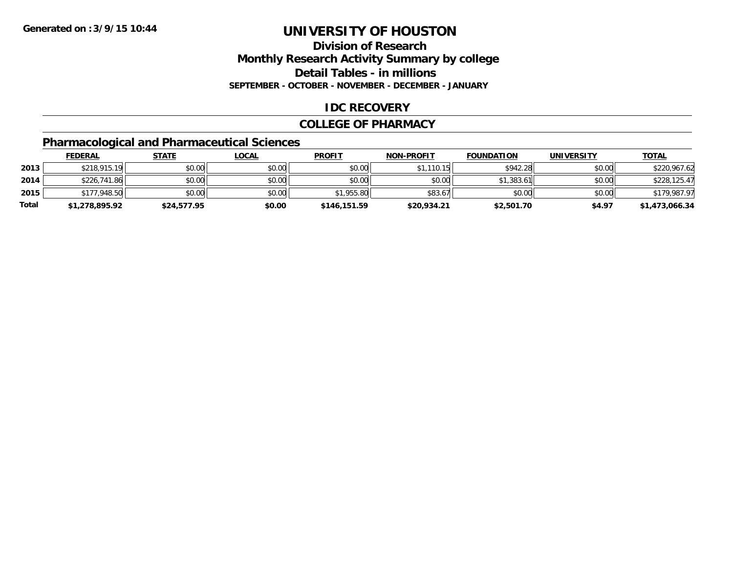### **Division of ResearchMonthly Research Activity Summary by college Detail Tables - in millions SEPTEMBER - OCTOBER - NOVEMBER - DECEMBER - JANUARY**

### **IDC RECOVERY**

#### **COLLEGE OF PHARMACY**

# **Pharmacological and Pharmaceutical Sciences**

|       | <b>FEDERAL</b> | <u>STATE</u> | <u>LOCAL</u> | <b>PROFIT</b> | <b>NON-PROFIT</b> | <b>FOUNDATION</b> | <b>UNIVERSITY</b> | <b>TOTAL</b>   |
|-------|----------------|--------------|--------------|---------------|-------------------|-------------------|-------------------|----------------|
| 2013  | \$218,915.19   | \$0.00       | \$0.00       | \$0.00        | \$1,110.15        | \$942.28          | \$0.00            | \$220,967.62   |
| 2014  | \$226,741.86   | \$0.00       | \$0.00       | \$0.00        | \$0.00            | \$1,383.61        | \$0.00            | \$228,125.47   |
| 2015  | \$177,948.50   | \$0.00       | \$0.00       | \$1,955.80    | \$83.67           | \$0.00            | \$0.00            | \$179,987.97   |
| Total | \$1,278,895.92 | \$24,577.95  | \$0.00       | \$146,151.59  | \$20,934.21       | \$2,501.70        | \$4.97            | \$1,473,066.34 |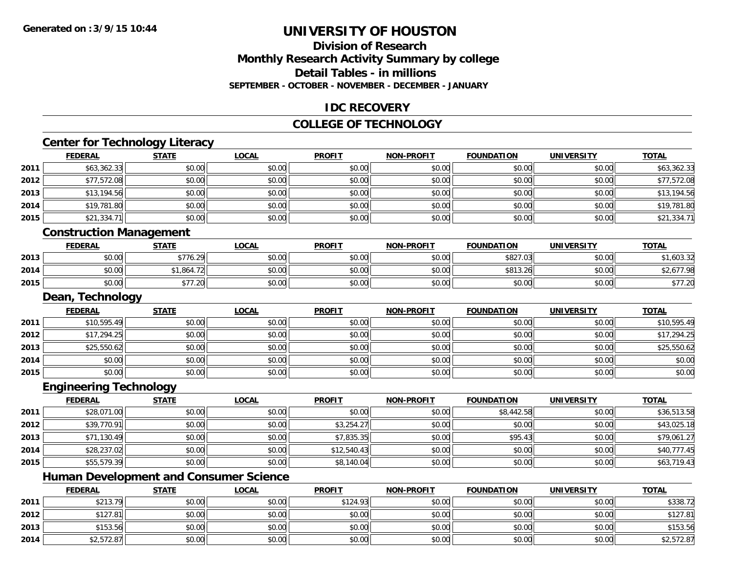**2013**

# **UNIVERSITY OF HOUSTON**

### **Division of ResearchMonthly Research Activity Summary by college Detail Tables - in millionsSEPTEMBER - OCTOBER - NOVEMBER - DECEMBER - JANUARY**

#### **IDC RECOVERY**

#### **COLLEGE OF TECHNOLOGY**

# **Center for Technology Literacy**

|      | <b>FEDERAL</b>                 | <b>STATE</b> | <b>LOCAL</b> | <b>PROFIT</b> | <b>NON-PROFIT</b> | <b>FOUNDATION</b> | <b>UNIVERSITY</b> | <b>TOTAL</b> |
|------|--------------------------------|--------------|--------------|---------------|-------------------|-------------------|-------------------|--------------|
| 2011 | \$63,362.33                    | \$0.00       | \$0.00       | \$0.00        | \$0.00            | \$0.00            | \$0.00            | \$63,362.33  |
| 2012 | \$77,572.08                    | \$0.00       | \$0.00       | \$0.00        | \$0.00            | \$0.00            | \$0.00            | \$77,572.08  |
| 2013 | \$13,194.56                    | \$0.00       | \$0.00       | \$0.00        | \$0.00            | \$0.00            | \$0.00            | \$13,194.56  |
| 2014 | \$19,781.80                    | \$0.00       | \$0.00       | \$0.00        | \$0.00            | \$0.00            | \$0.00            | \$19,781.80  |
| 2015 | \$21,334.71                    | \$0.00       | \$0.00       | \$0.00        | \$0.00            | \$0.00            | \$0.00            | \$21,334.71  |
|      | <b>Construction Management</b> |              |              |               |                   |                   |                   |              |
|      | <b>FEDERAL</b>                 | <b>STATE</b> | <b>LOCAL</b> | <b>PROFIT</b> | <b>NON-PROFIT</b> | <b>FOUNDATION</b> | <b>UNIVERSITY</b> | <b>TOTAL</b> |
| 2013 | \$0.00                         | \$776.29     | \$0.00       | \$0.00        | \$0.00            | \$827.03          | \$0.00            | \$1,603.32   |
| 2014 | \$0.00                         | \$1,864.72   | \$0.00       | \$0.00        | \$0.00            | \$813.26          | \$0.00            | \$2,677.98   |
| 2015 | \$0.00                         | \$77.20      | \$0.00       | \$0.00        | \$0.00            | \$0.00            | \$0.00            | \$77.20      |
|      | Dean, Technology               |              |              |               |                   |                   |                   |              |
|      | <b>FEDERAL</b>                 | <b>STATE</b> | <b>LOCAL</b> | <b>PROFIT</b> | <b>NON-PROFIT</b> | <b>FOUNDATION</b> | <b>UNIVERSITY</b> | <b>TOTAL</b> |
| 2011 | \$10,595.49                    | \$0.00       | \$0.00       | \$0.00        | \$0.00            | \$0.00            | \$0.00            | \$10,595.49  |
| 2012 | \$17,294.25                    | \$0.00       | \$0.00       | \$0.00        | \$0.00            | \$0.00            | \$0.00            | \$17,294.25  |
| 2013 | \$25,550.62                    | \$0.00       | \$0.00       | \$0.00        | \$0.00            | \$0.00            | \$0.00            | \$25,550.62  |
| 2014 | \$0.00                         | \$0.00       | \$0.00       | \$0.00        | \$0.00            | \$0.00            | \$0.00            | \$0.00       |
| 2015 | \$0.00                         | \$0.00       | \$0.00       | \$0.00        | \$0.00            | \$0.00            | \$0.00            | \$0.00       |
|      | <b>Engineering Technology</b>  |              |              |               |                   |                   |                   |              |
|      | <b>FEDERAL</b>                 | <b>STATE</b> | <b>LOCAL</b> | <b>PROFIT</b> | <b>NON-PROFIT</b> | <b>FOUNDATION</b> | <b>UNIVERSITY</b> | <b>TOTAL</b> |
| 2011 | \$28,071.00                    | \$0.00       | \$0.00       | \$0.00        | \$0.00            | \$8,442.58        | \$0.00            | \$36,513.58  |
| 2012 | \$39,770.91                    | \$0.00       | \$0.00       | \$3,254.27    | \$0.00            | \$0.00            | \$0.00            | \$43,025.18  |

|      | Humar <sup>-</sup> | Development and | <b>Consumer Science</b> | טע             |        |        |        |             |
|------|--------------------|-----------------|-------------------------|----------------|--------|--------|--------|-------------|
| 2015 | \$55,579.39        | \$0.00          | \$0.00                  | 0 <sup>o</sup> | \$0.00 | \$0.00 | \$0.00 | 19.43       |
| 2014 | \$28,237.02        | \$0.00          | \$0.00                  | \$12,540.43    | \$0.00 | \$0.00 | \$0.00 | \$40,777.45 |

|      | <b>FEDERAL</b> | <b>STATE</b> | <b>LOCAL</b> | <b>PROFIT</b> | <b>NON-PROFIT</b> | <b>FOUNDATION</b> | <b>UNIVERSITY</b> | <b>TOTAL</b> |
|------|----------------|--------------|--------------|---------------|-------------------|-------------------|-------------------|--------------|
| 2011 | \$213.79       | \$0.00       | \$0.00       | \$124.93      | \$0.00            | \$0.00            | \$0.00            | \$338.72     |
| 2012 | \$127.81       | \$0.00       | \$0.00       | \$0.00        | \$0.00            | \$0.00            | \$0.00            | \$127.81     |
| 2013 | \$153.56       | \$0.00       | \$0.00       | \$0.00        | \$0.00            | \$0.00            | \$0.00            | \$153.56     |
| 2014 | \$2,572.87     | \$0.00       | \$0.00       | \$0.00        | \$0.00            | \$0.00            | \$0.00            | \$2,572.87   |

 $\textbf{3} \hspace{14mm} \text{$3$} \hspace{14mm} \text{$50.00]} \hspace{14mm} \text{$50.00]} \hspace{14mm} \text{$50.00]} \hspace{14mm} \text{$50.00]} \hspace{14mm} \text{$50.00]} \hspace{14mm} \text{$50.00]} \hspace{14mm} \text{$50.00]} \hspace{14mm} \text{$50.00]} \hspace{14mm} \text{$50.00]} \hspace{14mm} \text{$50.00]} \hspace{14mm} \text{$50.00]} \$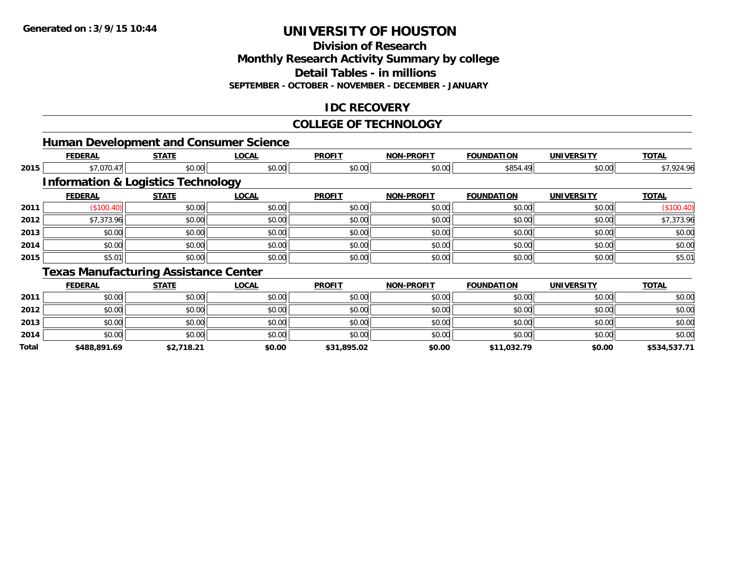**Total**

# **UNIVERSITY OF HOUSTON**

**Division of Research**

**Monthly Research Activity Summary by college**

**Detail Tables - in millions**

**SEPTEMBER - OCTOBER - NOVEMBER - DECEMBER - JANUARY**

### **IDC RECOVERY**

#### **COLLEGE OF TECHNOLOGY**

|      |                |                                               | <b>Human Development and Consumer Science</b> |               |                   |                   |                   |              |
|------|----------------|-----------------------------------------------|-----------------------------------------------|---------------|-------------------|-------------------|-------------------|--------------|
|      | <b>FEDERAL</b> | <b>STATE</b>                                  | <b>LOCAL</b>                                  | <b>PROFIT</b> | <b>NON-PROFIT</b> | <b>FOUNDATION</b> | <b>UNIVERSITY</b> | <b>TOTAL</b> |
| 2015 | \$7,070.47     | \$0.00                                        | \$0.00                                        | \$0.00        | \$0.00            | \$854.49          | \$0.00            | \$7,924.96   |
|      |                | <b>Information &amp; Logistics Technology</b> |                                               |               |                   |                   |                   |              |
|      | <b>FEDERAL</b> | <b>STATE</b>                                  | <b>LOCAL</b>                                  | <b>PROFIT</b> | <b>NON-PROFIT</b> | <b>FOUNDATION</b> | <b>UNIVERSITY</b> | <b>TOTAL</b> |
| 2011 | (\$100.40)     | \$0.00                                        | \$0.00                                        | \$0.00        | \$0.00            | \$0.00            | \$0.00            | (\$100.40)   |
| 2012 | \$7,373.96     | \$0.00                                        | \$0.00                                        | \$0.00        | \$0.00            | \$0.00            | \$0.00            | \$7,373.96   |
| 2013 | \$0.00         | \$0.00                                        | \$0.00                                        | \$0.00        | \$0.00            | \$0.00            | \$0.00            | \$0.00       |
| 2014 | \$0.00         | \$0.00                                        | \$0.00                                        | \$0.00        | \$0.00            | \$0.00            | \$0.00            | \$0.00       |
| 2015 | \$5.01         | \$0.00                                        | \$0.00                                        | \$0.00        | \$0.00            | \$0.00            | \$0.00            | \$5.01       |
|      |                | <b>Texas Manufacturing Assistance Center</b>  |                                               |               |                   |                   |                   |              |
|      | <b>FEDERAL</b> | <b>STATE</b>                                  | <b>LOCAL</b>                                  | <b>PROFIT</b> | <b>NON-PROFIT</b> | <b>FOUNDATION</b> | <b>UNIVERSITY</b> | <b>TOTAL</b> |
| 2011 | \$0.00         | \$0.00                                        | \$0.00                                        | \$0.00        | \$0.00            | \$0.00            | \$0.00            | \$0.00       |
| 2012 | \$0.00         | \$0.00                                        | \$0.00                                        | \$0.00        | \$0.00            | \$0.00            | \$0.00            | \$0.00       |
| 2013 | \$0.00         | \$0.00                                        | \$0.00                                        | \$0.00        | \$0.00            | \$0.00            | \$0.00            | \$0.00       |
| 2014 | \$0.00         | \$0.00                                        | \$0.00                                        | \$0.00        | \$0.00            | \$0.00            | \$0.00            | \$0.00       |

**\$488,891.69 \$2,718.21 \$0.00 \$31,895.02 \$0.00 \$11,032.79 \$0.00 \$534,537.71**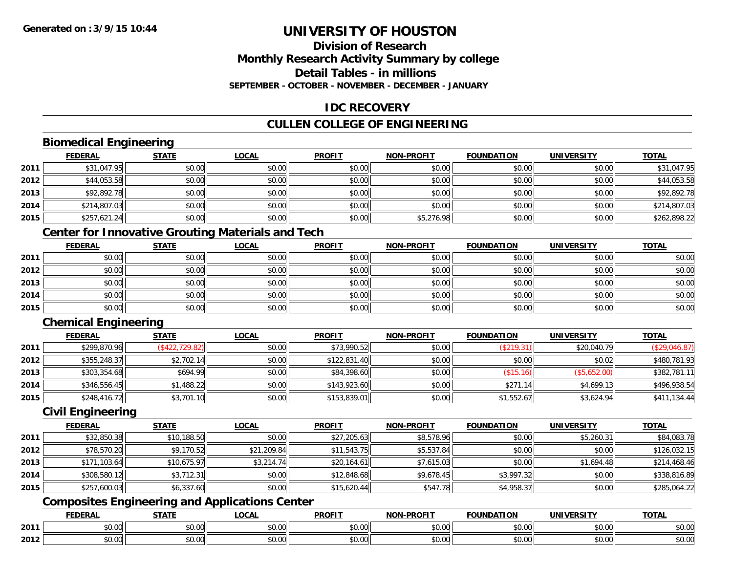### **Division of ResearchMonthly Research Activity Summary by college Detail Tables - in millionsSEPTEMBER - OCTOBER - NOVEMBER - DECEMBER - JANUARY**

### **IDC RECOVERY**

# **CULLEN COLLEGE OF ENGINEERING**

### **Biomedical Engineering**

|      | <b>FEDERAL</b> | <b>STATE</b> | <b>LOCAL</b> | <b>PROFIT</b> | NON-PROFIT | <b>FOUNDATION</b> | <b>UNIVERSITY</b> | <b>TOTAL</b> |
|------|----------------|--------------|--------------|---------------|------------|-------------------|-------------------|--------------|
| 2011 | \$31,047.95    | \$0.00       | \$0.00       | \$0.00        | \$0.00     | \$0.00            | \$0.00            | \$31,047.95  |
| 2012 | \$44,053.58    | \$0.00       | \$0.00       | \$0.00        | \$0.00     | \$0.00            | \$0.00            | \$44,053.58  |
| 2013 | \$92,892.78    | \$0.00       | \$0.00       | \$0.00        | \$0.00     | \$0.00            | \$0.00            | \$92,892.78  |
| 2014 | \$214,807.03   | \$0.00       | \$0.00       | \$0.00        | \$0.00     | \$0.00            | \$0.00            | \$214,807.03 |
| 2015 | \$257,621.24   | \$0.00       | \$0.00       | \$0.00        | \$5,276.98 | \$0.00            | \$0.00            | \$262,898.22 |

# **Center for Innovative Grouting Materials and Tech**

|      | <u>FEDERAL</u> | <b>STATE</b> | <b>LOCAL</b> | <b>PROFIT</b> | <b>NON-PROFIT</b> | <b>FOUNDATION</b> | <b>UNIVERSITY</b> | <b>TOTAL</b> |
|------|----------------|--------------|--------------|---------------|-------------------|-------------------|-------------------|--------------|
| 2011 | \$0.00         | \$0.00       | \$0.00       | \$0.00        | \$0.00            | \$0.00            | \$0.00            | \$0.00       |
| 2012 | \$0.00         | \$0.00       | \$0.00       | \$0.00        | \$0.00            | \$0.00            | \$0.00            | \$0.00       |
| 2013 | \$0.00         | \$0.00       | \$0.00       | \$0.00        | \$0.00            | \$0.00            | \$0.00            | \$0.00       |
| 2014 | \$0.00         | \$0.00       | \$0.00       | \$0.00        | \$0.00            | \$0.00            | \$0.00            | \$0.00       |
| 2015 | \$0.00         | \$0.00       | \$0.00       | \$0.00        | \$0.00            | \$0.00            | \$0.00            | \$0.00       |

### **Chemical Engineering**

|      | <b>FEDERAL</b> | <u>STATE</u>    | <b>LOCAL</b> | <b>PROFIT</b> | <b>NON-PROFIT</b> | <b>FOUNDATION</b>        | <b>UNIVERSITY</b> | <b>TOTAL</b>  |
|------|----------------|-----------------|--------------|---------------|-------------------|--------------------------|-------------------|---------------|
| 2011 | \$299,870.96   | (\$422, 729.82) | \$0.00       | \$73,990.52   | \$0.00            | (\$219.31)               | \$20,040.79       | (\$29,046.87) |
| 2012 | \$355,248.37   | \$2,702.14      | \$0.00       | \$122,831.40  | \$0.00            | \$0.00                   | \$0.02            | \$480,781.93  |
| 2013 | \$303,354.68   | \$694.99        | \$0.00       | \$84,398.60   | \$0.00            | $($ \$15.16) $\parallel$ | (\$5,652.00)      | \$382,781.11  |
| 2014 | \$346,556.45   | \$1,488.22      | \$0.00       | \$143,923.60  | \$0.00            | \$271<br>14              | \$4,699.13        | \$496,938.54  |
| 2015 | \$248,416.72   | \$3,701.10      | \$0.00       | \$153,839.01  | \$0.00            | \$1,552.67               | \$3,624.94        | \$411,134.44  |

#### **Civil Engineering**

|      | <b>FEDERAL</b> | <b>STATE</b> | <b>LOCAL</b> | <b>PROFIT</b> | <b>NON-PROFIT</b> | <b>FOUNDATION</b> | <b>UNIVERSITY</b> | <b>TOTAL</b> |
|------|----------------|--------------|--------------|---------------|-------------------|-------------------|-------------------|--------------|
| 2011 | \$32,850.38    | \$10,188.50  | \$0.00       | \$27,205.63   | \$8,578.96        | \$0.00            | \$5,260.31        | \$84,083.78  |
| 2012 | \$78,570.20    | \$9,170.52   | \$21,209.84  | \$11,543.75   | \$5,537.84        | \$0.00            | \$0.00            | \$126,032.15 |
| 2013 | \$171,103.64   | \$10,675.97  | \$3,214.74   | \$20,164.61   | \$7,615.03        | \$0.00            | \$1,694.48        | \$214,468.46 |
| 2014 | \$308,580.12   | \$3,712.31   | \$0.00       | \$12,848.68   | \$9,678.45        | \$3,997.32        | \$0.00            | \$338,816.89 |
| 2015 | \$257,600.03   | \$6,337.60   | \$0.00       | \$15,620.44   | \$547.78          | \$4,958.37        | \$0.00            | \$285,064.22 |

### **Composites Engineering and Applications Center**

|      | <b>FFDFDAI</b><br>LIVE         | $- - - - -$        | $\sim$ $\sim$ $\sim$<br>$\cdots$ | <b>PROFIT</b>          | <b>DDOEIT</b><br><b>NION</b>     | מרוחו<br>חנ ו                 | . JIV :       | <b>TOTA</b>                                                                |
|------|--------------------------------|--------------------|----------------------------------|------------------------|----------------------------------|-------------------------------|---------------|----------------------------------------------------------------------------|
| 2011 | $\mathbf{A} \mathbf{A}$<br>ט.ט | $\sim$ 00<br>,,,,, | $\sim$ $\sim$<br>vv.vv           | $\sim$ $\sim$<br>וטטוע | 0 <sub>n</sub><br>vv.vv          | $\sim$ $\sim$ $\sim$<br>JU.UU | 0.00<br>pu.uu | $\begin{array}{c} \uparrow \\ \uparrow \\ \downarrow \end{array}$<br>JU.UL |
| 2012 | ₽∪.∪∪                          | $\sim$<br>ט.ט      | ሶስ ሰሰ<br>vv.vv                   | $\sim$ $\sim$<br>JU.UU | $\sim$ $\sim$<br>$\sim$<br>PO.OO | $v \cdot v \cdot v$           | 0000<br>JU.UU | JU.UU                                                                      |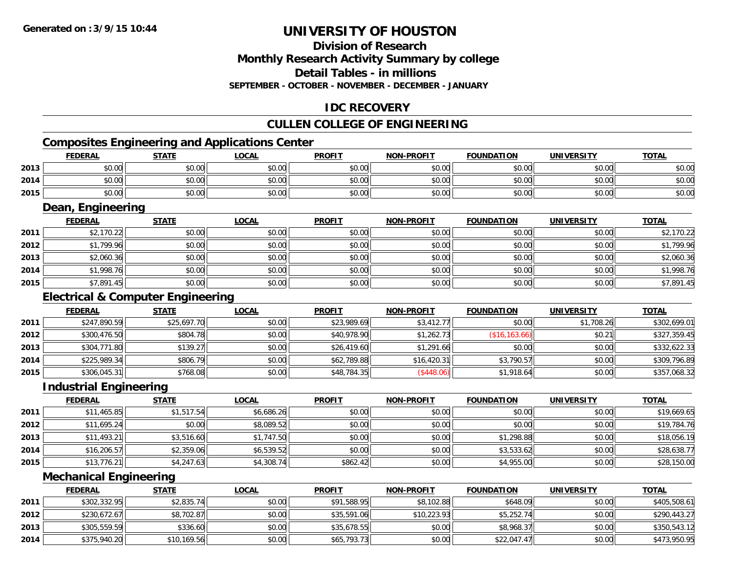# **Division of Research**

**Monthly Research Activity Summary by college**

**Detail Tables - in millions**

**SEPTEMBER - OCTOBER - NOVEMBER - DECEMBER - JANUARY**

# **IDC RECOVERY**

# **CULLEN COLLEGE OF ENGINEERING**

# **Composites Engineering and Applications Center**

|      | <b>FEDERAL</b> | <b>STATE</b> | <u>LOCAL</u> | <b>PROFIT</b> | <b>NON-PROFIT</b> | <b>FOUNDATION</b> | <b>UNIVERSITY</b> | <b>TOTAL</b> |
|------|----------------|--------------|--------------|---------------|-------------------|-------------------|-------------------|--------------|
| 2013 | \$0.00         | \$0.00       | \$0.00       | \$0.00        | \$0.00            | \$0.00            | \$0.00            | \$0.00       |
| 2014 | \$0.00         | \$0.00       | \$0.00       | \$0.00        | \$0.00            | \$0.00            | \$0.00            | \$0.00       |
| 2015 | \$0.00         | \$0.00       | \$0.00       | \$0.00        | \$0.00            | \$0.00            | \$0.00            | \$0.00       |

#### **Dean, Engineering**

|      | <b>FEDERAL</b> | <b>STATE</b> | <u>LOCAL</u> | <b>PROFIT</b> | <b>NON-PROFIT</b> | <b>FOUNDATION</b> | <b>UNIVERSITY</b> | <b>TOTAL</b> |
|------|----------------|--------------|--------------|---------------|-------------------|-------------------|-------------------|--------------|
| 2011 | \$2,170.22     | \$0.00       | \$0.00       | \$0.00        | \$0.00            | \$0.00            | \$0.00            | \$2,170.22   |
| 2012 | \$1,799.96     | \$0.00       | \$0.00       | \$0.00        | \$0.00            | \$0.00            | \$0.00            | \$1,799.96   |
| 2013 | \$2,060.36     | \$0.00       | \$0.00       | \$0.00        | \$0.00            | \$0.00            | \$0.00            | \$2,060.36   |
| 2014 | \$1,998.76     | \$0.00       | \$0.00       | \$0.00        | \$0.00            | \$0.00            | \$0.00            | \$1,998.76   |
| 2015 | \$7,891.45     | \$0.00       | \$0.00       | \$0.00        | \$0.00            | \$0.00            | \$0.00            | \$7,891.45   |

### **Electrical & Computer Engineering**

|      | <b>FEDERAL</b> | <u>STATE</u> | <b>LOCAL</b> | <b>PROFIT</b> | <b>NON-PROFIT</b> | <b>FOUNDATION</b> | <b>UNIVERSITY</b> | <b>TOTAL</b> |
|------|----------------|--------------|--------------|---------------|-------------------|-------------------|-------------------|--------------|
| 2011 | \$247,890.59   | \$25,697.70  | \$0.00       | \$23,989.69   | \$3,412.77        | \$0.00            | \$1,708.26        | \$302,699.01 |
| 2012 | \$300,476.50   | \$804.78     | \$0.00       | \$40,978.90   | \$1,262.73        | (\$16, 163.66)    | \$0.21            | \$327,359.45 |
| 2013 | \$304,771.80   | \$139.27     | \$0.00       | \$26,419.60   | \$1,291.66        | \$0.00            | \$0.00            | \$332,622.33 |
| 2014 | \$225,989.34   | \$806.79     | \$0.00       | \$62,789.88   | \$16,420.31       | \$3,790.57        | \$0.00            | \$309,796.89 |
| 2015 | \$306,045.31   | \$768.08     | \$0.00       | \$48,784.35   | (\$448.06)        | \$1,918.64        | \$0.00            | \$357,068.32 |

#### **Industrial Engineering**

|      | <b>FEDERAL</b> | <b>STATE</b> | <u>LOCAL</u> | <b>PROFIT</b> | <b>NON-PROFIT</b> | <b>FOUNDATION</b> | <b>UNIVERSITY</b> | <b>TOTAL</b> |
|------|----------------|--------------|--------------|---------------|-------------------|-------------------|-------------------|--------------|
| 2011 | \$11,465.85    | \$1,517.54   | \$6,686.26   | \$0.00        | \$0.00            | \$0.00            | \$0.00            | \$19,669.65  |
| 2012 | \$11,695.24    | \$0.00       | \$8,089.52   | \$0.00        | \$0.00            | \$0.00            | \$0.00            | \$19,784.76  |
| 2013 | \$11,493.21    | \$3,516.60   | \$1,747.50   | \$0.00        | \$0.00            | \$1,298.88        | \$0.00            | \$18,056.19  |
| 2014 | \$16,206.57    | \$2,359.06   | \$6,539.52   | \$0.00        | \$0.00            | \$3,533.62        | \$0.00            | \$28,638.77  |
| 2015 | \$13,776.21    | \$4,247.63   | \$4,308.74   | \$862.42      | \$0.00            | \$4,955.00        | \$0.00            | \$28,150.00  |

#### **Mechanical Engineering**

|      | <b>FEDERAL</b> | <b>STATE</b> | <u>LOCAL</u> | <b>PROFIT</b> | <b>NON-PROFIT</b> | <b>FOUNDATION</b> | <b>UNIVERSITY</b> | <b>TOTAL</b> |
|------|----------------|--------------|--------------|---------------|-------------------|-------------------|-------------------|--------------|
| 2011 | \$302,332.95   | \$2,835.74   | \$0.00       | \$91,588.95   | \$8,102.88        | \$648.09          | \$0.00            | \$405,508.61 |
| 2012 | \$230,672.67   | \$8,702.87   | \$0.00       | \$35,591.06   | \$10,223.93       | \$5,252.74        | \$0.00            | \$290,443.27 |
| 2013 | \$305,559.59   | \$336.60     | \$0.00       | \$35,678.55   | \$0.00            | \$8,968.37        | \$0.00            | \$350,543.12 |
| 2014 | \$375,940.20   | \$10,169.56  | \$0.00       | \$65,793.73   | \$0.00            | \$22,047.47       | \$0.00            | \$473,950.95 |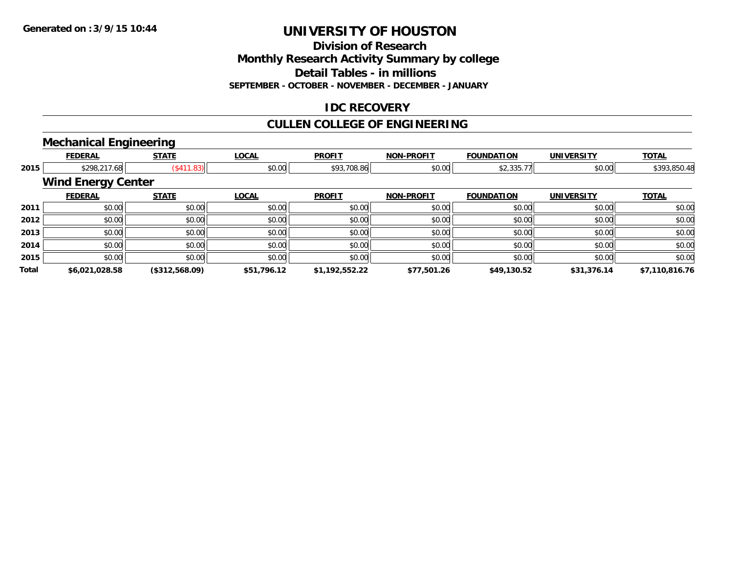**Division of Research**

**Monthly Research Activity Summary by college**

**Detail Tables - in millions**

**SEPTEMBER - OCTOBER - NOVEMBER - DECEMBER - JANUARY**

### **IDC RECOVERY**

# **CULLEN COLLEGE OF ENGINEERING**

# **Mechanical Engineering**

|              | <b>FEDERAL</b>            | <b>STATE</b>       | <b>LOCAL</b> | <b>PROFIT</b>  | <b>NON-PROFIT</b> | <b>FOUNDATION</b> | <b>UNIVERSITY</b> | <b>TOTAL</b>   |
|--------------|---------------------------|--------------------|--------------|----------------|-------------------|-------------------|-------------------|----------------|
| 2015         | \$298,217.68              | $($ \$411.83) $  $ | \$0.00       | \$93,708.86    | \$0.00            | \$2,335.77        | \$0.00            | \$393,850.48   |
|              | <b>Wind Energy Center</b> |                    |              |                |                   |                   |                   |                |
|              | <b>FEDERAL</b>            | <b>STATE</b>       | <b>LOCAL</b> | <b>PROFIT</b>  | <b>NON-PROFIT</b> | <b>FOUNDATION</b> | <b>UNIVERSITY</b> | <b>TOTAL</b>   |
| 2011         | \$0.00                    | \$0.00             | \$0.00       | \$0.00         | \$0.00            | \$0.00            | \$0.00            | \$0.00         |
| 2012         | \$0.00                    | \$0.00             | \$0.00       | \$0.00         | \$0.00            | \$0.00            | \$0.00            | \$0.00         |
| 2013         | \$0.00                    | \$0.00             | \$0.00       | \$0.00         | \$0.00            | \$0.00            | \$0.00            | \$0.00         |
| 2014         | \$0.00                    | \$0.00             | \$0.00       | \$0.00         | \$0.00            | \$0.00            | \$0.00            | \$0.00         |
| 2015         | \$0.00                    | \$0.00             | \$0.00       | \$0.00         | \$0.00            | \$0.00            | \$0.00            | \$0.00         |
| <b>Total</b> | \$6,021,028.58            | (\$312,568.09)     | \$51,796.12  | \$1,192,552.22 | \$77,501.26       | \$49,130.52       | \$31,376.14       | \$7,110,816.76 |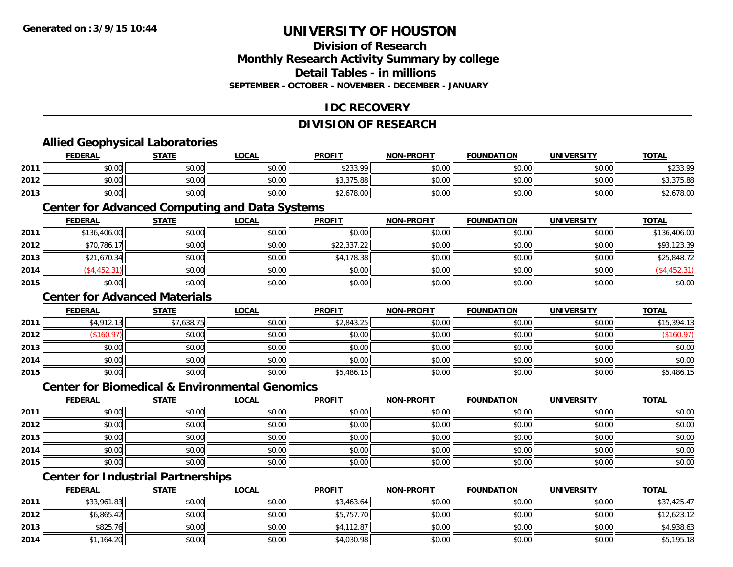### **Division of ResearchMonthly Research Activity Summary by college Detail Tables - in millions SEPTEMBER - OCTOBER - NOVEMBER - DECEMBER - JANUARY**

### **IDC RECOVERY**

### **DIVISION OF RESEARCH**

# **Allied Geophysical Laboratories**

|      | <b>FEDERAL</b> | STATE  | <b>_OCAL</b> | <b>PROFIT</b> | <b>NON-PROFIT</b> | <b>FOUNDATION</b> | <b>UNIVERSITY</b> | <b>TOTAL</b> |
|------|----------------|--------|--------------|---------------|-------------------|-------------------|-------------------|--------------|
| 2011 | \$0.00         | \$0.00 | \$0.00       | \$233.99      | \$0.00            | \$0.00            | \$0.00            | \$233.99     |
| 2012 | \$0.00         | \$0.00 | \$0.00       | \$3,375.88    | \$0.00            | \$0.00            | \$0.00            | \$3,375.88   |
| 2013 | \$0.00         | \$0.00 | \$0.00       | \$2,678.00    | \$0.00            | \$0.00            | \$0.00            | \$2,678.00   |

#### **Center for Advanced Computing and Data Systems**

|      | <u>FEDERAL</u> | <b>STATE</b> | <u>LOCAL</u> | <b>PROFIT</b> | <b>NON-PROFIT</b> | <b>FOUNDATION</b> | <b>UNIVERSITY</b> | <b>TOTAL</b>  |
|------|----------------|--------------|--------------|---------------|-------------------|-------------------|-------------------|---------------|
| 2011 | \$136,406.00   | \$0.00       | \$0.00       | \$0.00        | \$0.00            | \$0.00            | \$0.00            | \$136,406.00  |
| 2012 | \$70,786.17    | \$0.00       | \$0.00       | \$22,337.22   | \$0.00            | \$0.00            | \$0.00            | \$93,123.39   |
| 2013 | \$21,670.34    | \$0.00       | \$0.00       | \$4,178.38    | \$0.00            | \$0.00            | \$0.00            | \$25,848.72   |
| 2014 | (\$4,452.31)   | \$0.00       | \$0.00       | \$0.00        | \$0.00            | \$0.00            | \$0.00            | $(*4,452.31)$ |
| 2015 | \$0.00         | \$0.00       | \$0.00       | \$0.00        | \$0.00            | \$0.00            | \$0.00            | \$0.00        |

#### **Center for Advanced Materials**

|      | <b>FEDERAL</b> | <b>STATE</b> | <u>LOCAL</u> | <b>PROFIT</b> | <b>NON-PROFIT</b> | <b>FOUNDATION</b> | <b>UNIVERSITY</b> | <b>TOTAL</b> |
|------|----------------|--------------|--------------|---------------|-------------------|-------------------|-------------------|--------------|
| 2011 | \$4,912.13     | \$7,638.75   | \$0.00       | \$2,843.25    | \$0.00            | \$0.00            | \$0.00            | \$15,394.13  |
| 2012 | \$160.97       | \$0.00       | \$0.00       | \$0.00        | \$0.00            | \$0.00            | \$0.00            | (\$160.97)   |
| 2013 | \$0.00         | \$0.00       | \$0.00       | \$0.00        | \$0.00            | \$0.00            | \$0.00            | \$0.00       |
| 2014 | \$0.00         | \$0.00       | \$0.00       | \$0.00        | \$0.00            | \$0.00            | \$0.00            | \$0.00       |
| 2015 | \$0.00         | \$0.00       | \$0.00       | \$5,486.15    | \$0.00            | \$0.00            | \$0.00            | \$5,486.15   |

#### **Center for Biomedical & Environmental Genomics**

|      | <u>FEDERAL</u> | <b>STATE</b> | <b>LOCAL</b> | <b>PROFIT</b> | NON-PROFIT | <b>FOUNDATION</b> | <b>UNIVERSITY</b> | <b>TOTAL</b> |
|------|----------------|--------------|--------------|---------------|------------|-------------------|-------------------|--------------|
| 2011 | \$0.00         | \$0.00       | \$0.00       | \$0.00        | \$0.00     | \$0.00            | \$0.00            | \$0.00       |
| 2012 | \$0.00         | \$0.00       | \$0.00       | \$0.00        | \$0.00     | \$0.00            | \$0.00            | \$0.00       |
| 2013 | \$0.00         | \$0.00       | \$0.00       | \$0.00        | \$0.00     | \$0.00            | \$0.00            | \$0.00       |
| 2014 | \$0.00         | \$0.00       | \$0.00       | \$0.00        | \$0.00     | \$0.00            | \$0.00            | \$0.00       |
| 2015 | \$0.00         | \$0.00       | \$0.00       | \$0.00        | \$0.00     | \$0.00            | \$0.00            | \$0.00       |

# **Center for Industrial Partnerships**

|      | <u>FEDERAL</u> | <b>STATE</b> | <u>LOCAL</u> | <b>PROFIT</b> | <b>NON-PROFIT</b> | <b>FOUNDATION</b> | <b>UNIVERSITY</b> | <b>TOTAL</b> |
|------|----------------|--------------|--------------|---------------|-------------------|-------------------|-------------------|--------------|
| 2011 | \$33,961.83    | \$0.00       | \$0.00       | \$3,463.64    | \$0.00            | \$0.00            | \$0.00            | \$37,425.47  |
| 2012 | \$6,865.42     | \$0.00       | \$0.00       | \$5,757.70    | \$0.00            | \$0.00            | \$0.00            | \$12,623.12  |
| 2013 | \$825.76       | \$0.00       | \$0.00       | \$4,112.87    | \$0.00            | \$0.00            | \$0.00            | \$4,938.63   |
| 2014 | \$1,164.20     | \$0.00       | \$0.00       | \$4,030.98    | \$0.00            | \$0.00            | \$0.00            | \$5,195.18   |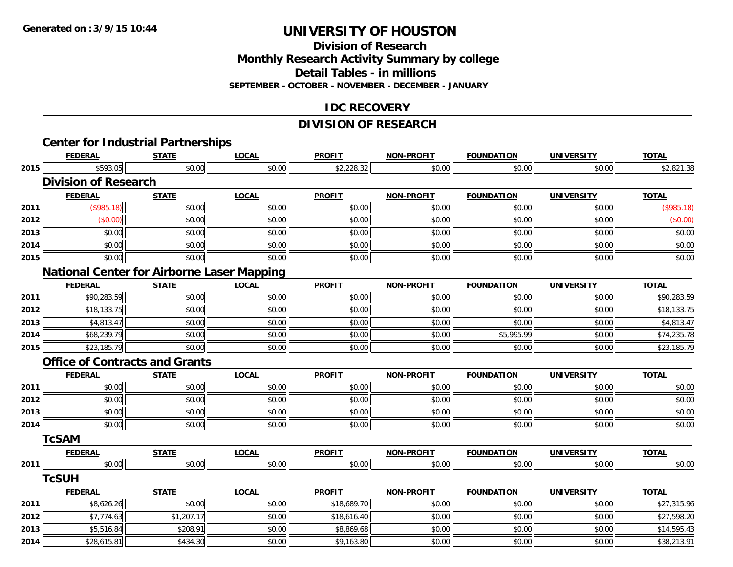# **Division of ResearchMonthly Research Activity Summary by college Detail Tables - in millions**

**SEPTEMBER - OCTOBER - NOVEMBER - DECEMBER - JANUARY**

### **IDC RECOVERY**

# **DIVISION OF RESEARCH**

|      |                                                   |              |              | <b>DIVIJIUN UF REJEMRUTI</b> |                   |                   |                   |              |
|------|---------------------------------------------------|--------------|--------------|------------------------------|-------------------|-------------------|-------------------|--------------|
|      | <b>Center for Industrial Partnerships</b>         |              |              |                              |                   |                   |                   |              |
|      | <b>FEDERAL</b>                                    | <b>STATE</b> | <b>LOCAL</b> | <b>PROFIT</b>                | NON-PROFIT        | <b>FOUNDATION</b> | <b>UNIVERSITY</b> | <b>TOTAL</b> |
| 2015 | \$593.05                                          | \$0.00       | \$0.00       | \$2,228.32                   | \$0.00            | \$0.00            | \$0.00            | \$2,821.38   |
|      | <b>Division of Research</b>                       |              |              |                              |                   |                   |                   |              |
|      | <b>FEDERAL</b>                                    | <b>STATE</b> | <b>LOCAL</b> | <b>PROFIT</b>                | <b>NON-PROFIT</b> | <b>FOUNDATION</b> | <b>UNIVERSITY</b> | <b>TOTAL</b> |
| 2011 | (\$985.18)                                        | \$0.00       | \$0.00       | \$0.00                       | \$0.00            | \$0.00            | \$0.00            | (\$985.18)   |
| 2012 | (\$0.00)                                          | \$0.00       | \$0.00       | \$0.00                       | \$0.00            | \$0.00            | \$0.00            | (\$0.00)     |
| 2013 | \$0.00                                            | \$0.00       | \$0.00       | \$0.00                       | \$0.00            | \$0.00            | \$0.00            | \$0.00       |
| 2014 | \$0.00                                            | \$0.00       | \$0.00       | \$0.00                       | \$0.00            | \$0.00            | \$0.00            | \$0.00       |
| 2015 | \$0.00                                            | \$0.00       | \$0.00       | \$0.00                       | \$0.00            | \$0.00            | \$0.00            | \$0.00       |
|      | <b>National Center for Airborne Laser Mapping</b> |              |              |                              |                   |                   |                   |              |
|      | <b>FEDERAL</b>                                    | <b>STATE</b> | <b>LOCAL</b> | <b>PROFIT</b>                | <b>NON-PROFIT</b> | <b>FOUNDATION</b> | <b>UNIVERSITY</b> | <b>TOTAL</b> |
| 2011 | \$90,283.59                                       | \$0.00       | \$0.00       | \$0.00                       | \$0.00            | \$0.00            | \$0.00            | \$90,283.59  |
| 2012 | \$18,133.75                                       | \$0.00       | \$0.00       | \$0.00                       | \$0.00            | \$0.00            | \$0.00            | \$18,133.75  |
| 2013 | \$4,813.47                                        | \$0.00       | \$0.00       | \$0.00                       | \$0.00            | \$0.00            | \$0.00            | \$4,813.47   |
| 2014 | \$68,239.79                                       | \$0.00       | \$0.00       | \$0.00                       | \$0.00            | \$5,995.99        | \$0.00            | \$74,235.78  |
| 2015 | \$23,185.79                                       | \$0.00       | \$0.00       | \$0.00                       | \$0.00            | \$0.00            | \$0.00            | \$23,185.79  |
|      | <b>Office of Contracts and Grants</b>             |              |              |                              |                   |                   |                   |              |
|      | <b>FEDERAL</b>                                    | <b>STATE</b> | <b>LOCAL</b> | <b>PROFIT</b>                | NON-PROFIT        | <b>FOUNDATION</b> | <b>UNIVERSITY</b> | <b>TOTAL</b> |
| 2011 | \$0.00                                            | \$0.00       | \$0.00       | \$0.00                       | \$0.00            | \$0.00            | \$0.00            | \$0.00       |
| 2012 | \$0.00                                            | \$0.00       | \$0.00       | \$0.00                       | \$0.00            | \$0.00            | \$0.00            | \$0.00       |
| 2013 | \$0.00                                            | \$0.00       | \$0.00       | \$0.00                       | \$0.00            | \$0.00            | \$0.00            | \$0.00       |
| 2014 | \$0.00                                            | \$0.00       | \$0.00       | \$0.00                       | \$0.00            | \$0.00            | \$0.00            | \$0.00       |
|      | <b>TcSAM</b>                                      |              |              |                              |                   |                   |                   |              |
|      | <b>FEDERAL</b>                                    | <b>STATE</b> | <b>LOCAL</b> | <b>PROFIT</b>                | <b>NON-PROFIT</b> | <b>FOUNDATION</b> | <b>UNIVERSITY</b> | <b>TOTAL</b> |
| 2011 | \$0.00                                            | \$0.00       | \$0.00       | \$0.00                       | \$0.00            | \$0.00            | \$0.00            | \$0.00       |
|      | <b>TcSUH</b>                                      |              |              |                              |                   |                   |                   |              |
|      | <b>FEDERAL</b>                                    | <b>STATE</b> | <b>LOCAL</b> | <b>PROFIT</b>                | <b>NON-PROFIT</b> | <b>FOUNDATION</b> | <b>UNIVERSITY</b> | <b>TOTAL</b> |
| 2011 | \$8,626.26                                        | \$0.00       | \$0.00       | \$18,689.70                  | \$0.00            | \$0.00            | \$0.00            | \$27,315.96  |
| 2012 | \$7,774.63                                        | \$1,207.17   | \$0.00       | \$18,616.40                  | \$0.00            | \$0.00            | \$0.00            | \$27,598.20  |
| 2013 | \$5,516.84                                        | \$208.91     | \$0.00       | \$8,869.68                   | \$0.00            | \$0.00            | \$0.00            | \$14,595.43  |
| 2014 | \$28,615.81                                       | \$434.30     | \$0.00       | \$9,163.80                   | \$0.00            | \$0.00            | \$0.00            | \$38,213.91  |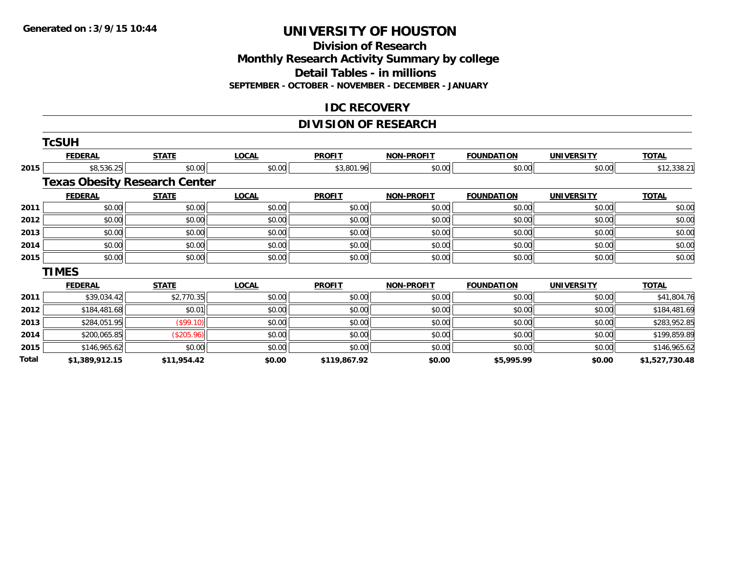#### **Division of Research Monthly Research Activity Summary by college Detail Tables - in millions SEPTEMBER - OCTOBER - NOVEMBER - DECEMBER - JANUARY**

#### **IDC RECOVERY**

# **DIVISION OF RESEARCH**

|       | <b>TcSUH</b>                         |              |              |               |                   |                   |                   |                |
|-------|--------------------------------------|--------------|--------------|---------------|-------------------|-------------------|-------------------|----------------|
|       | <b>FEDERAL</b>                       | <b>STATE</b> | <b>LOCAL</b> | <b>PROFIT</b> | <b>NON-PROFIT</b> | <b>FOUNDATION</b> | <b>UNIVERSITY</b> | <b>TOTAL</b>   |
| 2015  | \$8,536.25                           | \$0.00       | \$0.00       | \$3,801.96    | \$0.00            | \$0.00            | \$0.00            | \$12,338.21    |
|       | <b>Texas Obesity Research Center</b> |              |              |               |                   |                   |                   |                |
|       | <b>FEDERAL</b>                       | <b>STATE</b> | <b>LOCAL</b> | <b>PROFIT</b> | <b>NON-PROFIT</b> | <b>FOUNDATION</b> | <b>UNIVERSITY</b> | <b>TOTAL</b>   |
| 2011  | \$0.00                               | \$0.00       | \$0.00       | \$0.00        | \$0.00            | \$0.00            | \$0.00            | \$0.00         |
| 2012  | \$0.00                               | \$0.00       | \$0.00       | \$0.00        | \$0.00            | \$0.00            | \$0.00            | \$0.00         |
| 2013  | \$0.00                               | \$0.00       | \$0.00       | \$0.00        | \$0.00            | \$0.00            | \$0.00            | \$0.00         |
| 2014  | \$0.00                               | \$0.00       | \$0.00       | \$0.00        | \$0.00            | \$0.00            | \$0.00            | \$0.00         |
| 2015  | \$0.00                               | \$0.00       | \$0.00       | \$0.00        | \$0.00            | \$0.00            | \$0.00            | \$0.00         |
|       | <b>TIMES</b>                         |              |              |               |                   |                   |                   |                |
|       | <b>FEDERAL</b>                       | <b>STATE</b> | <b>LOCAL</b> | <b>PROFIT</b> | <b>NON-PROFIT</b> | <b>FOUNDATION</b> | <b>UNIVERSITY</b> | <b>TOTAL</b>   |
| 2011  | \$39,034.42                          | \$2,770.35   | \$0.00       | \$0.00        | \$0.00            | \$0.00            | \$0.00            | \$41,804.76    |
| 2012  | \$184,481.68                         | \$0.01       | \$0.00       | \$0.00        | \$0.00            | \$0.00            | \$0.00            | \$184,481.69   |
| 2013  | \$284,051.95                         | (\$99.10)    | \$0.00       | \$0.00        | \$0.00            | \$0.00            | \$0.00            | \$283,952.85   |
| 2014  | \$200,065.85                         | (\$205.96)   | \$0.00       | \$0.00        | \$0.00            | \$0.00            | \$0.00            | \$199,859.89   |
| 2015  | \$146,965.62                         | \$0.00       | \$0.00       | \$0.00        | \$0.00            | \$0.00            | \$0.00            | \$146,965.62   |
| Total | \$1,389,912.15                       | \$11,954.42  | \$0.00       | \$119,867.92  | \$0.00            | \$5,995.99        | \$0.00            | \$1,527,730.48 |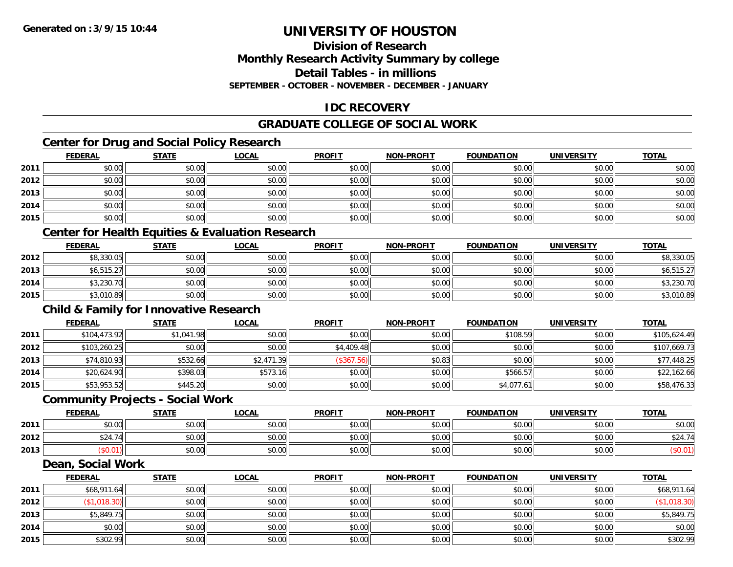### **Division of ResearchMonthly Research Activity Summary by college Detail Tables - in millionsSEPTEMBER - OCTOBER - NOVEMBER - DECEMBER - JANUARY**

### **IDC RECOVERY**

# **GRADUATE COLLEGE OF SOCIAL WORK**

# **Center for Drug and Social Policy Research**

|      | <b>FEDERAL</b> | <b>STATE</b> | <b>LOCAL</b>                                                | <b>PROFIT</b> | <b>NON-PROFIT</b> | <b>FOUNDATION</b> | <b>UNIVERSITY</b> | <b>TOTAL</b> |
|------|----------------|--------------|-------------------------------------------------------------|---------------|-------------------|-------------------|-------------------|--------------|
| 2011 | \$0.00         | \$0.00       | \$0.00                                                      | \$0.00        | \$0.00            | \$0.00            | \$0.00            | \$0.00       |
| 2012 | \$0.00         | \$0.00       | \$0.00                                                      | \$0.00        | \$0.00            | \$0.00            | \$0.00            | \$0.00       |
| 2013 | \$0.00         | \$0.00       | \$0.00                                                      | \$0.00        | \$0.00            | \$0.00            | \$0.00            | \$0.00       |
| 2014 | \$0.00         | \$0.00       | \$0.00                                                      | \$0.00        | \$0.00            | \$0.00            | \$0.00            | \$0.00       |
| 2015 | \$0.00         | \$0.00       | \$0.00                                                      | \$0.00        | \$0.00            | \$0.00            | \$0.00            | \$0.00       |
|      |                |              | <b>Center for Health Equities &amp; Evaluation Research</b> |               |                   |                   |                   |              |

|      | <b>FEDERAL</b> | <b>STATE</b> | <u>LOCAL</u> | <b>PROFIT</b> | <b>NON-PROFIT</b> | <b>FOUNDATION</b> | <b>UNIVERSITY</b> | <b>TOTAL</b> |
|------|----------------|--------------|--------------|---------------|-------------------|-------------------|-------------------|--------------|
| 2012 | \$8,330.05     | \$0.00       | \$0.00       | \$0.00        | \$0.00            | \$0.00            | \$0.00            | \$8,330.05   |
| 2013 | \$6,515.27     | \$0.00       | \$0.00       | \$0.00        | \$0.00            | \$0.00            | \$0.00            | \$6,515.27   |
| 2014 | \$3,230.70     | \$0.00       | \$0.00       | \$0.00        | \$0.00            | \$0.00            | \$0.00            | \$3,230.70   |
| 2015 | \$3,010.89     | \$0.00       | \$0.00       | \$0.00        | \$0.00            | \$0.00            | \$0.00            | \$3,010.89   |

# **Child & Family for Innovative Research**

|      | <b>FEDERAL</b> | <b>STATE</b> | <u>LOCAL</u> | <b>PROFIT</b> | <b>NON-PROFIT</b> | <b>FOUNDATION</b> | <b>UNIVERSITY</b> | <b>TOTAL</b> |
|------|----------------|--------------|--------------|---------------|-------------------|-------------------|-------------------|--------------|
| 2011 | \$104,473.92   | \$1,041.98   | \$0.00       | \$0.00        | \$0.00            | \$108.59          | \$0.00            | \$105,624.49 |
| 2012 | \$103,260.25   | \$0.00       | \$0.00       | \$4,409.48    | \$0.00            | \$0.00            | \$0.00            | \$107,669.73 |
| 2013 | \$74,810.93    | \$532.66     | \$2,471.39   | (\$367.56)    | \$0.83            | \$0.00            | \$0.00            | \$77,448.25  |
| 2014 | \$20,624.90    | \$398.03     | \$573.16     | \$0.00        | \$0.00            | \$566.57          | \$0.00            | \$22,162.66  |
| 2015 | \$53,953.52    | \$445.20     | \$0.00       | \$0.00        | \$0.00            | \$4,077.61        | \$0.00            | \$58,476.33  |

### **Community Projects - Social Work**

|      | <b>FEDERAL</b>                  | <b>STATE</b> | <u>LOCAL</u> | <b>PROFIT</b> | <b>NON-PROFIT</b> | <b>FOUNDATION</b> | <b>UNIVERSITY</b> | <u>TOTAL</u>                                                   |
|------|---------------------------------|--------------|--------------|---------------|-------------------|-------------------|-------------------|----------------------------------------------------------------|
| 2011 | ÷n.<br>$\cap$<br>DU.UU          | \$0.00       | \$0.00       | \$0.00        | \$0.00            | \$0.00            | \$0.00            | \$0.00                                                         |
| 2012 | \$24.74<br>$\lambda$ Al<br>(41) | \$0.00       | \$0.00       | \$0.00        | \$0.00            | \$0.00            | \$0.00            | $\uparrow$ $\uparrow$ $\uparrow$ $\uparrow$ $\uparrow$<br>524. |
| 2013 | $0.01$ ،                        | \$0.00       | \$0.00       | \$0.00        | \$0.00            | \$0.00            | \$0.00            |                                                                |

#### **Dean, Social Work**

|      | <b>FEDERAL</b> | <b>STATE</b> | <b>LOCAL</b> | <b>PROFIT</b> | <b>NON-PROFIT</b> | <b>FOUNDATION</b> | <b>UNIVERSITY</b> | <b>TOTAL</b> |
|------|----------------|--------------|--------------|---------------|-------------------|-------------------|-------------------|--------------|
| 2011 | \$68,911.64    | \$0.00       | \$0.00       | \$0.00        | \$0.00            | \$0.00            | \$0.00            | \$68,911.64  |
| 2012 | \$1,018.30     | \$0.00       | \$0.00       | \$0.00        | \$0.00            | \$0.00            | \$0.00            | (\$1,018.30) |
| 2013 | \$5,849.75     | \$0.00       | \$0.00       | \$0.00        | \$0.00            | \$0.00            | \$0.00            | \$5,849.75   |
| 2014 | \$0.00         | \$0.00       | \$0.00       | \$0.00        | \$0.00            | \$0.00            | \$0.00            | \$0.00       |
| 2015 | \$302.99       | \$0.00       | \$0.00       | \$0.00        | \$0.00            | \$0.00            | \$0.00            | \$302.99     |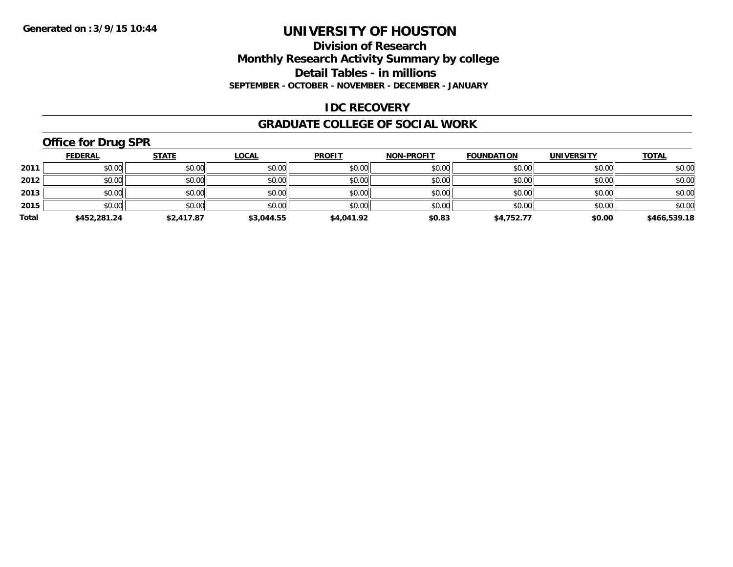#### **Division of Research Monthly Research Activity Summary by college Detail Tables - in millions SEPTEMBER - OCTOBER - NOVEMBER - DECEMBER - JANUARY**

#### **IDC RECOVERY**

#### **GRADUATE COLLEGE OF SOCIAL WORK**

# **Office for Drug SPR**

|       | <b>FEDERAL</b> | <b>STATE</b> | <b>LOCAL</b> | <b>PROFIT</b> | <b>NON-PROFIT</b> | <b>FOUNDATION</b> | <b>UNIVERSITY</b> | <b>TOTAL</b> |
|-------|----------------|--------------|--------------|---------------|-------------------|-------------------|-------------------|--------------|
| 2011  | \$0.00         | \$0.00       | \$0.00       | \$0.00        | \$0.00            | \$0.00            | \$0.00            | \$0.00       |
| 2012  | \$0.00         | \$0.00       | \$0.00       | \$0.00        | \$0.00            | \$0.00            | \$0.00            | \$0.00       |
| 2013  | \$0.00         | \$0.00       | \$0.00       | \$0.00        | \$0.00            | \$0.00            | \$0.00            | \$0.00       |
| 2015  | \$0.00         | \$0.00       | \$0.00       | \$0.00        | \$0.00            | \$0.00            | \$0.00            | \$0.00       |
| Total | \$452,281.24   | \$2,417.87   | \$3.044.55   | \$4,041.92    | \$0.83            | \$4,752.77        | \$0.00            | \$466,539.18 |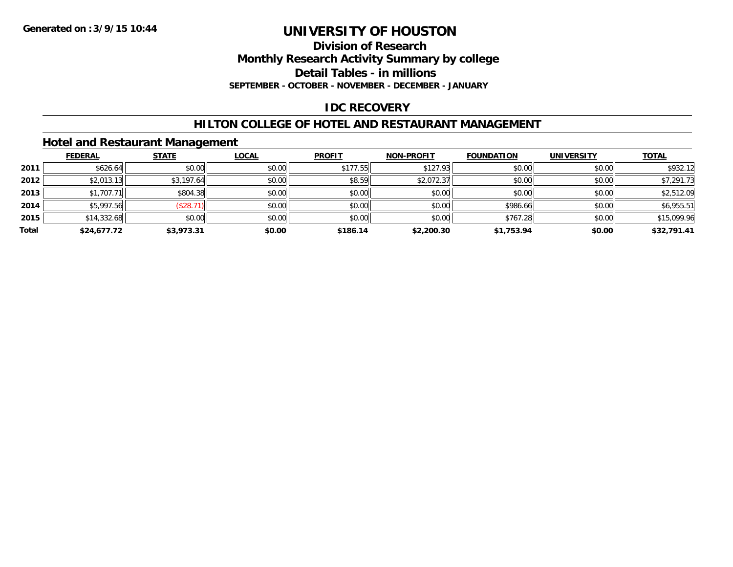**Division of Research**

**Monthly Research Activity Summary by college**

**Detail Tables - in millions**

**SEPTEMBER - OCTOBER - NOVEMBER - DECEMBER - JANUARY**

# **IDC RECOVERY**

### **HILTON COLLEGE OF HOTEL AND RESTAURANT MANAGEMENT**

#### **Hotel and Restaurant Management**

|       | <b>FEDERAL</b> | <b>STATE</b> | <b>LOCAL</b> | <b>PROFIT</b> | <b>NON-PROFIT</b> | <b>FOUNDATION</b> | <b>UNIVERSITY</b> | <b>TOTAL</b> |
|-------|----------------|--------------|--------------|---------------|-------------------|-------------------|-------------------|--------------|
| 2011  | \$626.64       | \$0.00       | \$0.00       | \$177.55      | \$127.93          | \$0.00            | \$0.00            | \$932.12     |
| 2012  | \$2,013.13     | \$3,197.64   | \$0.00       | \$8.59        | \$2,072.37        | \$0.00            | \$0.00            | \$7,291.73   |
| 2013  | \$1,707.71     | \$804.38     | \$0.00       | \$0.00        | \$0.00            | \$0.00            | \$0.00            | \$2,512.09   |
| 2014  | \$5,997.56     | (\$28.7"     | \$0.00       | \$0.00        | \$0.00            | \$986.66          | \$0.00            | \$6,955.51   |
| 2015  | \$14,332.68    | \$0.00       | \$0.00       | \$0.00        | \$0.00            | \$767.28          | \$0.00            | \$15,099.96  |
| Total | \$24,677.72    | \$3,973.31   | \$0.00       | \$186.14      | \$2,200.30        | \$1,753.94        | \$0.00            | \$32,791.41  |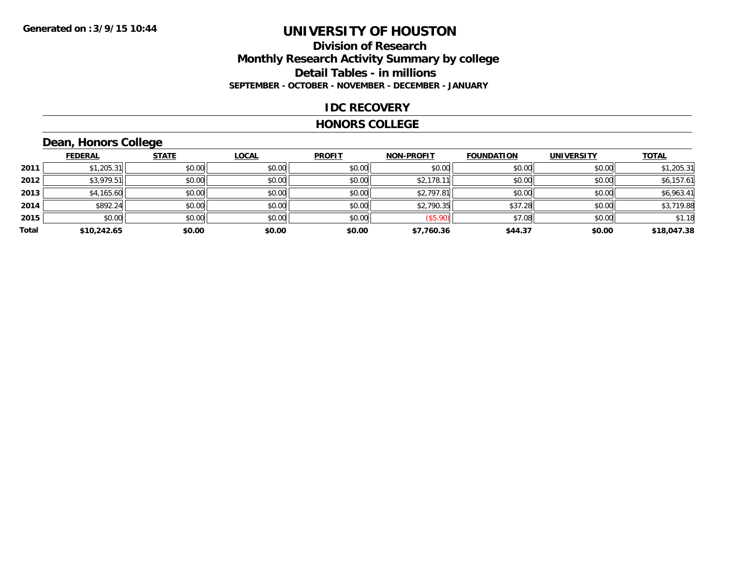#### **Division of Research Monthly Research Activity Summary by college Detail Tables - in millions SEPTEMBER - OCTOBER - NOVEMBER - DECEMBER - JANUARY**

#### **IDC RECOVERY**

#### **HONORS COLLEGE**

# **Dean, Honors College**

|       |                | $\sim$       |        |               |                   |                   |                   |              |
|-------|----------------|--------------|--------|---------------|-------------------|-------------------|-------------------|--------------|
|       | <b>FEDERAL</b> | <b>STATE</b> | LOCAL  | <b>PROFIT</b> | <b>NON-PROFIT</b> | <b>FOUNDATION</b> | <b>UNIVERSITY</b> | <b>TOTAL</b> |
| 2011  | \$1,205.31     | \$0.00       | \$0.00 | \$0.00        | \$0.00            | \$0.00            | \$0.00            | \$1,205.31   |
| 2012  | \$3,979.51     | \$0.00       | \$0.00 | \$0.00        | \$2,178.11        | \$0.00            | \$0.00            | \$6,157.61   |
| 2013  | \$4,165.60     | \$0.00       | \$0.00 | \$0.00        | \$2,797.81        | \$0.00            | \$0.00            | \$6,963.41   |
| 2014  | \$892.24       | \$0.00       | \$0.00 | \$0.00        | \$2,790.35        | \$37.28           | \$0.00            | \$3,719.88   |
| 2015  | \$0.00         | \$0.00       | \$0.00 | \$0.00        | (\$5.90)          | \$7.08            | \$0.00            | \$1.18       |
| Total | \$10,242.65    | \$0.00       | \$0.00 | \$0.00        | \$7,760.36        | \$44.37           | \$0.00            | \$18,047.38  |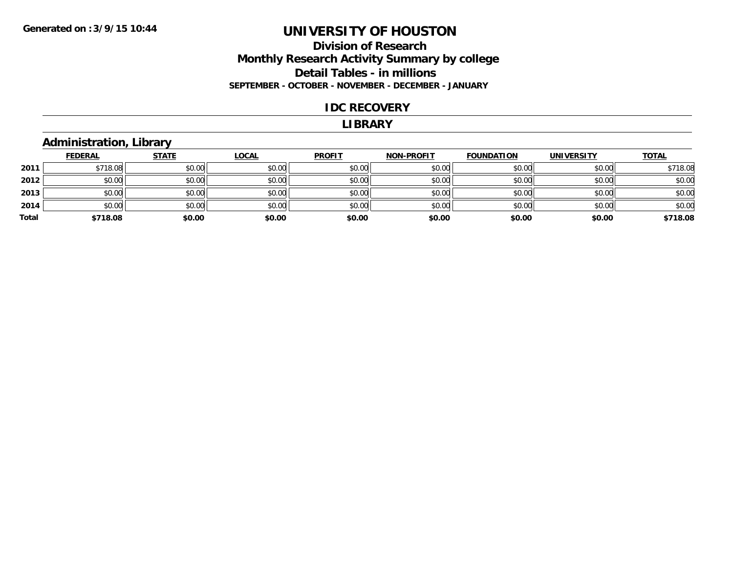#### **Division of Research Monthly Research Activity Summary by college Detail Tables - in millions SEPTEMBER - OCTOBER - NOVEMBER - DECEMBER - JANUARY**

#### **IDC RECOVERY**

#### **LIBRARY**

#### **Administration, Library**

|       | <b>FEDERAL</b> | <b>STATE</b> | <b>LOCAL</b> | <b>PROFIT</b> | <b>NON-PROFIT</b> | <b>FOUNDATION</b> | <b>UNIVERSITY</b> | <b>TOTAL</b> |
|-------|----------------|--------------|--------------|---------------|-------------------|-------------------|-------------------|--------------|
| 2011  | \$718.08       | \$0.00       | \$0.00       | \$0.00        | \$0.00            | \$0.00            | \$0.00            | \$718.08     |
| 2012  | \$0.00         | \$0.00       | \$0.00       | \$0.00        | \$0.00            | \$0.00            | \$0.00            | \$0.00       |
| 2013  | \$0.00         | \$0.00       | \$0.00       | \$0.00        | \$0.00            | \$0.00            | \$0.00            | \$0.00       |
| 2014  | \$0.00         | \$0.00       | \$0.00       | \$0.00        | \$0.00            | \$0.00            | \$0.00            | \$0.00       |
| Total | \$718.08       | \$0.00       | \$0.00       | \$0.00        | \$0.00            | \$0.00            | \$0.00            | \$718.08     |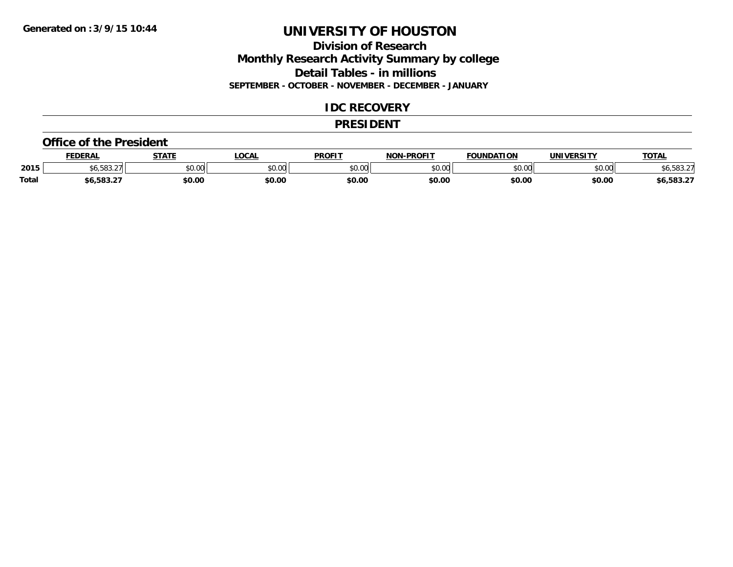### **Division of ResearchMonthly Research Activity Summary by college Detail Tables - in millions SEPTEMBER - OCTOBER - NOVEMBER - DECEMBER - JANUARY**

#### **IDC RECOVERY**

#### **PRESIDENT**

#### **Office of the President**

|              | <b>FEDERA</b>     | <b>STATE</b> | <b>OCAL</b>   | <b>PROFIT</b> | <b>LPROFIT</b><br>NIAN | FOUNDATION | IINIVEDSITV        | TOT<br>101n |
|--------------|-------------------|--------------|---------------|---------------|------------------------|------------|--------------------|-------------|
| 2015         | roo<br>, 2.       | \$0.00       | 0000<br>JU.UU | 0000<br>JU.UU | \$0.00                 | $\sim$ 00  | $\sim$ 00<br>טט.טע | .u          |
| <b>Total</b> | $\sim$ 582 $\sim$ | \$0.00       | \$0.00        | \$0.00        | \$0.00                 | \$0.00     | \$0.00             | $0.583.2^-$ |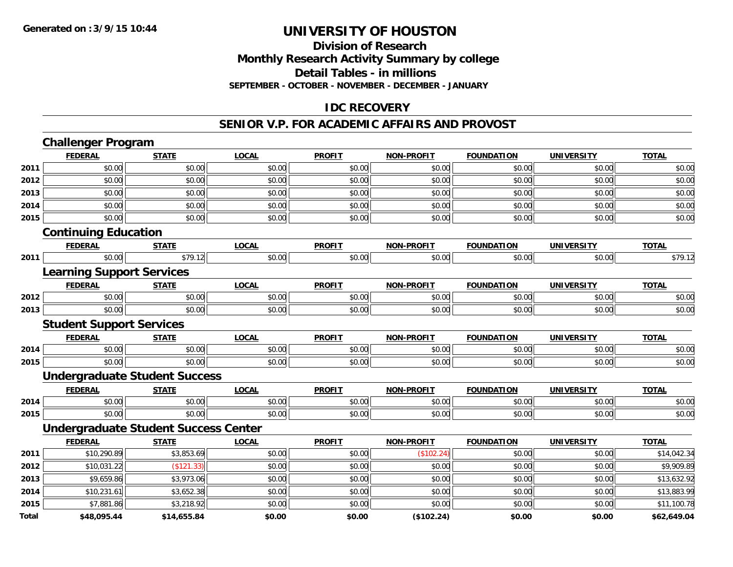#### **Division of Research Monthly Research Activity Summary by college Detail Tables - in millions SEPTEMBER - OCTOBER - NOVEMBER - DECEMBER - JANUARY**

### **IDC RECOVERY**

#### **SENIOR V.P. FOR ACADEMIC AFFAIRS AND PROVOST**

|       | <b>Challenger Program</b>                   |              |              |               |                   |                   |                   |              |
|-------|---------------------------------------------|--------------|--------------|---------------|-------------------|-------------------|-------------------|--------------|
|       | <b>FEDERAL</b>                              | <b>STATE</b> | <b>LOCAL</b> | <b>PROFIT</b> | <b>NON-PROFIT</b> | <b>FOUNDATION</b> | <b>UNIVERSITY</b> | <b>TOTAL</b> |
| 2011  | \$0.00                                      | \$0.00       | \$0.00       | \$0.00        | \$0.00            | \$0.00            | \$0.00            | \$0.00       |
| 2012  | \$0.00                                      | \$0.00       | \$0.00       | \$0.00        | \$0.00            | \$0.00            | \$0.00            | \$0.00       |
| 2013  | \$0.00                                      | \$0.00       | \$0.00       | \$0.00        | \$0.00            | \$0.00            | \$0.00            | \$0.00       |
| 2014  | \$0.00                                      | \$0.00       | \$0.00       | \$0.00        | \$0.00            | \$0.00            | \$0.00            | \$0.00       |
| 2015  | \$0.00                                      | \$0.00       | \$0.00       | \$0.00        | \$0.00            | \$0.00            | \$0.00            | \$0.00       |
|       | <b>Continuing Education</b>                 |              |              |               |                   |                   |                   |              |
|       | <b>FEDERAL</b>                              | <b>STATE</b> | <b>LOCAL</b> | <b>PROFIT</b> | <b>NON-PROFIT</b> | <b>FOUNDATION</b> | <b>UNIVERSITY</b> | <b>TOTAL</b> |
| 2011  | \$0.00                                      | \$79.12      | \$0.00       | \$0.00        | \$0.00            | \$0.00            | \$0.00            | \$79.12      |
|       | <b>Learning Support Services</b>            |              |              |               |                   |                   |                   |              |
|       | <b>FEDERAL</b>                              | <b>STATE</b> | <b>LOCAL</b> | <b>PROFIT</b> | <b>NON-PROFIT</b> | <b>FOUNDATION</b> | <b>UNIVERSITY</b> | <b>TOTAL</b> |
| 2012  | \$0.00                                      | \$0.00       | \$0.00       | \$0.00        | \$0.00            | \$0.00            | \$0.00            | \$0.00       |
| 2013  | \$0.00                                      | \$0.00       | \$0.00       | \$0.00        | \$0.00            | \$0.00            | \$0.00            | \$0.00       |
|       | <b>Student Support Services</b>             |              |              |               |                   |                   |                   |              |
|       | <b>FEDERAL</b>                              | <b>STATE</b> | <b>LOCAL</b> | <b>PROFIT</b> | <b>NON-PROFIT</b> | <b>FOUNDATION</b> | <b>UNIVERSITY</b> | <b>TOTAL</b> |
| 2014  | \$0.00                                      | \$0.00       | \$0.00       | \$0.00        | \$0.00            | \$0.00            | \$0.00            | \$0.00       |
| 2015  | \$0.00                                      | \$0.00       | \$0.00       | \$0.00        | \$0.00            | \$0.00            | \$0.00            | \$0.00       |
|       | <b>Undergraduate Student Success</b>        |              |              |               |                   |                   |                   |              |
|       | <b>FEDERAL</b>                              | <b>STATE</b> | <b>LOCAL</b> | <b>PROFIT</b> | <b>NON-PROFIT</b> | <b>FOUNDATION</b> | <b>UNIVERSITY</b> | <b>TOTAL</b> |
| 2014  | \$0.00                                      | \$0.00       | \$0.00       | \$0.00        | \$0.00            | \$0.00            | \$0.00            | \$0.00       |
| 2015  | \$0.00                                      | \$0.00       | \$0.00       | \$0.00        | \$0.00            | \$0.00            | \$0.00            | \$0.00       |
|       | <b>Undergraduate Student Success Center</b> |              |              |               |                   |                   |                   |              |
|       | <b>FEDERAL</b>                              | <b>STATE</b> | <b>LOCAL</b> | <b>PROFIT</b> | <b>NON-PROFIT</b> | <b>FOUNDATION</b> | <b>UNIVERSITY</b> | <b>TOTAL</b> |
| 2011  | \$10,290.89                                 | \$3,853.69   | \$0.00       | \$0.00        | (\$102.24)        | \$0.00            | \$0.00            | \$14,042.34  |
| 2012  | \$10,031.22                                 | (\$121.33)   | \$0.00       | \$0.00        | \$0.00            | \$0.00            | \$0.00            | \$9,909.89   |
| 2013  | \$9,659.86                                  | \$3,973.06   | \$0.00       | \$0.00        | \$0.00            | \$0.00            | \$0.00            | \$13,632.92  |
| 2014  | \$10,231.61                                 | \$3,652.38   | \$0.00       | \$0.00        | \$0.00            | \$0.00            | \$0.00            | \$13,883.99  |
| 2015  | \$7,881.86                                  | \$3,218.92   | \$0.00       | \$0.00        | \$0.00            | \$0.00            | \$0.00            | \$11,100.78  |
| Total | \$48,095.44                                 | \$14,655.84  | \$0.00       | \$0.00        | (\$102.24)        | \$0.00            | \$0.00            | \$62,649.04  |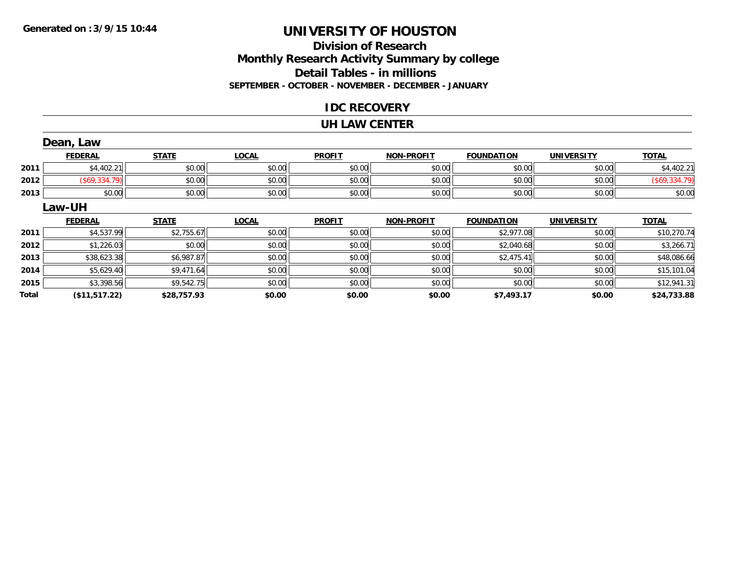### **Division of ResearchMonthly Research Activity Summary by college Detail Tables - in millions SEPTEMBER - OCTOBER - NOVEMBER - DECEMBER - JANUARY**

#### **IDC RECOVERY**

#### **UH LAW CENTER**

|       | Dean, Law      |              |              |               |                   |                   |                   |               |
|-------|----------------|--------------|--------------|---------------|-------------------|-------------------|-------------------|---------------|
|       | <b>FEDERAL</b> | <b>STATE</b> | <b>LOCAL</b> | <b>PROFIT</b> | <b>NON-PROFIT</b> | <b>FOUNDATION</b> | <b>UNIVERSITY</b> | <b>TOTAL</b>  |
| 2011  | \$4,402.21     | \$0.00       | \$0.00       | \$0.00        | \$0.00            | \$0.00            | \$0.00            | \$4,402.21    |
| 2012  | (\$69,334.79)  | \$0.00       | \$0.00       | \$0.00        | \$0.00            | \$0.00            | \$0.00            | (\$69,334.79) |
| 2013  | \$0.00         | \$0.00       | \$0.00       | \$0.00        | \$0.00            | \$0.00            | \$0.00            | \$0.00        |
|       | Law-UH         |              |              |               |                   |                   |                   |               |
|       | <b>FEDERAL</b> | <b>STATE</b> | <b>LOCAL</b> | <b>PROFIT</b> | <b>NON-PROFIT</b> | <b>FOUNDATION</b> | <b>UNIVERSITY</b> | <b>TOTAL</b>  |
| 2011  | \$4,537.99     | \$2,755.67   | \$0.00       | \$0.00        | \$0.00            | \$2,977.08        | \$0.00            | \$10,270.74   |
| 2012  | \$1,226.03     | \$0.00       | \$0.00       | \$0.00        | \$0.00            | \$2,040.68        | \$0.00            | \$3,266.71    |
| 2013  | \$38,623.38    | \$6,987.87   | \$0.00       | \$0.00        | \$0.00            | \$2,475.41        | \$0.00            | \$48,086.66   |
| 2014  | \$5,629.40     | \$9,471.64   | \$0.00       | \$0.00        | \$0.00            | \$0.00            | \$0.00            | \$15,101.04   |
| 2015  | \$3,398.56     | \$9,542.75   | \$0.00       | \$0.00        | \$0.00            | \$0.00            | \$0.00            | \$12,941.31   |
| Total | (\$11,517.22)  | \$28,757.93  | \$0.00       | \$0.00        | \$0.00            | \$7,493.17        | \$0.00            | \$24,733.88   |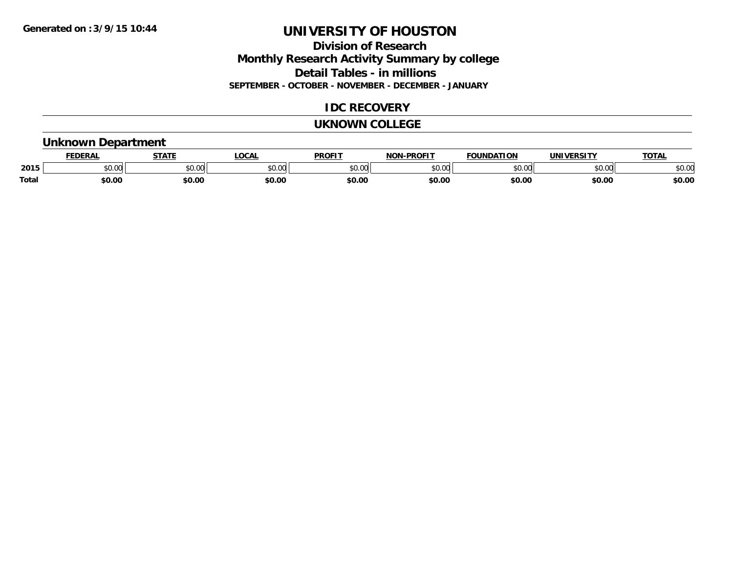### **Division of ResearchMonthly Research Activity Summary by college Detail Tables - in millions SEPTEMBER - OCTOBER - NOVEMBER - DECEMBER - JANUARY**

### **IDC RECOVERY**

#### **UKNOWN COLLEGE**

#### **Unknown Department**

|              | DERAI         | CTATL         | .OCAI          | <b>PROFIT</b> | <b>DDOEL1</b><br>810 R | <b>FOUNDATION</b> | UNIVERSITY | TOTAL  |
|--------------|---------------|---------------|----------------|---------------|------------------------|-------------------|------------|--------|
| 2015         | 0.00<br>JU.UU | 0.00<br>JU.UU | ≮∩ ∩r<br>JU.UL | 0000<br>JU.UU | $\sim$ 00<br>וטט.טי    | 0000              | \$0.00     | \$0.00 |
| <b>Total</b> | \$0.00        | \$0.00        | \$0.00         | \$0.00        | \$0.00                 | \$0.00            | \$0.00     | \$0.00 |